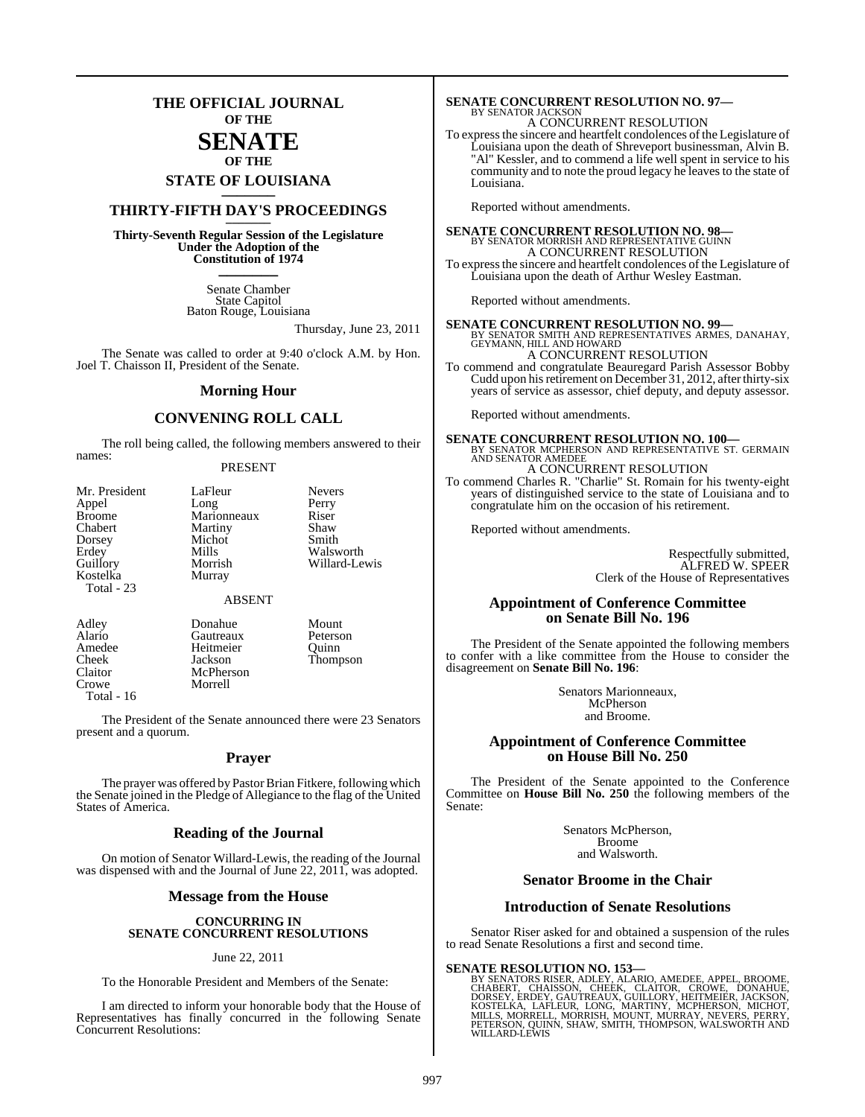### **THE OFFICIAL JOURNAL OF THE**

### **SENATE OF THE**

**STATE OF LOUISIANA \_\_\_\_\_\_\_**

### **THIRTY-FIFTH DAY'S PROCEEDINGS \_\_\_\_\_\_\_**

**Thirty-Seventh Regular Session of the Legislature Under the Adoption of the Constitution of 1974 \_\_\_\_\_\_\_**

> Senate Chamber State Capitol Baton Rouge, Louisiana

> > Thursday, June 23, 2011

The Senate was called to order at 9:40 o'clock A.M. by Hon. Joel T. Chaisson II, President of the Senate.

#### **Morning Hour**

### **CONVENING ROLL CALL**

The roll being called, the following members answered to their names:

#### PRESENT

| Mr. President | LaFleur     | <b>Nevers</b> |
|---------------|-------------|---------------|
| Appel         | Long        | Perry         |
| Broome        | Marionneaux | Riser         |
| Chabert       | Martiny     | Shaw          |
| Dorsey        | Michot      | Smith         |
| Erdev         | Mills       | Walswo        |
| Guillory      | Morrish     | Willard       |
| Kostelka      | Murray      |               |
| Total - 23    |             |               |
|               |             |               |

Mills Walsworth<br>Morrish Willard-Lev Willard-Lewis

ABSENT

Morrell

Adley Donahue Mount<br>Alario Gautreaux Peterson Alario Gautreaux Petersc<br>
Amedee Heitmeier Quinn Amedee Heitmeier<br>Cheek Jackson Claitor McPherson Total - 16

Thompson

The President of the Senate announced there were 23 Senators present and a quorum.

#### **Prayer**

The prayer was offered by Pastor Brian Fitkere, following which the Senate joined in the Pledge of Allegiance to the flag of the United States of America.

#### **Reading of the Journal**

On motion of Senator Willard-Lewis, the reading of the Journal was dispensed with and the Journal of June 22, 2011, was adopted.

#### **Message from the House**

#### **CONCURRING IN SENATE CONCURRENT RESOLUTIONS**

#### June 22, 2011

To the Honorable President and Members of the Senate:

I am directed to inform your honorable body that the House of Representatives has finally concurred in the following Senate Concurrent Resolutions:

### **SENATE CONCURRENT RESOLUTION NO. 97—** BY SENATOR JACKSON A CONCURRENT RESOLUTION

To expressthe sincere and heartfelt condolences ofthe Legislature of Louisiana upon the death of Shreveport businessman, Alvin B. "Al" Kessler, and to commend a life well spent in service to his community and to note the proud legacy he leaves to the state of Louisiana<sup>-</sup>

Reported without amendments.

**SENATE CONCURRENT RESOLUTION NO. 98—** BY SENATOR MORRISH AND REPRESENTATIVE GUINN A CONCURRENT RESOLUTION To expressthe sincere and heartfelt condolences of the Legislature of Louisiana upon the death of Arthur Wesley Eastman.

Reported without amendments.

**SENATE CONCURRENT RESOLUTION NO. 99—** BY SENATOR SMITH AND REPRESENTATIVES ARMES, DANAHAY, GEYMANN, HILL AND HOWARD A CONCURRENT RESOLUTION

To commend and congratulate Beauregard Parish Assessor Bobby Cudd upon his retirement on December 31, 2012, after thirty-six years of service as assessor, chief deputy, and deputy assessor.

Reported without amendments.

**SENATE CONCURRENT RESOLUTION NO. 100—**<br>BY SENATOR MCPHERSON AND REPRESENTATIVE ST. GERMAIN<br>AND SENATOR AMEDEE A CONCURRENT RESOLUTION

To commend Charles R. "Charlie" St. Romain for his twenty-eight years of distinguished service to the state of Louisiana and to congratulate him on the occasion of his retirement.

Reported without amendments.

Respectfully submitted, ALFRED W. SPEER Clerk of the House of Representatives

#### **Appointment of Conference Committee on Senate Bill No. 196**

The President of the Senate appointed the following members to confer with a like committee from the House to consider the disagreement on **Senate Bill No. 196**:

> Senators Marionneaux, McPherson and Broome.

#### **Appointment of Conference Committee on House Bill No. 250**

The President of the Senate appointed to the Conference Committee on **House Bill No. 250** the following members of the Senate:

> Senators McPherson, Broome and Walsworth.

#### **Senator Broome in the Chair**

#### **Introduction of Senate Resolutions**

Senator Riser asked for and obtained a suspension of the rules to read Senate Resolutions a first and second time.

**SENATE RESOLUTION NO. 153—**<br>BY SENATORS RISER, ADLEY, ALARIO, AMEDEE, APPEL, BROOME, CHABERT, CHAISSON, CHEEK, CLAITOR, CROWE, DONAHUE,<br>DORSEY, ERDEY, GAUTREAUX, GUILLORY, HEITMEIER, JACKSON,<br>KOSTELKA, LAFLEUR, LONG, MART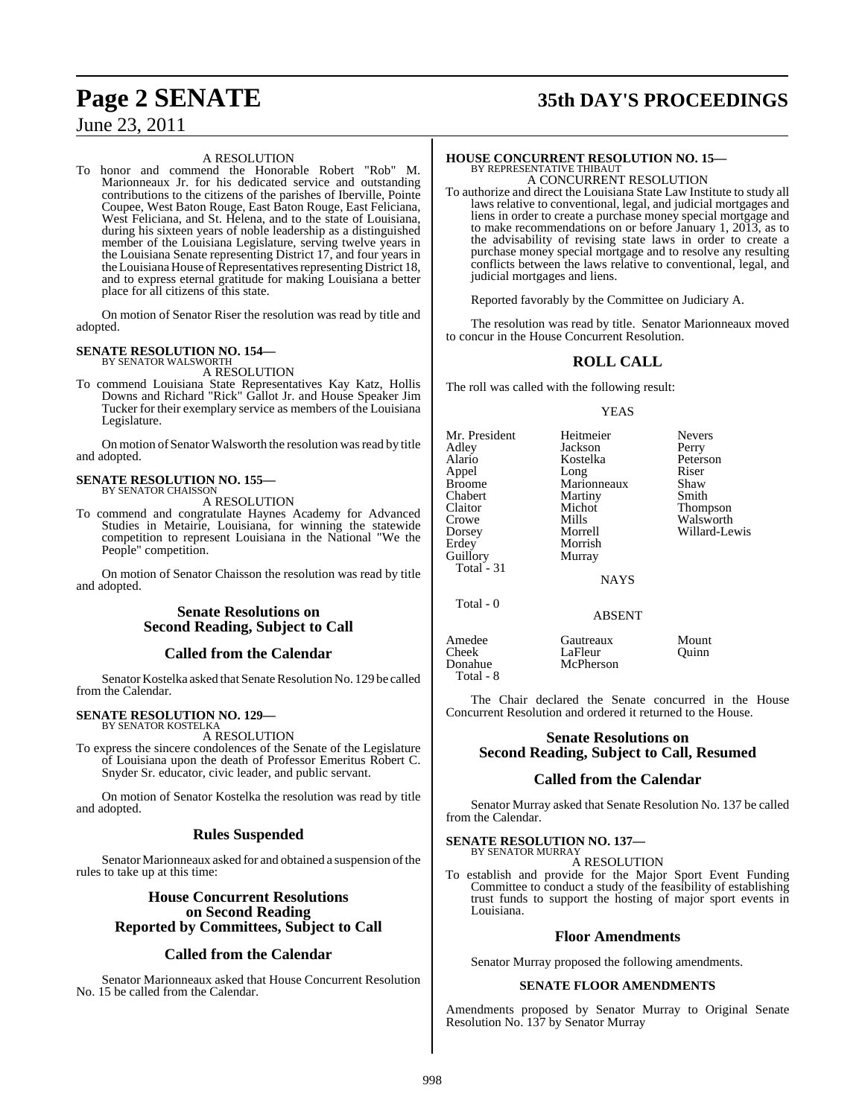#### A RESOLUTION

To honor and commend the Honorable Robert "Rob" M. Marionneaux Jr. for his dedicated service and outstanding contributions to the citizens of the parishes of Iberville, Pointe Coupee, West Baton Rouge, East Baton Rouge, East Feliciana, West Feliciana, and St. Helena, and to the state of Louisiana, during his sixteen years of noble leadership as a distinguished member of the Louisiana Legislature, serving twelve years in the Louisiana Senate representing District 17, and four years in the Louisiana House of Representatives representing District 18, and to express eternal gratitude for making Louisiana a better place for all citizens of this state.

On motion of Senator Riser the resolution was read by title and adopted.

### **SENATE RESOLUTION NO. 154—** BY SENATOR WALSWORTH

A RESOLUTION

To commend Louisiana State Representatives Kay Katz, Hollis Downs and Richard "Rick" Gallot Jr. and House Speaker Jim Tucker for their exemplary service as members of the Louisiana Legislature.

On motion of Senator Walsworth the resolution was read by title and adopted.

#### **SENATE RESOLUTION NO. 155—** BY SENATOR CHAISSON

A RESOLUTION

To commend and congratulate Haynes Academy for Advanced Studies in Metairie, Louisiana, for winning the statewide competition to represent Louisiana in the National "We the People" competition.

On motion of Senator Chaisson the resolution was read by title and adopted.

### **Senate Resolutions on Second Reading, Subject to Call**

### **Called from the Calendar**

Senator Kostelka asked that Senate Resolution No. 129 be called from the Calendar.

#### **SENATE RESOLUTION NO. 129—** BY SENATOR KOSTELKA

A RESOLUTION

To express the sincere condolences of the Senate of the Legislature of Louisiana upon the death of Professor Emeritus Robert C. Snyder Sr. educator, civic leader, and public servant.

On motion of Senator Kostelka the resolution was read by title and adopted.

### **Rules Suspended**

Senator Marionneaux asked for and obtained a suspension of the rules to take up at this time:

### **House Concurrent Resolutions on Second Reading Reported by Committees, Subject to Call**

### **Called from the Calendar**

Senator Marionneaux asked that House Concurrent Resolution No. 15 be called from the Calendar.

## **Page 2 SENATE 35th DAY'S PROCEEDINGS**

### **HOUSE CONCURRENT RESOLUTION NO. 15—** BY REPRESENTATIVE THIBAUT

A CONCURRENT RESOLUTION

To authorize and direct the Louisiana State Law Institute to study all laws relative to conventional, legal, and judicial mortgages and liens in order to create a purchase money special mortgage and to make recommendations on or before January 1, 2013, as to the advisability of revising state laws in order to create a purchase money special mortgage and to resolve any resulting conflicts between the laws relative to conventional, legal, and judicial mortgages and liens.

Reported favorably by the Committee on Judiciary A.

The resolution was read by title. Senator Marionneaux moved to concur in the House Concurrent Resolution.

### **ROLL CALL**

The roll was called with the following result:

#### YEAS

| Mr. President<br>Adley<br>Alario<br>Appel<br><b>Broome</b><br>Chabert<br>Claitor<br>Crowe<br>Dorsey<br>Erdey<br>Guillory<br>Total $-31$ | Heitmeier<br>Jackson<br>Kostelka<br>Long<br>Marionneaux<br>Martiny<br>Michot<br>Mills<br>Morrell<br>Morrish<br>Murray | <b>Nevers</b><br>Perry<br>Peterson<br>Riser<br>Shaw<br>Smith<br>Thompson<br>Walsworth<br>Willard-Lewis |
|-----------------------------------------------------------------------------------------------------------------------------------------|-----------------------------------------------------------------------------------------------------------------------|--------------------------------------------------------------------------------------------------------|
|                                                                                                                                         | <b>NAYS</b>                                                                                                           |                                                                                                        |
| Total - 0                                                                                                                               | <b>ABSENT</b>                                                                                                         |                                                                                                        |
| $\Lambda$ modes                                                                                                                         | $C_{\text{outmax}}$                                                                                                   | $M_{\odot}$                                                                                            |

Amedee Gautreaux Mount<br>Cheek LaFleur Ouinn Cheek LaFleur Quinn **McPherson** Total - 8

The Chair declared the Senate concurred in the House Concurrent Resolution and ordered it returned to the House.

#### **Senate Resolutions on Second Reading, Subject to Call, Resumed**

### **Called from the Calendar**

Senator Murray asked that Senate Resolution No. 137 be called from the Calendar.

#### **SENATE RESOLUTION NO. 137—**

BY SENATOR MURRAY A RESOLUTION

To establish and provide for the Major Sport Event Funding Committee to conduct a study of the feasibility of establishing trust funds to support the hosting of major sport events in Louisiana.

#### **Floor Amendments**

Senator Murray proposed the following amendments.

#### **SENATE FLOOR AMENDMENTS**

Amendments proposed by Senator Murray to Original Senate Resolution No. 137 by Senator Murray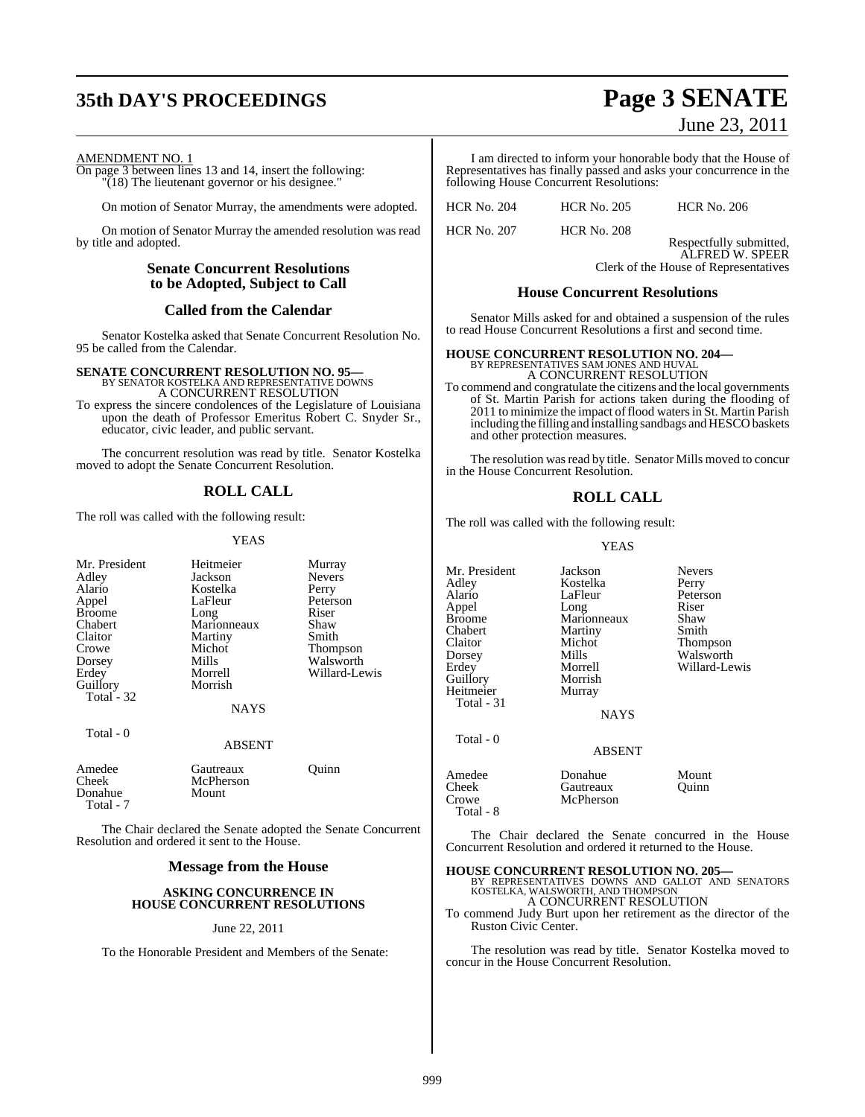## **35th DAY'S PROCEEDINGS Page 3 SENATE**

June 23, 2011

#### AMENDMENT NO. 1

On page 3 between lines 13 and 14, insert the following: "(18) The lieutenant governor or his designee."

On motion of Senator Murray, the amendments were adopted.

On motion of Senator Murray the amended resolution was read by title and adopted.

### **Senate Concurrent Resolutions to be Adopted, Subject to Call**

#### **Called from the Calendar**

Senator Kostelka asked that Senate Concurrent Resolution No. 95 be called from the Calendar.

### **SENATE CONCURRENT RESOLUTION NO. 95—** BY SENATOR KOSTELKA AND REPRESENTATIVE DOWNS A CONCURRENT RESOLUTION

To express the sincere condolences of the Legislature of Louisiana upon the death of Professor Emeritus Robert C. Snyder Sr., educator, civic leader, and public servant.

The concurrent resolution was read by title. Senator Kostelka moved to adopt the Senate Concurrent Resolution.

### **ROLL CALL**

The roll was called with the following result:

#### YEAS

| Mr. President<br>Adley<br>Alario<br>Appel<br><b>Broome</b><br>Chabert<br>Claitor<br>Crowe<br>Dorsey<br>Erdey<br>Guillory<br>Total - 32<br>Total - 0 | Heitmeier<br>Jackson<br>Kostelka<br>LaFleur<br>Long<br>Marionneaux<br>Martiny<br>Michot<br>Mills<br>Morrell<br>Morrish<br><b>NAYS</b> | Murray<br><b>Nevers</b><br>Perry<br>Peterson<br>Riser<br>Shaw<br>Smith<br>Thompson<br>Walsworth<br>Willard-Lewis |
|-----------------------------------------------------------------------------------------------------------------------------------------------------|---------------------------------------------------------------------------------------------------------------------------------------|------------------------------------------------------------------------------------------------------------------|
|                                                                                                                                                     | ABSENT                                                                                                                                |                                                                                                                  |
| Amedee<br>Cheek<br>Donahue<br>Total - 7                                                                                                             | Gautreaux<br>McPherson<br>Mount                                                                                                       | Ouinn                                                                                                            |

The Chair declared the Senate adopted the Senate Concurrent Resolution and ordered it sent to the House.

#### **Message from the House**

#### **ASKING CONCURRENCE IN HOUSE CONCURRENT RESOLUTIONS**

#### June 22, 2011

To the Honorable President and Members of the Senate:

I am directed to inform your honorable body that the House of Representatives has finally passed and asks your concurrence in the following House Concurrent Resolutions:

| <b>HCR No. 204</b> | <b>HCR No. 205</b> | <b>HCR No. 206</b>                         |
|--------------------|--------------------|--------------------------------------------|
| <b>HCR No. 207</b> | <b>HCR No. 208</b> |                                            |
|                    |                    | Respectfully submitted,<br>ALFRED W. SPEER |
|                    |                    | Clerk of the House of Representatives      |

#### **House Concurrent Resolutions**

Senator Mills asked for and obtained a suspension of the rules to read House Concurrent Resolutions a first and second time.

#### **HOUSE CONCURRENT RESOLUTION NO. 204—**

BY REPRESENTATIVES SAM JONES AND HUVAL A CONCURRENT RESOLUTION

To commend and congratulate the citizens and the local governments of St. Martin Parish for actions taken during the flooding of 2011 to minimize the impact of flood waters in St. Martin Parish including the filling and installing sandbags and HESCO baskets and other protection measures.

The resolution was read by title. Senator Mills moved to concur in the House Concurrent Resolution.

### **ROLL CALL**

The roll was called with the following result:

#### YEAS

Mr. President Jackson Nevers<br>Adley Kostelka Perry Adley Kostelka<br>Alario LaFleur Alario LaFleur Peterson<br>Appel Long Riser Appel Long Riser Broome Marionneaux Shaw Chabert Martiny Smith<br>Claitor Michot Thom Claitor Michot Thompson<br>
Dorsey Mills Walsworth Dorsey Mills Walsworth<br>
Erdev Morrell Willard-Le Erdey Morrell Willard-Lewis<br>
Guillory Morrish Willard-Lewis Morrish<br>Murray Heitmeier Total - 31 **NAYS**  Total - 0 ABSENT Amedee Donahue Mount Cheek Gautreaux Quinn<br>Crowe McPherson McPherson Total - 8

The Chair declared the Senate concurred in the House Concurrent Resolution and ordered it returned to the House.

**HOUSE CONCURRENT RESOLUTION NO. 205—** BY REPRESENTATIVES DOWNS AND GALLOT AND SENATORS KOSTELKA, WALSWORTH, AND THOMPSON A CONCURRENT RESOLUTION

To commend Judy Burt upon her retirement as the director of the Ruston Civic Center.

The resolution was read by title. Senator Kostelka moved to concur in the House Concurrent Resolution.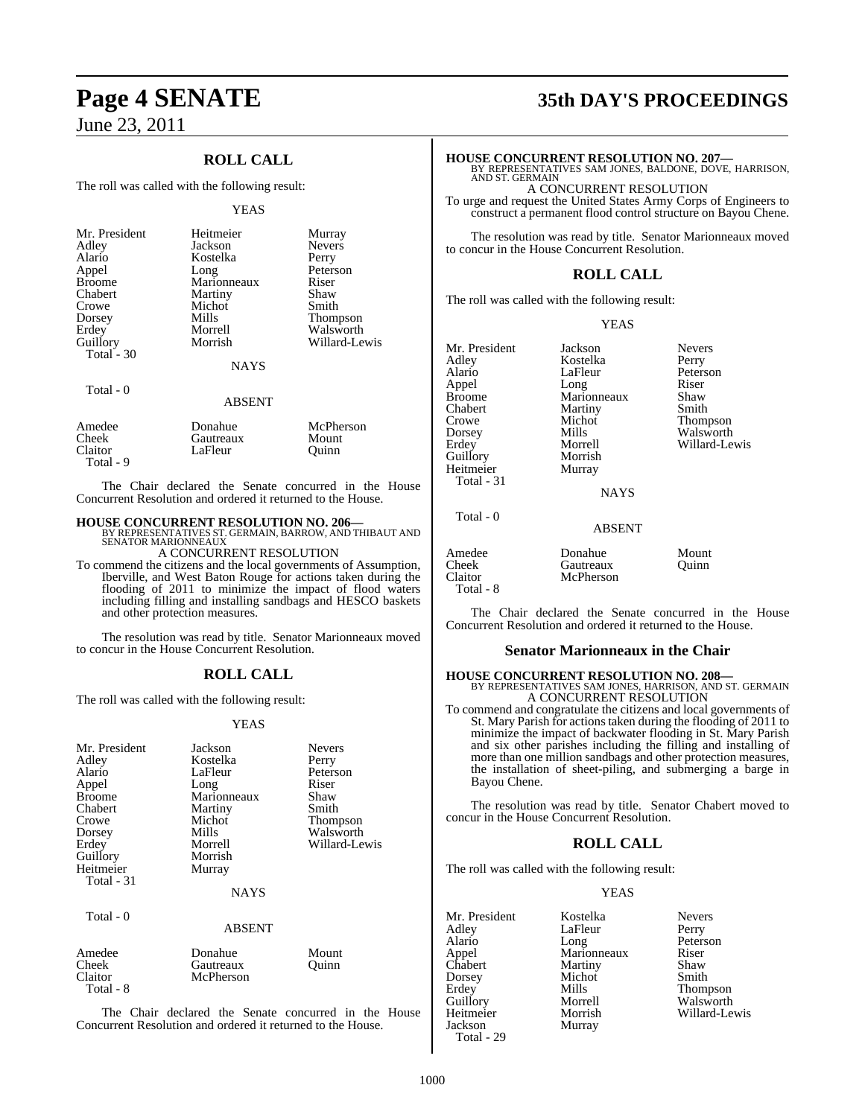### **ROLL CALL**

The roll was called with the following result:

#### YEAS

| Mr. President | Heitmeier   | Murray          |
|---------------|-------------|-----------------|
| Adley         | Jackson     | <b>Nevers</b>   |
| Alario        | Kostelka    | Perry           |
| Appel         | Long        | Peterson        |
| <b>Broome</b> | Marionneaux | Riser           |
| Chabert       | Martiny     | Shaw            |
| Crowe         | Michot      | Smith           |
| Dorsey        | Mills       | <b>Thompson</b> |
| Erdey         | Morrell     | Walsworth       |
| Guillory      | Morrish     | Willard-Lewis   |
| Total - $30$  |             |                 |
|               | <b>NAYS</b> |                 |
| Total - 0     | ABSENT      |                 |

| Amedee    | Donahue   | McPherson |  |
|-----------|-----------|-----------|--|
| Cheek     | Gautreaux | Mount     |  |
| Claitor   | LaFleur   | Ouinn     |  |
| Total - 9 |           |           |  |

The Chair declared the Senate concurred in the House Concurrent Resolution and ordered it returned to the House.

**HOUSE CONCURRENT RESOLUTION NO. 206—** BY REPRESENTATIVES ST. GERMAIN, BARROW, AND THIBAUT AND SENATOR MARIONNEAUX A CONCURRENT RESOLUTION

To commend the citizens and the local governments of Assumption,

Iberville, and West Baton Rouge for actions taken during the flooding of 2011 to minimize the impact of flood waters including filling and installing sandbags and HESCO baskets and other protection measures.

The resolution was read by title. Senator Marionneaux moved to concur in the House Concurrent Resolution.

### **ROLL CALL**

The roll was called with the following result:

#### YEAS

| Mr. President<br>Adley<br>Alario<br>Appel<br><b>Broome</b><br>Chabert<br>Crowe<br>Dorsey<br>Erdey<br>Guillory<br>Heitmeier<br>Total - 31 | Jackson<br>Kostelka<br>LaFleur<br>Long<br>Marionneaux<br>Martiny<br>Michot<br>Mills<br>Morrell<br>Morrish<br>Murray<br><b>NAYS</b> | <b>Nevers</b><br>Perry<br>Peterson<br>Riser<br>Shaw<br>Smith<br>Thompson<br>Walsworth<br>Willard-Lewis |
|------------------------------------------------------------------------------------------------------------------------------------------|------------------------------------------------------------------------------------------------------------------------------------|--------------------------------------------------------------------------------------------------------|
| Total - 0                                                                                                                                | ABSENT                                                                                                                             |                                                                                                        |
| Amedee<br>Cheek<br>Claitor<br>Total - 8                                                                                                  | Donahue<br>Gautreaux<br>McPherson                                                                                                  | Mount<br>Ouinn                                                                                         |

The Chair declared the Senate concurred in the House Concurrent Resolution and ordered it returned to the House.

## **Page 4 SENATE 35th DAY'S PROCEEDINGS**

**HOUSE CONCURRENT RESOLUTION NO. 207—**

BY REPRESENTATIVES SAM JONES, BALDONE, DOVE, HARRISON, AND ST. GERMAIN

A CONCURRENT RESOLUTION

To urge and request the United States Army Corps of Engineers to construct a permanent flood control structure on Bayou Chene.

The resolution was read by title. Senator Marionneaux moved to concur in the House Concurrent Resolution.

### **ROLL CALL**

The roll was called with the following result:

YEAS

| Mr. President | Jackson     | <b>Nevers</b> |
|---------------|-------------|---------------|
| Adley         | Kostelka    | Perry         |
| Alario        | LaFleur     | Peterson      |
| Appel         | Long        | Riser         |
| <b>Broome</b> | Marionneaux | Shaw          |
| Chabert       | Martiny     | Smith         |
| Crowe         | Michot      | Thompson      |
| Dorsey        | Mills       | Walsworth     |
| Erdey         | Morrell     | Willard-Le    |
| Guillory      | Morrish     |               |
| Heitmeier     | Murray      |               |
| Total - 31    |             |               |
|               | <b>NAYS</b> |               |
| Total - 0     |             |               |

Peterson<br>Riser Percell Willard-Lewis<br>
Norrish

ABSENT

#### Amedee Donahue Mount<br>Cheek Gautreaux Ouinn Cheek Gautreaux Quinn McPherson Total - 8

The Chair declared the Senate concurred in the House Concurrent Resolution and ordered it returned to the House.

#### **Senator Marionneaux in the Chair**

**HOUSE CONCURRENT RESOLUTION NO. 208—** BY REPRESENTATIVES SAM JONES, HARRISON, AND ST. GERMAIN A CONCURRENT RESOLUTION

To commend and congratulate the citizens and local governments of St. Mary Parish for actions taken during the flooding of 2011 to minimize the impact of backwater flooding in St. Mary Parish and six other parishes including the filling and installing of more than one million sandbags and other protection measures, the installation of sheet-piling, and submerging a barge in Bayou Chene.

The resolution was read by title. Senator Chabert moved to concur in the House Concurrent Resolution.

#### **ROLL CALL**

The roll was called with the following result:

#### YEAS

Mr. President Kostelka Nevers<br>Adley LaFleur Perry Adley LaFleur<br>Alario Long Alario Long Peterson<br>Appel Marionneaux Riser Appel Marionneaux Riser<br>
Chabert Martiny Shaw Chabert Martiny Shaw<br>Dorsey Michot Smith Dorsey Michot<br>Erdey Mills Erdey Mills Thompson<br>Guillory Morrell Walsworth Guillory Morrell Walsworth Jackson Murray Total - 29

Willard-Lewis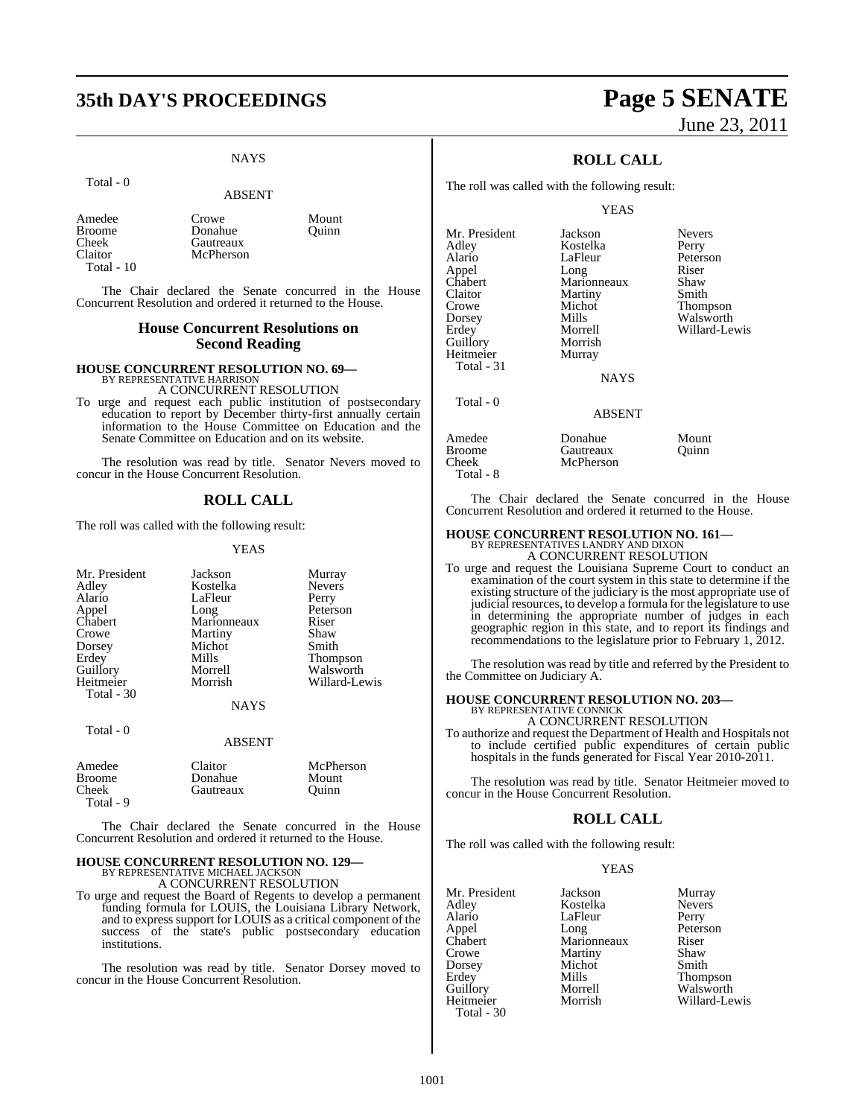## **35th DAY'S PROCEEDINGS Page 5 SENATE**

### **NAYS**

#### Total - 0

#### ABSENT

Mount **Ouinn** 

| Amedee     | Crowe     |
|------------|-----------|
| Broome     | Donahue   |
| Cheek      | Gautreaux |
| Claitor    | McPherson |
| Total - 10 |           |

The Chair declared the Senate concurred in the House Concurrent Resolution and ordered it returned to the House.

#### **House Concurrent Resolutions on Second Reading**

**HOUSE CONCURRENT RESOLUTION NO. 69—** BY REPRESENTATIVE HARRISON A CONCURRENT RESOLUTION

To urge and request each public institution of postsecondary education to report by December thirty-first annually certain information to the House Committee on Education and the Senate Committee on Education and on its website.

The resolution was read by title. Senator Nevers moved to concur in the House Concurrent Resolution.

#### **ROLL CALL**

The roll was called with the following result:

#### YEAS

| Murray          |
|-----------------|
| <b>Nevers</b>   |
| Perry           |
| Peterson        |
| Riser           |
| Shaw            |
| Smith           |
| <b>Thompson</b> |
| Walsworth       |
| Willard-Lewis   |
|                 |
|                 |
|                 |

### Total - 0

| Amedee                  | Claitor   | McPherson |
|-------------------------|-----------|-----------|
| <b>Broome</b>           | Donahue   | Mount     |
| Cheek                   | Gautreaux | Ouinn     |
| $T_{\alpha\ell\alpha}1$ |           |           |

Total - 9

The Chair declared the Senate concurred in the House Concurrent Resolution and ordered it returned to the House.

ABSENT

### **HOUSE CONCURRENT RESOLUTION NO. 129—** BY REPRESENTATIVE MICHAEL JACKSON A CONCURRENT RESOLUTION

To urge and request the Board of Regents to develop a permanent funding formula for LOUIS, the Louisiana Library Network, and to express support for LOUIS as a critical component of the success of the state's public postsecondary education institutions.

The resolution was read by title. Senator Dorsey moved to concur in the House Concurrent Resolution.

# June 23, 2011

### **ROLL CALL**

The roll was called with the following result:

#### YEAS

| Mr. President | Jackson       | <b>Nevers</b> |
|---------------|---------------|---------------|
| Adley         | Kostelka      | Perry         |
| Alario        | LaFleur       | Peterson      |
| Appel         | Long          | Riser         |
| Chabert       | Marionneaux   | Shaw          |
| Claitor       | Martiny       | Smith         |
| Crowe         | Michot        | Thompson      |
| Dorsey        | Mills         | Walsworth     |
| Erdev         | Morrell       | Willard-Lewis |
| Guillory      | Morrish       |               |
| Heitmeier     | Murray        |               |
| Total - 31    |               |               |
|               | <b>NAYS</b>   |               |
| Total $-0$    |               |               |
|               | <b>ABSENT</b> |               |
| Amedee        | Donahue       | Mount         |
| Broome        | Gautreaux     | Ouinn         |
| Cheek         | McPherson     |               |

Total - 8

The Chair declared the Senate concurred in the House Concurrent Resolution and ordered it returned to the House.

## **HOUSE CONCURRENT RESOLUTION NO. 161—** BY REPRESENTATIVES LANDRY AND DIXON A CONCURRENT RESOLUTION

To urge and request the Louisiana Supreme Court to conduct an examination of the court system in this state to determine if the existing structure of the judiciary is the most appropriate use of judicial resources, to develop a formula for the legislature to use in determining the appropriate number of judges in each geographic region in this state, and to report its findings and recommendations to the legislature prior to February 1, 2012.

The resolution was read by title and referred by the President to the Committee on Judiciary A.

### **HOUSE CONCURRENT RESOLUTION NO. 203—** BY REPRESENTATIVE CONNICK

A CONCURRENT RESOLUTION

To authorize and request the Department of Health and Hospitals not to include certified public expenditures of certain public hospitals in the funds generated for Fiscal Year 2010-2011.

The resolution was read by title. Senator Heitmeier moved to concur in the House Concurrent Resolution.

#### **ROLL CALL**

The roll was called with the following result:

#### YEAS

Willard-Lewis

| Mr. President | Jackson     | Murray        |
|---------------|-------------|---------------|
| Adley         | Kostelka    | <b>Nevers</b> |
| Alario        | LaFleur     | Perry         |
| Appel         | Long        | Peterson      |
| Chabert       | Marionneaux | Riser         |
| Crowe         | Martiny     | Shaw          |
| Dorsey        | Michot      | Smith         |
| Erdey         | Mills       | Thompson      |
| Guillory      | Morrell     | Walsworth     |
| Heitmeier     | Morrish     | Willard-Le    |
| Total - 30    |             |               |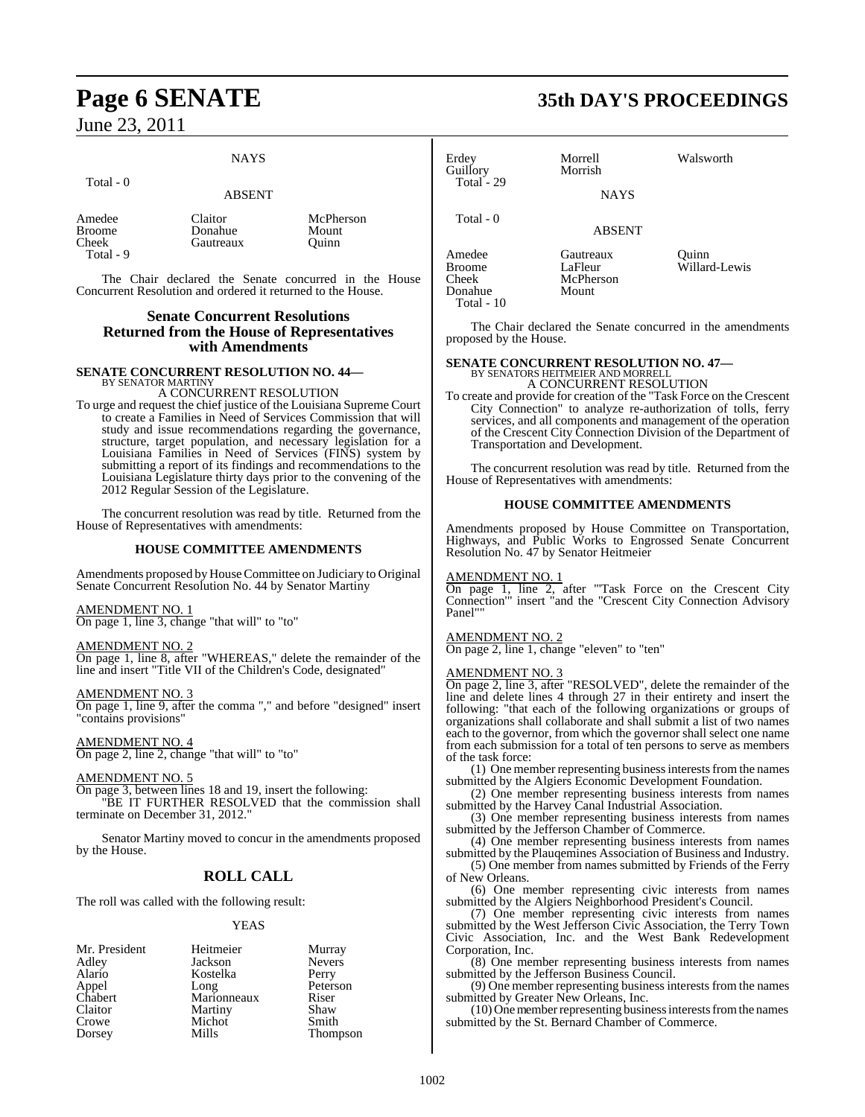#### **NAYS**

ABSENT

#### Total - 0

#### Amedee Claitor McPherson<br>Broome Donahue Mount Broome Donahue Mount<br>Cheek Gautreaux Ouinn Gautreaux Total - 9

The Chair declared the Senate concurred in the House Concurrent Resolution and ordered it returned to the House.

#### **Senate Concurrent Resolutions Returned from the House of Representatives with Amendments**

**SENATE CONCURRENT RESOLUTION NO. 44—** BY SENATOR MARTINY

#### A CONCURRENT RESOLUTION

To urge and request the chief justice of the Louisiana Supreme Court to create a Families in Need of Services Commission that will study and issue recommendations regarding the governance, structure, target population, and necessary legislation for a Louisiana Families in Need of Services (FINS) system by submitting a report of its findings and recommendations to the Louisiana Legislature thirty days prior to the convening of the 2012 Regular Session of the Legislature.

The concurrent resolution was read by title. Returned from the House of Representatives with amendments:

#### **HOUSE COMMITTEE AMENDMENTS**

Amendments proposed by House Committee on Judiciary to Original Senate Concurrent Resolution No. 44 by Senator Martiny

AMENDMENT NO. 1

On page 1, line 3, change "that will" to "to"

AMENDMENT NO. 2 On page 1, line 8, after "WHEREAS," delete the remainder of the line and insert "Title VII of the Children's Code, designated"

### AMENDMENT NO. 3

On page 1, line 9, after the comma "," and before "designed" insert "contains provisions"

AMENDMENT NO. 4 On page 2, line 2, change "that will" to "to"

AMENDMENT NO. 5 On page 3, between lines 18 and 19, insert the following: "BE IT FURTHER RESOLVED that the commission shall terminate on December 31, 2012.

Senator Martiny moved to concur in the amendments proposed by the House.

### **ROLL CALL**

The roll was called with the following result:

#### YEAS

| Mr. President | Heitmeier   | Murray          |
|---------------|-------------|-----------------|
| Adley         | Jackson     | <b>Nevers</b>   |
| Alario        | Kostelka    | Perry           |
| Appel         | Long        | Peterson        |
| Chabert       | Marionneaux | Riser           |
| Claitor       | Martiny     | Shaw            |
| Crowe         | Michot      | Smith           |
| Dorsey        | Mills       | <b>Thompson</b> |

### **Page 6 SENATE 35th DAY'S PROCEEDINGS**

| Erdey<br>Guillory<br>Total - 29             | Morrell<br>Morrish<br><b>NAYS</b>          | Walsworth              |
|---------------------------------------------|--------------------------------------------|------------------------|
| Total - 0                                   | <b>ABSENT</b>                              |                        |
| Amedee<br><b>Broome</b><br>Cheek<br>Donahue | Gautreaux<br>LaFleur<br>McPherson<br>Mount | Quinn<br>Willard-Lewis |

The Chair declared the Senate concurred in the amendments proposed by the House.

# **SENATE CONCURRENT RESOLUTION NO. 47—**<br>BY SENATORS HEITMEIER AND MORRELL<br>A CONCURRENT RESOLUTION

To create and provide for creation of the "Task Force on the Crescent City Connection" to analyze re-authorization of tolls, ferry services, and all components and management of the operation of the Crescent City Connection Division of the Department of Transportation and Development.

The concurrent resolution was read by title. Returned from the House of Representatives with amendments:

#### **HOUSE COMMITTEE AMENDMENTS**

Amendments proposed by House Committee on Transportation, Highways, and Public Works to Engrossed Senate Concurrent Resolution No. 47 by Senator Heitmeier

#### AMENDMENT NO. 1

Total - 10

On page 1, line 2, after "'Task Force on the Crescent City Connection'" insert "and the "Crescent City Connection Advisory Panel""

#### AMENDMENT NO. 2

On page 2, line 1, change "eleven" to "ten"

#### AMENDMENT NO. 3

On page 2, line 3, after "RESOLVED", delete the remainder of the line and delete lines 4 through 27 in their entirety and insert the following: "that each of the following organizations or groups of organizations shall collaborate and shall submit a list of two names each to the governor, from which the governor shall select one name from each submission for a total of ten persons to serve as members of the task force:

(1) One member representing business interests from the names submitted by the Algiers Economic Development Foundation.

(2) One member representing business interests from names submitted by the Harvey Canal Industrial Association.

(3) One member representing business interests from names submitted by the Jefferson Chamber of Commerce.

(4) One member representing business interests from names submitted by the Plauqemines Association of Business and Industry.

(5) One member from names submitted by Friends of the Ferry of New Orleans.

(6) One member representing civic interests from names submitted by the Algiers Neighborhood President's Council.

(7) One member representing civic interests from names submitted by the West Jefferson Civic Association, the Terry Town Civic Association, Inc. and the West Bank Redevelopment Corporation, Inc.

(8) One member representing business interests from names submitted by the Jefferson Business Council.

(9) One member representing business interests from the names submitted by Greater New Orleans, Inc.

(10) One member representing business interests from the names submitted by the St. Bernard Chamber of Commerce.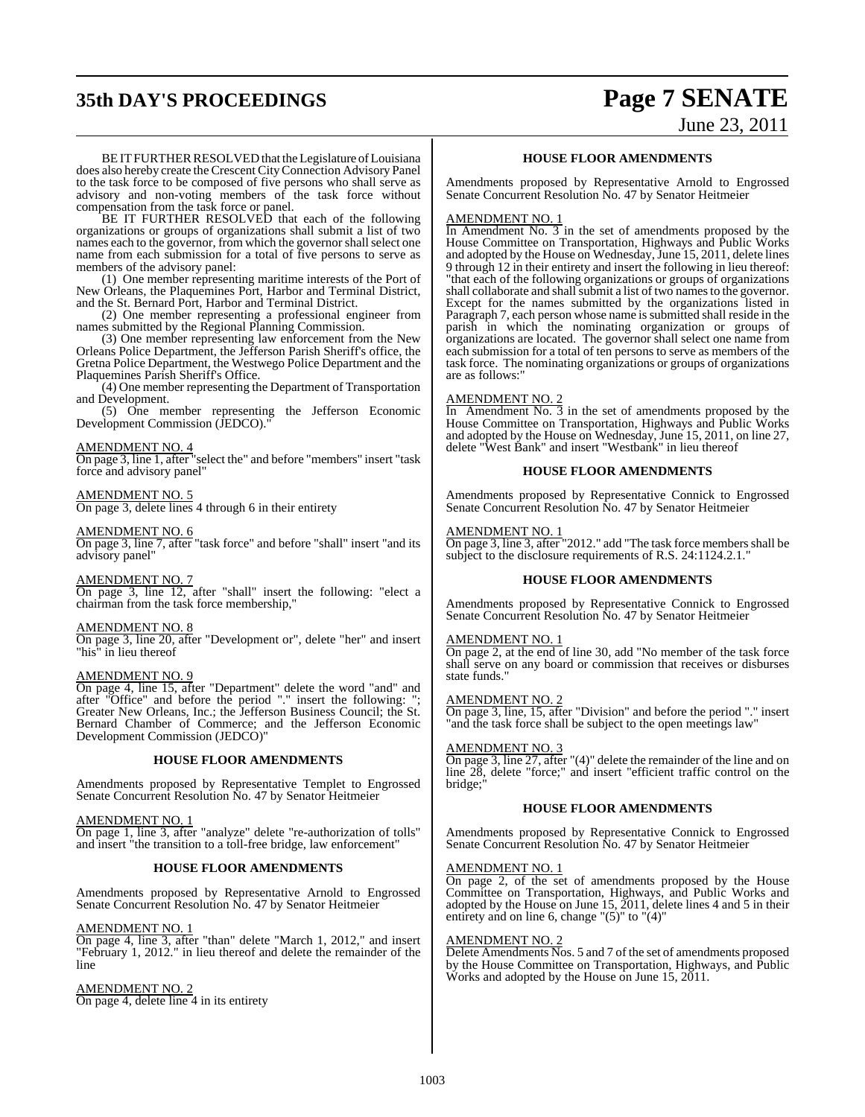## **35th DAY'S PROCEEDINGS Page 7 SENATE**

June 23, 2011

BEIT FURTHER RESOLVED that the Legislature of Louisiana does also hereby create the Crescent CityConnection Advisory Panel to the task force to be composed of five persons who shall serve as advisory and non-voting members of the task force without compensation from the task force or panel.

BE IT FURTHER RESOLVED that each of the following organizations or groups of organizations shall submit a list of two names each to the governor, from which the governor shall select one name from each submission for a total of five persons to serve as members of the advisory panel:

(1) One member representing maritime interests of the Port of New Orleans, the Plaquemines Port, Harbor and Terminal District, and the St. Bernard Port, Harbor and Terminal District.

(2) One member representing a professional engineer from names submitted by the Regional Planning Commission.

(3) One member representing law enforcement from the New Orleans Police Department, the Jefferson Parish Sheriff's office, the Gretna Police Department, the Westwego Police Department and the Plaquemines Parish Sheriff's Office.

(4) One member representing the Department of Transportation and Development.

(5) One member representing the Jefferson Economic Development Commission (JEDCO).

#### AMENDMENT NO. 4

On page 3, line 1, after "select the" and before "members" insert "task force and advisory panel"

#### AMENDMENT NO. 5

On page 3, delete lines 4 through 6 in their entirety

#### AMENDMENT NO. 6

On page 3, line 7, after "task force" and before "shall" insert "and its advisory panel"

#### AMENDMENT NO. 7

On page 3, line 12, after "shall" insert the following: "elect a chairman from the task force membership,"

#### AMENDMENT NO. 8

On page 3, line 20, after "Development or", delete "her" and insert "his" in lieu thereof

#### AMENDMENT NO. 9

On page 4, line 15, after "Department" delete the word "and" and after "Office" and before the period "." insert the following: "; Greater New Orleans, Inc.; the Jefferson Business Council; the St. Bernard Chamber of Commerce; and the Jefferson Economic Development Commission (JEDCO)"

#### **HOUSE FLOOR AMENDMENTS**

Amendments proposed by Representative Templet to Engrossed Senate Concurrent Resolution No. 47 by Senator Heitmeier

#### AMENDMENT NO. 1

On page 1, line 3, after "analyze" delete "re-authorization of tolls" and insert "the transition to a toll-free bridge, law enforcement"

### **HOUSE FLOOR AMENDMENTS**

Amendments proposed by Representative Arnold to Engrossed Senate Concurrent Resolution No. 47 by Senator Heitmeier

#### AMENDMENT NO. 1

On page 4, line 3, after "than" delete "March 1, 2012," and insert "February 1, 2012." in lieu thereof and delete the remainder of the line

#### AMENDMENT NO. 2

On page 4, delete line 4 in its entirety

#### **HOUSE FLOOR AMENDMENTS**

Amendments proposed by Representative Arnold to Engrossed Senate Concurrent Resolution No. 47 by Senator Heitmeier

#### AMENDMENT NO. 1

In Amendment No.  $3$  in the set of amendments proposed by the House Committee on Transportation, Highways and Public Works and adopted by the House on Wednesday, June 15, 2011, delete lines 9 through 12 in their entirety and insert the following in lieu thereof: "that each of the following organizations or groups of organizations shall collaborate and shall submit a list of two names to the governor. Except for the names submitted by the organizations listed in Paragraph 7, each person whose name is submitted shall reside in the parish in which the nominating organization or groups of organizations are located. The governor shall select one name from each submission for a total of ten persons to serve as members of the task force. The nominating organizations or groups of organizations are as follows:"

#### AMENDMENT NO. 2

In Amendment No.  $\overline{3}$  in the set of amendments proposed by the House Committee on Transportation, Highways and Public Works and adopted by the House on Wednesday, June 15, 2011, on line 27, delete "West Bank" and insert "Westbank" in lieu thereof

#### **HOUSE FLOOR AMENDMENTS**

Amendments proposed by Representative Connick to Engrossed Senate Concurrent Resolution No. 47 by Senator Heitmeier

#### AMENDMENT NO. 1

On page 3, line 3, after "2012." add "The task force members shall be subject to the disclosure requirements of R.S. 24:1124.2.1."

#### **HOUSE FLOOR AMENDMENTS**

Amendments proposed by Representative Connick to Engrossed Senate Concurrent Resolution No. 47 by Senator Heitmeier

#### AMENDMENT NO. 1

On page 2, at the end of line 30, add "No member of the task force shall serve on any board or commission that receives or disburses state funds."

#### AMENDMENT NO. 2

On page 3, line, 15, after "Division" and before the period "." insert "and the task force shall be subject to the open meetings law"

#### AMENDMENT NO. 3

On page 3, line 27, after "(4)" delete the remainder of the line and on line 28, delete "force;" and insert "efficient traffic control on the bridge;"

#### **HOUSE FLOOR AMENDMENTS**

Amendments proposed by Representative Connick to Engrossed Senate Concurrent Resolution No. 47 by Senator Heitmeier

#### AMENDMENT NO. 1

On page 2, of the set of amendments proposed by the House Committee on Transportation, Highways, and Public Works and adopted by the House on June 15, 2011, delete lines 4 and 5 in their entirety and on line 6, change " $(5)$ " to " $(4)$ "

#### AMENDMENT NO. 2

Delete Amendments Nos. 5 and 7 of the set of amendments proposed by the House Committee on Transportation, Highways, and Public Works and adopted by the House on June 15, 2011.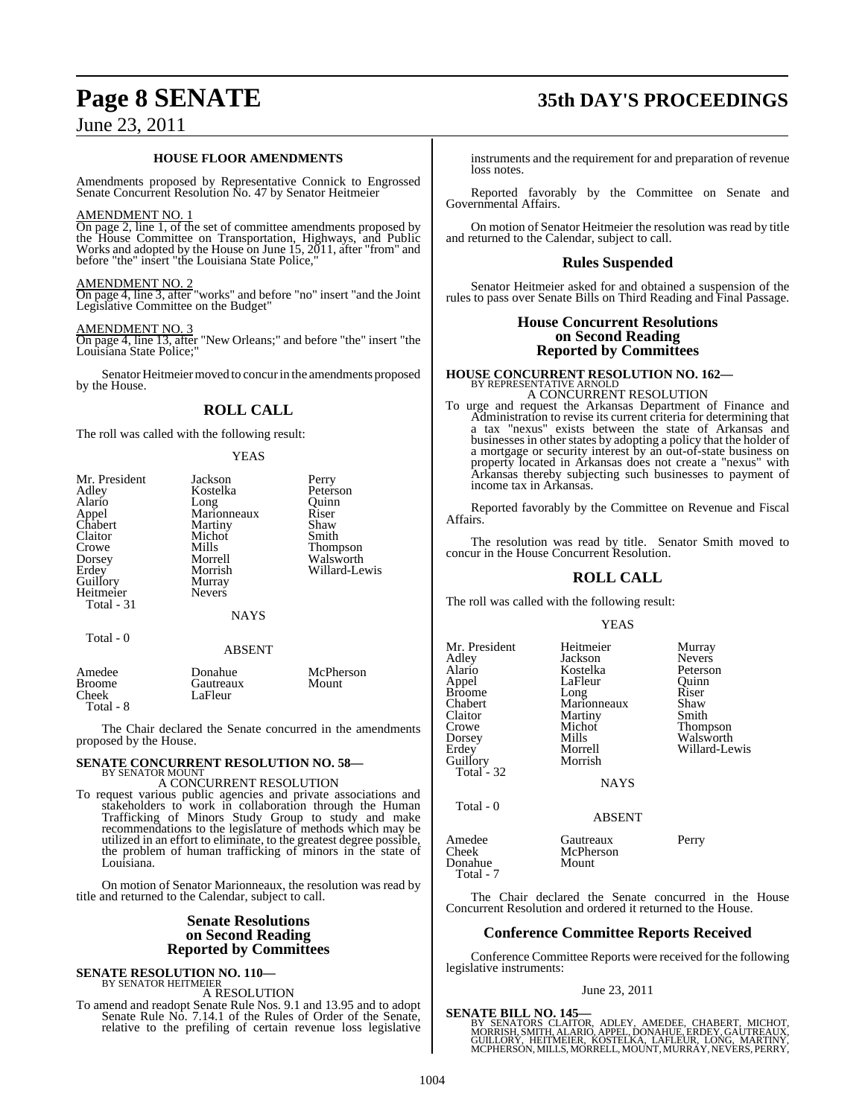#### **HOUSE FLOOR AMENDMENTS**

Amendments proposed by Representative Connick to Engrossed Senate Concurrent Resolution No. 47 by Senator Heitmeier

#### AMENDMENT NO. 1

On page 2, line 1, of the set of committee amendments proposed by the House Committee on Transportation, Highways, and Public Works and adopted by the House on June 15, 2011, after "from" and before "the" insert "the Louisiana State Police,"

#### AMENDMENT NO. 2

On page 4, line 3, after "works" and before "no" insert "and the Joint Legislative Committee on the Budget"

#### AMENDMENT NO. 3

On page 4, line 13, after "New Orleans;" and before "the" insert "the Louisiana State Police;"

Senator Heitmeier moved to concur in the amendments proposed by the House.

### **ROLL CALL**

The roll was called with the following result:

#### **YEAS**

| Mr. President | Jackson       | Perry         |
|---------------|---------------|---------------|
| Adley         | Kostelka      | Peterson      |
| Alario        | Long          | Ouinn         |
| Appel         | Marionneaux   | Riser         |
| Chabert       | Martiny       | Shaw          |
| Claitor       | Michot        | Smith         |
| Crowe         | Mills         | Thompson      |
| Dorsey        | Morrell       | Walsworth     |
| Erdey         | Morrish       | Willard-Lewis |
| Guillory      | Murray        |               |
| Heitmeier     | <b>Nevers</b> |               |
| Total - 31    |               |               |
|               | <b>NAYS</b>   |               |
| Total - 0     |               |               |

#### ABSENT

| Amedee<br>Broome<br>Cheek<br>Total - 8 | Donahue<br>Gautreaux<br>LaFleur | McPherson<br>Mount |
|----------------------------------------|---------------------------------|--------------------|
|----------------------------------------|---------------------------------|--------------------|

The Chair declared the Senate concurred in the amendments proposed by the House.

### **SENATE CONCURRENT RESOLUTION NO. 58—** BY SENATOR MOUNT

A CONCURRENT RESOLUTION

To request various public agencies and private associations and stakeholders to work in collaboration through the Human Trafficking of Minors Study Group to study and make recommendations to the legislature of methods which may be utilized in an effort to eliminate, to the greatest degree possible, the problem of human trafficking of minors in the state of Louisiana.

On motion of Senator Marionneaux, the resolution was read by title and returned to the Calendar, subject to call.

#### **Senate Resolutions on Second Reading Reported by Committees**

## **SENATE RESOLUTION NO. 110—** BY SENATOR HEITMEIER

A RESOLUTION

To amend and readopt Senate Rule Nos. 9.1 and 13.95 and to adopt Senate Rule No. 7.14.1 of the Rules of Order of the Senate, relative to the prefiling of certain revenue loss legislative

### **Page 8 SENATE 35th DAY'S PROCEEDINGS**

instruments and the requirement for and preparation of revenue loss notes.

Reported favorably by the Committee on Senate and Governmental Affairs.

On motion of Senator Heitmeier the resolution was read by title and returned to the Calendar, subject to call.

#### **Rules Suspended**

Senator Heitmeier asked for and obtained a suspension of the rules to pass over Senate Bills on Third Reading and Final Passage.

#### **House Concurrent Resolutions on Second Reading Reported by Committees**

### **HOUSE CONCURRENT RESOLUTION NO. 162—** BY REPRESENTATIVE ARNOLD A CONCURRENT RESOLUTION

To urge and request the Arkansas Department of Finance and Administration to revise its current criteria for determining that a tax "nexus" exists between the state of Arkansas and businesses in other states by adopting a policy that the holder of a mortgage or security interest by an out-of-state business on property located in Arkansas does not create a "nexus" with Arkansas thereby subjecting such businesses to payment of income tax in Arkansas.

Reported favorably by the Committee on Revenue and Fiscal Affairs.

The resolution was read by title. Senator Smith moved to concur in the House Concurrent Resolution.

#### **ROLL CALL**

The roll was called with the following result:

#### YEAS

| Mr. President | Heitmeier   | Murray          |
|---------------|-------------|-----------------|
| Adley         | Jackson     | <b>Nevers</b>   |
| Alario        | Kostelka    | Peterson        |
| Appel         | LaFleur     | Ouinn           |
| Broome        | Long        | Riser           |
| Chabert       | Marionneaux | Shaw            |
| Claitor       | Martiny     | Smith           |
| Crowe         | Michot      | <b>Thompson</b> |
| Dorsey        | Mills       | Walsworth       |
| Erdev         | Morrell     | Willard-Lewis   |
| Guillory      | Morrish     |                 |
| Total - 32    |             |                 |
|               |             |                 |

NAYS

ABSENT

 $Total = 0$ 

Donahue

Amedee Gautreaux Perry<br>
Cheek McPherson

 Total - 7 The Chair declared the Senate concurred in the House Concurrent Resolution and ordered it returned to the House.

McPherson<br>Mount

#### **Conference Committee Reports Received**

Conference Committee Reports were received for the following legislative instruments:

#### June 23, 2011

**SENATE BILL NO. 145—** BY SENATORS CLAITOR, ADLEY, AMEDEE, CHABERT, MICHOT,<br>MORRISH,SMITH, ALARIO, APPEL, DONAHUE, ERDEY, GAUTREAUX,<br>GUILLORY, HEITMEIER, KOSTELKA, LAFLEUR, LONG, MARTINY,<br>MCPHERSON,MILLS,MORRELL,MOUNT,MURRAY,NEVERS,PERRY,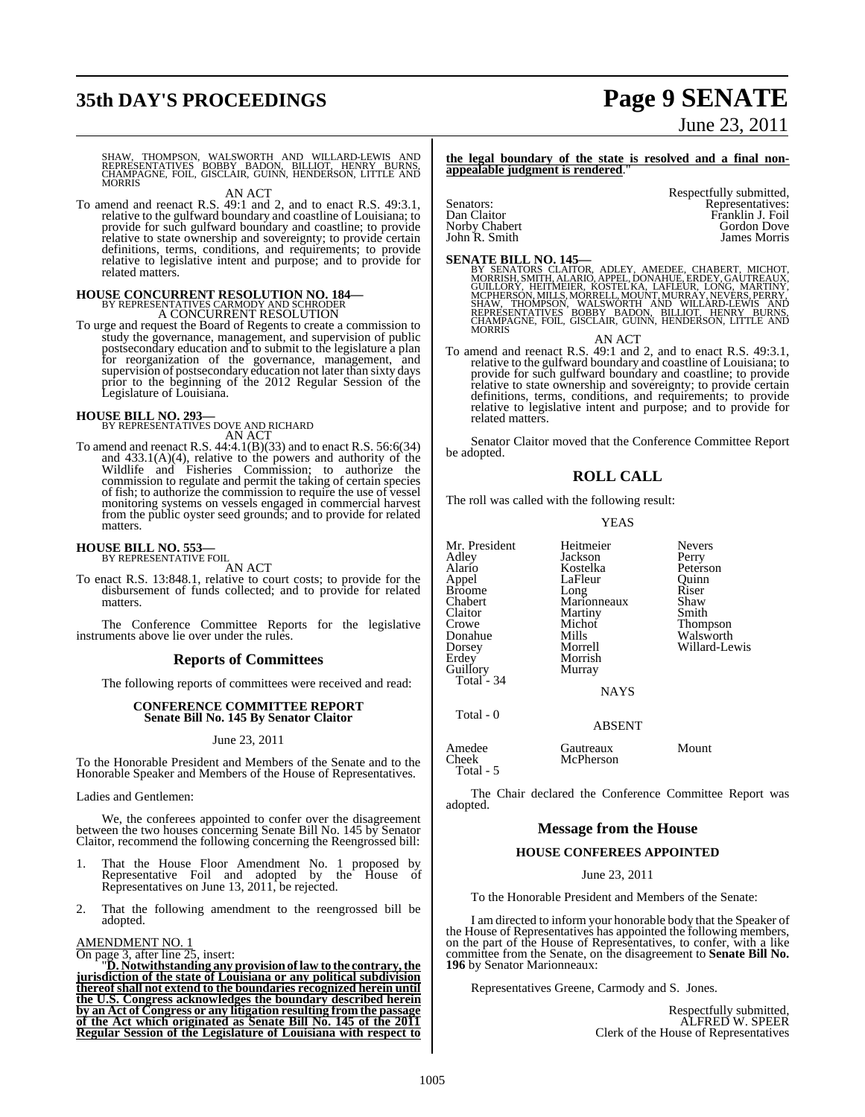## **35th DAY'S PROCEEDINGS Page 9 SENATE**

# June 23, 2011

SHAW, THOMPSON, WALSWORTH AND WILLARD-LEWIS AND<br>REPRESENTATIVES BOBBY BADON, BILLIOT, HENRY BURNS,<br>CHAMPAGNE, FOIL, GISCLAIR, GUINN, HENDERSON, LITTLE AND<br>MORRIS

AN ACT

To amend and reenact R.S. 49:1 and 2, and to enact R.S. 49:3.1, relative to the gulfward boundary and coastline of Louisiana; to provide for such gulfward boundary and coastline; to provide relative to state ownership and sovereignty; to provide certain definitions, terms, conditions, and requirements; to provide relative to legislative intent and purpose; and to provide for related matters.

## **HOUSE CONCURRENT RESOLUTION NO. 184—** BY REPRESENTATIVES CARMODY AND SCHRODER A CONCURRENT RESOLUTION

To urge and request the Board of Regents to create a commission to study the governance, management, and supervision of public postsecondary education and to submit to the legislature a plan for reorganization of the governance, management, and supervision of postsecondary education not later than sixty days prior to the beginning of the 2012 Regular Session of the Legislature of Louisiana.

## **HOUSE BILL NO. 293—** BY REPRESENTATIVES DOVE AND RICHARD AN ACT

To amend and reenact R.S. 44:4.1(B)(33) and to enact R.S. 56:6(34) and 433.1(A)(4), relative to the powers and authority of the Wildlife and Fisheries Commission; to authorize the commission to regulate and permit the taking of certain species of fish; to authorize the commission to require the use of vessel monitoring systems on vessels engaged in commercial harvest from the public oyster seed grounds; and to provide for related matters.

### **HOUSE BILL NO. 553—** BY REPRESENTATIVE FOIL

AN ACT

To enact R.S. 13:848.1, relative to court costs; to provide for the disbursement of funds collected; and to provide for related matters.

The Conference Committee Reports for the legislative instruments above lie over under the rules.

#### **Reports of Committees**

The following reports of committees were received and read:

#### **CONFERENCE COMMITTEE REPORT Senate Bill No. 145 By Senator Claitor**

June 23, 2011

To the Honorable President and Members of the Senate and to the Honorable Speaker and Members of the House of Representatives.

Ladies and Gentlemen:

We, the conferees appointed to confer over the disagreement between the two houses concerning Senate Bill No. 145 by Senator Claitor, recommend the following concerning the Reengrossed bill:

- 1. That the House Floor Amendment No. 1 proposed by Representative Foil and adopted by the House of Representatives on June 13, 2011, be rejected.
- 2. That the following amendment to the reengrossed bill be adopted.

AMENDMENT NO. 1

On page 3, after line 25, insert:

"**D. Notwithstanding any provisionoflaw to the contrary,the jurisdiction of the state of Louisiana or any political subdivision thereofshall not extend to the boundaries recognized herein until** the U.S. Congress acknowledges the boundary described herein<br>by an Act of Congress or any litigation resulting from the passage **of the Act which originated as Senate Bill No. 145 of the 2011 Regular Session of the Legislature of Louisiana with respect to**

**the legal boundary of the state is resolved and a final nonappealable judgment is rendered.** 

John R. Smith

Respectfully submitted, Senators: The Representatives:<br>
Dan Claitor The Representatives: The Representatives: The Representatives: Dan Claitor Franklin J. Foil Gordon Dove<br>James Morris

SENATE BILL NO. 145—<br>BY SENATORS CLAITOR, ADLEY, AMEDEE, CHABERT, MICHOT, MORRISH, SMITH, ALARIO, APPEL, DONAHUE, ERDEY, GAUTREAUX,<br>GUILLORY, HEITMEIER, KOSTEL KA. LAFIEUR, LONG, MARTINY, METHOLICORY, MCPHERSON, MILLS, MOR **MORRIS** 

AN ACT

To amend and reenact R.S. 49:1 and 2, and to enact R.S. 49:3.1, relative to the gulfward boundary and coastline of Louisiana; to provide for such gulfward boundary and coastline; to provide relative to state ownership and sovereignty; to provide certain definitions, terms, conditions, and requirements; to provide relative to legislative intent and purpose; and to provide for related matters.

Senator Claitor moved that the Conference Committee Report be adopted.

### **ROLL CALL**

The roll was called with the following result:

#### YEAS

Mr. President Heitmeier Nevers<br>
Adley Jackson Perry Adley Jackson Perry Alario Kostelka Peterson Broome Long Riser<br>
Chabert Marionneaux Shaw Chabert Marionneaux Shaw<br>Claitor Martiny Smith Claitor Martiny<br>Crowe Michot Dorsey Morrell Willard-Lewis Guillory

Total<sup>-</sup> 34

Total - 0

Morrish<br>Murrav

LaFleur Quinn<br>Long Riser Crowe Michot Thompson Donahue Mills Walsworth<br>Dorsey Morrell Willard-Le

**NAYS** 

McPherson

ABSENT

Amedee Gautreaux Mount<br>
Cheek McPherson Total - 5

The Chair declared the Conference Committee Report was adopted.

### **Message from the House**

#### **HOUSE CONFEREES APPOINTED**

June 23, 2011

To the Honorable President and Members of the Senate:

I am directed to inform your honorable body that the Speaker of the House of Representatives has appointed the following members, on the part of the House of Representatives, to confer, with a like committee from the Senate, on the disagreement to **Senate Bill No. 196** by Senator Marionneaux:

Representatives Greene, Carmody and S. Jones.

Respectfully submitted, ALFRED W. SPEER Clerk of the House of Representatives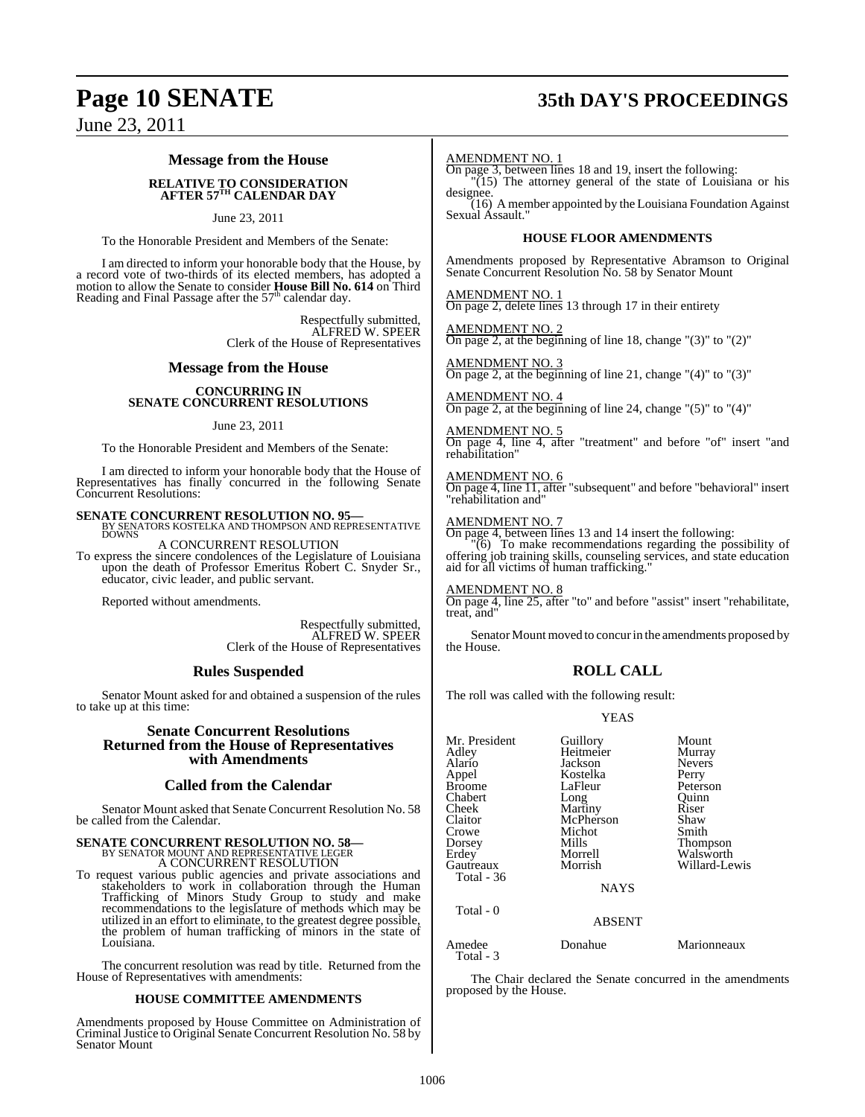## **Page 10 SENATE 35th DAY'S PROCEEDINGS**

June 23, 2011

#### **Message from the House**

## **RELATIVE TO CONSIDERATION AFTER 57TH CALENDAR DAY**

#### June 23, 2011

To the Honorable President and Members of the Senate:

I am directed to inform your honorable body that the House, by a record vote of two-thirds of its elected members, has adopted a motion to allow the Senate to consider **House Bill No. 614** on Third Reading and Final Passage after the 57<sup>th</sup> calendar day.

> Respectfully submitted, ALFRED W. SPEER Clerk of the House of Representatives

#### **Message from the House**

#### **CONCURRING IN SENATE CONCURRENT RESOLUTIONS**

#### June 23, 2011

To the Honorable President and Members of the Senate:

I am directed to inform your honorable body that the House of Representatives has finally concurred in the following Senate Concurrent Resolutions:

## **SENATE CONCURRENT RESOLUTION NO. 95—<br>BY SENATORS KOSTELKA AND THOMPSON AND REPRESENTATIVE<br>DOWNS**

A CONCURRENT RESOLUTION To express the sincere condolences of the Legislature of Louisiana upon the death of Professor Emeritus Robert C. Snyder Sr., educator, civic leader, and public servant.

Reported without amendments.

Respectfully submitted, ALFRED W. SPEER Clerk of the House of Representatives

#### **Rules Suspended**

Senator Mount asked for and obtained a suspension of the rules to take up at this time:

#### **Senate Concurrent Resolutions Returned from the House of Representatives with Amendments**

#### **Called from the Calendar**

Senator Mount asked that Senate Concurrent Resolution No. 58 be called from the Calendar.

## **SENATE CONCURRENT RESOLUTION NO. 58—** BY SENATOR MOUNT AND REPRESENTATIVE LEGER

A CONCURRENT RESOLUTION

To request various public agencies and private associations and stakeholders to work in collaboration through the Human Trafficking of Minors Study Group to study and make recommendations to the legislature of methods which may be utilized in an effort to eliminate, to the greatest degree possible, the problem of human trafficking of minors in the state of Louisiana.

The concurrent resolution was read by title. Returned from the House of Representatives with amendments:

#### **HOUSE COMMITTEE AMENDMENTS**

Amendments proposed by House Committee on Administration of Criminal Justice to Original Senate Concurrent Resolution No. 58 by Senator Mount

#### AMENDMENT NO. 1

On page 3, between lines 18 and 19, insert the following: "(15) The attorney general of the state of Louisiana or his designee.

 $(16)$  A member appointed by the Louisiana Foundation Against Sexual Assault.'

#### **HOUSE FLOOR AMENDMENTS**

Amendments proposed by Representative Abramson to Original Senate Concurrent Resolution No. 58 by Senator Mount

AMENDMENT NO. 1 On page 2, delete lines 13 through 17 in their entirety

AMENDMENT NO. 2 On page 2, at the beginning of line 18, change "(3)" to "(2)"

AMENDMENT NO. 3 On page 2, at the beginning of line 21, change "(4)" to "(3)"

AMENDMENT NO. 4 On page 2, at the beginning of line 24, change "(5)" to "(4)"

AMENDMENT NO. 5 On page 4, line 4, after "treatment" and before "of" insert "and rehabilitation"

AMENDMENT NO. 6 On page 4, line 11, after "subsequent" and before "behavioral" insert "rehabilitation and"

#### AMENDMENT NO. 7

On page 4, between lines 13 and 14 insert the following: "(6) To make recommendations regarding the possibility of offering job training skills, counseling services, and state education aid for all victims of human trafficking.

#### AMENDMENT NO. 8

On page 4, line 25, after "to" and before "assist" insert "rehabilitate, treat, and"

Senator Mount moved to concur in the amendments proposed by the House.

#### **ROLL CALL**

The roll was called with the following result:

#### YEAS

| Mr. President       | Guillory        | Mount         |
|---------------------|-----------------|---------------|
| Adley               | Heitmeier       | Murray        |
| Alario              | Jackson         | <b>Nevers</b> |
| Appel               | Kostelka        | Perry         |
| Broome              | LaFleur         | Peterson      |
| Chabert             |                 | Ouinn         |
| Cheek               | Long<br>Martiny | Riser         |
| Claitor             | McPherson       |               |
|                     |                 | Shaw          |
| Crowe               | Michot          | Smith         |
| Dorsey              | Mills           | Thompson      |
| Erdey               | Morrell         | Walsworth     |
| Gautreaux           | Morrish         | Willard-Lewis |
| Total - 36          |                 |               |
|                     | <b>NAYS</b>     |               |
| Total $-0$          |                 |               |
|                     | <b>ABSENT</b>   |               |
| Amedee<br>Total - 3 | Donahue         | Marionneaux   |

The Chair declared the Senate concurred in the amendments proposed by the House.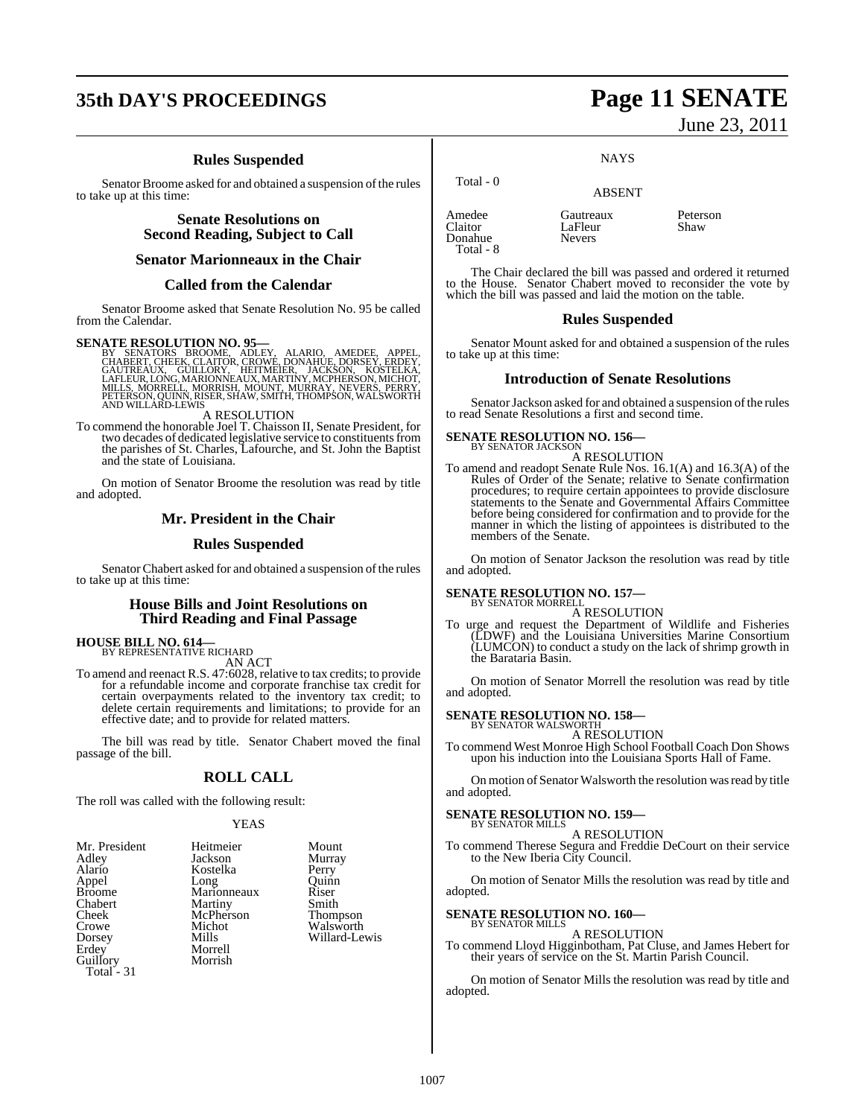### **35th DAY'S PROCEEDINGS Page 11 SENATE**

### **Rules Suspended**

Senator Broome asked for and obtained a suspension of the rules to take up at this time:

#### **Senate Resolutions on Second Reading, Subject to Call**

#### **Senator Marionneaux in the Chair**

#### **Called from the Calendar**

Senator Broome asked that Senate Resolution No. 95 be called from the Calendar.

SENATE RESOLUTION NO. 95—<br>
BY SENATORS BROMME, ADLEY, ALARIO, AMEDEE, APPEL,<br>
CHABERT, CHEEK, CLAITOR, CROWE, DONAHUE, DORSEY, ERDEY,<br>
GAUTREAUX, GUILLORY, HEITMEIER, JACKSON, KOSTELKA.<br>
LAFLEUR, LONG, MARJONNEAUX, MARTINY

#### A RESOLUTION

To commend the honorable Joel T. Chaisson II, Senate President, for two decades of dedicated legislative service to constituents from the parishes of St. Charles, Lafourche, and St. John the Baptist and the state of Louisiana.

On motion of Senator Broome the resolution was read by title and adopted.

#### **Mr. President in the Chair**

#### **Rules Suspended**

Senator Chabert asked for and obtained a suspension of the rules to take up at this time:

#### **House Bills and Joint Resolutions on Third Reading and Final Passage**

**HOUSE BILL NO. 614—** BY REPRESENTATIVE RICHARD

AN ACT To amend and reenact R.S. 47:6028, relative to tax credits; to provide for a refundable income and corporate franchise tax credit for certain overpayments related to the inventory tax credit; to delete certain requirements and limitations; to provide for an effective date; and to provide for related matters.

The bill was read by title. Senator Chabert moved the final passage of the bill.

#### **ROLL CALL**

The roll was called with the following result:

#### **YEAS**

Jackson Murra<br>Kostelka Perry Kostelka Perry<br>Long Ouinn Long Quinn<br>
Marionneaux Riser Marionneaux Riser<br>
Martiny Smith Martiny Smith<br>
McPherson Thompson McPherson<br>Michot Michot Walsworth<br>
Mills Willard-Le Morrell Morrish

Willard-Lewis

June 23, 2011

#### **NAYS**

#### ABSENT

Amedee Gautreaux Peterson Donahue Total - 8

Total - 0

The Chair declared the bill was passed and ordered it returned to the House. Senator Chabert moved to reconsider the vote by which the bill was passed and laid the motion on the table.

#### **Rules Suspended**

Senator Mount asked for and obtained a suspension of the rules to take up at this time:

#### **Introduction of Senate Resolutions**

Senator Jackson asked for and obtained a suspension of the rules to read Senate Resolutions a first and second time.

### **SENATE RESOLUTION NO. 156—** BY SENATOR JACKSON

A RESOLUTION

LaFleur<br>Nevers

To amend and readopt Senate Rule Nos. 16.1(A) and 16.3(A) of the Rules of Order of the Senate; relative to Senate confirmation procedures; to require certain appointees to provide disclosure statements to the Senate and Governmental Affairs Committee before being considered for confirmation and to provide for the manner in which the listing of appointees is distributed to the members of the Senate.

On motion of Senator Jackson the resolution was read by title and adopted.

### **SENATE RESOLUTION NO. 157—** BY SENATOR MORRELL

A RESOLUTION

To urge and request the Department of Wildlife and Fisheries (LDWF) and the Louisiana Universities Marine Consortium (LUMCON) to conduct a study on the lack of shrimp growth in the Barataria Basin.

On motion of Senator Morrell the resolution was read by title and adopted.

### **SENATE RESOLUTION NO. 158—** BY SENATOR WALSWORTH

A RESOLUTION

To commend West Monroe High School Football Coach Don Shows upon his induction into the Louisiana Sports Hall of Fame.

On motion of Senator Walsworth the resolution was read by title and adopted.

### **SENATE RESOLUTION NO. 159—**

BY SENATOR MILLS A RESOLUTION

To commend Therese Segura and Freddie DeCourt on their service to the New Iberia City Council.

On motion of Senator Mills the resolution was read by title and adopted.

### **SENATE RESOLUTION NO. 160—** BY SENATOR MILLS

#### A RESOLUTION

To commend Lloyd Higginbotham, Pat Cluse, and James Hebert for their years of service on the St. Martin Parish Council.

On motion of Senator Mills the resolution was read by title and adopted.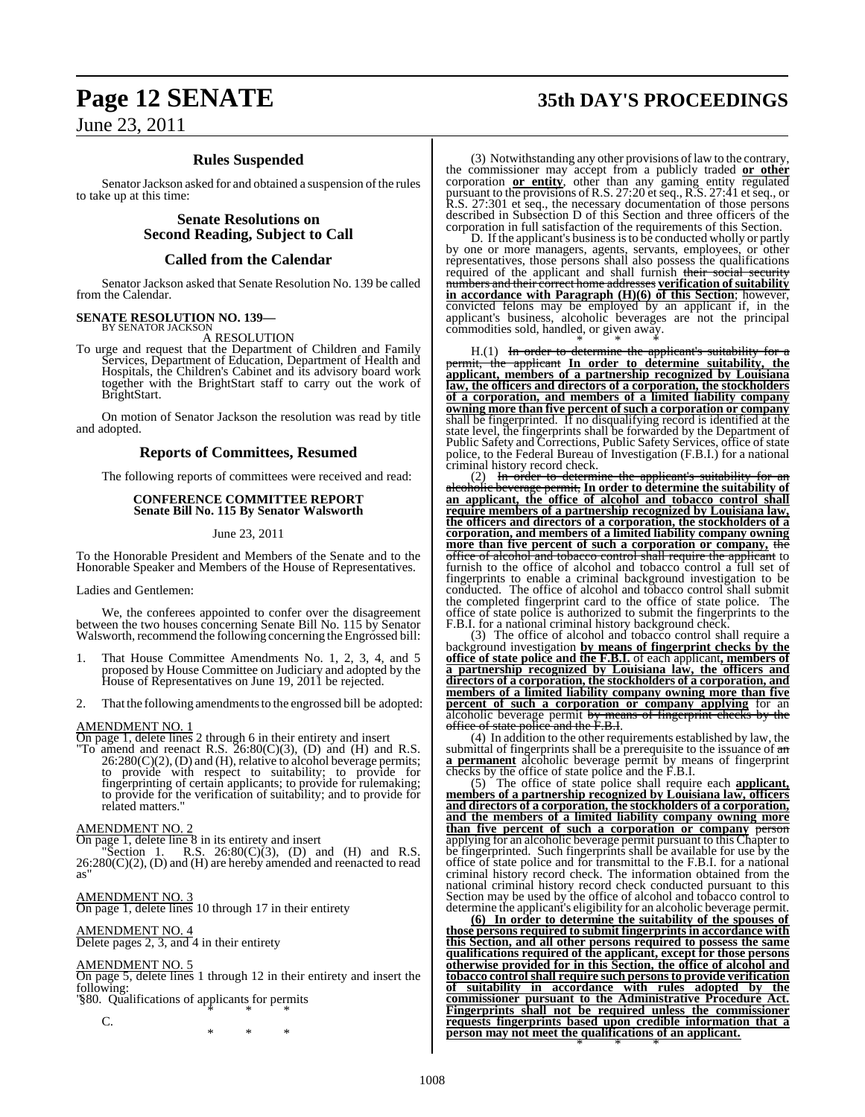## **Page 12 SENATE 35th DAY'S PROCEEDINGS**

### **Rules Suspended**

Senator Jackson asked for and obtained a suspension of the rules to take up at this time:

> **Senate Resolutions on Second Reading, Subject to Call**

### **Called from the Calendar**

Senator Jackson asked that Senate Resolution No. 139 be called from the Calendar.

### **SENATE RESOLUTION NO. 139—** BY SENATOR JACKSON

A RESOLUTION

To urge and request that the Department of Children and Family Services, Department of Education, Department of Health and Hospitals, the Children's Cabinet and its advisory board work together with the BrightStart staff to carry out the work of BrightStart.

On motion of Senator Jackson the resolution was read by title and adopted.

### **Reports of Committees, Resumed**

The following reports of committees were received and read:

#### **CONFERENCE COMMITTEE REPORT Senate Bill No. 115 By Senator Walsworth**

June 23, 2011

To the Honorable President and Members of the Senate and to the Honorable Speaker and Members of the House of Representatives.

Ladies and Gentlemen:

We, the conferees appointed to confer over the disagreement between the two houses concerning Senate Bill No. 115 by Senator Walsworth, recommend the following concerning the Engrossed bill:

- 1. That House Committee Amendments No. 1, 2, 3, 4, and 5 proposed by House Committee on Judiciary and adopted by the House of Representatives on June 19, 2011 be rejected.
- 2. That the following amendments to the engrossed bill be adopted:

#### AMENDMENT NO. 1

On page 1, delete lines 2 through 6 in their entirety and insert

"To amend and reenact R.S.  $26:80(C)(3)$ , (D) and (H) and R.S.  $26:280(C)(2)$ , (D) and (H), relative to alcohol beverage permits; to provide with respect to suitability; to provide for fingerprinting of certain applicants; to provide for rulemaking; to provide for the verification of suitability; and to provide for related matters.

#### AMENDMENT NO. 2

On page 1, delete line 8 in its entirety and insert

"Section 1. R.S.  $26:80(C)(3)$ , (D) and (H) and R.S.  $26:280(C)(2)$ , (D) and (H) are hereby amended and reenacted to read as"

#### AMENDMENT NO. 3

On page 1, delete lines 10 through 17 in their entirety

#### AMENDMENT NO. 4 Delete pages 2, 3, and 4 in their entirety

### AMENDMENT NO. 5

On page 5, delete lines 1 through 12 in their entirety and insert the following:

" §80. Qualifications of applicants for permits \* \* \*

 $\mathcal{C}$ 

\* \* \*

(3) Notwithstanding any other provisions of law to the contrary, the commissioner may accept from a publicly traded **or other** corporation **or entity**, other than any gaming entity regulated pursuant to the provisions of R.S. 27:20 etseq., R.S. 27:41 et seq., or R.S. 27:301 et seq., the necessary documentation of those persons described in Subsection D of this Section and three officers of the corporation in full satisfaction of the requirements of this Section.

D. If the applicant's business is to be conducted wholly or partly by one or more managers, agents, servants, employees, or other representatives, those persons shall also possess the qualifications required of the applicant and shall furnish their social security numbers and their correct home addresses **verification ofsuitability in accordance with Paragraph (H)(6) of this Section**; however, convicted felons may be employed by an applicant if, in the applicant's business, alcoholic beverages are not the principal commodities sold, handled, or given away.

\* \* \* H.(1) In order to determine the applicant's suitability for a permit, the applicant **In order to determine suitability, the applicant, members of a partnership recognized by Louisiana law, the officers and directors of a corporation, the stockholders of a corporation, and members of a limited liability company owning more than five percent of such a corporation or company** shall be fingerprinted. If no disqualifying record is identified at the state level, the fingerprints shall be forwarded by the Department of Public Safety and Corrections, Public Safety Services, office of state police, to the Federal Bureau of Investigation (F.B.I.) for a national criminal history record check.

 $(2)$  In order to determine the applicant's suitability alcoholic beverage permit, **In order to determine the suitability of an applicant, the office of alcohol and tobacco control shall require members of a partnership recognized by Louisiana law, the officers and directors of a corporation, the stockholders of a corporation, and members of a limited liability company owning more than five percent of such a corporation or company,** the office of alcohol and tobacco control shall require the applicant to furnish to the office of alcohol and tobacco control a full set of fingerprints to enable a criminal background investigation to be conducted. The office of alcohol and tobacco control shall submit the completed fingerprint card to the office of state police. The office of state police is authorized to submit the fingerprints to the F.B.I. for a national criminal history background check.

(3) The office of alcohol and tobacco control shall require a background investigation **by means of fingerprint checks by the office of state police and the F.B.I.** of each applicant**, members of a partnership recognized by Louisiana law, the officers and directors of a corporation, the stockholders of a corporation, and members of a limited liability company owning more than five percent of such a corporation or company applying** for an alcoholic beverage permit by means of fingerprint checks by the office of state police and the F.B.I.

(4) In addition to the other requirements established by law, the submittal of fingerprints shall be a prerequisite to the issuance of  $\frac{d}{dx}$ **a permanent** alcoholic beverage permit by means of fingerprint checks by the office of state police and the F.B.I.

(5) The office of state police shall require each **applicant, members of a partnership recognized by Louisiana law, officers and directors of a corporation, the stockholders of a corporation, and the members of a limited liability company owning more than five percent of such a corporation or company** person applying for an alcoholic beverage permit pursuant to this Chapter to be fingerprinted. Such fingerprints shall be available for use by the office of state police and for transmittal to the F.B.I. for a national criminal history record check. The information obtained from the national criminal history record check conducted pursuant to this Section may be used by the office of alcohol and tobacco control to determine the applicant's eligibility for an alcoholic beverage permit.

**(6) In order to determine the suitability of the spouses of those persons required to submit fingerprints in accordance with this Section, and all other persons required to possess the same qualifications required of the applicant, except for those persons otherwise provided for in this Section, the office of alcohol and tobacco control shall require such personsto provide verification of suitability in accordance with rules adopted by the commissioner pursuant to the Administrative Procedure Act. Fingerprints shall not be required unless the commissioner requests fingerprints based upon credible information that a person may not meet the qualifications of an applicant.** \* \* \*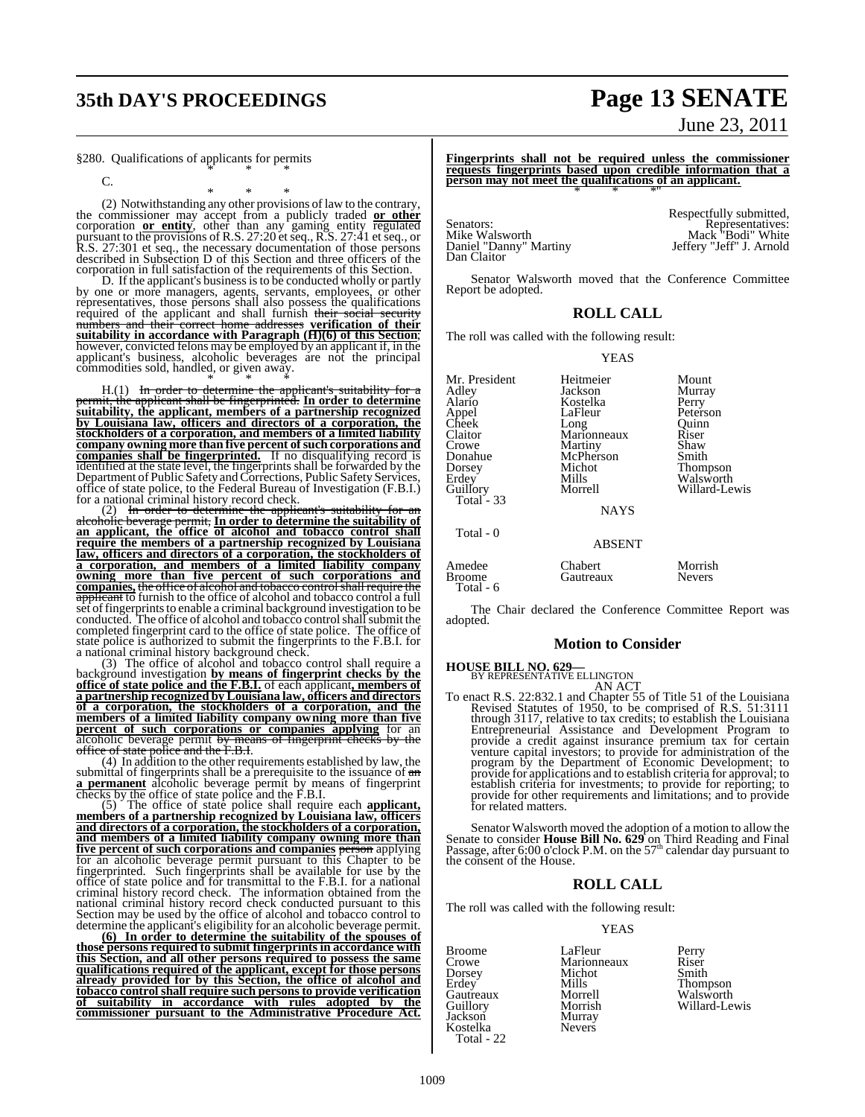### **35th DAY'S PROCEEDINGS Page 13 SENATE**

#### §280. Qualifications of applicants for permits \* \* \*

 $\mathcal{C}$ 

\* \* \*

(2) Notwithstanding any other provisions of law to the contrary, the commissioner may accept from a publicly traded **or other** corporation **or entity**, other than any gaming entity regulated pursuant to the provisions of R.S. 27:20 etseq., R.S. 27:41 et seq., or R.S. 27:301 et seq., the necessary documentation of those persons described in Subsection D of this Section and three officers of the

corporation in full satisfaction of the requirements of this Section. D. If the applicant's business is to be conducted wholly or partly by one or more managers, agents, servants, employees, or other<br>representatives, those persons shall also possess the qualifications<br>required of the applicant and shall furnish their social security<br>numbers and their correc **suitability in accordance with Paragraph (H)(6) of this Section**; however, convicted felons may be employed by an applicant if, in the applicant's business, alcoholic beverages are not the principal commodities sold, handled, or given away.

\* \* \* H.(1) In order to determine the applicant's suitability for a permit, the applicant shall be fingerprinted. **In order to determine suitability, the applicant, members of a partnership recognized** by Louisiana law, officers and directors of a corporation, the stockholders of a corporation, and members of a limited liability **Company owning more than five percent of such corporations and companies shall be fingerprinted.** If no disqualifying record is identified at the state level, the fingerprints shall be forwarded by the finger shall coepar for a national criminal history record check.

(2) In order to determine the applicant's suitability for an alcoholic beverage permit, In order to determine the suitability of an applicant, the office of alcohol and tobacco control shall **require the members of a partnership recognized by Louisiana** law, officers and directors of a corporation, the stockholders of<br>a corporation, and members of a limited liability company **owning more than five percent of such corporations and companies,** the office of alcohol and tobacco controlshall require the applicant to furnish to the office of alcohol and tobacco control a full set of fingerprints to enable a criminal background investigation to be<br>conducted. The office of alcohol and tobacco control shall submit the<br>completed fingerprint card to the office of state police. The office of state police is authorized to submit the fingerprints to the F.B.I. for a national criminal history background check. (3) The office of alcohol and tobacco control shall require a

background investigation by means of fingerprint checks by the office of state police and the F.B.I. of each applicant, members of a partnership recognized by Louisiana law, officers and directors and corporation, the sto

**a permanent** alcoholic beverage permit by means of fingerprint checks by the office of state police and the F.B.I.

 $(5)$  The office of state police shall require each **applicant,**<br>members of a partnership recognized by Louisiana law, officers<br>and directors of a corporation, the stockholders of a corporation,<br>and members of a limited l **five percent of such corporations and companies person** applying<br>for an alcoholic beverage permit pursuant to this Chapter to be<br>fingerprinted. Such fingerprints shall be available for use by the<br>office of state police an Section may be used by the office of alcohol and tobacco control to

determine the applicant's eligibility for an alcoholic beverage permit. **(6) In order to determine the suitability of the spouses of** those persons required to submit fingerprints in accordance with<br>this Section, and all other persons required to possess the same<br>qualifications required of the applicant, except for those persons<br>already provided for by t **commissioner pursuant to the Administrative Procedure Act.**

June 23, 2011

Fingerprints shall not be required unless the commissioner<br>requests fingerprints based upon credible information that a<br>person may not meet the qualifications of an applicant.

Senators:<br>
Mike Walsworth Martiny Martiny Mack "Bodi" White<br>
Daniel "Danny" Martiny Jeffery "Jeff" J. Arnold Dan Claitor

Respectfully submitted,<br>Representatives:<br>Mack "Bodi" White<br>Jeffery "Jeff" J. Arnold

Senator Walsworth moved that the Conference Committee Report be adopted.

#### **ROLL CALL**

The roll was called with the following result:

YEAS

| Mr. President<br>Adley<br>Alario<br>Appel<br>Cheek<br>Claitor<br>Crowe<br>Donahue<br>Dorsey<br>Erdey <sup>-</sup><br>Guillory<br>Total - 33<br>Total - 0 | Heitmeier<br>Jackson<br>Kostelka<br>LaFleur<br>Long<br>Marionneaux<br>Martiny<br>McPherson<br>Michot<br>Mills<br>Morrell<br><b>NAYS</b> | Mount<br>Murray<br>Perry<br>Peterson<br>Ouinn<br>Riser<br>Shaw<br>Smith<br>Thompson<br>Walsworth<br>Willard-Lewis |
|----------------------------------------------------------------------------------------------------------------------------------------------------------|-----------------------------------------------------------------------------------------------------------------------------------------|-------------------------------------------------------------------------------------------------------------------|
|                                                                                                                                                          | <b>ABSENT</b>                                                                                                                           |                                                                                                                   |
| Amedee<br>Broome<br>Total - 6                                                                                                                            | Chabert<br>Gautreaux                                                                                                                    | Morrish<br><b>Nevers</b>                                                                                          |

The Chair declared the Conference Committee Report was adopted.

#### **Motion to Consider**

### **HOUSE BILL NO. 629—** BY REPRESENTATIVE ELLINGTON

AN ACT<br>
AN ACT<br>
To enact R.S. 22:832.1 and Chapter 55 of Title 51 of the Louisiana<br>
Revised Statutes of 1950, to be comprised of R.S. 51:3111<br>
through 3117, relative to tax credits; to establish the Louisiana<br>
Entrepreneur provide for applications and to establish criteria for approval; to establish criteria for investments; to provide for reporting; to provide for other requirements and limitations; and to provide for related matters.

Senator Walsworth moved the adoption of a motion to allow the<br>Senate to consider **House Bill No. 629** on Third Reading and Final<br>Passage, after 6:00 o'clock P.M. on the 57<sup>th</sup> calendar day pursuant to<br>the consent of the H

#### **ROLL CALL**

The roll was called with the following result:

#### YEAS

Broome LaFleur Perry<br>Crowe Marionneaux Riser Crowe Marionneaux Riser<br>
Dorsey Michot Smith Dorsey Michot<br>Erdey Mills Gautreaux Morrell<br>Guillorv Morrish Guillory Morrish Willard-Lewis Murray<br>Nevers Kostelka Total - 22

Mills Thompson<br>Morrell Walsworth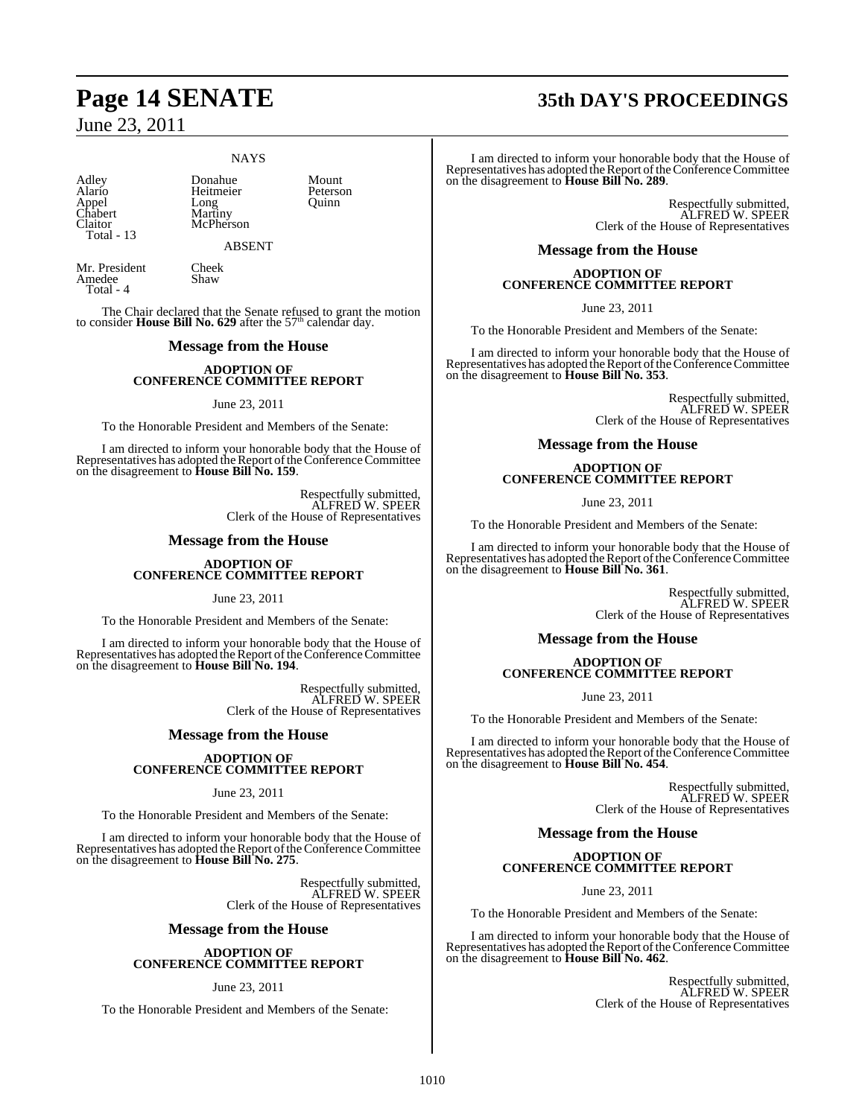#### **NAYS**

Claitor McPherson Total - 13

Adley Donahue Mount<br>Alario Heitmeier Peterson Alario Heitmeier Peterson<br>
Appel Long Quinn<br>
Chabert Martiny Appel Long Quinn Chabert Martiny

ABSENT

Mr. President Cheek<br>Amedee Shaw Amedee Total - 4

The Chair declared that the Senate refused to grant the motion to consider **House Bill No. 629** after the 57<sup>th</sup> calendar day.

#### **Message from the House**

#### **ADOPTION OF CONFERENCE COMMITTEE REPORT**

#### June 23, 2011

To the Honorable President and Members of the Senate:

I am directed to inform your honorable body that the House of Representatives has adopted the Report of the Conference Committee on the disagreement to **House Bill No. 159**.

> Respectfully submitted, ALFRED W. SPEER Clerk of the House of Representatives

#### **Message from the House**

#### **ADOPTION OF CONFERENCE COMMITTEE REPORT**

June 23, 2011

To the Honorable President and Members of the Senate:

I am directed to inform your honorable body that the House of Representatives has adopted the Report of the Conference Committee on the disagreement to **House Bill No. 194**.

> Respectfully submitted, ALFRED W. SPEER Clerk of the House of Representatives

### **Message from the House**

#### **ADOPTION OF CONFERENCE COMMITTEE REPORT**

June 23, 2011

To the Honorable President and Members of the Senate:

I am directed to inform your honorable body that the House of Representatives has adopted the Report of the Conference Committee on the disagreement to **House Bill No. 275**.

> Respectfully submitted, ALFRED W. SPEER Clerk of the House of Representatives

#### **Message from the House**

#### **ADOPTION OF CONFERENCE COMMITTEE REPORT**

#### June 23, 2011

To the Honorable President and Members of the Senate:

## **Page 14 SENATE 35th DAY'S PROCEEDINGS**

I am directed to inform your honorable body that the House of Representatives has adopted theReport of the Conference Committee on the disagreement to **House Bill No. 289**.

> Respectfully submitted, ALFRED W. SPEER Clerk of the House of Representatives

### **Message from the House**

## **ADOPTION OF CONFERENCE COMMITTEE REPORT**

June 23, 2011

To the Honorable President and Members of the Senate:

I am directed to inform your honorable body that the House of Representatives has adopted the Report of the Conference Committee on the disagreement to **House Bill No. 353**.

> Respectfully submitted, ALFRED W. SPEER Clerk of the House of Representatives

### **Message from the House**

#### **ADOPTION OF CONFERENCE COMMITTEE REPORT**

June 23, 2011

To the Honorable President and Members of the Senate:

I am directed to inform your honorable body that the House of Representatives has adopted the Report of the Conference Committee on the disagreement to **House Bill No. 361**.

> Respectfully submitted, ALFRED W. SPEER Clerk of the House of Representatives

#### **Message from the House**

#### **ADOPTION OF CONFERENCE COMMITTEE REPORT**

June 23, 2011

To the Honorable President and Members of the Senate:

I am directed to inform your honorable body that the House of Representatives has adopted the Report of the Conference Committee<br>on the disagreement to **House Bill No. 454**.

> Respectfully submitted, ALFRED W. SPEER Clerk of the House of Representatives

#### **Message from the House**

#### **ADOPTION OF CONFERENCE COMMITTEE REPORT**

June 23, 2011

To the Honorable President and Members of the Senate:

I am directed to inform your honorable body that the House of Representatives has adopted the Report of the Conference Committee on the disagreement to **House Bill No. 462**.

> Respectfully submitted, ALFRED W. SPEER Clerk of the House of Representatives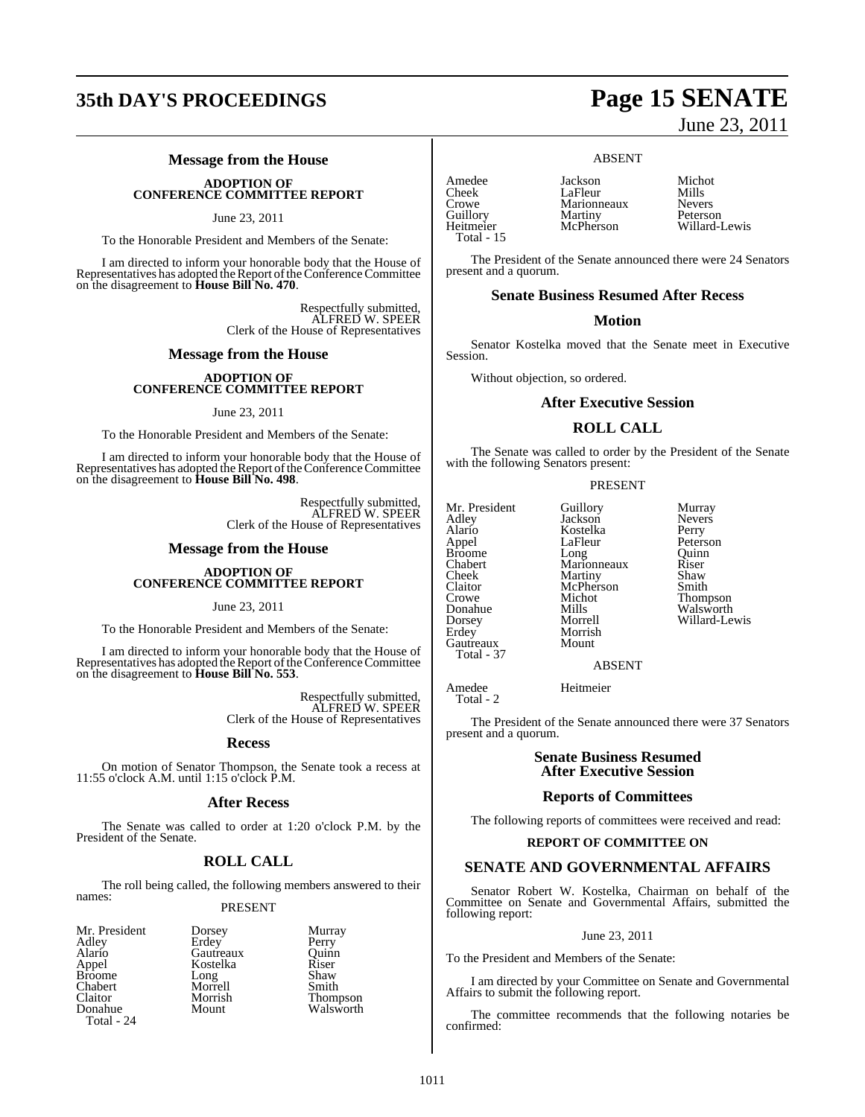## **35th DAY'S PROCEEDINGS Page 15 SENATE**

### **Message from the House**

## **ADOPTION OF CONFERENCE COMMITTEE REPORT**

#### June 23, 2011

To the Honorable President and Members of the Senate:

I am directed to inform your honorable body that the House of Representatives has adopted the Report of the Conference Committee<br>on the disagreement to **House Bill No. 470**.

> Respectfully submitted, ALFRED W. SPEER Clerk of the House of Representatives

#### **Message from the House**

#### **ADOPTION OF CONFERENCE COMMITTEE REPORT**

#### June 23, 2011

To the Honorable President and Members of the Senate:

I am directed to inform your honorable body that the House of Representatives has adopted the Report of the Conference Committee on the disagreement to **House Bill No. 498**.

> Respectfully submitted, ALFRED W. SPEER Clerk of the House of Representatives

**Message from the House**

## **ADOPTION OF CONFERENCE COMMITTEE REPORT**

June 23, 2011

To the Honorable President and Members of the Senate:

I am directed to inform your honorable body that the House of Representatives has adopted the Report of the Conference Committee<br>on the disagreement to **House Bill No. 553**.

> Respectfully submitted, ALFRED W. SPEER Clerk of the House of Representatives

#### **Recess**

On motion of Senator Thompson, the Senate took a recess at 11:55 o'clock A.M. until 1:15 o'clock P.M.

#### **After Recess**

The Senate was called to order at 1:20 o'clock P.M. by the President of the Senate.

### **ROLL CALL**

The roll being called, the following members answered to their names:

#### PRESENT

Mr. President Dorsey Murray<br>Adley Erdey Perry Adley Erdey Perry<br>Alario Gautreaux Ouinn Alario Gautreaux Quinn Broome Long Shaw<br>Chabert Morrell Smith Chabert Morrell<br>Claitor Morrish Total - 24

Kostelka Riser<br>Long Shaw Walsworth

- Claitor Morrish Thompson
	-

Amedee Jackson Michot Cheek LaFleur Mills<br>Crowe Marionneaux Nevers Guillory Martiny<br>Heitmeier McPherson Total - 15

Marionneaux Nevers<br>
Martiny Peterson

ABSENT

Willard-Lewis

The President of the Senate announced there were 24 Senators present and a quorum.

#### **Senate Business Resumed After Recess**

#### **Motion**

Senator Kostelka moved that the Senate meet in Executive Session.

Without objection, so ordered.

#### **After Executive Session**

#### **ROLL CALL**

The Senate was called to order by the President of the Senate with the following Senators present:

#### PRESENT

Mr. President Guillory Murray<br>Adley Jackson Nevers Adley Jackson Nevers Alario Kostelka<br>Appel LaFleur Broome Long Quinn<br>Chabert Marionneaux Riser Chabert Marionneaux Riser Cheek Martiny Shaw<br>Claitor McPherson Smith Claitor McPherson<br>Crowe Michot Crowe Michot Thompson<br>
Donahue Mills Walsworth Donahue Mills Walsworth<br>Dorsey Morrell Willard-Le Dorsey Morrell Willard-Lewis Gautreaux Total - 37

LaFleur Peterson<br>Long Quinn

ABSENT

Morrish<br>Mount

Amedee Heitmeier Total - 2

The President of the Senate announced there were 37 Senators present and a quorum.

#### **Senate Business Resumed After Executive Session**

#### **Reports of Committees**

The following reports of committees were received and read:

#### **REPORT OF COMMITTEE ON**

#### **SENATE AND GOVERNMENTAL AFFAIRS**

Senator Robert W. Kostelka, Chairman on behalf of the Committee on Senate and Governmental Affairs, submitted the following report:

#### June 23, 2011

To the President and Members of the Senate:

I am directed by your Committee on Senate and Governmental Affairs to submit the following report.

The committee recommends that the following notaries be confirmed:

June 23, 2011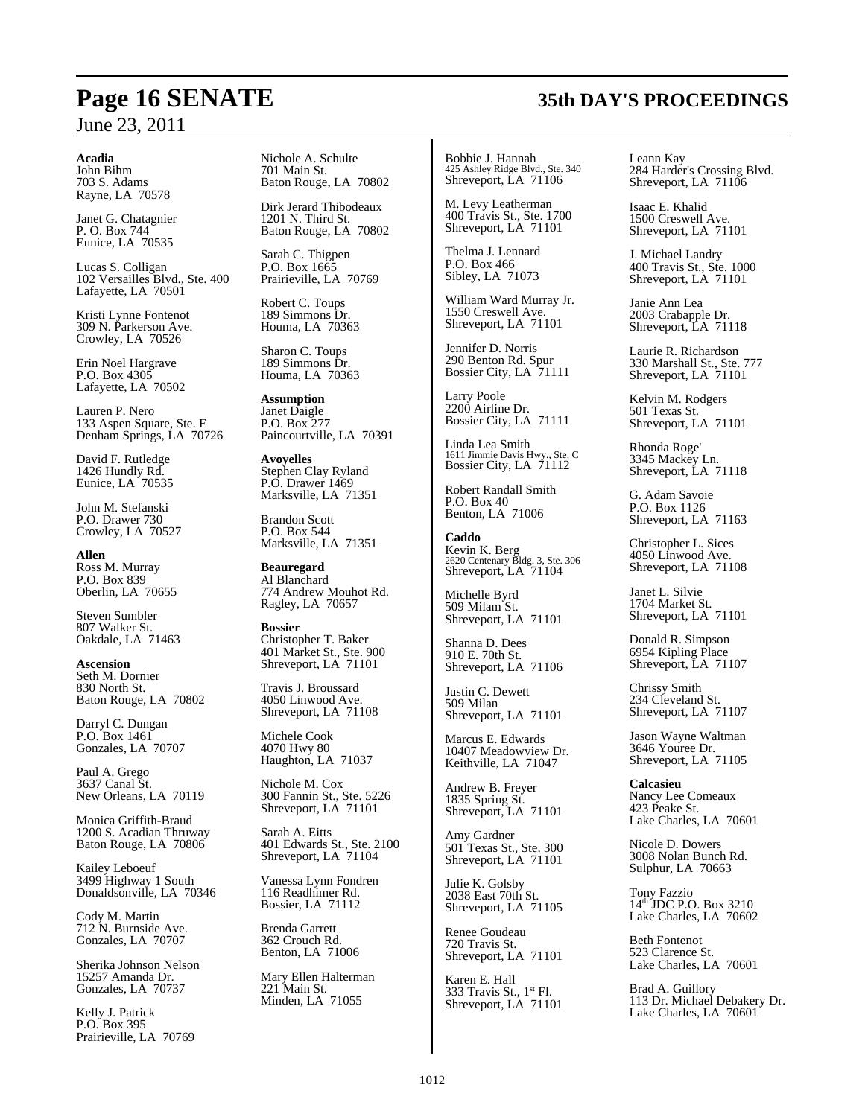#### **Acadia**

John Bihm 703 S. Adams Rayne, LA 70578

Janet G. Chatagnier P. O. Box 744 Eunice, LA 70535

Lucas S. Colligan 102 Versailles Blvd., Ste. 400 Lafayette, LA 70501

Kristi Lynne Fontenot 309 N. Parkerson Ave. Crowley, LA 70526

Erin Noel Hargrave P.O. Box 4305 Lafayette, LA 70502

Lauren P. Nero 133 Aspen Square, Ste. F Denham Springs, LA 70726

David F. Rutledge 1426 Hundly Rd. Eunice, LA 70535

John M. Stefanski P.O. Drawer 730 Crowley, LA 70527

**Allen** Ross M. Murray P.O. Box 839 Oberlin, LA 70655

Steven Sumbler 807 Walker St. Oakdale, LA 71463

**Ascension** Seth M. Dornier 830 North St. Baton Rouge, LA 70802

Darryl C. Dungan P.O. Box 1461 Gonzales, LA 70707

Paul A. Grego 3637 Canal St. New Orleans, LA 70119

Monica Griffith-Braud 1200 S. Acadian Thruway Baton Rouge, LA 70806

Kailey Leboeuf 3499 Highway 1 South Donaldsonville, LA 70346

Cody M. Martin 712 N. Burnside Ave. Gonzales, LA 70707

Sherika Johnson Nelson 15257 Amanda Dr. Gonzales, LA 70737

Kelly J. Patrick P.O. Box 395 Prairieville, LA 70769 Nichole A. Schulte 701 Main St. Baton Rouge, LA 70802

Dirk Jerard Thibodeaux 1201 N. Third St. Baton Rouge, LA 70802

Sarah C. Thigpen P.O. Box 1665 Prairieville, LA 70769

Robert C. Toups 189 Simmons Dr. Houma, LA 70363

Sharon C. Toups 189 Simmons Dr. Houma, LA 70363

**Assumption** Janet Daigle P.O. Box 277 Paincourtville, LA 70391

**Avoyelles** Stephen Clay Ryland P.O. Drawer 1469 Marksville, LA 71351

Brandon Scott P.O. Box 544 Marksville, LA 71351

**Beauregard** Al Blanchard 774 Andrew Mouhot Rd. Ragley, LA 70657

**Bossier** Christopher T. Baker 401 Market St., Ste. 900 Shreveport, LA 71101

Travis J. Broussard 4050 Linwood Ave. Shreveport, LA 71108

Michele Cook 4070 Hwy 80 Haughton, LA 71037

Nichole M. Cox 300 Fannin St., Ste. 5226 Shreveport, LA 71101

Sarah A. Eitts 401 Edwards St., Ste. 2100 Shreveport, LA 71104

Vanessa Lynn Fondren 116 Readhimer Rd. Bossier, LA 71112

Brenda Garrett 362 Crouch Rd. Benton, LA 71006

Mary Ellen Halterman 221 Main St. Minden, LA 71055

Bobbie J. Hannah 425 Ashley Ridge Blvd., Ste. 340 Shreveport, LA 71106

M. Levy Leatherman 400 Travis St., Ste. 1700 Shreveport, LA 71101

Thelma J. Lennard P.O. Box 466 Sibley, LA 71073

William Ward Murray Jr. 1550 Creswell Ave. Shreveport, LA 71101

Jennifer D. Norris 290 Benton Rd. Spur Bossier City, LA 71111

Larry Poole 2200 Airline Dr. Bossier City, LA 71111

Linda Lea Smith 1611 Jimmie Davis Hwy., Ste. C Bossier City, LA 71112

Robert Randall Smith P.O. Box 40 Benton, LA 71006

**Caddo** Kevin K. Berg 2620 Centenary Bldg. 3, Ste. 306 Shreveport, LA 71104

Michelle Byrd 509 Milam St. Shreveport, LA 71101

Shanna D. Dees 910 E. 70th St. Shreveport, LA 71106

Justin C. Dewett 509 Milan Shreveport, LA 71101

Marcus E. Edwards 10407 Meadowview Dr. Keithville, LA 71047

Andrew B. Freyer 1835 Spring St. Shreveport, LA 71101

Amy Gardner 501 Texas St., Ste. 300 Shreveport, LA 71101

Julie K. Golsby 2038 East 70th St. Shreveport, LA 71105

Renee Goudeau 720 Travis St. Shreveport, LA 71101

Karen E. Hall 333 Travis St.,  $1<sup>st</sup>$  Fl. Shreveport, LA 71101 Leann Kay 284 Harder's Crossing Blvd. Shreveport, LA  $71106$ 

Isaac E. Khalid 1500 Creswell Ave. Shreveport, LA 71101

J. Michael Landry 400 Travis St., Ste. 1000 Shreveport, LA 71101

Janie Ann Lea 2003 Crabapple Dr. Shreveport, LA 71118

Laurie R. Richardson 330 Marshall St., Ste. 777 Shreveport, LA 71101

Kelvin M. Rodgers 501 Texas St. Shreveport, LA 71101

Rhonda Roge' 3345 Mackey Ln. Shreveport, LA 71118

G. Adam Savoie P.O. Box 1126 Shreveport, LA 71163

Christopher L. Sices 4050 Linwood Ave. Shreveport, LA 71108

Janet L. Silvie 1704 Market St. Shreveport, LA 71101

Donald R. Simpson 6954 Kipling Place Shreveport, LA 71107

Chrissy Smith 234 Cleveland St. Shreveport, LA 71107

Jason Wayne Waltman 3646 Youree Dr. Shreveport, LA 71105

**Calcasieu** Nancy Lee Comeaux 423 Peake St. Lake Charles, LA 70601

Nicole D. Dowers 3008 Nolan Bunch Rd. Sulphur, LA 70663

Tony Fazzio 14<sup>th</sup> JDC P.O. Box 3210 Lake Charles, LA 70602

Beth Fontenot 523 Clarence St. Lake Charles, LA 70601

Brad A. Guillory 113 Dr. Michael Debakery Dr. Lake Charles, LA 70601

## **Page 16 SENATE 35th DAY'S PROCEEDINGS**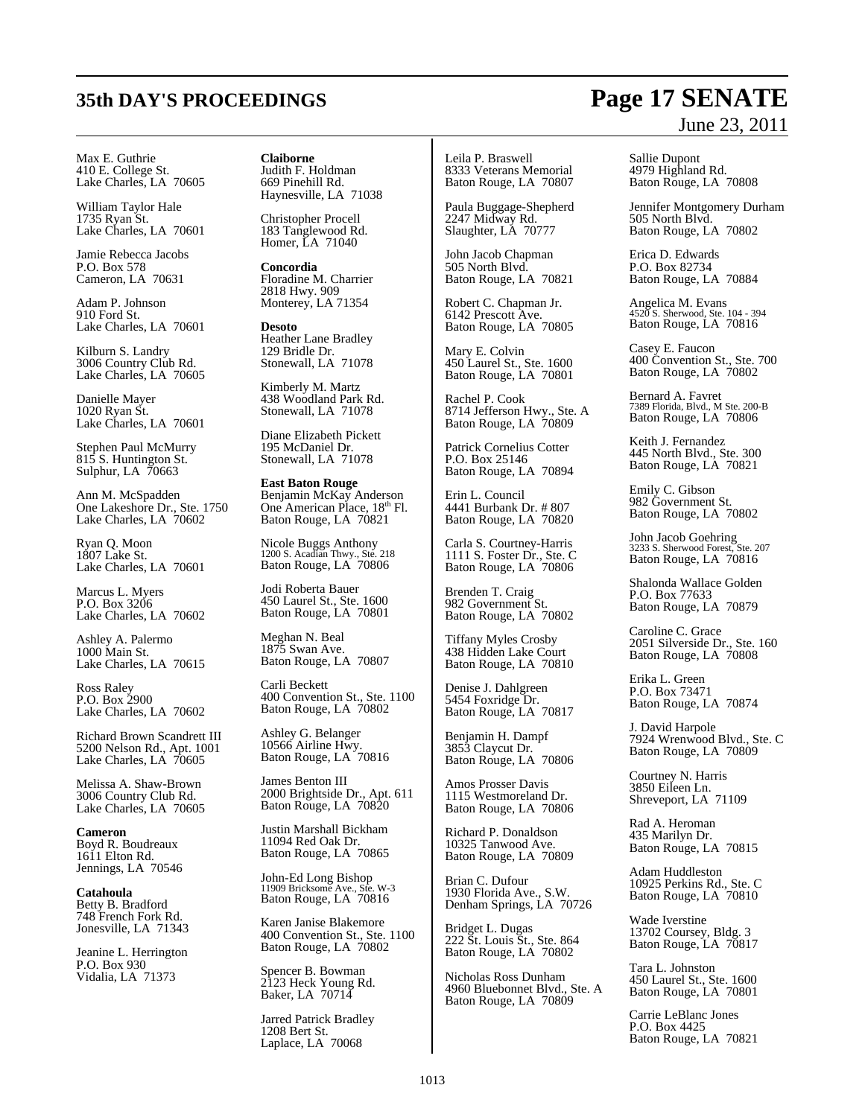## **35th DAY'S PROCEEDINGS Page 17 SENATE**

#### Max E. Guthrie 410 E. College St. Lake Charles, LA 70605

William Taylor Hale 1735 Ryan St. Lake Charles, LA 70601

Jamie Rebecca Jacobs P.O. Box 578 Cameron, LA 70631

Adam P. Johnson 910 Ford St. Lake Charles, LA 70601

Kilburn S. Landry 3006 Country Club Rd. Lake Charles, LA 70605

Danielle Mayer 1020 Ryan St. Lake Charles, LA 70601

Stephen Paul McMurry 815 S. Huntington St. Sulphur, LA 70663

Ann M. McSpadden One Lakeshore Dr., Ste. 1750 Lake Charles, LA 70602

Ryan Q. Moon 1807 Lake St. Lake Charles, LA 70601

Marcus L. Myers P.O. Box 3206 Lake Charles, LA 70602

Ashley A. Palermo 1000 Main St. Lake Charles, LA 70615

Ross Raley P.O. Box 2900 Lake Charles, LA 70602

Richard Brown Scandrett III 5200 Nelson Rd., Apt. 1001 Lake Charles, LA 70605

Melissa A. Shaw-Brown 3006 Country Club Rd. Lake Charles, LA 70605

**Cameron** Boyd R. Boudreaux 1611 Elton Rd. Jennings, LA 70546

**Catahoula** Betty B. Bradford 748 French Fork Rd. Jonesville, LA 71343

Jeanine L. Herrington P.O. Box 930 Vidalia, LA 71373

**Claiborne** Judith F. Holdman 669 Pinehill Rd. Haynesville, LA 71038

Christopher Procell 183 Tanglewood Rd. Homer, LA 71040

**Concordia** Floradine M. Charrier 2818 Hwy. 909 Monterey, LA 71354

**Desoto** Heather Lane Bradley 129 Bridle Dr. Stonewall, LA 71078

Kimberly M. Martz 438 Woodland Park Rd. Stonewall, LA 71078

Diane Elizabeth Pickett 195 McDaniel Dr. Stonewall, LA 71078

**East Baton Rouge** Benjamin McKay Anderson One American Place, 18<sup>th</sup> Fl. Baton Rouge, LA 70821

Nicole Buggs Anthony 1200 S. Acadian Thwy., Ste. 218 Baton Rouge, LA 70806

Jodi Roberta Bauer 450 Laurel St., Ste. 1600 Baton Rouge, LA 70801

Meghan N. Beal 1875 Swan Ave. Baton Rouge, LA 70807

Carli Beckett 400 Convention St., Ste. 1100 Baton Rouge, LA 70802

Ashley G. Belanger 10566 Airline Hwy. Baton Rouge, LA 70816

James Benton III 2000 Brightside Dr., Apt. 611 Baton Rouge, LA 70820

Justin Marshall Bickham 11094 Red Oak Dr. Baton Rouge, LA 70865

John-Ed Long Bishop 11909 Bricksome Ave., Ste. W-3 Baton Rouge, LA 70816

Karen Janise Blakemore 400 Convention St., Ste. 1100 Baton Rouge, LA 70802

Spencer B. Bowman 2123 Heck Young Rd. Baker, LA 70714

Jarred Patrick Bradley 1208 Bert St. Laplace, LA 70068

Leila P. Braswell 8333 Veterans Memorial Baton Rouge, LA 70807

Paula Buggage-Shepherd 2247 Midway Rd. Slaughter, LA 70777

John Jacob Chapman 505 North Blvd. Baton Rouge, LA 70821

Robert C. Chapman Jr. 6142 Prescott Ave. Baton Rouge, LA 70805

Mary E. Colvin 450 Laurel St., Ste. 1600 Baton Rouge, LA 70801

Rachel P. Cook 8714 Jefferson Hwy., Ste. A Baton Rouge, LA 70809

Patrick Cornelius Cotter P.O. Box 25146 Baton Rouge, LA 70894

Erin L. Council 4441 Burbank Dr. # 807 Baton Rouge, LA 70820

Carla S. Courtney-Harris 1111 S. Foster Dr., Ste. C Baton Rouge, LA 70806

Brenden T. Craig 982 Government St. Baton Rouge, LA 70802

Tiffany Myles Crosby 438 Hidden Lake Court Baton Rouge, LA 70810

Denise J. Dahlgreen 5454 Foxridge Dr. Baton Rouge, LA 70817

Benjamin H. Dampf 3853 Claycut Dr. Baton Rouge, LA 70806

Amos Prosser Davis 1115 Westmoreland Dr. Baton Rouge, LA 70806

Richard P. Donaldson 10325 Tanwood Ave. Baton Rouge, LA 70809

Brian C. Dufour 1930 Florida Ave., S.W. Denham Springs, LA 70726

Bridget L. Dugas 222 St. Louis St., Ste. 864 Baton Rouge, LA 70802

Nicholas Ross Dunham 4960 Bluebonnet Blvd., Ste. A Baton Rouge, LA 70809

# June 23, 2011

Sallie Dupont 4979 Highland Rd. Baton Rouge, LA 70808

Jennifer Montgomery Durham 505 North Blvd. Baton Rouge, LA 70802

Erica D. Edwards P.O. Box 82734 Baton Rouge, LA 70884

Angelica M. Evans 4520 S. Sherwood, Ste. 104 - 394 Baton Rouge, LA 70816

Casey E. Faucon 400 Convention St., Ste. 700 Baton Rouge, LA 70802

Bernard A. Favret 7389 Florida, Blvd., M Ste. 200-B Baton Rouge, LA 70806

Keith J. Fernandez 445 North Blvd., Ste. 300 Baton Rouge, LA 70821

Emily C. Gibson 982 Government St. Baton Rouge, LA 70802

John Jacob Goehring 3233 S. Sherwood Forest, Ste. 207 Baton Rouge, LA 70816

Shalonda Wallace Golden P.O. Box 77633 Baton Rouge, LA 70879

Caroline C. Grace 2051 Silverside Dr., Ste. 160 Baton Rouge, LA 70808

Erika L. Green P.O. Box 73471 Baton Rouge, LA 70874

J. David Harpole 7924 Wrenwood Blvd., Ste. C Baton Rouge, LA 70809

Courtney N. Harris 3850 Eileen Ln. Shreveport, LA 71109

Rad A. Heroman 435 Marilyn Dr. Baton Rouge, LA 70815

Adam Huddleston 10925 Perkins Rd., Ste. C Baton Rouge, LA 70810

Wade Iverstine 13702 Coursey, Bldg. 3 Baton Rouge, LA 70817

Tara L. Johnston 450 Laurel St., Ste. 1600 Baton Rouge, LA 70801

Carrie LeBlanc Jones P.O. Box 4425 Baton Rouge, LA 70821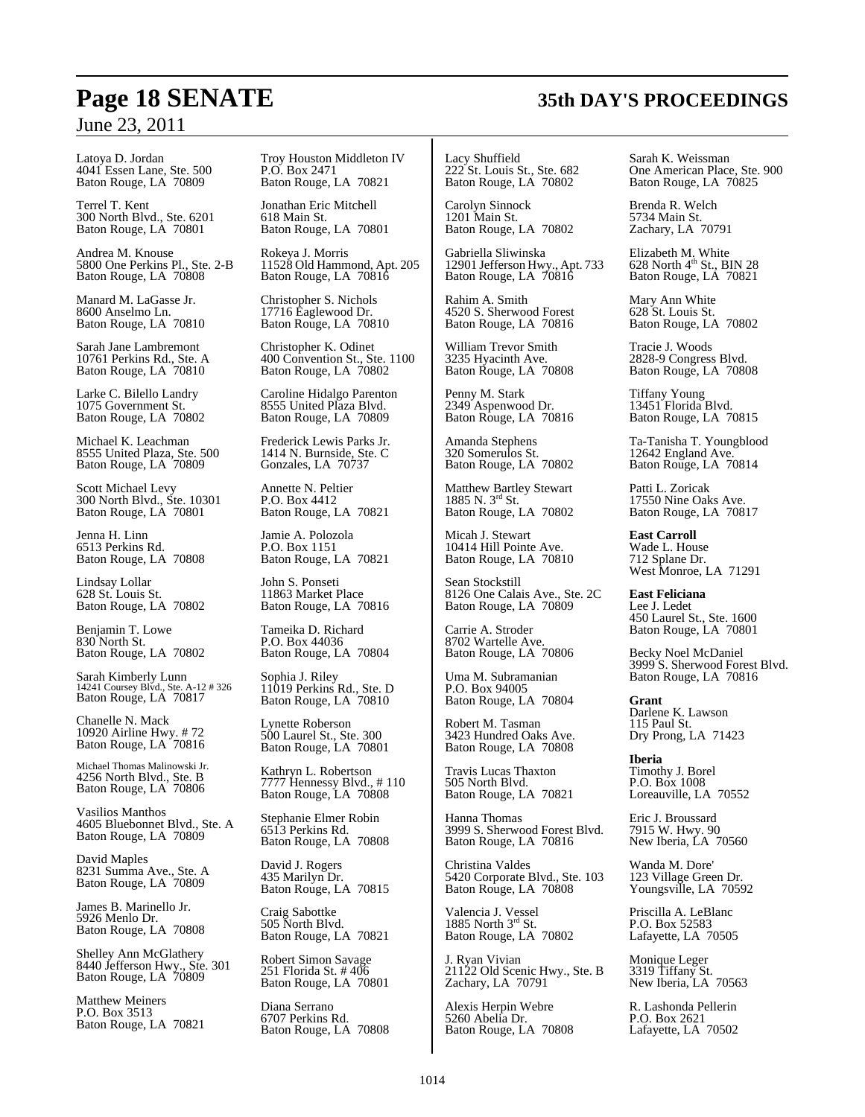Latoya D. Jordan 4041 Essen Lane, Ste. 500 Baton Rouge, LA 70809

Terrel T. Kent 300 North Blvd., Ste. 6201 Baton Rouge, LA 70801

Andrea M. Knouse 5800 One Perkins Pl., Ste. 2-B Baton Rouge, LA 70808

Manard M. LaGasse Jr. 8600 Anselmo Ln. Baton Rouge, LA 70810

Sarah Jane Lambremont 10761 Perkins Rd., Ste. A Baton Rouge, LA 70810

Larke C. Bilello Landry 1075 Government St. Baton Rouge, LA 70802

Michael K. Leachman 8555 United Plaza, Ste. 500 Baton Rouge, LA 70809

Scott Michael Levy 300 North Blvd., Ste. 10301 Baton Rouge, LA 70801

Jenna H. Linn 6513 Perkins Rd. Baton Rouge, LA 70808

Lindsay Lollar 628 St. Louis St. Baton Rouge, LA 70802

Benjamin T. Lowe 830 North St. Baton Rouge, LA 70802

Sarah Kimberly Lunn 14241 Coursey Blvd., Ste. A-12 # 326 Baton Rouge, LA 70817

Chanelle N. Mack 10920 Airline Hwy. # 72 Baton Rouge, LA 70816

Michael Thomas Malinowski Jr. 4256 North Blvd., Ste. B Baton Rouge, LA 70806

Vasilios Manthos 4605 Bluebonnet Blvd., Ste. A Baton Rouge, LA 70809

David Maples 8231 Summa Ave., Ste. A Baton Rouge, LA 70809

James B. Marinello Jr. 5926 Menlo Dr. Baton Rouge, LA 70808

Shelley Ann McGlathery 8440 Jefferson Hwy., Ste. 301 Baton Rouge, LA 70809

Matthew Meiners P.O. Box 3513 Baton Rouge, LA 70821 Troy Houston Middleton IV P.O. Box 2471 Baton Rouge, LA 70821

Jonathan Eric Mitchell 618 Main St. Baton Rouge, LA 70801

Rokeya J. Morris 11528 Old Hammond, Apt. 205 Baton Rouge, LA 70816

Christopher S. Nichols 17716 Eaglewood Dr. Baton Rouge, LA 70810

Christopher K. Odinet 400 Convention St., Ste. 1100 Baton Rouge, LA 70802

Caroline Hidalgo Parenton 8555 United Plaza Blvd. Baton Rouge, LA 70809

Frederick Lewis Parks Jr. 1414 N. Burnside, Ste. C Gonzales, LA 70737

Annette N. Peltier P.O. Box 4412 Baton Rouge, LA 70821

Jamie A. Polozola P.O. Box 1151 Baton Rouge, LA 70821

John S. Ponseti 11863 Market Place Baton Rouge, LA 70816

Tameika D. Richard P.O. Box 44036 Baton Rouge, LA 70804

Sophia J. Riley 11019 Perkins Rd., Ste. D Baton Rouge, LA 70810

Lynette Roberson 500 Laurel St., Ste. 300 Baton Rouge, LA 70801

Kathryn L. Robertson 7777 Hennessy Blvd., # 110 Baton Rouge, LA 70808

Stephanie Elmer Robin 6513 Perkins Rd. Baton Rouge, LA 70808

David J. Rogers 435 Marilyn Dr. Baton Rouge, LA 70815

Craig Sabottke 505 North Blvd. Baton Rouge, LA 70821

Robert Simon Savage 251 Florida St. # 406 Baton Rouge, LA 70801

Diana Serrano 6707 Perkins Rd. Baton Rouge, LA 70808

Lacy Shuffield 222 St. Louis St., Ste. 682 Baton Rouge, LA 70802

Carolyn Sinnock 1201 Main St. Baton Rouge, LA 70802

Gabriella Sliwinska 12901 Jefferson Hwy., Apt. 733 Baton Rouge, LA 70816

Rahim A. Smith 4520 S. Sherwood Forest Baton Rouge, LA 70816

William Trevor Smith 3235 Hyacinth Ave. Baton Rouge, LA 70808

Penny M. Stark 2349 Aspenwood Dr. Baton Rouge, LA 70816

Amanda Stephens 320 Somerulos St. Baton Rouge, LA 70802

Matthew Bartley Stewart<br>1885 N. 3<sup>rd</sup> St. Baton Rouge, LA 70802

Micah J. Stewart 10414 Hill Pointe Ave. Baton Rouge, LA 70810

Sean Stockstill 8126 One Calais Ave., Ste. 2C Baton Rouge, LA 70809

Carrie A. Stroder 8702 Wartelle Ave. Baton Rouge, LA 70806

Uma M. Subramanian P.O. Box 94005 Baton Rouge, LA 70804

Robert M. Tasman 3423 Hundred Oaks Ave. Baton Rouge, LA 70808

Travis Lucas Thaxton 505 North Blvd. Baton Rouge, LA 70821

Hanna Thomas 3999 S. Sherwood Forest Blvd. Baton Rouge, LA 70816

Christina Valdes 5420 Corporate Blvd., Ste. 103 Baton Rouge, LA 70808

Valencia J. Vessel<br>1885 North 3<sup>rd</sup> St. Baton Rouge, LA 70802

J. Ryan Vivian 21122 Old Scenic Hwy., Ste. B Zachary, LA 70791

Alexis Herpin Webre 5260 Abelia Dr. Baton Rouge, LA 70808 Sarah K. Weissman One American Place, Ste. 900 Baton Rouge, LA 70825

Brenda R. Welch 5734 Main St. Zachary, LA 70791

Elizabeth M. White<br>628 North 4<sup>th</sup> St., BIN 28 Baton Rouge, LA 70821

Mary Ann White 628 St. Louis St. Baton Rouge, LA 70802

Tracie J. Woods 2828-9 Congress Blvd. Baton Rouge, LA 70808

Tiffany Young 13451 Florida Blvd. Baton Rouge, LA 70815

Ta-Tanisha T. Youngblood 12642 England Ave. Baton Rouge, LA 70814

Patti L. Zoricak 17550 Nine Oaks Ave. Baton Rouge, LA 70817

**East Carroll** Wade L. House 712 Splane Dr. West Monroe, LA 71291

**East Feliciana** Lee J. Ledet 450 Laurel St., Ste. 1600 Baton Rouge, LA 70801

Becky Noel McDaniel 3999 S. Sherwood Forest Blvd. Baton Rouge, LA 70816

**Grant** Darlene K. Lawson 115 Paul St. Dry Prong, LA 71423

**Iberia** Timothy J. Borel P.O. Box 1008 Loreauville, LA 70552

Eric J. Broussard 7915 W. Hwy. 90 New Iberia, LA 70560

Wanda M. Dore' 123 Village Green Dr. Youngsville, LA 70592

Priscilla A. LeBlanc P.O. Box 52583 Lafayette, LA 70505

Monique Leger 3319 Tiffany St. New Iberia, LA 70563

R. Lashonda Pellerin P.O. Box 2621 Lafayette, LA 70502

## **Page 18 SENATE 35th DAY'S PROCEEDINGS**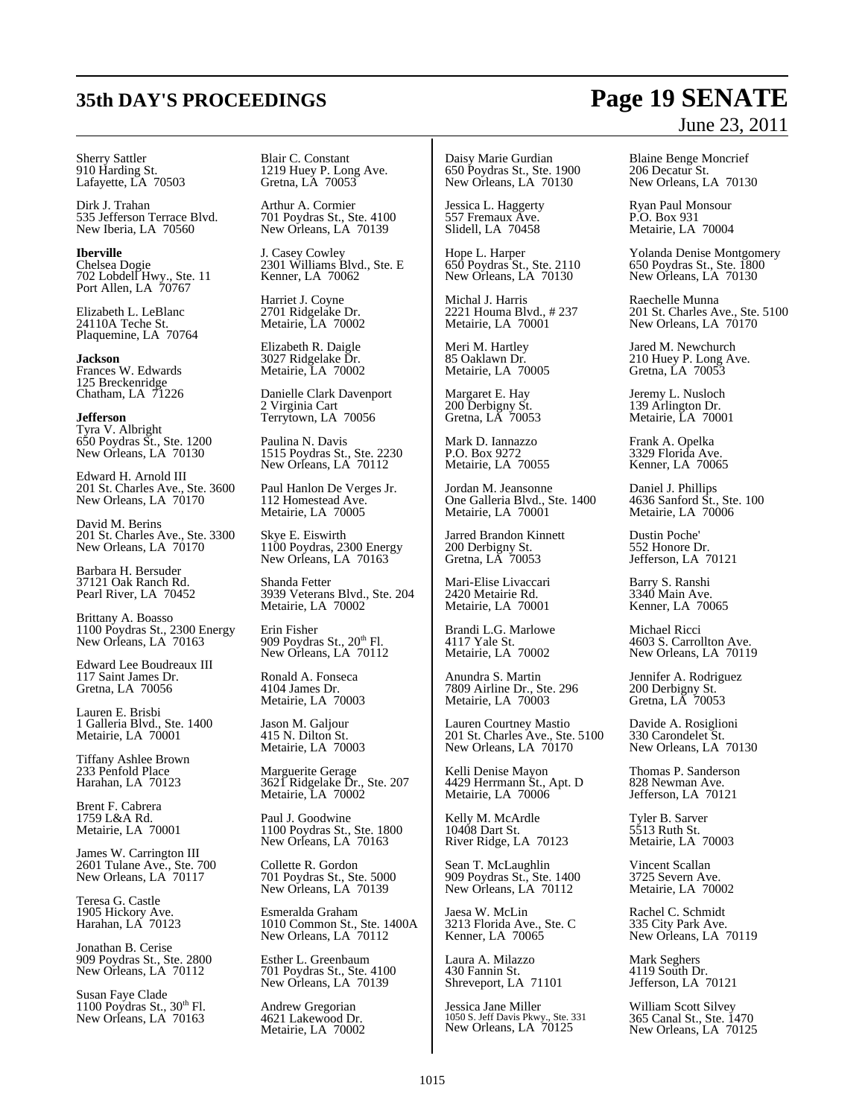#### Sherry Sattler 910 Harding St. Lafayette, LA 70503

Dirk J. Trahan 535 Jefferson Terrace Blvd. New Iberia, LA 70560

**Iberville** Chelsea Dogie 702 Lobdell Hwy., Ste. 11 Port Allen, LA 70767

Elizabeth L. LeBlanc 24110A Teche St. Plaquemine, LA 70764

**Jackson** Frances W. Edwards 125 Breckenridge Chatham, LA 71226

**Jefferson** Tyra V. Albright 650 Poydras St., Ste. 1200 New Orleans, LA 70130

Edward H. Arnold III 201 St. Charles Ave., Ste. 3600 New Orleans, LA 70170

David M. Berins 201 St. Charles Ave., Ste. 3300 New Orleans, LA 70170

Barbara H. Bersuder 37121 Oak Ranch Rd. Pearl River, LA 70452

Brittany A. Boasso 1100 Poydras St., 2300 Energy New Orleans, LA 70163

Edward Lee Boudreaux III 117 Saint James Dr. Gretna, LA 70056

Lauren E. Brisbi 1 Galleria Blvd., Ste. 1400 Metairie, LA 70001

Tiffany Ashlee Brown 233 Penfold Place Harahan, LA 70123

Brent F. Cabrera 1759 L&A Rd. Metairie, LA 70001

James W. Carrington III 2601 Tulane Ave., Ste. 700 New Orleans, LA 70117

Teresa G. Castle 1905 Hickory Ave. Harahan, LA 70123

Jonathan B. Cerise 909 Poydras St., Ste. 2800 New Orleans, LA 70112

Susan Faye Clade 1100 Poydras St., 30<sup>th</sup> Fl. New Orleans, LA 70163

Blair C. Constant 1219 Huey P. Long Ave. Gretna, LA 70053

Arthur A. Cormier 701 Poydras St., Ste. 4100 New Orleans, LA 70139

J. Casey Cowley 2301 Williams Blvd., Ste. E Kenner, LA 70062

Harriet J. Coyne 2701 Ridgelake Dr. Metairie, LA 70002

Elizabeth R. Daigle 3027 Ridgelake Dr. Metairie, LA 70002

Danielle Clark Davenport 2 Virginia Cart Terrytown, LA 70056

Paulina N. Davis 1515 Poydras St., Ste. 2230 New Orleans, LA 70112

Paul Hanlon De Verges Jr. 112 Homestead Ave. Metairie, LA 70005

Skye E. Eiswirth 1100 Poydras, 2300 Energy New Orleans, LA 70163

Shanda Fetter 3939 Veterans Blvd., Ste. 204 Metairie, LA 70002

Erin Fisher 909 Poydras St., 20<sup>th</sup> Fl. New Orleans, LA 70112

Ronald A. Fonseca 4104 James Dr. Metairie, LA 70003

Jason M. Galjour 415 N. Dilton St. Metairie, LA 70003

Marguerite Gerage 3621 Ridgelake Dr., Ste. 207 Metairie, LA 70002

Paul J. Goodwine 1100 Poydras St., Ste. 1800 New Orleans, LA 70163

Collette R. Gordon 701 Poydras St., Ste. 5000 New Orleans, LA 70139

Esmeralda Graham 1010 Common St., Ste. 1400A New Orleans, LA 70112

Esther L. Greenbaum 701 Poydras St., Ste. 4100 New Orleans, LA 70139

Andrew Gregorian 4621 Lakewood Dr. Metairie, LA 70002

Daisy Marie Gurdian 650 Poydras St., Ste. 1900 New Orleans, LA 70130

Jessica L. Haggerty 557 Fremaux Ave. Slidell, LA 70458

Hope L. Harper 650 Poydras St., Ste. 2110 New Orleans, LA 70130

Michal J. Harris 2221 Houma Blvd., # 237 Metairie, LA 70001

Meri M. Hartley 85 Oaklawn Dr. Metairie, LA 70005

Margaret E. Hay 200 Derbigny St. Gretna, LA 70053

Mark D. Iannazzo P.O. Box 9272 Metairie, LA 70055

Jordan M. Jeansonne One Galleria Blvd., Ste. 1400 Metairie, LA 70001

Jarred Brandon Kinnett 200 Derbigny St. Gretna, LA 70053

Mari-Elise Livaccari 2420 Metairie Rd. Metairie, LA 70001

Brandi L.G. Marlowe 4117 Yale St. Metairie, LA 70002

Anundra S. Martin 7809 Airline Dr., Ste. 296 Metairie, LA 70003

Lauren Courtney Mastio 201 St. Charles Ave., Ste. 5100 New Orleans, LA 70170

Kelli Denise Mayon 4429 Herrmann St., Apt. D Metairie, LA 70006

Kelly M. McArdle 10408 Dart St. River Ridge, LA 70123

Sean T. McLaughlin 909 Poydras St., Ste. 1400 New Orleans, LA 70112

Jaesa W. McLin 3213 Florida Ave., Ste. C Kenner, LA 70065

Laura A. Milazzo 430 Fannin St. Shreveport, LA 71101

Jessica Jane Miller 1050 S. Jeff Davis Pkwy., Ste. 331 New Orleans, LA 70125

Blaine Benge Moncrief 206 Decatur St. New Orleans, LA 70130

Ryan Paul Monsour P.O. Box 931 Metairie, LA 70004

Yolanda Denise Montgomery 650 Poydras St., Ste. 1800 New Orleans, LA 70130

Raechelle Munna 201 St. Charles Ave., Ste. 5100 New Orleans, LA  $70170$ 

Jared M. Newchurch 210 Huey P. Long Ave. Gretna, LA 70053

Jeremy L. Nusloch 139 Arlington Dr. Metairie, LA 70001

Frank A. Opelka 3329 Florida Ave. Kenner, LA 70065

Daniel J. Phillips 4636 Sanford St., Ste. 100 Metairie, LA 70006

Dustin Poche' 552 Honore Dr. Jefferson, LA 70121

Barry S. Ranshi 3340 Main Ave. Kenner, LA 70065

Michael Ricci 4603 S. Carrollton Ave. New Orleans, LA 70119

Jennifer A. Rodriguez 200 Derbigny St. Gretna, LA 70053

Davide A. Rosiglioni 330 Carondelet St. New Orleans, LA 70130

Thomas P. Sanderson 828 Newman Ave. Jefferson, LA 70121

Tyler B. Sarver 5513 Ruth St. Metairie, LA 70003

Vincent Scallan 3725 Severn Ave. Metairie, LA 70002

Rachel C. Schmidt 335 City Park Ave. New Orleans, LA 70119

Mark Seghers 4119 South Dr. Jefferson, LA 70121

William Scott Silvey 365 Canal St., Ste. 1470 New Orleans, LA 70125

## **35th DAY'S PROCEEDINGS Page 19 SENATE** June 23, 2011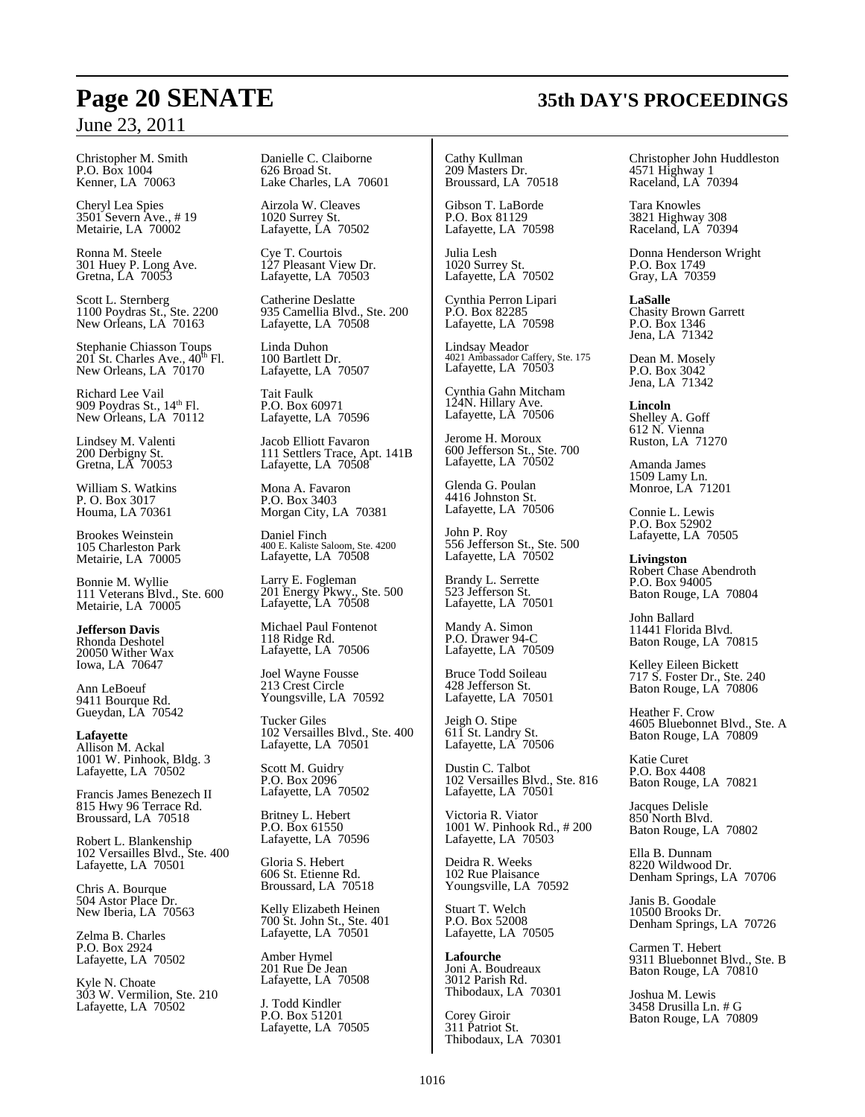Christopher M. Smith P.O. Box 1004 Kenner, LA 70063

Cheryl Lea Spies 3501 Severn Ave., # 19 Metairie, LA 70002

Ronna M. Steele 301 Huey P. Long Ave. Gretna, LA 70053

Scott L. Sternberg 1100 Poydras St., Ste. 2200 New Orleans, LA 70163

Stephanie Chiasson Toups<br>201 St. Charles Ave., 40<sup>th</sup> Fl. New Orleans, LA 70170

Richard Lee Vail 909 Poydras St., 14<sup>th</sup> Fl. New Orleans, LA 70112

Lindsey M. Valenti 200 Derbigny St. Gretna, LA 70053

William S. Watkins P. O. Box 3017 Houma, LA 70361

Brookes Weinstein 105 Charleston Park Metairie, LA 70005

Bonnie M. Wyllie 111 Veterans Blvd., Ste. 600 Metairie, LA 70005

**Jefferson Davis** Rhonda Deshotel 20050 Wither Wax Iowa, LA 70647

Ann LeBoeuf 9411 Bourque Rd. Gueydan, LA 70542

**Lafayette** Allison M. Ackal 1001 W. Pinhook, Bldg. 3 Lafayette, LA 70502

Francis James Benezech II 815 Hwy 96 Terrace Rd. Broussard, LA 70518

Robert L. Blankenship 102 Versailles Blvd., Ste. 400 Lafayette, LA 70501

Chris A. Bourque 504 Astor Place Dr. New Iberia, LA 70563

Zelma B. Charles P.O. Box 2924 Lafayette, LA 70502

Kyle N. Choate 303 W. Vermilion, Ste. 210 Lafayette, LA 70502

Danielle C. Claiborne 626 Broad St. Lake Charles, LA 70601

Airzola W. Cleaves 1020 Surrey St. Lafayette, LA 70502

Cye T. Courtois 127 Pleasant View Dr. Lafayette, LA 70503

Catherine Deslatte 935 Camellia Blvd., Ste. 200 Lafayette, LA 70508

Linda Duhon 100 Bartlett Dr. Lafayette, LA 70507

Tait Faulk P.O. Box 60971 Lafayette, LA 70596

Jacob Elliott Favaron 111 Settlers Trace, Apt. 141B Lafayette, LA 70508

Mona A. Favaron P.O. Box 3403 Morgan City, LA 70381

Daniel Finch 400 E. Kaliste Saloom, Ste. 4200 Lafayette, LA 70508

Larry E. Fogleman 201 Energy Pkwy., Ste. 500 Lafayette, LA 70508

Michael Paul Fontenot 118 Ridge Rd. Lafayette, LA 70506

Joel Wayne Fousse 213 Crest Circle Youngsville, LA 70592

Tucker Giles 102 Versailles Blvd., Ste. 400 Lafayette, LA 70501

Scott M. Guidry P.O. Box 2096 Lafayette, LA 70502

Britney L. Hebert P.O. Box 61550 Lafayette, LA 70596

Gloria S. Hebert 606 St. Etienne Rd. Broussard, LA 70518

Kelly Elizabeth Heinen 700 St. John St., Ste. 401 Lafayette, LA 70501

Amber Hymel 201 Rue De Jean Lafayette, LA 70508

J. Todd Kindler P.O. Box 51201 Lafayette, LA 70505

Cathy Kullman 209 Masters Dr. Broussard, LA 70518

Gibson T. LaBorde P.O. Box 81129 Lafayette, LA 70598

Julia Lesh 1020 Surrey St. Lafayette, LA 70502

Cynthia Perron Lipari P.O. Box 82285 Lafayette, LA 70598

Lindsay Meador 4021 Ambassador Caffery, Ste. 175 Lafayette, LA 70503

Cynthia Gahn Mitcham 124N. Hillary Ave. Lafayette, LA 70506

Jerome H. Moroux 600 Jefferson St., Ste. 700 Lafayette, LA 70502

Glenda G. Poulan 4416 Johnston St. Lafayette, LA 70506

John P. Roy 556 Jefferson St., Ste. 500 Lafayette, LA 70502

Brandy L. Serrette 523 Jefferson St. Lafayette, LA 70501

Mandy A. Simon P.O. Drawer 94-C Lafayette, LA 70509

Bruce Todd Soileau 428 Jefferson St. Lafayette, LA 70501

Jeigh O. Stipe 611 St. Landry St. Lafayette, LA 70506

Dustin C. Talbot 102 Versailles Blvd., Ste. 816 Lafayette, LA 70501

Victoria R. Viator 1001 W. Pinhook Rd., # 200 Lafayette, LA 70503

Deidra R. Weeks 102 Rue Plaisance Youngsville, LA 70592

Stuart T. Welch P.O. Box 52008 Lafayette, LA 70505

**Lafourche** Joni A. Boudreaux 3012 Parish Rd. Thibodaux, LA 70301

Corey Giroir 311 Patriot St. Thibodaux, LA 70301 Christopher John Huddleston 4571 Highway 1 Raceland, LA 70394

Tara Knowles 3821 Highway 308 Raceland, LA 70394

Donna Henderson Wright P.O. Box 1749 Gray, LA 70359

**LaSalle** Chasity Brown Garrett P.O. Box 1346 Jena, LA 71342

Dean M. Mosely P.O. Box 3042 Jena, LA 71342

**Lincoln** Shelley A. Goff 612 N. Vienna Ruston, LA 71270

Amanda James 1509 Lamy Ln. Monroe, LA 71201

Connie L. Lewis P.O. Box 52902 Lafayette, LA 70505

**Livingston** Robert Chase Abendroth P.O. Box 94005 Baton Rouge, LA 70804

John Ballard 11441 Florida Blvd. Baton Rouge, LA 70815

Kelley Eileen Bickett 717 S. Foster Dr., Ste. 240 Baton Rouge, LA 70806

Heather F. Crow 4605 Bluebonnet Blvd., Ste. A Baton Rouge, LA 70809

Katie Curet P.O. Box 4408 Baton Rouge, LA 70821

Jacques Delisle 850 North Blvd. Baton Rouge, LA 70802

Ella B. Dunnam 8220 Wildwood Dr. Denham Springs, LA 70706

Janis B. Goodale 10500 Brooks Dr. Denham Springs, LA 70726

Carmen T. Hebert 9311 Bluebonnet Blvd., Ste. B Baton Rouge, LA 70810

Joshua M. Lewis 3458 Drusilla Ln. # G Baton Rouge, LA 70809

## **Page 20 SENATE 35th DAY'S PROCEEDINGS**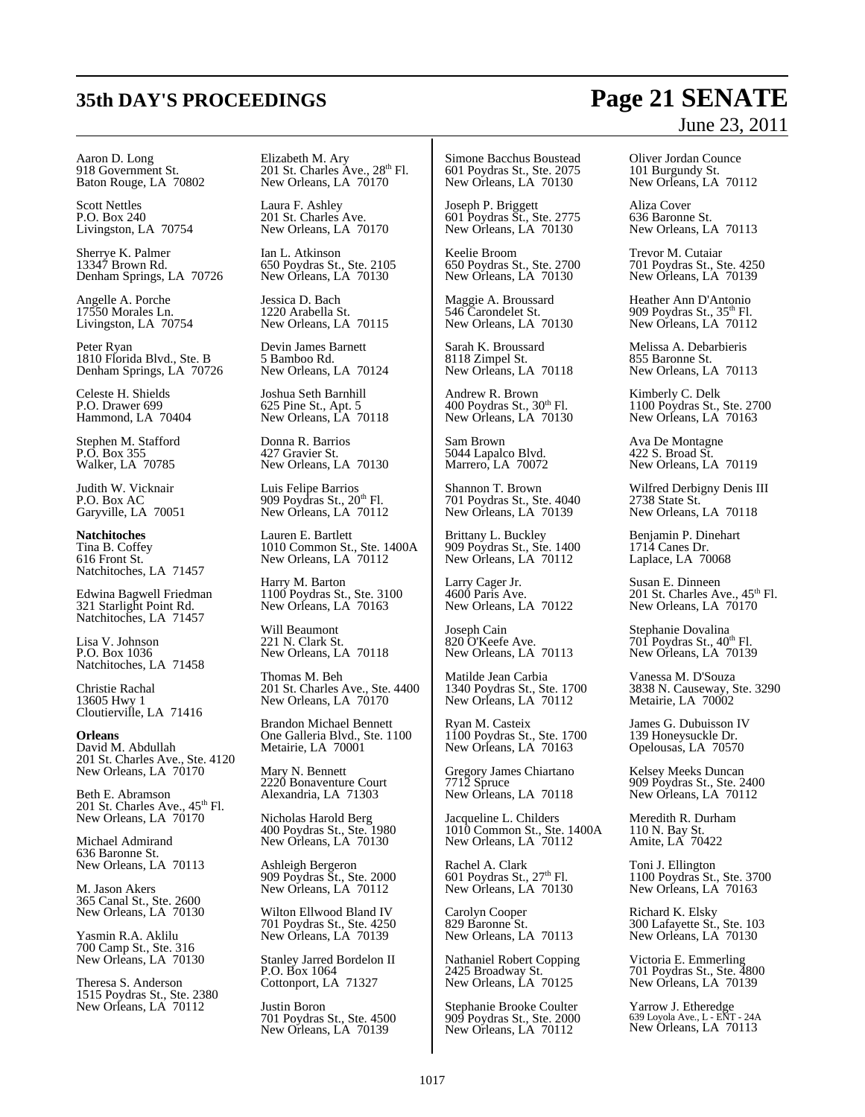## **35th DAY'S PROCEEDINGS Page 21 SENATE**

# June 23, 2011

Aaron D. Long 918 Government St. Baton Rouge, LA 70802

Scott Nettles P.O. Box 240 Livingston, LA 70754

Sherrye K. Palmer 13347 Brown Rd. Denham Springs, LA 70726

Angelle A. Porche 17550 Morales Ln. Livingston, LA 70754

Peter Ryan 1810 Florida Blvd., Ste. B Denham Springs, LA 70726

Celeste H. Shields P.O. Drawer 699 Hammond, LA 70404

Stephen M. Stafford P.O. Box 355 Walker, LA 70785

Judith W. Vicknair P.O. Box AC Garyville, LA 70051

**Natchitoches** Tina B. Coffey 616 Front St. Natchitoches, LA 71457

Edwina Bagwell Friedman 321 Starlight Point Rd. Natchitoches, LA 71457

Lisa V. Johnson P.O. Box 1036 Natchitoches, LA 71458

Christie Rachal 13605 Hwy 1 Cloutierville, LA 71416

**Orleans** David M. Abdullah 201 St. Charles Ave., Ste. 4120 New Orleans, LA 70170

Beth E. Abramson 201 St. Charles Ave.,  $45<sup>th</sup>$  Fl. New Orleans, LA 70170

Michael Admirand 636 Baronne St. New Orleans, LA 70113

M. Jason Akers 365 Canal St., Ste. 2600 New Orleans, LA 70130

Yasmin R.A. Aklilu 700 Camp St., Ste. 316 New Orleans, LA 70130

Theresa S. Anderson 1515 Poydras St., Ste. 2380 New Orleans, LA 70112

Elizabeth M. Ary 201 St. Charles Ave., 28<sup>th</sup> Fl. New Orleans, LA  $70170$ 

Laura F. Ashley 201 St. Charles Ave. New Orleans, LA 70170

Ian L. Atkinson 650 Poydras St., Ste. 2105 New Orleans, LA 70130

Jessica D. Bach 1220 Arabella St. New Orleans, LA 70115

Devin James Barnett 5 Bamboo Rd. New Orleans, LA 70124

Joshua Seth Barnhill 625 Pine St., Apt. 5 New Orleans, LA 70118

Donna R. Barrios 427 Gravier St. New Orleans, LA 70130

Luis Felipe Barrios 909 Poydras St., 20<sup>th</sup> Fl. New Orleans, LA 70112

Lauren E. Bartlett 1010 Common St., Ste. 1400A New Orleans, LA 70112

Harry M. Barton 1100 Poydras St., Ste. 3100 New Orleans, LA 70163

Will Beaumont 221 N. Clark St. New Orleans, LA 70118

Thomas M. Beh 201 St. Charles Ave., Ste. 4400 New Orleans, LA 70170

Brandon Michael Bennett One Galleria Blvd., Ste. 1100 Metairie, LA 70001

Mary N. Bennett 2220 Bonaventure Court Alexandria, LA 71303

Nicholas Harold Berg 400 Poydras St., Ste. 1980 New Orleans, LA 70130

Ashleigh Bergeron 909 Poydras St., Ste. 2000 New Orleans, LA 70112

Wilton Ellwood Bland IV 701 Poydras St., Ste. 4250 New Orleans, LA 70139

Stanley Jarred Bordelon II P.O. Box 1064 Cottonport, LA 71327

Justin Boron 701 Poydras St., Ste. 4500 New Orleans, LA 70139

Simone Bacchus Boustead 601 Poydras St., Ste. 2075 New Orleans, LA 70130

Joseph P. Briggett 601 Poydras St., Ste. 2775 New Orleans, LA 70130

Keelie Broom 650 Poydras St., Ste. 2700 New Orleans, LA 70130

Maggie A. Broussard 546 Carondelet St. New Orleans, LA 70130

Sarah K. Broussard 8118 Zimpel St. New Orleans, LA 70118

Andrew R. Brown 400 Poydras St.,  $30<sup>th</sup>$  Fl. New Orleans, LA 70130

Sam Brown 5044 Lapalco Blvd. Marrero, LA 70072

Shannon T. Brown 701 Poydras St., Ste. 4040 New Orleans, LA 70139

Brittany L. Buckley 909 Poydras St., Ste. 1400 New Orleans, LA 70112

Larry Cager Jr. 4600 Paris Ave. New Orleans, LA 70122

Joseph Cain 820 O'Keefe Ave. New Orleans, LA 70113

Matilde Jean Carbia 1340 Poydras St., Ste. 1700 New Orleans, LA 70112

Ryan M. Casteix 1100 Poydras St., Ste. 1700 New Orleans, LA 70163

Gregory James Chiartano 7712 Spruce New Orleans, LA 70118

Jacqueline L. Childers 1010 Common St., Ste. 1400A New Orleans, LA 70112

Rachel A. Clark<br>601 Poydras St., 27<sup>th</sup> Fl. New Orleans, LA 70130

Carolyn Cooper 829 Baronne St. New Orleans, LA 70113

Nathaniel Robert Copping 2425 Broadway St. New Orleans, LA 70125

Stephanie Brooke Coulter 909 Poydras St., Ste. 2000 New Orleans, LA 70112

Oliver Jordan Counce 101 Burgundy St. New Orleans, LA 70112

Aliza Cover 636 Baronne St. New Orleans, LA 70113

Trevor M. Cutaiar 701 Poydras St., Ste. 4250 New Orleans, LA 70139

Heather Ann D'Antonio 909 Poydras St., 35th Fl. New Orleans, LA 70112

Melissa A. Debarbieris 855 Baronne St. New Orleans, LA 70113

Kimberly C. Delk 1100 Poydras St., Ste. 2700 New Orleans, LA 70163

Ava De Montagne 422 S. Broad St. New Orleans, LA 70119

Wilfred Derbigny Denis III 2738 State St. New Orleans, LA 70118

Benjamin P. Dinehart 1714 Canes Dr. Laplace, LA 70068

Susan E. Dinneen<br>201 St. Charles Ave., 45<sup>th</sup> Fl. New Orleans, LA  $70170$ 

Stephanie Dovalina<br>701 Poydras St., 40<sup>th</sup> Fl. New Orleans, LA 70139

Vanessa M. D'Souza 3838 N. Causeway, Ste. 3290 Metairie, LA 70002

James G. Dubuisson IV 139 Honeysuckle Dr. Opelousas, LA 70570

Kelsey Meeks Duncan 909 Poydras St., Ste. 2400 New Orleans, LA 70112

Meredith R. Durham 110 N. Bay St. Amite, LA 70422

Toni J. Ellington 1100 Poydras St., Ste. 3700 New Orleans, LA 70163

Richard K. Elsky 300 Lafayette St., Ste. 103 New Orleans, LA 70130

Victoria E. Emmerling 701 Poydras St., Ste. 4800 New Orleans, LA 70139

Yarrow J. Etheredge 639 Loyola Ave., L - ENT - 24A New Orleans, LA 70113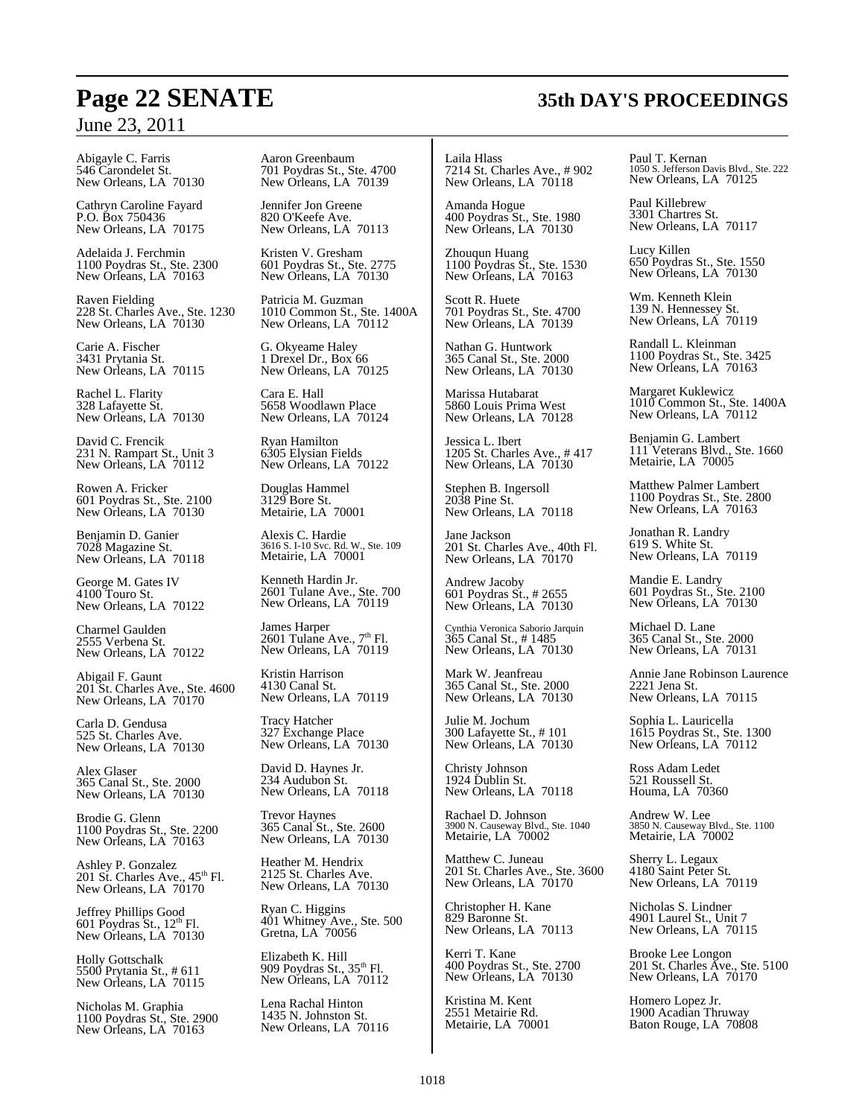Abigayle C. Farris 546 Carondelet St. New Orleans, LA 70130

Cathryn Caroline Fayard P.O. Box 750436 New Orleans, LA 70175

Adelaida J. Ferchmin 1100 Poydras St., Ste. 2300 New Orleans, LA 70163

Raven Fielding 228 St. Charles Ave., Ste. 1230 New Orleans, LA 70130

Carie A. Fischer 3431 Prytania St. New Orleans, LA 70115

Rachel L. Flarity 328 Lafayette St. New Orleans, LA 70130

David C. Frencik 231 N. Rampart St., Unit 3 New Orleans, LA 70112

Rowen A. Fricker 601 Poydras St., Ste. 2100 New Orleans, LA 70130

Benjamin D. Ganier 7028 Magazine St. New Orleans, LA 70118

George M. Gates IV 4100 Touro St. New Orleans, LA 70122

Charmel Gaulden 2555 Verbena St. New Orleans, LA 70122

Abigail F. Gaunt 201 St. Charles Ave., Ste. 4600 New Orleans, LA 70170

Carla D. Gendusa 525 St. Charles Ave. New Orleans, LA 70130

Alex Glaser 365 Canal St., Ste. 2000 New Orleans, LA 70130

Brodie G. Glenn 1100 Poydras St., Ste. 2200 New Orleans, LA 70163

Ashley P. Gonzalez<br>201 St. Charles Ave., 45<sup>th</sup> Fl. New Orleans, LA  $70170$ 

Jeffrey Phillips Good<br>601 Poydras St., 12<sup>th</sup> Fl. New Orleans, LA 70130

Holly Gottschalk 5500 Prytania St., # 611 New Orleans, LA 70115

Nicholas M. Graphia 1100 Poydras St., Ste. 2900 New Orleans, LA 70163

Aaron Greenbaum 701 Poydras St., Ste. 4700 New Orleans, LA 70139

Jennifer Jon Greene 820 O'Keefe Ave. New Orleans, LA 70113

Kristen V. Gresham 601 Poydras St., Ste. 2775 New Orleans, LA 70130

Patricia M. Guzman 1010 Common St., Ste. 1400A New Orleans, LA  $70112$ 

G. Okyeame Haley 1 Drexel Dr., Box 66 New Orleans, LA 70125

Cara E. Hall 5658 Woodlawn Place New Orleans, LA 70124

Ryan Hamilton 6305 Elysian Fields New Orleans, LA 70122

Douglas Hammel 3129 Bore St. Metairie, LA 70001

Alexis C. Hardie 3616 S. I-10 Svc. Rd. W., Ste. 109 Metairie, LA 70001

Kenneth Hardin Jr. 2601 Tulane Ave., Ste. 700 New Orleans, LA 70119

James Harper  $2601$  Tulane Ave.,  $7<sup>th</sup>$  Fl. New Orleans, LA 70119

Kristin Harrison 4130 Canal St. New Orleans, LA 70119

Tracy Hatcher 327 Exchange Place New Orleans, LA 70130

David D. Haynes Jr. 234 Audubon St. New Orleans, LA 70118

Trevor Haynes 365 Canal St., Ste. 2600 New Orleans, LA 70130

Heather M. Hendrix 2125 St. Charles Ave. New Orleans, LA 70130

Ryan C. Higgins 401 Whitney Ave., Ste. 500 Gretna, LA 70056

Elizabeth K. Hill 909 Poydras St., 35<sup>th</sup> Fl. New Orleans, LA 70112

Lena Rachal Hinton 1435 N. Johnston St. New Orleans, LA 70116 Laila Hlass 7214 St. Charles Ave., # 902 New Orleans, LA 70118

Amanda Hogue 400 Poydras St., Ste. 1980 New Orleans, LA 70130

Zhouqun Huang 1100 Poydras St., Ste. 1530 New Orleans, LA 70163

Scott R. Huete 701 Poydras St., Ste. 4700 New Orleans, LA 70139

Nathan G. Huntwork 365 Canal St., Ste. 2000 New Orleans, LA 70130

Marissa Hutabarat 5860 Louis Prima West New Orleans, LA 70128

Jessica L. Ibert 1205 St. Charles Ave., # 417 New Orleans, LA 70130

Stephen B. Ingersoll 2038 Pine St. New Orleans, LA 70118

Jane Jackson 201 St. Charles Ave., 40th Fl. New Orleans, LA  $70170$ 

Andrew Jacoby 601 Poydras St., # 2655 New Orleans, LA 70130

Cynthia Veronica Saborio Jarquin 365 Canal St., # 1485 New Orleans, LA 70130

Mark W. Jeanfreau 365 Canal St., Ste. 2000 New Orleans, LA 70130

Julie M. Jochum 300 Lafayette St., # 101 New Orleans, LA 70130

Christy Johnson 1924 Dublin St. New Orleans, LA 70118

Rachael D. Johnson 3900 N. Causeway Blvd., Ste. 1040 Metairie, LA 70002

Matthew C. Juneau 201 St. Charles Ave., Ste. 3600 New Orleans, LA 70170

Christopher H. Kane 829 Baronne St. New Orleans, LA 70113

Kerri T. Kane 400 Poydras St., Ste. 2700 New Orleans, LA 70130

Kristina M. Kent 2551 Metairie Rd. Metairie, LA 70001 Paul T. Kernan 1050 S. Jefferson Davis Blvd., Ste. 222 New Orleans, LA 70125

Paul Killebrew 3301 Chartres St. New Orleans, LA 70117

Lucy Killen 650 Poydras St., Ste. 1550 New Orleans, LA 70130

Wm. Kenneth Klein 139 N. Hennessey St. New Orleans, LA 70119

Randall L. Kleinman 1100 Poydras St., Ste. 3425 New Orleans, LA 70163

Margaret Kuklewicz 1010 Common St., Ste. 1400A New Orleans, LA 70112

Benjamin G. Lambert 111 Veterans Blvd., Ste. 1660 Metairie, LA 70005

Matthew Palmer Lambert 1100 Poydras St., Ste. 2800 New Orleans, LA 70163

Jonathan R. Landry 619 S. White St. New Orleans, LA 70119

Mandie E. Landry 601 Poydras St., Ste. 2100 New Orleans, LA 70130

Michael D. Lane 365 Canal St., Ste. 2000 New Orleans, LA 70131

Annie Jane Robinson Laurence 2221 Jena St. New Orleans, LA 70115

Sophia L. Lauricella 1615 Poydras St., Ste. 1300 New Orleans, LA 70112

Ross Adam Ledet 521 Roussell St. Houma, LA 70360

Andrew W. Lee 3850 N. Causeway Blvd., Ste. 1100 Metairie, LA 70002

Sherry L. Legaux 4180 Saint Peter St. New Orleans, LA 70119

Nicholas S. Lindner 4901 Laurel St., Unit 7 New Orleans, LA 70115

Brooke Lee Longon 201 St. Charles Ave., Ste. 5100 New Orleans, LA 70170

Homero Lopez Jr. 1900 Acadian Thruway Baton Rouge, LA 70808

## **Page 22 SENATE 35th DAY'S PROCEEDINGS**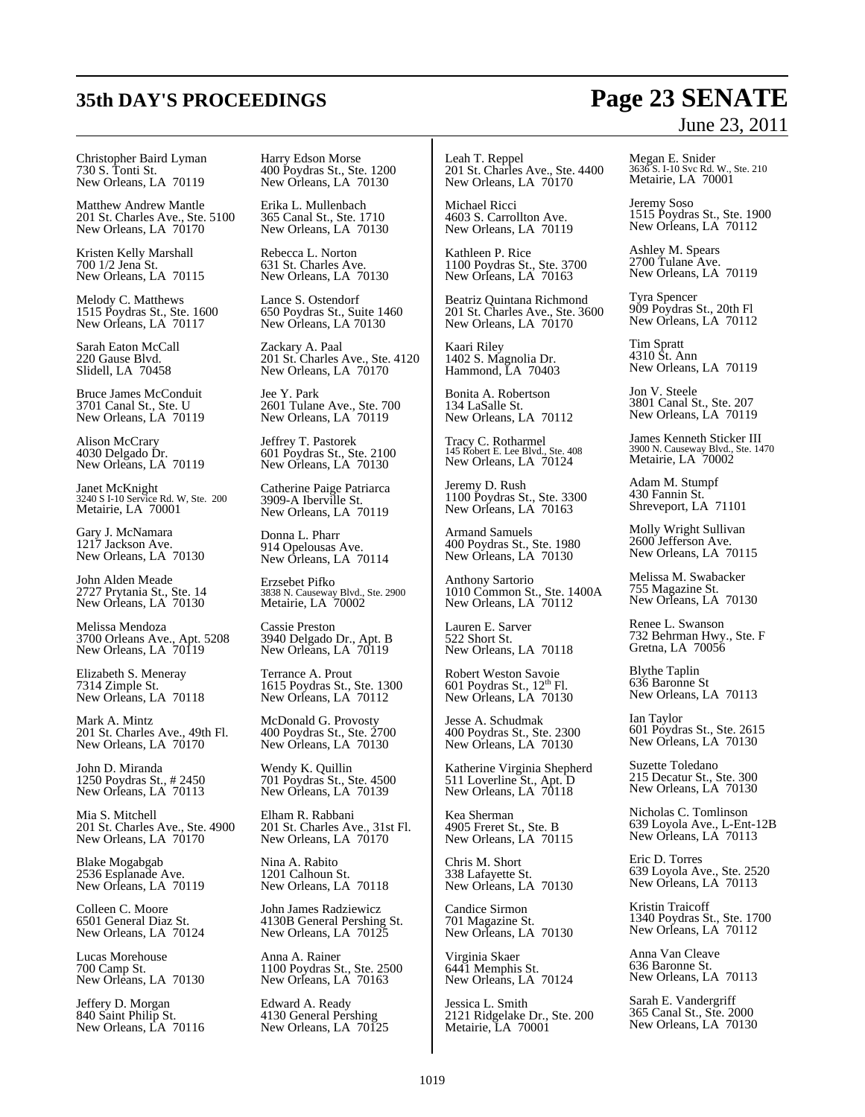#### Christopher Baird Lyman 730 S. Tonti St. New Orleans, LA 70119

Matthew Andrew Mantle 201 St. Charles Ave., Ste. 5100 New Orleans, LA 70170

Kristen Kelly Marshall 700 1/2 Jena St. New Orleans, LA 70115

Melody C. Matthews 1515 Poydras St., Ste. 1600 New Orleans, LA 70117

Sarah Eaton McCall 220 Gause Blvd. Slidell, LA 70458

Bruce James McConduit 3701 Canal St., Ste. U New Orleans, LA 70119

Alison McCrary 4030 Delgado Dr. New Orleans, LA 70119

Janet McKnight 3240 S I-10 Service Rd. W, Ste. 200 Metairie, LA 70001

Gary J. McNamara 1217 Jackson Ave. New Orleans, LA 70130

John Alden Meade 2727 Prytania St., Ste. 14 New Orleans, LA 70130

Melissa Mendoza 3700 Orleans Ave., Apt. 5208 New Orleans, LA 70119

Elizabeth S. Meneray 7314 Zimple St. New Orleans, LA 70118

Mark A. Mintz 201 St. Charles Ave., 49th Fl. New Orleans, LA  $70170$ 

John D. Miranda 1250 Poydras St., # 2450 New Orleans, LA 70113

Mia S. Mitchell 201 St. Charles Ave., Ste. 4900 New Orleans, LA 70170

Blake Mogabgab 2536 Esplanade Ave. New Orleans, LA 70119

Colleen C. Moore 6501 General Diaz St. New Orleans, LA 70124

Lucas Morehouse 700 Camp St. New Orleans, LA 70130

Jeffery D. Morgan 840 Saint Philip St. New Orleans, LA 70116 Harry Edson Morse 400 Poydras St., Ste. 1200 New Orleans, LA 70130

Erika L. Mullenbach 365 Canal St., Ste. 1710 New Orleans, LA 70130

Rebecca L. Norton 631 St. Charles Ave. New Orleans, LA 70130

Lance S. Ostendorf 650 Poydras St., Suite 1460 New Orleans, LA 70130

Zackary A. Paal 201 St. Charles Ave., Ste. 4120 New Orleans, LA  $70170$ 

Jee Y. Park 2601 Tulane Ave., Ste. 700 New Orleans, LA 70119

Jeffrey T. Pastorek 601 Poydras St., Ste. 2100 New Orleans, LA 70130

Catherine Paige Patriarca 3909-A Iberville St. New Orleans, LA 70119

Donna L. Pharr 914 Opelousas Ave. New Orleans, LA 70114

Erzsebet Pifko 3838 N. Causeway Blvd., Ste. 2900 Metairie, LA 70002

Cassie Preston 3940 Delgado Dr., Apt. B New Orleans, LA 70119

Terrance A. Prout 1615 Poydras St., Ste. 1300 New Orleans, LA 70112

McDonald G. Provosty 400 Poydras St., Ste. 2700 New Orleans, LA 70130

Wendy K. Quillin 701 Poydras St., Ste. 4500 New Orleans, LA 70139

Elham R. Rabbani 201 St. Charles Ave., 31st Fl. New Orleans, LA 70170

Nina A. Rabito 1201 Calhoun St. New Orleans, LA 70118

John James Radziewicz 4130B General Pershing St. New Orleans, LA 70125

Anna A. Rainer 1100 Poydras St., Ste. 2500 New Orleans, LA 70163

Edward A. Ready 4130 General Pershing New Orleans, LA 70125 Leah T. Reppel 201 St. Charles Ave., Ste. 4400 New Orleans, LA  $70170$ 

Michael Ricci 4603 S. Carrollton Ave. New Orleans, LA 70119

Kathleen P. Rice 1100 Poydras St., Ste. 3700 New Orleans, LA 70163

Beatriz Quintana Richmond 201 St. Charles Ave., Ste. 3600 New Orleans, LA 70170

Kaari Riley 1402 S. Magnolia Dr. Hammond, LA 70403

Bonita A. Robertson 134 LaSalle St. New Orleans, LA 70112

Tracy C. Rotharmel 145 Robert E. Lee Blvd., Ste. 408 New Orleans, LA 70124

Jeremy D. Rush 1100 Poydras St., Ste. 3300 New Orleans, LA 70163

Armand Samuels 400 Poydras St., Ste. 1980 New Orleans, LA 70130

Anthony Sartorio 1010 Common St., Ste. 1400A New Orleans, LA 70112

Lauren E. Sarver 522 Short St. New Orleans, LA 70118

Robert Weston Savoie 601 Poydras St., 12<sup>th</sup> Fl. New Orleans, LA 70130

Jesse A. Schudmak 400 Poydras St., Ste. 2300 New Orleans, LA 70130

Katherine Virginia Shepherd 511 Loverline St., Apt. D New Orleans, LA 70118

Kea Sherman 4905 Freret St., Ste. B New Orleans, LA 70115

Chris M. Short 338 Lafayette St. New Orleans, LA 70130

Candice Sirmon 701 Magazine St. New Orleans, LA 70130

Virginia Skaer 6441 Memphis St. New Orleans, LA 70124

Jessica L. Smith 2121 Ridgelake Dr., Ste. 200 Metairie, LA 70001

## June 23, 2011

Megan E. Snider 3636 S. I-10 Svc Rd. W., Ste. 210 Metairie, LA 70001

Jeremy Soso 1515 Poydras St., Ste. 1900 New Orleans, LA 70112

Ashley M. Spears 2700 Tulane Ave. New Orleans, LA 70119

Tyra Spencer 909 Poydras St., 20th Fl New Orleans, LA 70112

Tim Spratt 4310 St. Ann New Orleans, LA 70119

Jon V. Steele 3801 Canal St., Ste. 207 New Orleans, LA 70119

James Kenneth Sticker III 3900 N. Causeway Blvd., Ste. 1470 Metairie, LA 70002

Adam M. Stumpf 430 Fannin St. Shreveport, LA 71101

Molly Wright Sullivan 2600 Jefferson Ave. New Orleans, LA 70115

Melissa M. Swabacker 755 Magazine St. New Orleans, LA 70130

Renee L. Swanson 732 Behrman Hwy., Ste. F Gretna, LA 70056

Blythe Taplin 636 Baronne St New Orleans, LA 70113

Ian Taylor 601 Poydras St., Ste. 2615 New Orleans, LA 70130

Suzette Toledano 215 Decatur St., Ste. 300 New Orleans, LA 70130

Nicholas C. Tomlinson 639 Loyola Ave., L-Ent-12B New Orleans, LA 70113

Eric D. Torres 639 Loyola Ave., Ste. 2520 New Orleans, LA 70113

Kristin Traicoff 1340 Poydras St., Ste. 1700 New Orleans, LA 70112

Anna Van Cleave 636 Baronne St. New Orleans, LA 70113

Sarah E. Vandergriff 365 Canal St., Ste. 2000 New Orleans, LA 70130

## **35th DAY'S PROCEEDINGS Page 23 SENATE**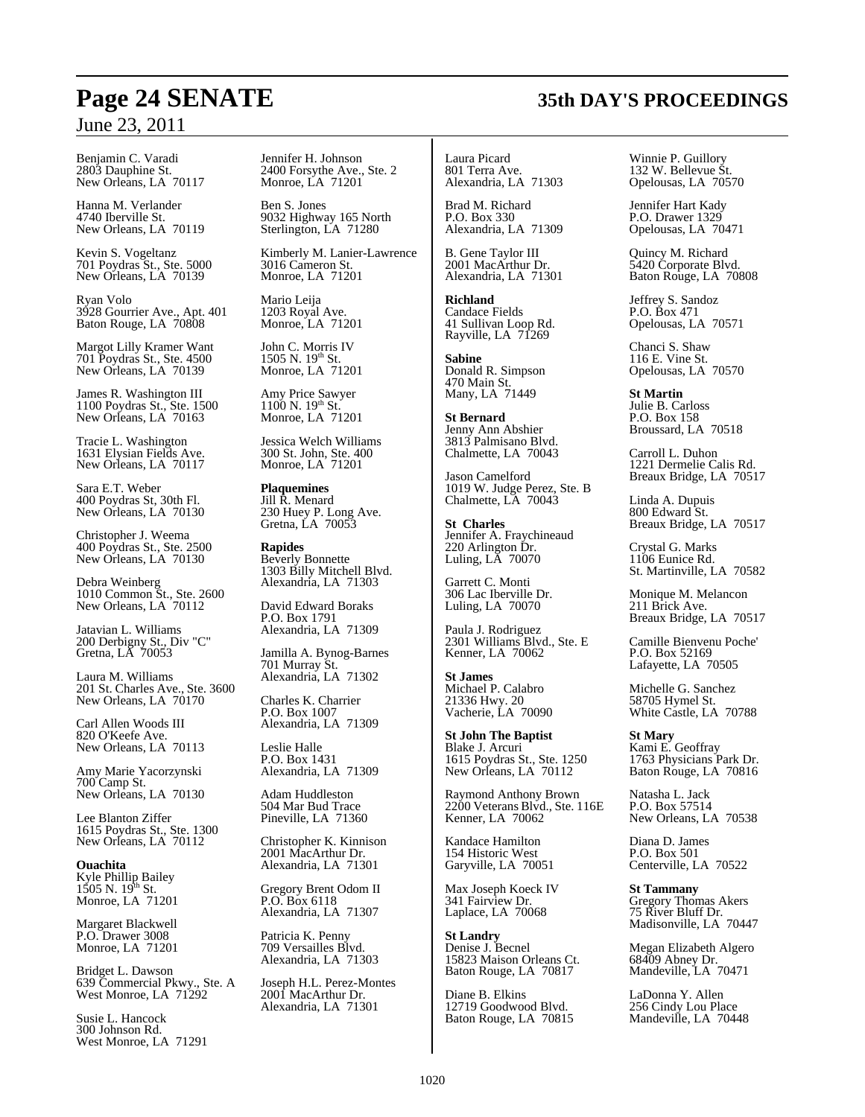Benjamin C. Varadi 2803 Dauphine St. New Orleans, LA 70117

Hanna M. Verlander 4740 Iberville St. New Orleans, LA 70119

Kevin S. Vogeltanz 701 Poydras St., Ste. 5000 New Orleans, LA 70139

Ryan Volo 3928 Gourrier Ave., Apt. 401 Baton Rouge, LA 70808

Margot Lilly Kramer Want 701 Poydras St., Ste. 4500 New Orleans, LA 70139

James R. Washington III 1100 Poydras St., Ste. 1500 New Orleans, LA 70163

Tracie L. Washington 1631 Elysian Fields Ave. New Orleans, LA 70117

Sara E.T. Weber 400 Poydras St, 30th Fl. New Orleans, LA 70130

Christopher J. Weema 400 Poydras St., Ste. 2500 New Orleans, LA 70130

Debra Weinberg 1010 Common St., Ste. 2600 New Orleans, LA  $70112$ 

Jatavian L. Williams 200 Derbigny St., Div "C" Gretna, LA 70053

Laura M. Williams 201 St. Charles Ave., Ste. 3600 New Orleans, LA 70170

Carl Allen Woods III 820 O'Keefe Ave. New Orleans, LA 70113

Amy Marie Yacorzynski 700 Camp St. New Orleans, LA 70130

Lee Blanton Ziffer 1615 Poydras St., Ste. 1300 New Orleans, LA 70112

**Ouachita** Kyle Phillip Bailey<br>1505 N. 19<sup>th</sup> St. Monroe, LA 71201

Margaret Blackwell P.O. Drawer 3008 Monroe, LA 71201

Bridget L. Dawson 639 Commercial Pkwy., Ste. A West Monroe, LA 71292

Susie L. Hancock 300 Johnson Rd. West Monroe, LA 71291 Jennifer H. Johnson 2400 Forsythe Ave., Ste. 2 Monroe, LA 71201

Ben S. Jones 9032 Highway 165 North Sterlington, LA 71280

Kimberly M. Lanier-Lawrence 3016 Cameron St. Monroe, LA 71201

Mario Leija 1203 Royal Ave. Monroe, LA 71201

John C. Morris IV<br>1505 N. 19<sup>th</sup> St. Monroe, LA 71201

Amy Price Sawyer  $1100$  N.  $19^{th}$  St. Monroe, LA 71201

Jessica Welch Williams 300 St. John, Ste. 400 Monroe, LA 71201

**Plaquemines** Jill R. Menard 230 Huey P. Long Ave. Gretna, LA 70053

**Rapides** Beverly Bonnette 1303 Billy Mitchell Blvd. Alexandria, LA 71303

David Edward Boraks P.O. Box 1791 Alexandria, LA 71309

Jamilla A. Bynog-Barnes 701 Murray St. Alexandria, LA 71302

Charles K. Charrier P.O. Box 1007 Alexandria, LA 71309

Leslie Halle P.O. Box 1431 Alexandria, LA 71309

Adam Huddleston 504 Mar Bud Trace Pineville, LA 71360

Christopher K. Kinnison 2001 MacArthur Dr. Alexandria, LA 71301

Gregory Brent Odom II P.O. Box 6118 Alexandria, LA 71307

Patricia K. Penny 709 Versailles Blvd. Alexandria, LA 71303

Joseph H.L. Perez-Montes 2001 MacArthur Dr. Alexandria, LA 71301

Laura Picard 801 Terra Ave. Alexandria, LA 71303

Brad M. Richard P.O. Box 330 Alexandria, LA 71309

B. Gene Taylor III 2001 MacArthur Dr. Alexandria, LA 71301

**Richland** Candace Fields 41 Sullivan Loop Rd. Rayville, LA 71269

**Sabine** Donald R. Simpson 470 Main St. Many, LA 71449

**St Bernard** Jenny Ann Abshier 3813 Palmisano Blvd. Chalmette, LA 70043

Jason Camelford 1019 W. Judge Perez, Ste. B Chalmette, LA 70043

**St Charles** Jennifer A. Fraychineaud 220 Arlington Dr. Luling, LA 70070

Garrett C. Monti 306 Lac Iberville Dr. Luling, LA 70070

Paula J. Rodriguez 2301 Williams Blvd., Ste. E Kenner, LA 70062

**St James** Michael P. Calabro 21336 Hwy. 20 Vacherie, LA 70090

**St John The Baptist** Blake J. Arcuri 1615 Poydras St., Ste. 1250 New Orleans, LA 70112

Raymond Anthony Brown 2200 Veterans Blvd., Ste. 116E Kenner, LA 70062

Kandace Hamilton 154 Historic West Garyville, LA 70051

Max Joseph Koeck IV 341 Fairview Dr. Laplace, LA 70068

**St Landry** Denise J. Becnel 15823 Maison Orleans Ct. Baton Rouge, LA 70817

Diane B. Elkins 12719 Goodwood Blvd. Baton Rouge, LA 70815

Winnie P. Guillory 132 W. Bellevue St. Opelousas, LA 70570

Jennifer Hart Kady P.O. Drawer 1329 Opelousas, LA 70471

Quincy M. Richard 5420 Corporate Blvd. Baton Rouge, LA 70808

Jeffrey S. Sandoz P.O. Box 471 Opelousas, LA 70571

Chanci S. Shaw 116 E. Vine St. Opelousas, LA 70570

**St Martin** Julie B. Carloss P.O. Box 158 Broussard, LA 70518

Carroll L. Duhon 1221 Dermelie Calis Rd. Breaux Bridge, LA 70517

Linda A. Dupuis 800 Edward St. Breaux Bridge, LA 70517

Crystal G. Marks 1106 Eunice Rd. St. Martinville, LA 70582

Monique M. Melancon 211 Brick Ave. Breaux Bridge, LA 70517

Camille Bienvenu Poche' P.O. Box 52169 Lafayette, LA 70505

Michelle G. Sanchez 58705 Hymel St. White Castle, LA 70788

**St Mary** Kami E. Geoffray 1763 Physicians Park Dr. Baton Rouge, LA 70816

Natasha L. Jack P.O. Box 57514 New Orleans, LA 70538

Diana D. James P.O. Box 501 Centerville, LA 70522

**St Tammany** Gregory Thomas Akers 75 River Bluff Dr. Madisonville, LA 70447

Megan Elizabeth Algero 68409 Abney Dr. Mandeville, LA 70471

LaDonna Y. Allen 256 Cindy Lou Place Mandeville, LA 70448

## **Page 24 SENATE 35th DAY'S PROCEEDINGS**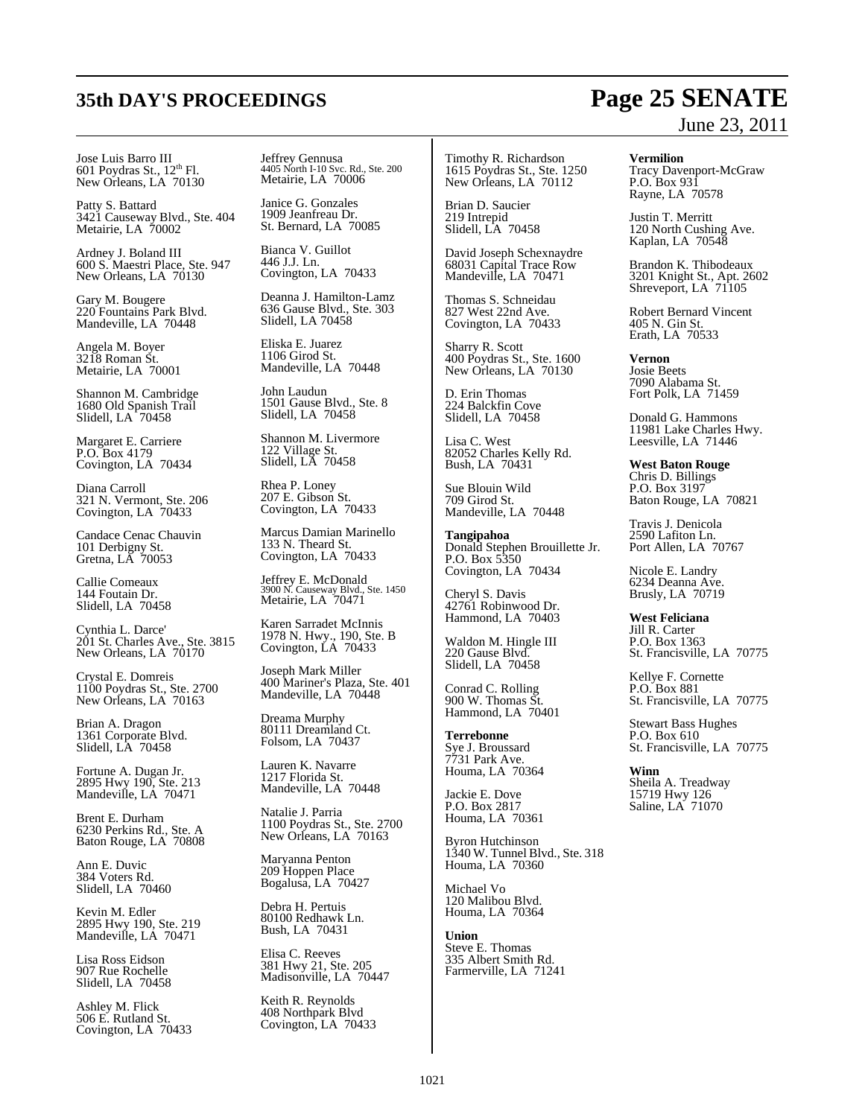## **35th DAY'S PROCEEDINGS Page 25 SENATE**

Jose Luis Barro III<br>601 Poydras St., 12<sup>th</sup> Fl. New Orleans, LA 70130

Patty S. Battard 3421 Causeway Blvd., Ste. 404 Metairie, LA 70002

Ardney J. Boland III 600 S. Maestri Place, Ste. 947 New Orleans, LA 70130

Gary M. Bougere 220 Fountains Park Blvd. Mandeville, LA 70448

Angela M. Boyer 3218 Roman St. Metairie, LA 70001

Shannon M. Cambridge 1680 Old Spanish Trail Slidell, LA^70458

Margaret E. Carriere P.O. Box 4179 Covington, LA 70434

Diana Carroll 321 N. Vermont, Ste. 206 Covington, LA 70433

Candace Cenac Chauvin 101 Derbigny St. Gretna, LA 70053

Callie Comeaux 144 Foutain Dr. Slidell, LA 70458

Cynthia L. Darce' 201 St. Charles Ave., Ste. 3815 New Orleans, LA 70170

Crystal E. Domreis 1100 Poydras St., Ste. 2700 New Orleans, LA 70163

Brian A. Dragon 1361 Corporate Blvd. Slidell, LA 70458

Fortune A. Dugan Jr. 2895 Hwy 190, Ste. 213 Mandeville, LA 70471

Brent E. Durham 6230 Perkins Rd., Ste. A Baton Rouge, LA 70808

Ann E. Duvic 384 Voters Rd. Slidell, LA 70460

Kevin M. Edler 2895 Hwy 190, Ste. 219 Mandeville, LA 70471

Lisa Ross Eidson 907 Rue Rochelle Slidell, LA 70458

Ashley M. Flick 506 E. Rutland St. Covington, LA 70433 Jeffrey Gennusa 4405 North I-10 Svc. Rd., Ste. 200 Metairie, LA 70006

Janice G. Gonzales 1909 Jeanfreau Dr. St. Bernard, LA 70085

Bianca V. Guillot 446 J.J. Ln. Covington, LA 70433

Deanna J. Hamilton-Lamz 636 Gause Blvd., Ste. 303 Slidell, LA 70458

Eliska E. Juarez 1106 Girod St. Mandeville, LA 70448

John Laudun 1501 Gause Blvd., Ste. 8 Slidell, LA 70458

Shannon M. Livermore 122 Village St. Slidell, LA 70458

Rhea P. Loney 207 E. Gibson St. Covington, LA 70433

Marcus Damian Marinello 133 N. Theard St. Covington, LA 70433

Jeffrey E. McDonald 3900 N. Causeway Blvd., Ste. 1450 Metairie, LA 70471

Karen Sarradet McInnis 1978 N. Hwy., 190, Ste. B Covington, LA 70433

Joseph Mark Miller 400 Mariner's Plaza, Ste. 401 Mandeville, LA 70448

Dreama Murphy 80111 Dreamland Ct. Folsom, LA 70437

Lauren K. Navarre 1217 Florida St. Mandeville, LA 70448

Natalie J. Parria 1100 Poydras St., Ste. 2700 New Orleans, LA 70163

Maryanna Penton 209 Hoppen Place Bogalusa, LA 70427

Debra H. Pertuis 80100 Redhawk Ln. Bush, LA 70431

Elisa C. Reeves 381 Hwy 21, Ste. 205 Madisonville, LA 70447

Keith R. Reynolds 408 Northpark Blvd Covington, LA 70433 Timothy R. Richardson 1615 Poydras St., Ste. 1250 New Orleans, LA 70112

Brian D. Saucier 219 Intrepid Slidell, LA 70458

David Joseph Schexnaydre 68031 Capital Trace Row Mandeville, LA 70471

Thomas S. Schneidau 827 West 22nd Ave. Covington, LA 70433

Sharry R. Scott 400 Poydras St., Ste. 1600 New Orleans, LA 70130

D. Erin Thomas 224 Balckfin Cove Slidell, LA 70458

Lisa C. West 82052 Charles Kelly Rd. Bush, LA 70431

Sue Blouin Wild 709 Girod St. Mandeville, LA 70448

**Tangipahoa** Donald Stephen Brouillette Jr. P.O. Box 5350 Covington, LA 70434

Cheryl S. Davis 42761 Robinwood Dr. Hammond, LA 70403

Waldon M. Hingle III 220 Gause Blvd. Slidell, LA 70458

Conrad C. Rolling 900 W. Thomas St. Hammond, LA 70401

**Terrebonne** Sye J. Broussard 7731 Park Ave. Houma, LA 70364

Jackie E. Dove P.O. Box 2817 Houma, LA 70361

Byron Hutchinson 1340 W. Tunnel Blvd., Ste. 318 Houma, LA 70360

Michael Vo 120 Malibou Blvd. Houma, LA 70364

**Union** Steve E. Thomas 335 Albert Smith Rd. Farmerville, LA 71241

# June 23, 2011

**Vermilion**

Tracy Davenport-McGraw P.O. Box 931 Rayne, LA 70578

Justin T. Merritt 120 North Cushing Ave. Kaplan, LA 70548

Brandon K. Thibodeaux 3201 Knight St., Apt. 2602 Shreveport, LA 71105

Robert Bernard Vincent 405 N. Gin St. Erath, LA 70533

**Vernon** Josie Beets 7090 Alabama St. Fort Polk, LA 71459

Donald G. Hammons 11981 Lake Charles Hwy. Leesville, LA 71446

**West Baton Rouge** Chris D. Billings P.O. Box 3197 Baton Rouge, LA 70821

Travis J. Denicola 2590 Lafiton Ln. Port Allen, LA 70767

Nicole E. Landry 6234 Deanna Ave. Brusly, LA 70719

**West Feliciana** Jill R. Carter P.O. Box 1363 St. Francisville, LA 70775

Kellye F. Cornette P.O. Box 881 St. Francisville, LA 70775

Stewart Bass Hughes P.O. Box 610 St. Francisville, LA 70775

**Winn** Sheila A. Treadway 15719 Hwy 126 Saline, LA 71070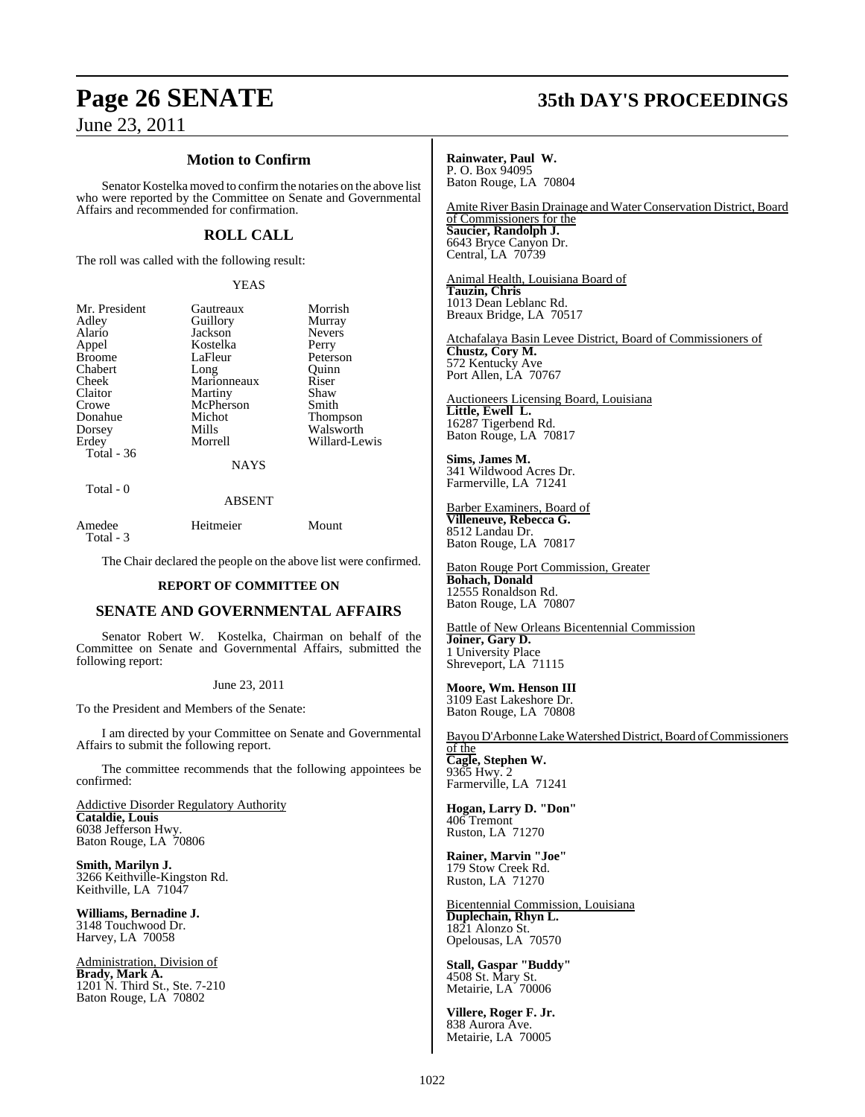### **Motion to Confirm**

Senator Kostelka moved to confirm the notaries on the above list who were reported by the Committee on Senate and Governmental Affairs and recommended for confirmation.

#### **ROLL CALL**

The roll was called with the following result:

#### YEAS

| Gautreaux   | Morrish       |
|-------------|---------------|
| Guillory    | Murray        |
| Jackson     | <b>Nevers</b> |
| Kostelka    | Perry         |
| LaFleur     | Peterson      |
|             | Ouinn         |
| Marionneaux | Riser         |
| Martiny     | Shaw          |
| McPherson   | Smith         |
| Michot      | Thompson      |
| Mills       | Walsworth     |
| Morrell     | Willard-Lewis |
|             |               |
| <b>NAYS</b> |               |
|             | Long          |

Total - 0

### $\overline{A}$

| Amedee    | Heitmeier | Mount |
|-----------|-----------|-------|
| Total - 3 |           |       |

The Chair declared the people on the above list were confirmed.

#### **REPORT OF COMMITTEE ON**

#### **SENATE AND GOVERNMENTAL AFFAIRS**

Senator Robert W. Kostelka, Chairman on behalf of the Committee on Senate and Governmental Affairs, submitted the following report:

#### June 23, 2011

To the President and Members of the Senate:

I am directed by your Committee on Senate and Governmental Affairs to submit the following report.

The committee recommends that the following appointees be confirmed:

Addictive Disorder Regulatory Authority **Cataldie, Louis**  6038 Jefferson Hwy. Baton Rouge, LA 70806

**Smith, Marilyn J.** 3266 Keithville-Kingston Rd. Keithville, LA 71047

**Williams, Bernadine J.** 3148 Touchwood Dr. Harvey, LA 70058

Administration, Division of **Brady, Mark A.** 1201 N. Third St., Ste. 7-210 Baton Rouge, LA 70802

### **Page 26 SENATE 35th DAY'S PROCEEDINGS**

**Rainwater, Paul W.** P. O. Box 94095 Baton Rouge, LA 70804

Amite River Basin Drainage and Water Conservation District, Board of Commissioners for the **Saucier, Randolph J.** 6643 Bryce Canyon Dr. Central, LA 70739

Animal Health, Louisiana Board of **Tauzin, Chris** 1013 Dean Leblanc Rd. Breaux Bridge, LA 70517

Atchafalaya Basin Levee District, Board of Commissioners of **Chustz, Cory M.** 572 Kentucky Ave Port Allen, LA 70767

Auctioneers Licensing Board, Louisiana **Little, Ewell L.** 16287 Tigerbend Rd. Baton Rouge, LA 70817

**Sims, James M.** 341 Wildwood Acres Dr. Farmerville, LA 71241

Barber Examiners, Board of **Villeneuve, Rebecca G.** 8512 Landau Dr. Baton Rouge, LA 70817

Baton Rouge Port Commission, Greater **Bohach, Donald** 12555 Ronaldson Rd. Baton Rouge, LA 70807

Battle of New Orleans Bicentennial Commission **Joiner, Gary D.** 1 University Place Shreveport, LA 71115

**Moore, Wm. Henson III** 3109 East Lakeshore Dr. Baton Rouge, LA 70808

Bayou D'Arbonne Lake Watershed District, Board of Commissioners

of the **Cagle, Stephen W.** 9365 Hwy. 2 Farmerville, LA 71241

**Hogan, Larry D. "Don"**  406 Tremont Ruston, LA 71270

**Rainer, Marvin "Joe"** 179 Stow Creek Rd. Ruston, LA 71270

Bicentennial Commission, Louisiana **Duplechain, Rhyn L.** 1821 Alonzo St. Opelousas, LA 70570

**Stall, Gaspar "Buddy"** 4508 St. Mary St. Metairie, LA 70006

**Villere, Roger F. Jr.** 838 Aurora Ave. Metairie, LA 70005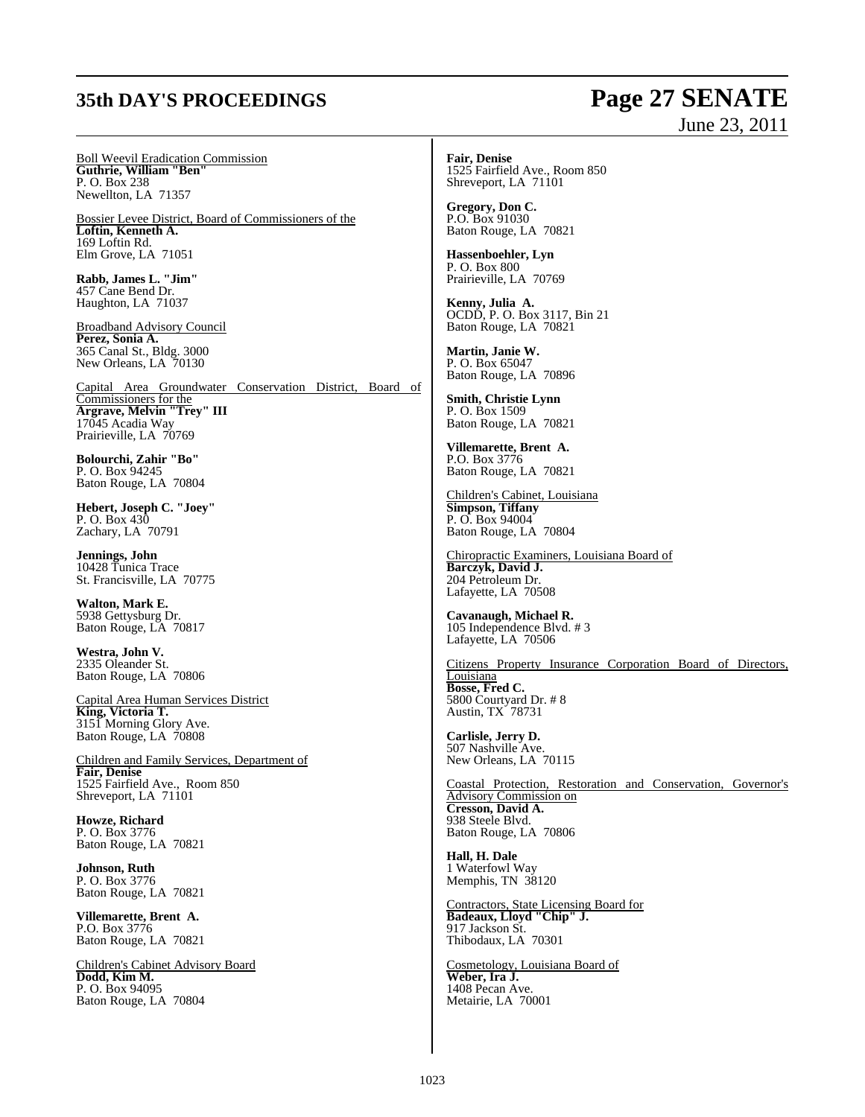### **35th DAY'S PROCEEDINGS Page 27 SENATE**

# June 23, 2011

Boll Weevil Eradication Commission **Guthrie, William "Ben"** P. O. Box 238 Newellton, LA 71357

Bossier Levee District, Board of Commissioners of the **Loftin, Kenneth A.** 169 Loftin Rd. Elm Grove, LA 71051

**Rabb, James L. "Jim"**  457 Cane Bend Dr. Haughton, LA 71037

Broadband Advisory Council **Perez, Sonia A.** 365 Canal St., Bldg. 3000 New Orleans, LA 70130

Capital Area Groundwater Conservation District, Board of Commissioners for the **Argrave, Melvin "Trey" III** 17045 Acadia Way Prairieville, LA 70769

**Bolourchi, Zahir "Bo"** P. O. Box 94245 Baton Rouge, LA 70804

**Hebert, Joseph C. "Joey"** P. O. Box 430 Zachary, LA 70791

**Jennings, John** 10428 Tunica Trace St. Francisville, LA 70775

**Walton, Mark E.** 5938 Gettysburg Dr. Baton Rouge, LA 70817

**Westra, John V.** 2335 Oleander St. Baton Rouge, LA 70806

Capital Area Human Services District **King, Victoria T.** 3151 Morning Glory Ave. Baton Rouge, LA 70808

Children and Family Services, Department of **Fair, Denise** 1525 Fairfield Ave., Room 850 Shreveport, LA 71101

**Howze, Richard** P. O. Box 3776 Baton Rouge, LA 70821

**Johnson, Ruth** P. O. Box 3776 Baton Rouge, LA 70821

**Villemarette, Brent A.** P.O. Box 3776 Baton Rouge, LA 70821

Children's Cabinet Advisory Board **Dodd, Kim M.** P. O. Box 94095 Baton Rouge, LA 70804

**Fair, Denise** 1525 Fairfield Ave., Room 850 Shreveport, LA 71101

**Gregory, Don C.** P.O. Box 91030 Baton Rouge, LA 70821

**Hassenboehler, Lyn** P. O. Box 800 Prairieville, LA 70769

**Kenny, Julia A.** OCDD, P. O. Box 3117, Bin 21 Baton Rouge, LA 70821

**Martin, Janie W.** P. O. Box 65047 Baton Rouge, LA 70896

**Smith, Christie Lynn** P. O. Box 1509 Baton Rouge, LA 70821

**Villemarette, Brent A.** P.O. Box 3776 Baton Rouge, LA 70821

Children's Cabinet, Louisiana **Simpson, Tiffany** P. O. Box 94004 Baton Rouge, LA 70804

Chiropractic Examiners, Louisiana Board of **Barczyk, David J.** 204 Petroleum Dr. Lafayette, LA 70508

**Cavanaugh, Michael R.** 105 Independence Blvd. # 3 Lafayette, LA 70506

Citizens Property Insurance Corporation Board of Directors, Louisiana **Bosse, Fred C.** 5800 Courtyard Dr. # 8 Austin, TX 78731

**Carlisle, Jerry D.** 507 Nashville Ave. New Orleans, LA 70115

Coastal Protection, Restoration and Conservation, Governor's Advisory Commission on **Cresson, David A.** 938 Steele Blvd. Baton Rouge, LA 70806

**Hall, H. Dale** 1 Waterfowl Way Memphis, TN 38120

Contractors, State Licensing Board for **Badeaux, Lloyd "Chip" J.** 917 Jackson St. Thibodaux, LA 70301

Cosmetology, Louisiana Board of **Weber, Ira J.** 1408 Pecan Ave. Metairie, LA 70001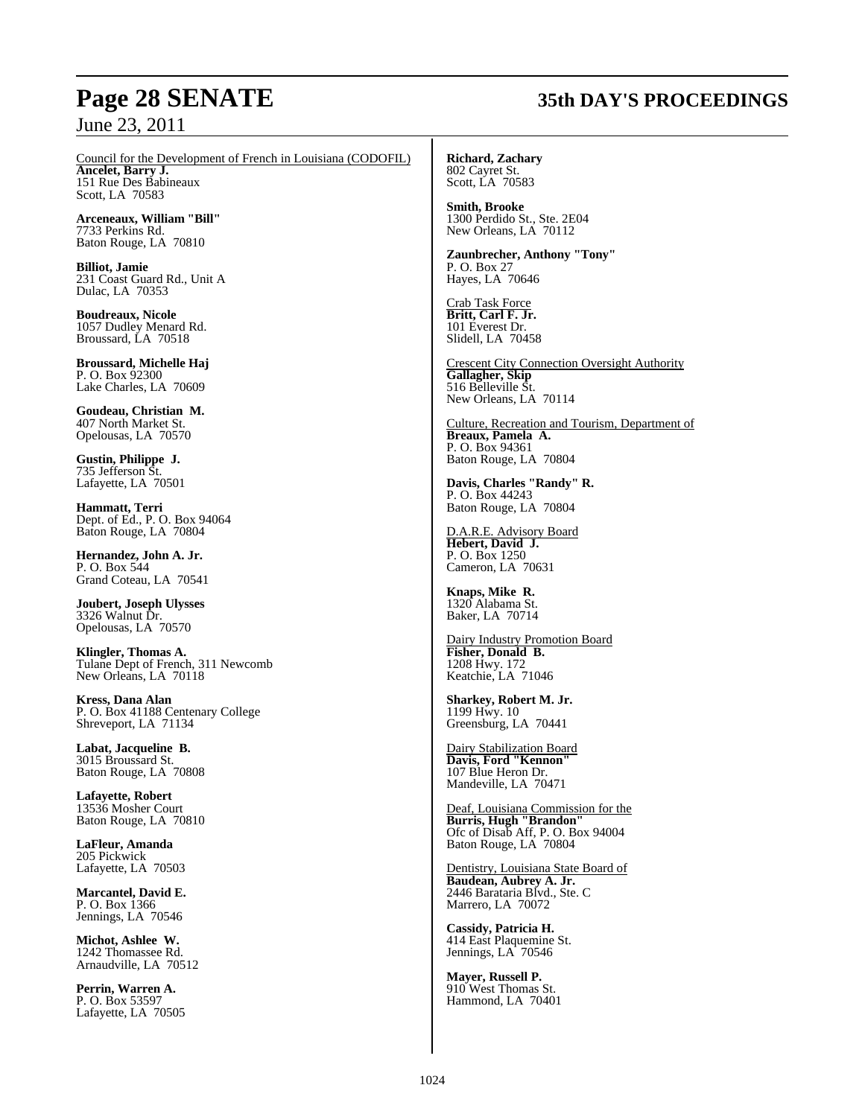## **Page 28 SENATE 35th DAY'S PROCEEDINGS**

Council for the Development of French in Louisiana (CODOFIL) **Ancelet, Barry J.** 

151 Rue Des Babineaux Scott, LA 70583

**Arceneaux, William "Bill"** 7733 Perkins Rd. Baton Rouge, LA 70810

**Billiot, Jamie** 231 Coast Guard Rd., Unit A Dulac, LA 70353

**Boudreaux, Nicole** 1057 Dudley Menard Rd. Broussard, LA 70518

**Broussard, Michelle Haj** P. O. Box 92300 Lake Charles, LA 70609

**Goudeau, Christian M.** 407 North Market St. Opelousas, LA 70570

**Gustin, Philippe J.** 735 Jefferson St. Lafayette, LA 70501

**Hammatt, Terri** Dept. of Ed., P. O. Box 94064 Baton Rouge, LA 70804

**Hernandez, John A. Jr.** P. O. Box 544 Grand Coteau, LA 70541

**Joubert, Joseph Ulysses** 3326 Walnut Dr. Opelousas, LA 70570

**Klingler, Thomas A.** Tulane Dept of French, 311 Newcomb New Orleans, LA 70118

**Kress, Dana Alan** P. O. Box 41188 Centenary College Shreveport, LA 71134

**Labat, Jacqueline B.** 3015 Broussard St. Baton Rouge, LA 70808

**Lafayette, Robert** 13536 Mosher Court Baton Rouge, LA 70810

**LaFleur, Amanda** 205 Pickwick Lafayette, LA 70503

**Marcantel, David E.** P. O. Box 1366 Jennings, LA 70546

**Michot, Ashlee W.** 1242 Thomassee Rd. Arnaudville, LA 70512

**Perrin, Warren A.** P. O. Box 53597 Lafayette, LA 70505 **Richard, Zachary** 802 Cayret St.

Scott, LA 70583

**Smith, Brooke** 1300 Perdido St., Ste. 2E04 New Orleans, LA 70112

**Zaunbrecher, Anthony "Tony"** P. O. Box 27 Hayes, LA 70646

Crab Task Force **Britt, Carl F. Jr.** 101 Everest Dr. Slidell, LA 70458

Crescent City Connection Oversight Authority **Gallagher, Skip** 516 Belleville St. New Orleans, LA 70114

Culture, Recreation and Tourism, Department of **Breaux, Pamela A.** P. O. Box 94361 Baton Rouge, LA 70804

**Davis, Charles "Randy" R.**  P. O. Box 44243 Baton Rouge, LA 70804

D.A.R.E. Advisory Board **Hebert, David J.** P. O. Box 1250 Cameron, LA 70631

**Knaps, Mike R.** 1320 Alabama St. Baker, LA 70714

Dairy Industry Promotion Board **Fisher, Donald B.** 1208 Hwy. 172 Keatchie, LA 71046

**Sharkey, Robert M. Jr.** 1199 Hwy. 10 Greensburg, LA 70441

Dairy Stabilization Board **Davis, Ford "Kennon"** 107 Blue Heron Dr. Mandeville, LA 70471

Deaf, Louisiana Commission for the **Burris, Hugh "Brandon"** Ofc of Disab Aff, P. O. Box 94004 Baton Rouge, LA 70804

Dentistry, Louisiana State Board of **Baudean, Aubrey A. Jr.** 2446 Barataria Blvd., Ste. C Marrero, LA 70072

**Cassidy, Patricia H.** 414 East Plaquemine St. Jennings, LA 70546

**Mayer, Russell P.** 910 West Thomas St. Hammond, LA 70401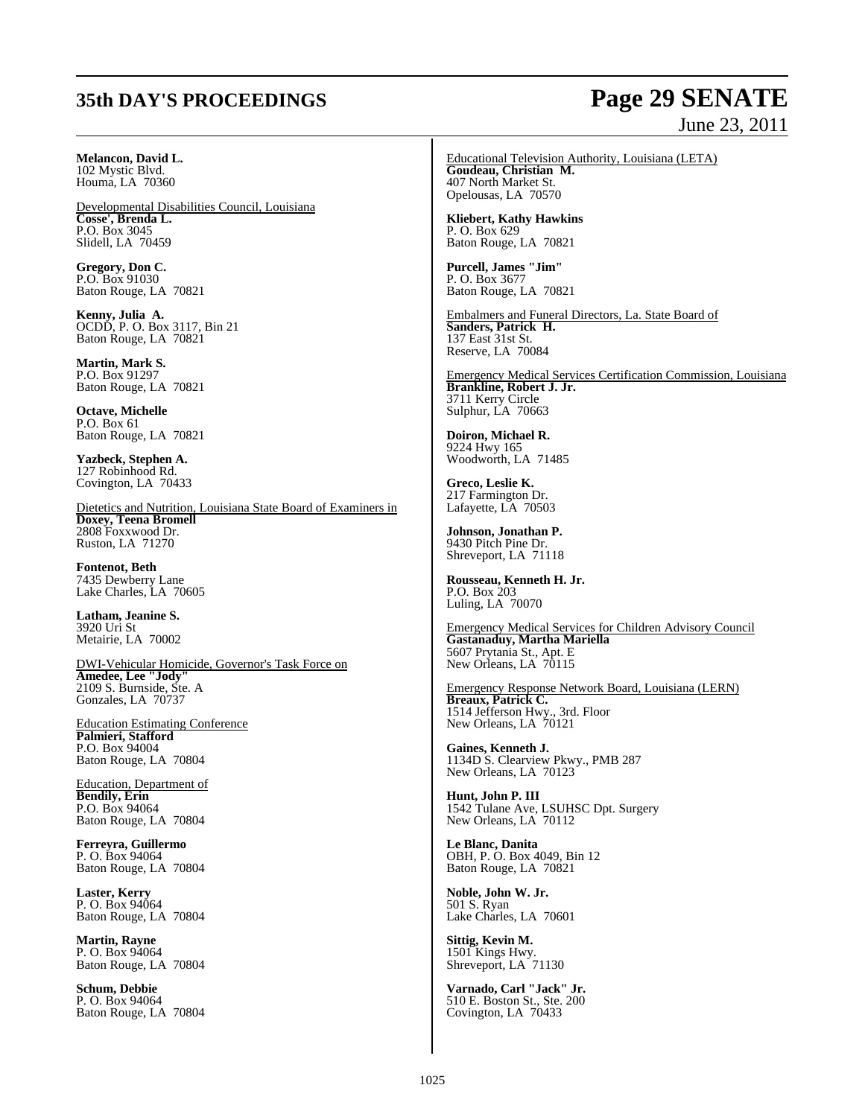### **Melancon, David L.**

102 Mystic Blvd. Houma, LA 70360

Developmental Disabilities Council, Louisiana **Cosse', Brenda L.** P.O. Box 3045 Slidell, LA 70459

**Gregory, Don C.** P.O. Box 91030 Baton Rouge, LA 70821

**Kenny, Julia A.** OCDD, P. O. Box 3117, Bin 21 Baton Rouge, LA 70821

**Martin, Mark S.** P.O. Box 91297 Baton Rouge, LA 70821

**Octave, Michelle** P.O. Box 61 Baton Rouge, LA 70821

**Yazbeck, Stephen A.** 127 Robinhood Rd. Covington, LA 70433

Dietetics and Nutrition, Louisiana State Board of Examiners in **Doxey, Teena Bromell** 2808 Foxxwood Dr. Ruston, LA 71270

**Fontenot, Beth** 7435 Dewberry Lane Lake Charles, LA 70605

**Latham, Jeanine S.** 3920 Uri St Metairie, LA 70002

DWI-Vehicular Homicide, Governor's Task Force on **Amedee, Lee "Jody"** 2109 S. Burnside, Ste. A Gonzales, LA 70737

Education Estimating Conference **Palmieri, Stafford** P.O. Box 94004 Baton Rouge, LA 70804

Education, Department of **Bendily, Erin** P.O. Box 94064 Baton Rouge, LA 70804

**Ferreyra, Guillermo** P. O. Box 94064 Baton Rouge, LA 70804

**Laster, Kerry** P. O. Box 94064 Baton Rouge, LA 70804

**Martin, Rayne** P. O. Box 94064 Baton Rouge, LA 70804

**Schum, Debbie** P. O. Box 94064 Baton Rouge, LA 70804

### **35th DAY'S PROCEEDINGS Page 29 SENATE** June 23, 2011

Educational Television Authority, Louisiana (LETA) **Goudeau, Christian M.** 407 North Market St. Opelousas, LA 70570

**Kliebert, Kathy Hawkins** P. O. Box 629 Baton Rouge, LA 70821

**Purcell, James "Jim"** P. O. Box 3677 Baton Rouge, LA 70821

Embalmers and Funeral Directors, La. State Board of **Sanders, Patrick H.** 137 East 31st St. Reserve, LA 70084

Emergency Medical Services Certification Commission, Louisiana **Brankline, Robert J. Jr.** 3711 Kerry Circle Sulphur, LA 70663

**Doiron, Michael R.** 9224 Hwy 165 Woodworth, LA 71485

**Greco, Leslie K.** 217 Farmington Dr. Lafayette, LA 70503

**Johnson, Jonathan P.** 9430 Pitch Pine Dr. Shreveport, LA 71118

**Rousseau, Kenneth H. Jr.** P.O. Box 203 Luling, LA 70070

Emergency Medical Services for Children Advisory Council **Gastanaduy, Martha Mariella** 5607 Prytania St., Apt. E New Orleans, LA 70115

Emergency Response Network Board, Louisiana (LERN) **Breaux, Patrick C.** 1514 Jefferson Hwy., 3rd. Floor New Orleans, LA 70121

**Gaines, Kenneth J.** 1134D S. Clearview Pkwy., PMB 287 New Orleans, LA 70123

**Hunt, John P. III** 1542 Tulane Ave, LSUHSC Dpt. Surgery New Orleans, LA 70112

**Le Blanc, Danita** OBH, P. O. Box 4049, Bin 12 Baton Rouge, LA 70821

**Noble, John W. Jr.** 501 S. Ryan Lake Charles, LA 70601

**Sittig, Kevin M.** 1501 Kings Hwy. Shreveport, LA 71130

**Varnado, Carl "Jack" Jr.** 510 E. Boston St., Ste. 200 Covington, LA 70433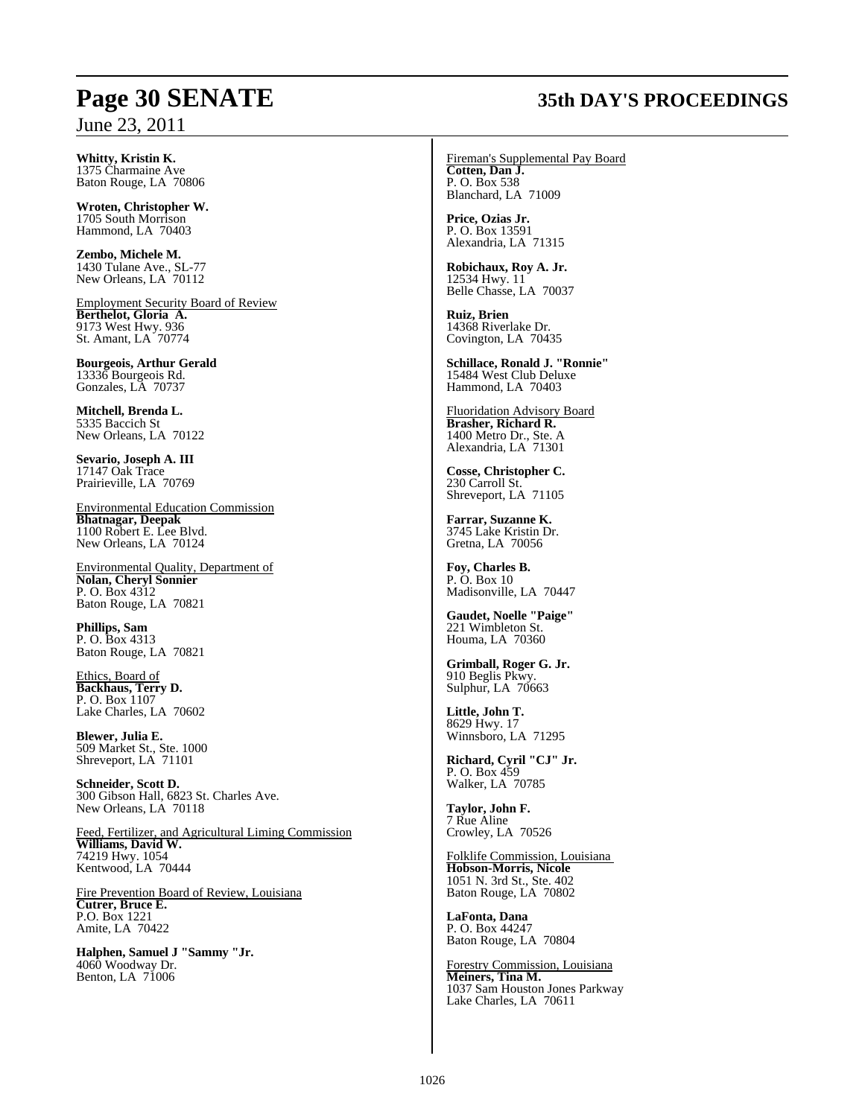## **Page 30 SENATE 35th DAY'S PROCEEDINGS**

**Whitty, Kristin K.** 1375 Charmaine Ave Baton Rouge, LA 70806

**Wroten, Christopher W.** 1705 South Morrison Hammond, LA 70403

**Zembo, Michele M.** 1430 Tulane Ave., SL-77 New Orleans, LA 70112

Employment Security Board of Review **Berthelot, Gloria A.** 9173 West Hwy. 936 St. Amant, LA 70774

**Bourgeois, Arthur Gerald** 13336 Bourgeois Rd. Gonzales, LA 70737

**Mitchell, Brenda L.** 5335 Baccich St New Orleans, LA 70122

**Sevario, Joseph A. III** 17147 Oak Trace Prairieville, LA 70769

Environmental Education Commission **Bhatnagar, Deepak** 1100 Robert E. Lee Blvd. New Orleans, LA 70124

Environmental Quality, Department of **Nolan, Cheryl Sonnier** P. O. Box 4312 Baton Rouge, LA 70821

**Phillips, Sam** P. O. Box 4313 Baton Rouge, LA 70821

Ethics, Board of **Backhaus, Terry D.** P. O. Box 1107 Lake Charles, LA 70602

**Blewer, Julia E.** 509 Market St., Ste. 1000 Shreveport, LA 71101

**Schneider, Scott D.** 300 Gibson Hall, 6823 St. Charles Ave. New Orleans, LA 70118

Feed, Fertilizer, and Agricultural Liming Commission **Williams, David W.** 74219 Hwy. 1054 Kentwood, LA 70444

Fire Prevention Board of Review, Louisiana **Cutrer, Bruce E.** P.O. Box 1221 Amite, LA 70422

**Halphen, Samuel J "Sammy "Jr.** 4060 Woodway Dr. Benton, LA 71006

Fireman's Supplemental Pay Board **Cotten, Dan J.** P. O. Box 538 Blanchard, LA 71009

**Price, Ozias Jr.** P. O. Box 13591 Alexandria, LA 71315

**Robichaux, Roy A. Jr.** 12534 Hwy. 11 Belle Chasse, LA 70037

**Ruiz, Brien** 14368 Riverlake Dr. Covington, LA 70435

**Schillace, Ronald J. "Ronnie"** 15484 West Club Deluxe Hammond, LA 70403

Fluoridation Advisory Board **Brasher, Richard R.**  1400 Metro Dr., Ste. A Alexandria, LA 71301

**Cosse, Christopher C.** 230 Carroll St. Shreveport, LA 71105

**Farrar, Suzanne K.** 3745 Lake Kristin Dr. Gretna, LA 70056

**Foy, Charles B.** P. O. Box 10 Madisonville, LA 70447

**Gaudet, Noelle "Paige"** 221 Wimbleton St. Houma, LA 70360

**Grimball, Roger G. Jr.** 910 Beglis Pkwy. Sulphur, LA 70663

**Little, John T.** 8629 Hwy. 17 Winnsboro, LA 71295

**Richard, Cyril "CJ" Jr.** P. O. Box 459 Walker, LA 70785

**Taylor, John F.** 7 Rue Aline Crowley, LA 70526

Folklife Commission, Louisiana **Hobson-Morris, Nicole** 1051 N. 3rd St., Ste. 402 Baton Rouge, LA 70802

**LaFonta, Dana** P. O. Box 44247 Baton Rouge, LA 70804

Forestry Commission, Louisiana **Meiners, Tina M.** 1037 Sam Houston Jones Parkway Lake Charles, LA 70611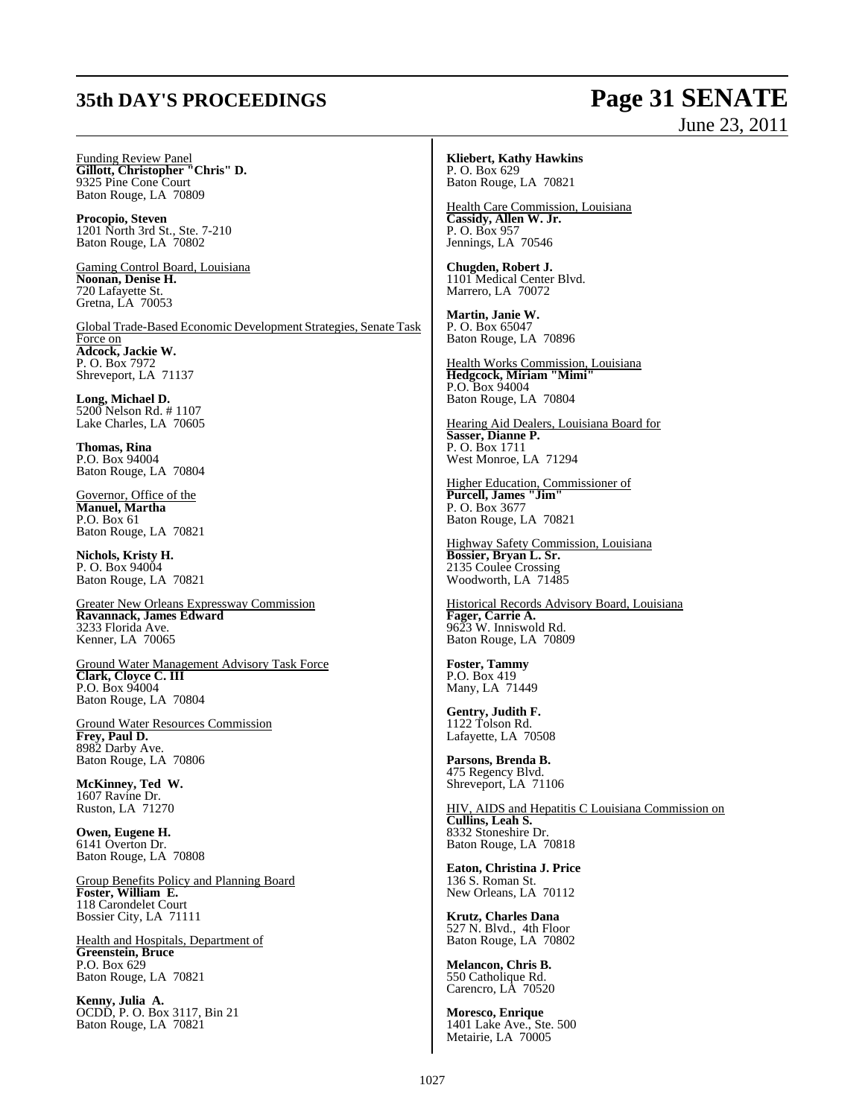## **35th DAY'S PROCEEDINGS Page 31 SENATE**

# June 23, 2011

Funding Review Panel **Gillott, Christopher "Chris" D.** 9325 Pine Cone Court Baton Rouge, LA 70809

**Procopio, Steven** 1201 North 3rd St., Ste. 7-210 Baton Rouge, LA 70802

Gaming Control Board, Louisiana **Noonan, Denise H.** 720 Lafayette St. Gretna, LA 70053

Global Trade-Based Economic Development Strategies, Senate Task Force on **Adcock, Jackie W.** P. O. Box 7972 Shreveport, LA 71137

**Long, Michael D.** 5200 Nelson Rd. # 1107 Lake Charles, LA 70605

**Thomas, Rina** P.O. Box 94004 Baton Rouge, LA 70804

Governor, Office of the **Manuel, Martha** P.O. Box 61 Baton Rouge, LA 70821

**Nichols, Kristy H.** P. O. Box 94004 Baton Rouge, LA 70821

Greater New Orleans Expressway Commission **Ravannack, James Edward** 3233 Florida Ave. Kenner, LA 70065

Ground Water Management Advisory Task Force **Clark, Cloyce C. III** P.O. Box 94004 Baton Rouge, LA 70804

Ground Water Resources Commission **Frey, Paul D.** 8982 Darby Ave. Baton Rouge, LA 70806

**McKinney, Ted W.** 1607 Ravine Dr. Ruston, LA 71270

**Owen, Eugene H.** 6141 Overton Dr. Baton Rouge, LA 70808

Group Benefits Policy and Planning Board **Foster, William E.** 118 Carondelet Court Bossier City, LA 71111

Health and Hospitals, Department of **Greenstein, Bruce** P.O. Box 629 Baton Rouge, LA 70821

**Kenny, Julia A.** OCDD, P. O. Box 3117, Bin 21 Baton Rouge, LA 70821

#### **Kliebert, Kathy Hawkins** P. O. Box 629 Baton Rouge, LA 70821

Health Care Commission, Louisiana **Cassidy, Allen W. Jr.** P. O. Box 957 Jennings, LA 70546

**Chugden, Robert J.** 1101 Medical Center Blvd. Marrero, LA 70072

**Martin, Janie W.** P. O. Box 65047 Baton Rouge, LA 70896

Health Works Commission, Louisiana **Hedgcock, Miriam "Mimi"** P.O. Box 94004 Baton Rouge, LA 70804

Hearing Aid Dealers, Louisiana Board for **Sasser, Dianne P.** P. O. Box 1711 West Monroe, LA 71294

Higher Education, Commissioner of **Purcell, James "Jim"** P. O. Box 3677 Baton Rouge, LA 70821

Highway Safety Commission, Louisiana **Bossier, Bryan L. Sr.**  2135 Coulee Crossing Woodworth, LA 71485

Historical Records Advisory Board, Louisiana **Fager, Carrie A.** 9623 W. Inniswold Rd. Baton Rouge, LA 70809

**Foster, Tammy** P.O. Box 419 Many, LA 71449

**Gentry, Judith F.** 1122 Tolson Rd. Lafayette, LA 70508

**Parsons, Brenda B.** 475 Regency Blvd. Shreveport, LA 71106

HIV, AIDS and Hepatitis C Louisiana Commission on **Cullins, Leah S.** 8332 Stoneshire Dr. Baton Rouge, LA 70818

**Eaton, Christina J. Price** 136 S. Roman St. New Orleans, LA 70112

**Krutz, Charles Dana** 527 N. Blvd., 4th Floor Baton Rouge, LA 70802

**Melancon, Chris B.** 550 Catholique Rd. Carencro, LA 70520

**Moresco, Enrique** 1401 Lake Ave., Ste. 500 Metairie, LA 70005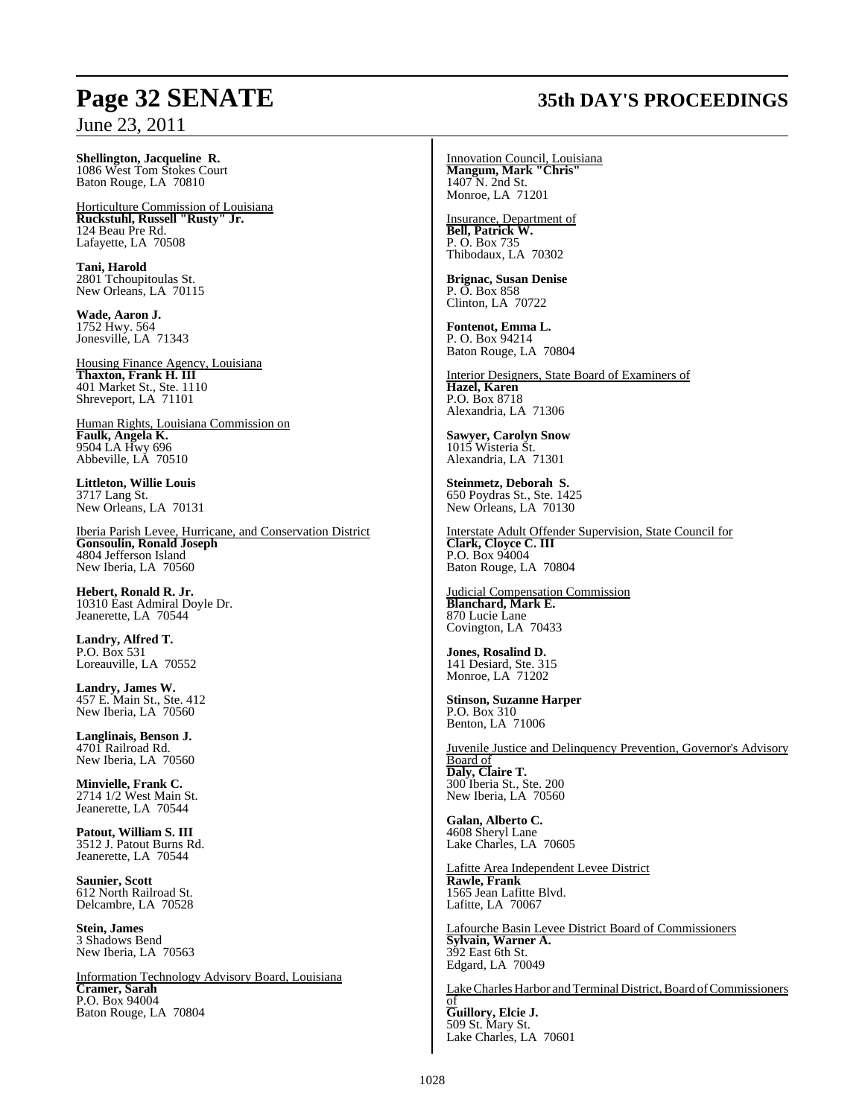**Shellington, Jacqueline R.** 1086 West Tom Stokes Court Baton Rouge, LA 70810

Horticulture Commission of Louisiana **Ruckstuhl, Russell "Rusty" Jr.** 124 Beau Pre Rd. Lafayette, LA 70508

**Tani, Harold** 2801 Tchoupitoulas St. New Orleans, LA 70115

**Wade, Aaron J.** 1752 Hwy. 564 Jonesville, LA 71343

Housing Finance Agency, Louisiana **Thaxton, Frank H. III** 401 Market St., Ste. 1110 Shreveport, LA 71101

Human Rights, Louisiana Commission on **Faulk, Angela K.** 9504 LA Hwy 696 Abbeville, LA 70510

**Littleton, Willie Louis** 3717 Lang St. New Orleans, LA 70131

Iberia Parish Levee, Hurricane, and Conservation District **Gonsoulin, Ronald Joseph** 4804 Jefferson Island New Iberia, LA 70560

**Hebert, Ronald R. Jr.** 10310 East Admiral Doyle Dr. Jeanerette, LA 70544

**Landry, Alfred T.** P.O. Box 531 Loreauville, LA 70552

**Landry, James W.** 457 E. Main St., Ste. 412 New Iberia, LA 70560

**Langlinais, Benson J.** 4701 Railroad Rd. New Iberia, LA 70560

**Minvielle, Frank C.** 2714 1/2 West Main St. Jeanerette, LA 70544

**Patout, William S. III** 3512 J. Patout Burns Rd. Jeanerette, LA 70544

**Saunier, Scott** 612 North Railroad St. Delcambre, LA 70528

**Stein, James** 3 Shadows Bend New Iberia, LA 70563

Information Technology Advisory Board, Louisiana **Cramer, Sarah** P.O. Box 94004 Baton Rouge, LA 70804

## **Page 32 SENATE 35th DAY'S PROCEEDINGS**

Innovation Council, Louisiana **Mangum, Mark "Chris"** 1407 N. 2nd St. Monroe, LA 71201

Insurance, Department of **Bell, Patrick W.** P. O. Box 735 Thibodaux, LA 70302

**Brignac, Susan Denise** P. O. Box 858 Clinton, LA 70722

**Fontenot, Emma L.** P. O. Box 94214 Baton Rouge, LA 70804

Interior Designers, State Board of Examiners of **Hazel, Karen** P.O. Box 8718 Alexandria, LA 71306

**Sawyer, Carolyn Snow** 1015 Wisteria St. Alexandria, LA 71301

**Steinmetz, Deborah S.** 650 Poydras St., Ste. 1425 New Orleans, LA 70130

Interstate Adult Offender Supervision, State Council for **Clark, Cloyce C. III** P.O. Box 94004 Baton Rouge, LA 70804

Judicial Compensation Commission **Blanchard, Mark E.** 870 Lucie Lane Covington, LA 70433

**Jones, Rosalind D.**  141 Desiard, Ste. 315 Monroe, LA 71202

**Stinson, Suzanne Harper** P.O. Box 310 Benton, LA 71006

Juvenile Justice and Delinquency Prevention, Governor's Advisory Board of **Daly, Claire T.** 300 Iberia St., Ste. 200 New Iberia, LA 70560

**Galan, Alberto C.** 4608 Sheryl Lane Lake Charles, LA 70605

Lafitte Area Independent Levee District **Rawle, Frank** 1565 Jean Lafitte Blvd. Lafitte, LA 70067

Lafourche Basin Levee District Board of Commissioners **Sylvain, Warner A.** 392 East 6th St. Edgard, LA 70049

Lake Charles Harbor and Terminal District, Board of Commissioners of **Guillory, Elcie J.**

509 St. Mary St. Lake Charles, LA 70601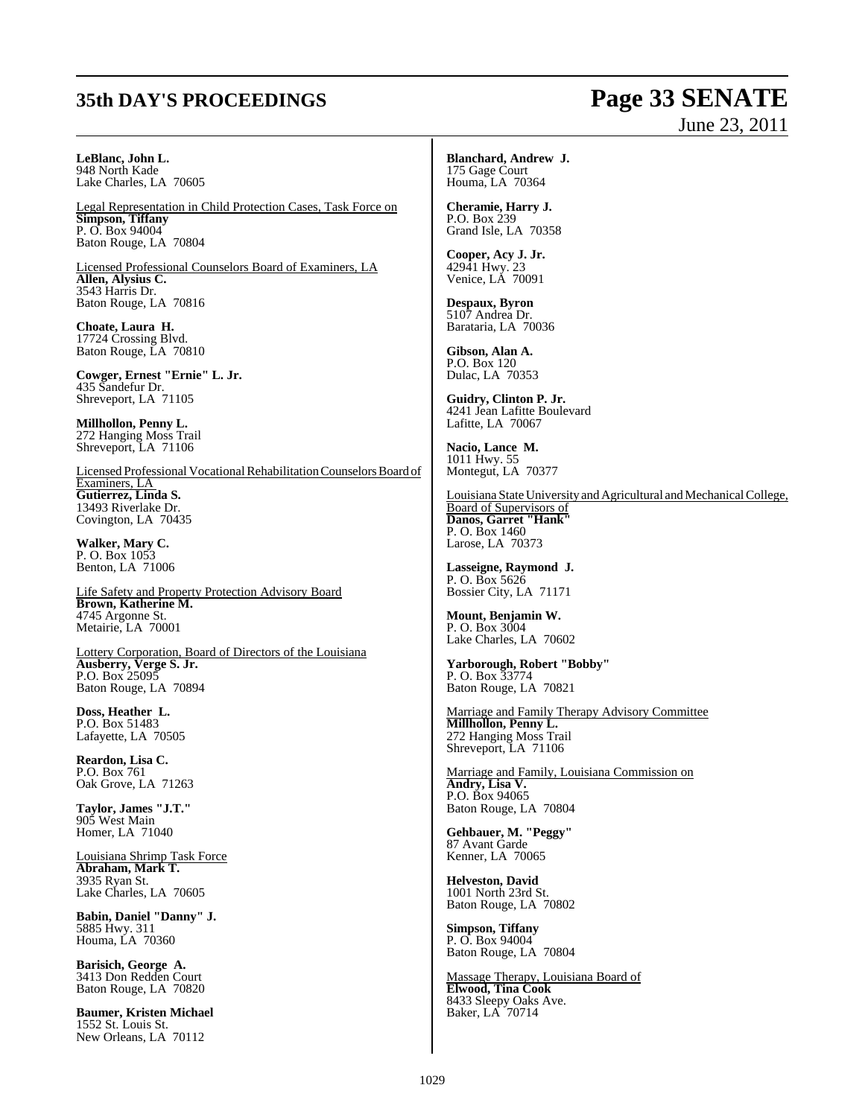## **35th DAY'S PROCEEDINGS Page 33 SENATE**

# June 23, 2011

**LeBlanc, John L.** 948 North Kade Lake Charles, LA 70605

Legal Representation in Child Protection Cases, Task Force on **Simpson, Tiffany** P. O. Box 94004 Baton Rouge, LA 70804

Licensed Professional Counselors Board of Examiners, LA **Allen, Alysius C.** 3543 Harris Dr. Baton Rouge, LA 70816

**Choate, Laura H.** 17724 Crossing Blvd. Baton Rouge, LA 70810

**Cowger, Ernest "Ernie" L. Jr.** 435 Sandefur Dr. Shreveport, LA 71105

**Millhollon, Penny L.** 272 Hanging Moss Trail Shreveport, LA 71106

Licensed Professional VocationalRehabilitation Counselors Board of Examiners, LA **Gutierrez, Linda S.** 13493 Riverlake Dr. Covington, LA 70435

**Walker, Mary C.** P. O. Box 1053 Benton, LA 71006

Life Safety and Property Protection Advisory Board **Brown, Katherine M.** 4745 Argonne St. Metairie, LA 70001

Lottery Corporation, Board of Directors of the Louisiana **Ausberry, Verge S. Jr.** P.O. Box 25095 Baton Rouge, LA 70894

**Doss, Heather L.** P.O. Box 51483 Lafayette, LA 70505

**Reardon, Lisa C.** P.O. Box 761 Oak Grove, LA 71263

**Taylor, James "J.T."** 905 West Main Homer, LA 71040

Louisiana Shrimp Task Force **Abraham, Mark T.** 3935 Ryan St. Lake Charles, LA 70605

**Babin, Daniel "Danny" J.** 5885 Hwy. 311 Houma, LA 70360

**Barisich, George A.** 3413 Don Redden Court Baton Rouge, LA 70820

**Baumer, Kristen Michael** 1552 St. Louis St. New Orleans, LA 70112

**Blanchard, Andrew J.** 175 Gage Court Houma, LA 70364

**Cheramie, Harry J.** P.O. Box 239 Grand Isle, LA 70358

**Cooper, Acy J. Jr.** 42941 Hwy. 23 Venice, LA 70091

**Despaux, Byron** 5107 Andrea Dr. Barataria, LA 70036

**Gibson, Alan A.** P.O. Box 120 Dulac, LA 70353

**Guidry, Clinton P. Jr.** 4241 Jean Lafitte Boulevard Lafitte, LA 70067

**Nacio, Lance M.** 1011 Hwy. 55 Montegut, LA 70377

Louisiana State University and Agricultural and Mechanical College, Board of Supervisors of **Danos, Garret "Hank"** P. O. Box 1460 Larose, LA 70373

**Lasseigne, Raymond J.** P. O. Box 5626 Bossier City, LA 71171

**Mount, Benjamin W.** P. O. Box 3004 Lake Charles, LA 70602

**Yarborough, Robert "Bobby"** P. O. Box 33774 Baton Rouge, LA 70821

Marriage and Family Therapy Advisory Committee **Millhollon, Penny L.** 272 Hanging Moss Trail Shreveport, LA 71106

Marriage and Family, Louisiana Commission on **Andry, Lisa V.** P.O. Box 94065 Baton Rouge, LA 70804

**Gehbauer, M. "Peggy"** 87 Avant Garde Kenner, LA 70065

**Helveston, David** 1001 North 23rd St. Baton Rouge, LA 70802

**Simpson, Tiffany** P. O. Box 94004 Baton Rouge, LA 70804

Massage Therapy, Louisiana Board of **Elwood, Tina Cook** 8433 Sleepy Oaks Ave. Baker, LA 70714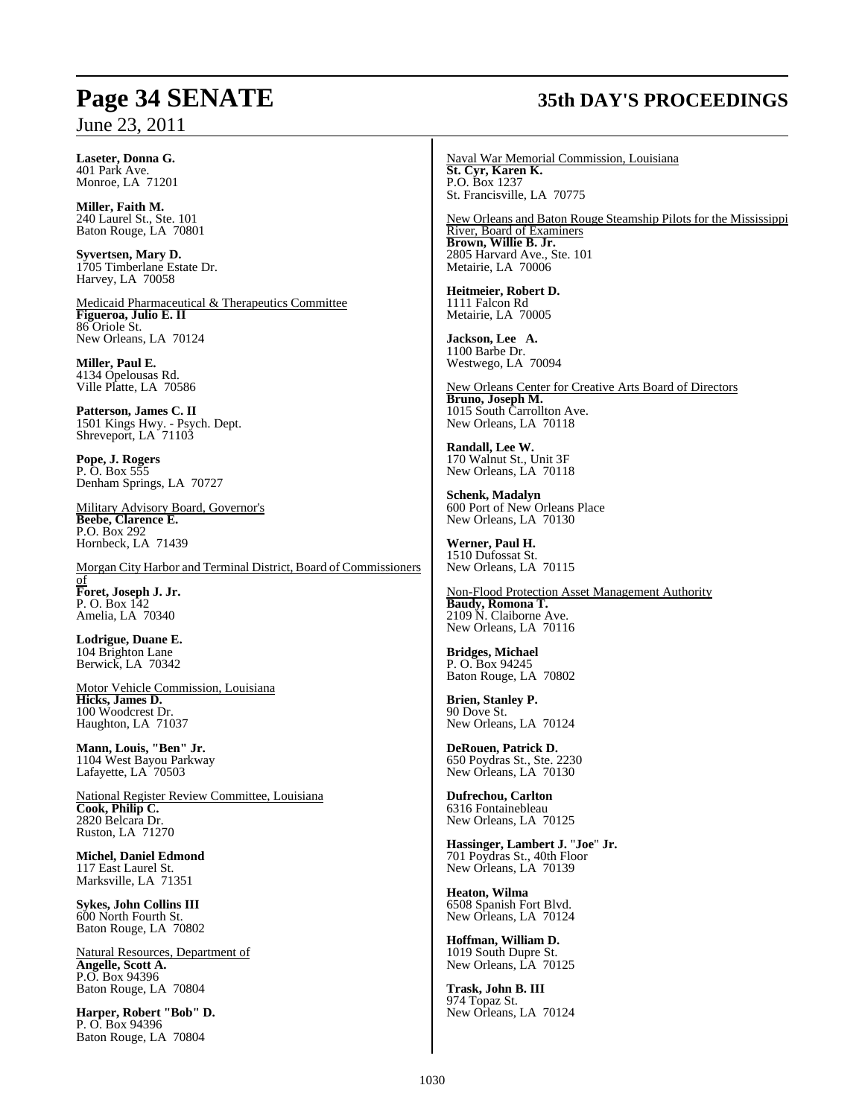## **Page 34 SENATE 35th DAY'S PROCEEDINGS**

**Laseter, Donna G.** 401 Park Ave. Monroe, LA 71201

**Miller, Faith M.** 240 Laurel St., Ste. 101 Baton Rouge, LA 70801

**Syvertsen, Mary D.** 1705 Timberlane Estate Dr. Harvey, LA 70058

Medicaid Pharmaceutical & Therapeutics Committee **Figueroa, Julio E. II** 86 Oriole St. New Orleans, LA 70124

**Miller, Paul E.** 4134 Opelousas Rd. Ville Platte, LA 70586

**Patterson, James C. II** 1501 Kings Hwy. - Psych. Dept. Shreveport, LA 71103

**Pope, J. Rogers** P. O. Box 555 Denham Springs, LA 70727

Military Advisory Board, Governor's **Beebe, Clarence E.** P.O. Box 292 Hornbeck, LA 71439

Morgan City Harbor and Terminal District, Board of Commissioners of **Foret, Joseph J. Jr.** P. O. Box 142 Amelia, LA 70340

**Lodrigue, Duane E.** 104 Brighton Lane Berwick, LA 70342

Motor Vehicle Commission, Louisiana **Hicks, James D.** 100 Woodcrest Dr. Haughton, LA 71037

**Mann, Louis, "Ben" Jr.** 1104 West Bayou Parkway Lafayette, LA 70503

National Register Review Committee, Louisiana **Cook, Philip C.** 2820 Belcara Dr. Ruston, LA 71270

**Michel, Daniel Edmond** 117 East Laurel St. Marksville, LA 71351

**Sykes, John Collins III** 600 North Fourth St. Baton Rouge, LA 70802

Natural Resources, Department of **Angelle, Scott A.** P.O. Box 94396 Baton Rouge, LA 70804

**Harper, Robert "Bob" D.** P. O. Box 94396 Baton Rouge, LA 70804

Naval War Memorial Commission, Louisiana **St. Cyr, Karen K.** P.O. Box 1237 St. Francisville, LA 70775

New Orleans and Baton Rouge Steamship Pilots for the Mississippi River, Board of Examiners **Brown, Willie B. Jr.** 2805 Harvard Ave., Ste. 101 Metairie, LA 70006

**Heitmeier, Robert D.** 1111 Falcon Rd Metairie, LA 70005

**Jackson, Lee A.** 1100 Barbe Dr. Westwego, LA 70094

New Orleans Center for Creative Arts Board of Directors **Bruno, Joseph M.** 1015 South Carrollton Ave. New Orleans, LA 70118

**Randall, Lee W.** 170 Walnut St., Unit 3F New Orleans, LA 70118

**Schenk, Madalyn** 600 Port of New Orleans Place New Orleans, LA 70130

**Werner, Paul H.** 1510 Dufossat St. New Orleans, LA 70115

Non-Flood Protection Asset Management Authority **Baudy, Romona T.** 2109 N. Claiborne Ave. New Orleans, LA 70116

**Bridges, Michael** P. O. Box 94245 Baton Rouge, LA 70802

**Brien, Stanley P.** 90 Dove St. New Orleans, LA 70124

**DeRouen, Patrick D.** 650 Poydras St., Ste. 2230 New Orleans, LA 70130

**Dufrechou, Carlton** 6316 Fontainebleau New Orleans, LA 70125

**Hassinger, Lambert J.** "**Joe**" **Jr.** 701 Poydras St., 40th Floor New Orleans, LA 70139

**Heaton, Wilma** 6508 Spanish Fort Blvd. New Orleans, LA 70124

**Hoffman, William D.** 1019 South Dupre St. New Orleans, LA 70125

**Trask, John B. III** 974 Topaz St. New Orleans, LA 70124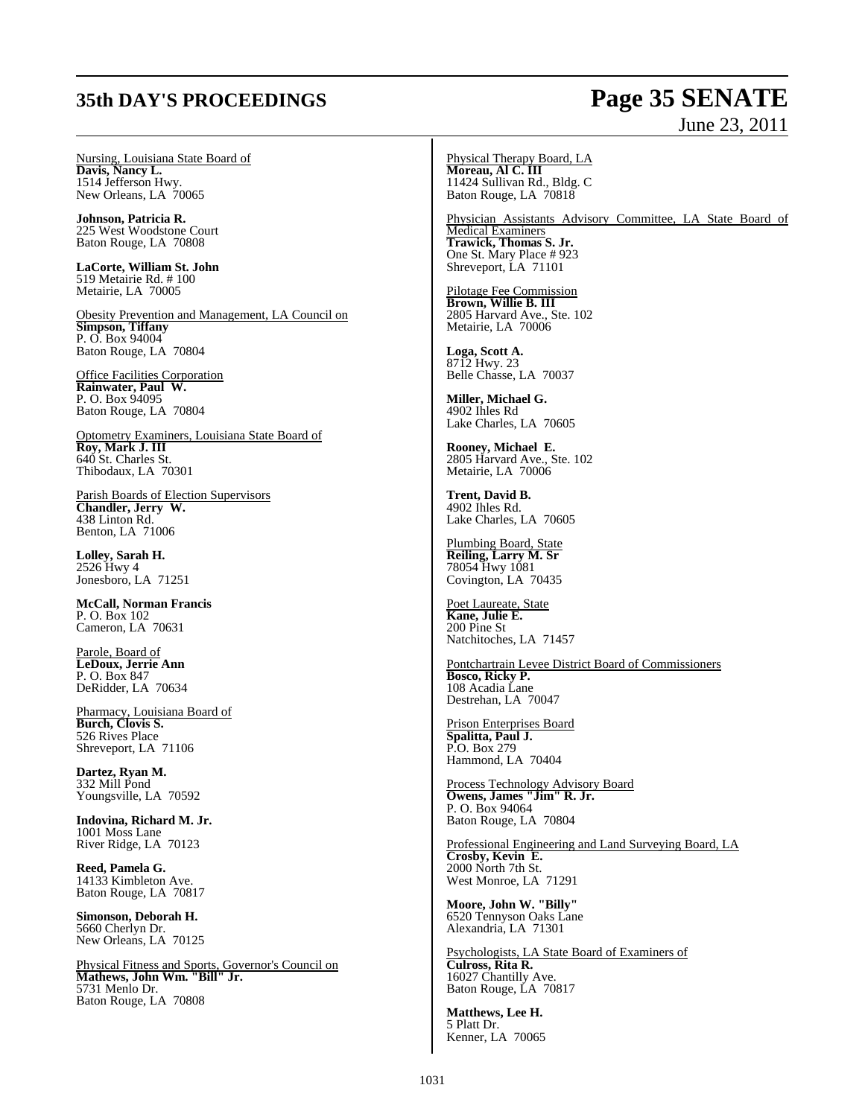## **35th DAY'S PROCEEDINGS Page 35 SENATE**

#### Nursing, Louisiana State Board of **Davis, Nancy L.** 1514 Jefferson Hwy. New Orleans, LA 70065

**Johnson, Patricia R.** 225 West Woodstone Court Baton Rouge, LA 70808

**LaCorte, William St. John** 519 Metairie Rd. # 100 Metairie, LA 70005

Obesity Prevention and Management, LA Council on **Simpson, Tiffany** P. O. Box 94004 Baton Rouge, LA 70804

Office Facilities Corporation **Rainwater, Paul W.** P. O. Box 94095 Baton Rouge, LA 70804

Optometry Examiners, Louisiana State Board of **Roy, Mark J. III** 640 St. Charles St. Thibodaux, LA 70301

Parish Boards of Election Supervisors **Chandler, Jerry W.** 438 Linton Rd. Benton, LA 71006

**Lolley, Sarah H.** 2526 Hwy 4 Jonesboro, LA 71251

**McCall, Norman Francis** P. O. Box 102 Cameron, LA 70631

Parole, Board of **LeDoux, Jerrie Ann** P. O. Box 847 DeRidder, LA 70634

Pharmacy, Louisiana Board of **Burch, Clovis S.** 526 Rives Place Shreveport, LA 71106

**Dartez, Ryan M.** 332 Mill Pond Youngsville, LA 70592

**Indovina, Richard M. Jr.** 1001 Moss Lane River Ridge, LA 70123

**Reed, Pamela G.** 14133 Kimbleton Ave. Baton Rouge, LA 70817

**Simonson, Deborah H.** 5660 Cherlyn Dr. New Orleans, LA 70125

Physical Fitness and Sports, Governor's Council on **Mathews, John Wm. "Bill" Jr.** 5731 Menlo Dr. Baton Rouge, LA 70808

#### Physical Therapy Board, LA **Moreau, Al C. III** 11424 Sullivan Rd., Bldg. C Baton Rouge, LA 70818

Physician Assistants Advisory Committee, LA State Board of Medical Examiners **Trawick, Thomas S. Jr.** One St. Mary Place # 923 Shreveport, LA 71101

Pilotage Fee Commission **Brown, Willie B. III** 2805 Harvard Ave., Ste. 102 Metairie, LA 70006

**Loga, Scott A.** 8712 Hwy. 23 Belle Chasse, LA 70037

**Miller, Michael G.** 4902 Ihles Rd Lake Charles, LA 70605

**Rooney, Michael E.** 2805 Harvard Ave., Ste. 102 Metairie, LA 70006

**Trent, David B.** 4902 Ihles Rd. Lake Charles, LA 70605

Plumbing Board, State **Reiling, Larry M. Sr** 78054 Hwy 1081 Covington, LA 70435

Poet Laureate, State **Kane, Julie E.** 200 Pine St Natchitoches, LA 71457

Pontchartrain Levee District Board of Commissioners **Bosco, Ricky P.** 108 Acadia Lane Destrehan, LA 70047

Prison Enterprises Board **Spalitta, Paul J.** P.O. Box 279 Hammond, LA 70404

Process Technology Advisory Board **Owens, James "Jim" R. Jr.** P. O. Box 94064 Baton Rouge, LA 70804

Professional Engineering and Land Surveying Board, LA **Crosby, Kevin E.** 2000 North 7th St. West Monroe, LA 71291

**Moore, John W. "Billy"** 6520 Tennyson Oaks Lane Alexandria, LA 71301

Psychologists, LA State Board of Examiners of **Culross, Rita R.** 16027 Chantilly Ave. Baton Rouge, LA 70817

**Matthews, Lee H.** 5 Platt Dr. Kenner, LA 70065

June 23, 2011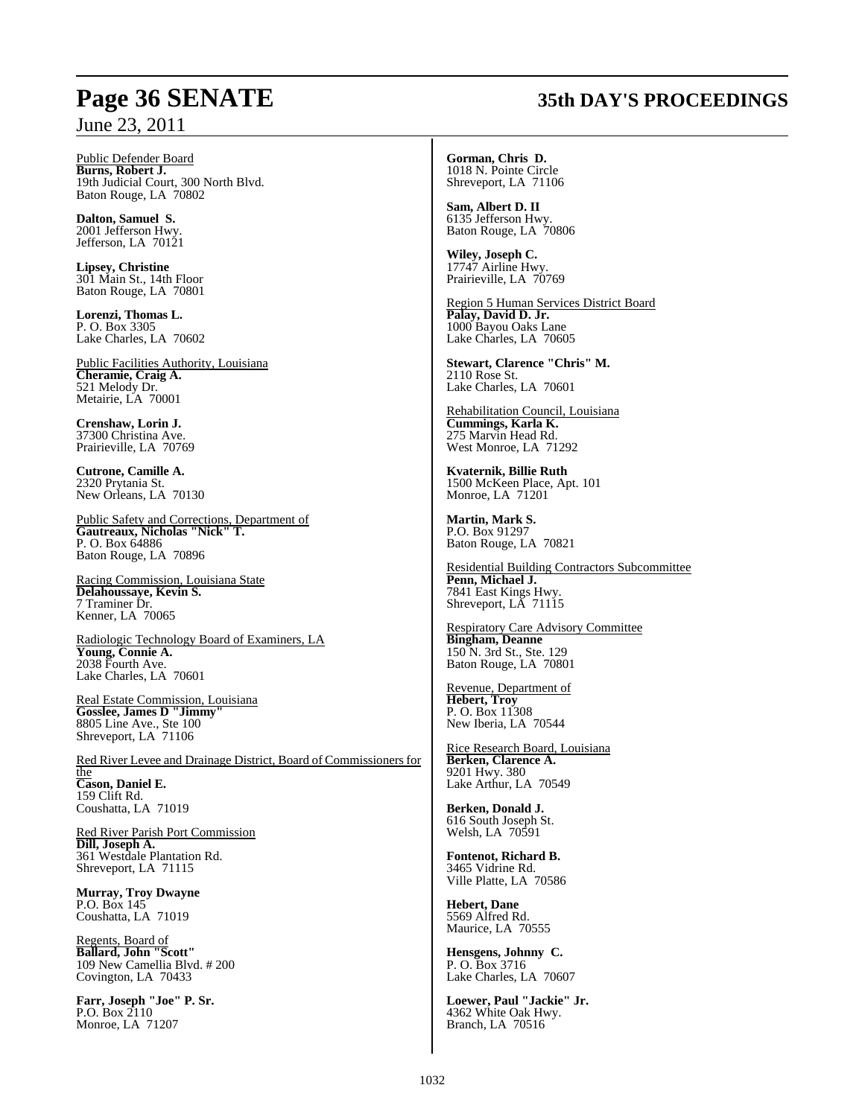#### Public Defender Board **Burns, Robert J.** 19th Judicial Court, 300 North Blvd. Baton Rouge, LA 70802

**Dalton, Samuel S.** 2001 Jefferson Hwy. Jefferson, LA 70121

**Lipsey, Christine** 301 Main St., 14th Floor Baton Rouge, LA 70801

**Lorenzi, Thomas L.** P. O. Box 3305 Lake Charles, LA 70602

Public Facilities Authority, Louisiana **Cheramie, Craig A.** 521 Melody Dr. Metairie, LA 70001

**Crenshaw, Lorin J.** 37300 Christina Ave. Prairieville, LA 70769

**Cutrone, Camille A.** 2320 Prytania St. New Orleans, LA 70130

Public Safety and Corrections, Department of **Gautreaux, Nicholas "Nick" T.**  P. O. Box 64886 Baton Rouge, LA 70896

Racing Commission, Louisiana State **Delahoussaye, Kevin S.** 7 Traminer Dr. Kenner, LA 70065

Radiologic Technology Board of Examiners, LA **Young, Connie A.** 2038 Fourth Ave. Lake Charles, LA 70601

Real Estate Commission, Louisiana **Gosslee, James D "Jimmy"** 8805 Line Ave., Ste 100 Shreveport, LA 71106

Red River Levee and Drainage District, Board of Commissioners for the **Cason, Daniel E.** 159 Clift Rd. Coushatta, LA 71019

Red River Parish Port Commission **Dill, Joseph A.** 361 Westdale Plantation Rd. Shreveport, LA 71115

**Murray, Troy Dwayne** P.O. Box 145 Coushatta, LA 71019

Regents, Board of **Ballard, John "Scott"** 109 New Camellia Blvd. # 200 Covington, LA 70433

**Farr, Joseph "Joe" P. Sr.** P.O. Box 2110 Monroe, LA 71207

## **Page 36 SENATE 35th DAY'S PROCEEDINGS**

**Gorman, Chris D.** 1018 N. Pointe Circle Shreveport, LA 71106

**Sam, Albert D. II** 6135 Jefferson Hwy. Baton Rouge, LA 70806

**Wiley, Joseph C.** 17747 Airline Hwy. Prairieville, LA 70769

Region 5 Human Services District Board **Palay, David D. Jr.** 1000 Bayou Oaks Lane Lake Charles, LA 70605

**Stewart, Clarence "Chris" M.** 2110 Rose St. Lake Charles, LA 70601

Rehabilitation Council, Louisiana **Cummings, Karla K.** 275 Marvin Head Rd. West Monroe, LA 71292

**Kvaternik, Billie Ruth** 1500 McKeen Place, Apt. 101 Monroe, LA 71201

**Martin, Mark S.** P.O. Box 91297 Baton Rouge, LA 70821

Residential Building Contractors Subcommittee **Penn, Michael J.** 7841 East Kings Hwy. Shreveport, LA 71115

Respiratory Care Advisory Committee **Bingham, Deanne** 150 N. 3rd St., Ste. 129 Baton Rouge, LA 70801

Revenue, Department of **Hebert, Troy**  P. O. Box 11308 New Iberia, LA 70544

Rice Research Board, Louisiana **Berken, Clarence A.** 9201 Hwy. 380 Lake Arthur, LA 70549

**Berken, Donald J.** 616 South Joseph St. Welsh, LA 70591

**Fontenot, Richard B.** 3465 Vidrine Rd. Ville Platte, LA 70586

**Hebert, Dane** 5569 Alfred Rd. Maurice, LA 70555

**Hensgens, Johnny C.** P. O. Box 3716 Lake Charles, LA 70607

**Loewer, Paul "Jackie" Jr.** 4362 White Oak Hwy. Branch, LA 70516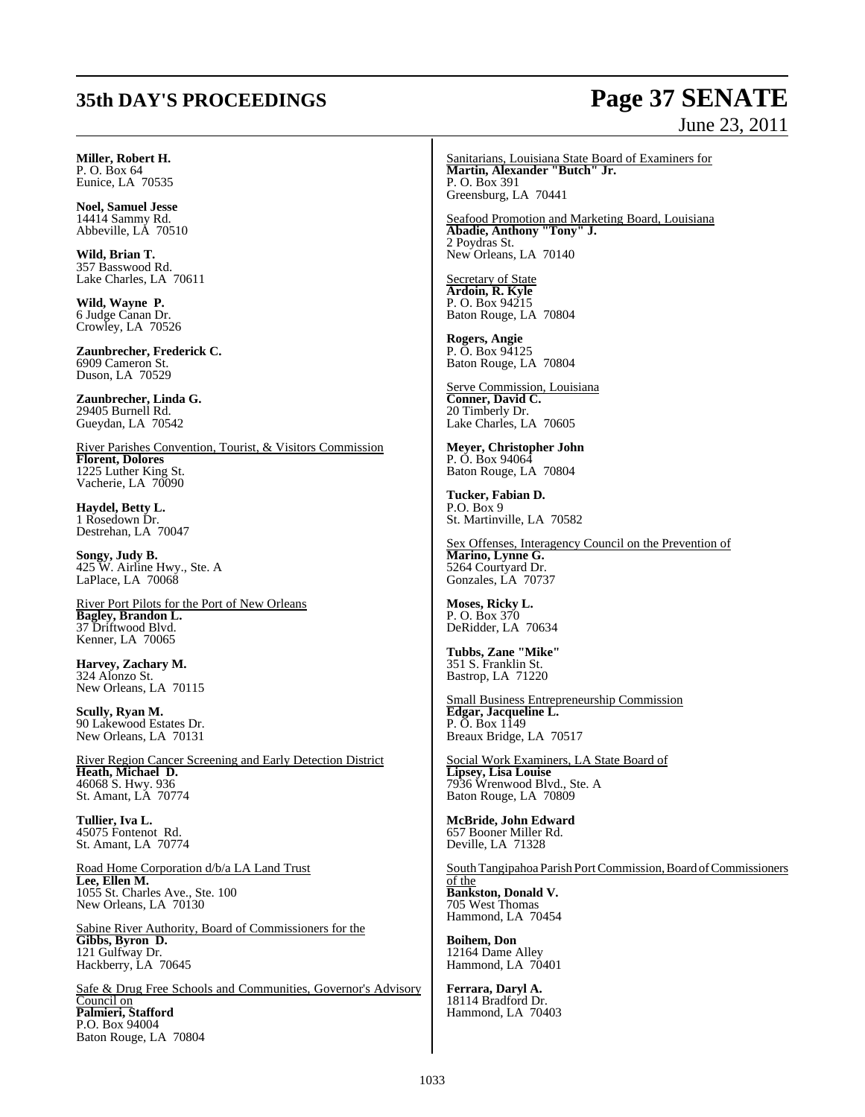## **35th DAY'S PROCEEDINGS Page 37 SENATE**

# June 23, 2011

**Miller, Robert H.** P. O. Box 64 Eunice, LA 70535

**Noel, Samuel Jesse** 14414 Sammy Rd. Abbeville, LA 70510

**Wild, Brian T.** 357 Basswood Rd. Lake Charles, LA 70611

**Wild, Wayne P.** 6 Judge Canan Dr. Crowley, LA 70526

**Zaunbrecher, Frederick C.** 6909 Cameron St. Duson, LA 70529

**Zaunbrecher, Linda G.** 29405 Burnell Rd. Gueydan, LA 70542

River Parishes Convention, Tourist, & Visitors Commission **Florent, Dolores** 1225 Luther King St. Vacherie, LA 70090

**Haydel, Betty L.** 1 Rosedown Dr. Destrehan, LA 70047

**Songy, Judy B.** 425 W. Airline Hwy., Ste. A LaPlace, LA 70068

River Port Pilots for the Port of New Orleans **Bagley, Brandon L.** 37 Driftwood Blvd. Kenner, LA 70065

**Harvey, Zachary M.** 324 Alonzo St. New Orleans, LA 70115

**Scully, Ryan M.** 90 Lakewood Estates Dr. New Orleans, LA 70131

River Region Cancer Screening and Early Detection District **Heath, Michael D.** 46068 S. Hwy. 936 St. Amant, LA 70774

**Tullier, Iva L.** 45075 Fontenot Rd. St. Amant, LA 70774

Road Home Corporation d/b/a LA Land Trust **Lee, Ellen M.** 1055 St. Charles Ave., Ste. 100 New Orleans, LA 70130

Sabine River Authority, Board of Commissioners for the **Gibbs, Byron D.** 121 Gulfway Dr. Hackberry, LA 70645

Safe & Drug Free Schools and Communities, Governor's Advisory Council on **Palmieri, Stafford** P.O. Box 94004 Baton Rouge, LA 70804

Sanitarians, Louisiana State Board of Examiners for **Martin, Alexander "Butch" Jr.** P. O. Box 391 Greensburg, LA 70441

Seafood Promotion and Marketing Board, Louisiana **Abadie, Anthony "Tony" J.** 2 Poydras St. New Orleans, LA 70140

Secretary of State **Ardoin, R. Kyle** P. O. Box 94215 Baton Rouge, LA 70804

**Rogers, Angie** P. O. Box 94125 Baton Rouge, LA 70804

Serve Commission, Louisiana **Conner, David C.** 20 Timberly Dr. Lake Charles, LA 70605

**Meyer, Christopher John** P. O. Box 94064 Baton Rouge, LA 70804

**Tucker, Fabian D.** P.O. Box 9 St. Martinville, LA 70582

Sex Offenses, Interagency Council on the Prevention of **Marino, Lynne G.** 5264 Courtyard Dr. Gonzales, LA 70737

**Moses, Ricky L.** P. O. Box 370 DeRidder, LA 70634

**Tubbs, Zane "Mike"** 351 S. Franklin St. Bastrop, LA 71220

Small Business Entrepreneurship Commission **Edgar, Jacqueline L.** P. O. Box 1149 Breaux Bridge, LA 70517

Social Work Examiners, LA State Board of **Lipsey, Lisa Louise** 7936 Wrenwood Blvd., Ste. A Baton Rouge, LA 70809

**McBride, John Edward** 657 Booner Miller Rd. Deville, LA 71328

South Tangipahoa Parish PortCommission, Board of Commissioners

of the **Bankston, Donald V.** 705 West Thomas Hammond, LA 70454

**Boihem, Don** 12164 Dame Alley Hammond, LA 70401

**Ferrara, Daryl A.** 18114 Bradford Dr. Hammond, LA 70403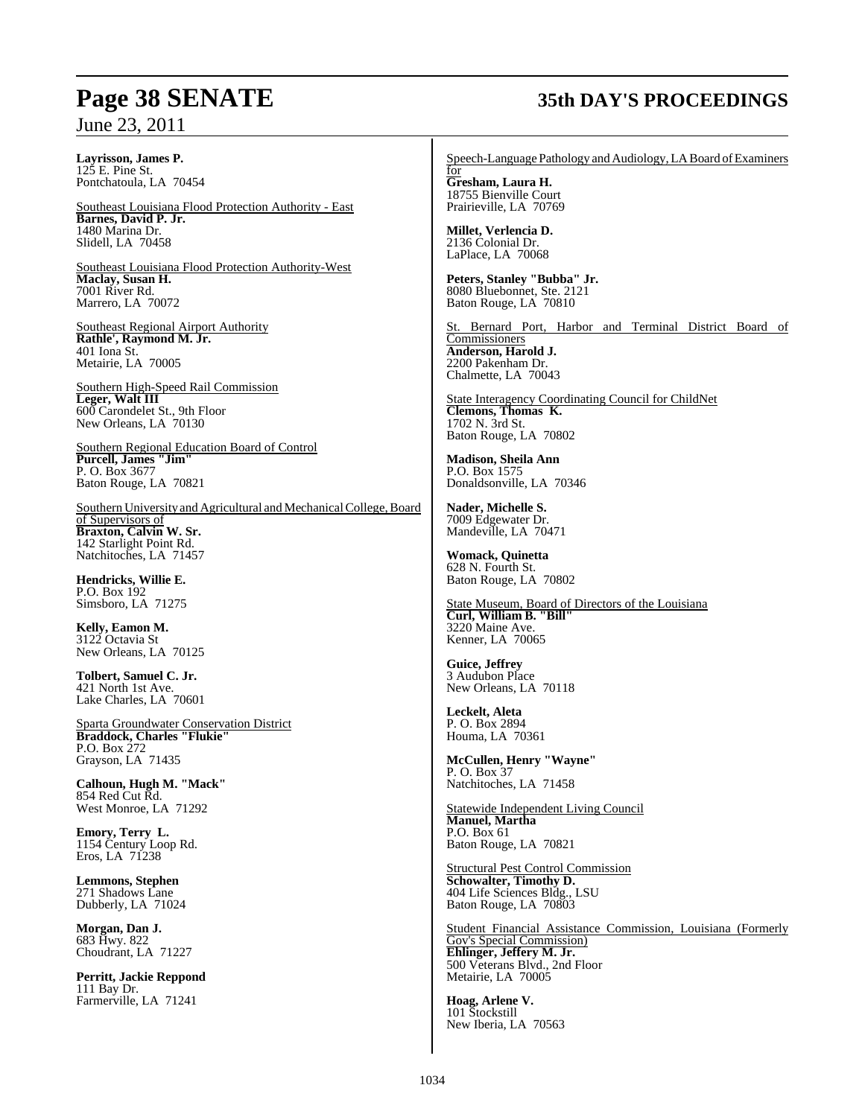**Layrisson, James P.** 125 E. Pine St. Pontchatoula, LA 70454

Southeast Louisiana Flood Protection Authority - East **Barnes, David P. Jr.** 1480 Marina Dr. Slidell, LA 70458

Southeast Louisiana Flood Protection Authority-West **Maclay, Susan H.** 7001 River Rd. Marrero, LA 70072

Southeast Regional Airport Authority **Rathle', Raymond M. Jr.** 401 Iona St. Metairie, LA 70005

Southern High-Speed Rail Commission **Leger, Walt III**  600 Carondelet St., 9th Floor New Orleans, LA 70130

Southern Regional Education Board of Control **Purcell, James "Jim"** P. O. Box 3677 Baton Rouge, LA 70821

Southern University and Agricultural and Mechanical College, Board of Supervisors of **Braxton, Calvin W. Sr.** 142 Starlight Point Rd. Natchitoches, LA 71457

**Hendricks, Willie E.** P.O. Box 192 Simsboro, LA 71275

**Kelly, Eamon M.** 3122 Octavia St New Orleans, LA 70125

**Tolbert, Samuel C. Jr.**  421 North 1st Ave. Lake Charles, LA 70601

Sparta Groundwater Conservation District **Braddock, Charles "Flukie"** P.O. Box 272 Grayson, LA 71435

**Calhoun, Hugh M. "Mack"** 854 Red Cut Rd. West Monroe, LA 71292

**Emory, Terry L.** 1154 Century Loop Rd. Eros, LA 71238

**Lemmons, Stephen** 271 Shadows Lane Dubberly, LA 71024

**Morgan, Dan J.** 683 Hwy. 822 Choudrant, LA 71227

**Perritt, Jackie Reppond** 111 Bay Dr. Farmerville, LA 71241

## **Page 38 SENATE 35th DAY'S PROCEEDINGS**

Speech-Language Pathology and Audiology, LA Board of Examiners

for **Gresham, Laura H.** 18755 Bienville Court Prairieville, LA 70769

**Millet, Verlencia D.** 2136 Colonial Dr. LaPlace, LA 70068

**Peters, Stanley "Bubba" Jr.** 8080 Bluebonnet, Ste. 2121 Baton Rouge, LA 70810

Bernard Port, Harbor and Terminal District Board of **Commissioners Anderson, Harold J.** 2200 Pakenham Dr. Chalmette, LA 70043

State Interagency Coordinating Council for ChildNet **Clemons, Thomas K.** 1702 N. 3rd St. Baton Rouge, LA 70802

**Madison, Sheila Ann** P.O. Box 1575 Donaldsonville, LA 70346

**Nader, Michelle S.** 7009 Edgewater Dr. Mandeville, LA 70471

**Womack, Quinetta** 628 N. Fourth St. Baton Rouge, LA 70802

State Museum, Board of Directors of the Louisiana **Curl, William B. "Bill"** 3220 Maine Ave. Kenner, LA 70065

**Guice, Jeffrey** 3 Audubon Place New Orleans, LA 70118

**Leckelt, Aleta** P. O. Box 2894 Houma, LA 70361

**McCullen, Henry "Wayne"** P. O. Box 37 Natchitoches, LA 71458

Statewide Independent Living Council **Manuel, Martha** P.O. Box 61 Baton Rouge, LA 70821

Structural Pest Control Commission **Schowalter, Timothy D.** 404 Life Sciences Bldg., LSU Baton Rouge, LA 70803

Student Financial Assistance Commission, Louisiana (Formerly Gov's Special Commission) **Ehlinger, Jeffery M. Jr.** 500 Veterans Blvd., 2nd Floor Metairie, LA 70005

**Hoag, Arlene V.** 101 Stockstill New Iberia, LA 70563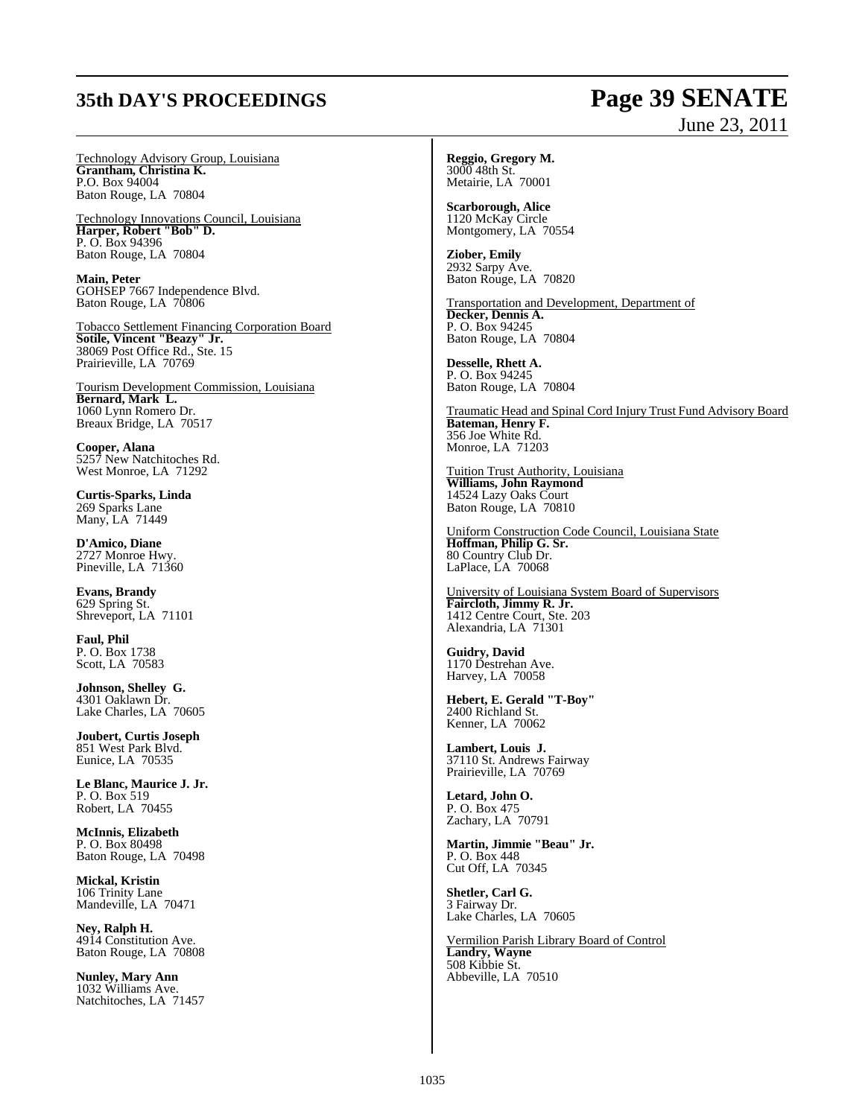## **35th DAY'S PROCEEDINGS Page 39 SENATE**

# June 23, 2011

Technology Advisory Group, Louisiana **Grantham, Christina K.** P.O. Box 94004 Baton Rouge, LA 70804

Technology Innovations Council, Louisiana **Harper, Robert "Bob" D.** P. O. Box 94396 Baton Rouge, LA 70804

**Main, Peter** GOHSEP 7667 Independence Blvd. Baton Rouge, LA 70806

Tobacco Settlement Financing Corporation Board **Sotile, Vincent "Beazy" Jr.** 38069 Post Office Rd., Ste. 15 Prairieville, LA 70769

Tourism Development Commission, Louisiana **Bernard, Mark L.** 1060 Lynn Romero Dr. Breaux Bridge, LA 70517

**Cooper, Alana** 5257 New Natchitoches Rd. West Monroe, LA 71292

**Curtis-Sparks, Linda** 269 Sparks Lane Many, LA 71449

**D'Amico, Diane** 2727 Monroe Hwy. Pineville, LA 71360

**Evans, Brandy** 629 Spring St. Shreveport, LA 71101

**Faul, Phil** P. O. Box 1738 Scott, LA 70583

**Johnson, Shelley G.** 4301 Oaklawn Dr. Lake Charles, LA 70605

**Joubert, Curtis Joseph** 851 West Park Blvd. Eunice, LA 70535

**Le Blanc, Maurice J. Jr.** P. O. Box 519 Robert, LA 70455

**McInnis, Elizabeth** P. O. Box 80498 Baton Rouge, LA 70498

**Mickal, Kristin** 106 Trinity Lane Mandeville, LA 70471

**Ney, Ralph H.** 4914 Constitution Ave. Baton Rouge, LA 70808

**Nunley, Mary Ann** 1032 Williams Ave. Natchitoches, LA 71457 **Reggio, Gregory M.** 3000 48th St. Metairie, LA 70001

**Scarborough, Alice** 1120 McKay Circle Montgomery, LA 70554

**Ziober, Emily** 2932 Sarpy Ave. Baton Rouge, LA 70820

Transportation and Development, Department of **Decker, Dennis A.** P. O. Box 94245 Baton Rouge, LA 70804

**Desselle, Rhett A.** P. O. Box 94245 Baton Rouge, LA 70804

Traumatic Head and Spinal Cord Injury Trust Fund Advisory Board **Bateman, Henry F.** 356 Joe White Rd. Monroe, LA 71203

Tuition Trust Authority, Louisiana **Williams, John Raymond** 14524 Lazy Oaks Court Baton Rouge, LA 70810

Uniform Construction Code Council, Louisiana State **Hoffman, Philip G. Sr.** 80 Country Club Dr. LaPlace, LA 70068

University of Louisiana System Board of Supervisors **Faircloth, Jimmy R. Jr.** 1412 Centre Court, Ste. 203 Alexandria, LA 71301

**Guidry, David** 1170 Destrehan Ave. Harvey, LA 70058

**Hebert, E. Gerald "T-Boy"** 2400 Richland St. Kenner, LA 70062

**Lambert, Louis J.** 37110 St. Andrews Fairway Prairieville, LA 70769

**Letard, John O.** P. O. Box 475 Zachary, LA 70791

**Martin, Jimmie "Beau" Jr.** P. O. Box 448 Cut Off, LA 70345

**Shetler, Carl G.** 3 Fairway Dr. Lake Charles, LA 70605

Vermilion Parish Library Board of Control **Landry, Wayne** 508 Kibbie St. Abbeville, LA 70510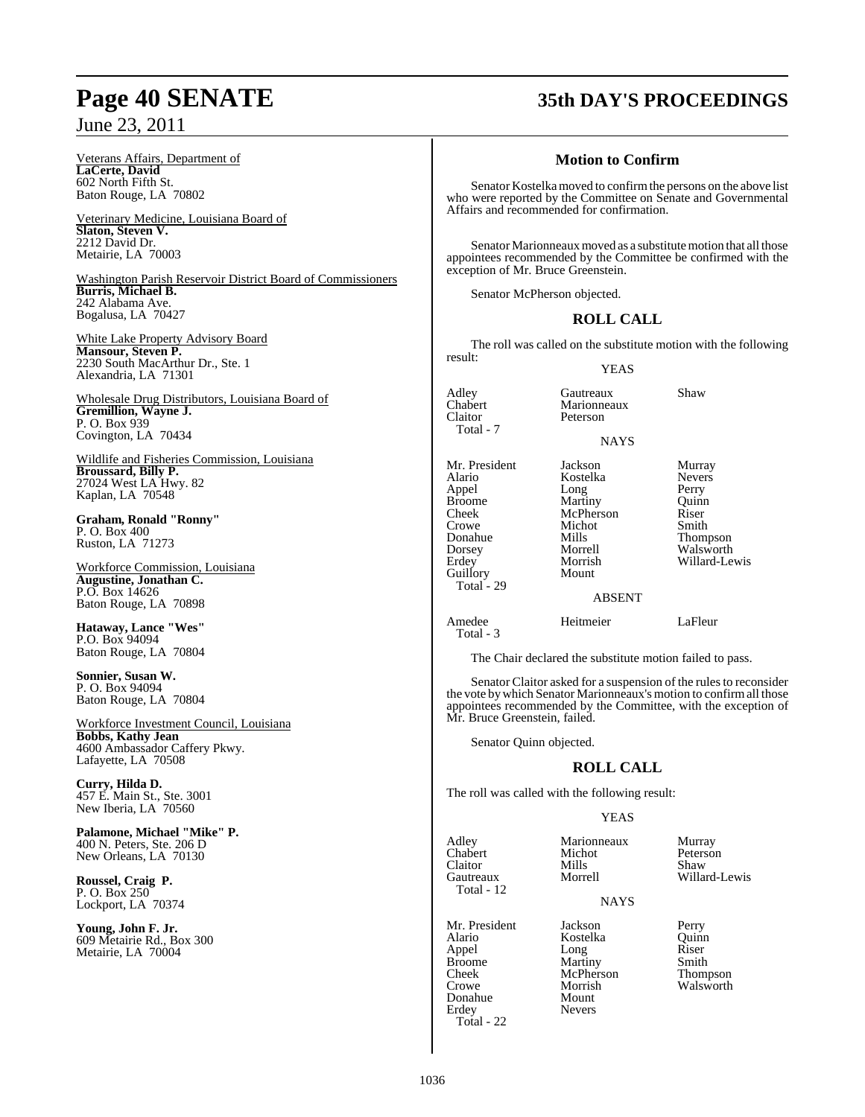Veterans Affairs, Department of **LaCerte, David** 602 North Fifth St. Baton Rouge, LA 70802

Veterinary Medicine, Louisiana Board of **Slaton, Steven V.** 2212 David Dr. Metairie, LA 70003

Washington Parish Reservoir District Board of Commissioners **Burris, Michael B.** 242 Alabama Ave. Bogalusa, LA 70427

White Lake Property Advisory Board **Mansour, Steven P.** 2230 South MacArthur Dr., Ste. 1 Alexandria, LA 71301

Wholesale Drug Distributors, Louisiana Board of **Gremillion, Wayne J.** P. O. Box 939 Covington, LA 70434

Wildlife and Fisheries Commission, Louisiana **Broussard, Billy P.** 27024 West LA Hwy. 82 Kaplan, LA 70548

**Graham, Ronald "Ronny"** P. O. Box 400 Ruston, LA 71273

Workforce Commission, Louisiana **Augustine, Jonathan C.** P.O. Box 14626 Baton Rouge, LA 70898

**Hataway, Lance "Wes"** P.O. Box 94094 Baton Rouge, LA 70804

**Sonnier, Susan W.** P. O. Box 94094 Baton Rouge, LA 70804

Workforce Investment Council, Louisiana **Bobbs, Kathy Jean** 4600 Ambassador Caffery Pkwy. Lafayette, LA 70508

**Curry, Hilda D.** 457 E. Main St., Ste. 3001 New Iberia, LA 70560

**Palamone, Michael "Mike" P.** 400 N. Peters, Ste. 206 D New Orleans, LA 70130

**Roussel, Craig P.** P. O. Box 250 Lockport, LA 70374

**Young, John F. Jr.** 609 Metairie Rd., Box 300 Metairie, LA 70004

## **Page 40 SENATE 35th DAY'S PROCEEDINGS**

### **Motion to Confirm**

Senator Kostelka moved to confirm the persons on the above list who were reported by the Committee on Senate and Governmental Affairs and recommended for confirmation.

Senator Marionneaux moved as a substitute motion that all those appointees recommended by the Committee be confirmed with the exception of Mr. Bruce Greenstein.

Senator McPherson objected.

### **ROLL CALL**

The roll was called on the substitute motion with the following result:

NAYS

Marionneaux<br>Peterson

YEAS

Adley **Gautreaux** Shaw<br>
Chabert Marionneaux Total - 7

Claitor

Guillory Total - 29

Mr. President Jackson Murray<br>Alario Kostelka Nevers Kostelka Never<br>Long Perry Appel Long Perry<br>Broome Martiny Quinn Broome Martiny Quinn<br>
Cheek McPherson Riser Cheek McPherson Riser<br>Crowe Michot Smith Crowe Michot<br>
Donahue Mills

Donahue Mills Thompson Dorsey Morrell Walsworth Morrish Willard-Lewis<br>Mount

### ABSENT

Amedee Heitmeier LaFleur Total - 3

The Chair declared the substitute motion failed to pass.

Senator Claitor asked for a suspension of the rules to reconsider the vote bywhich Senator Marionneaux's motion to confirmall those appointees recommended by the Committee, with the exception of Mr. Bruce Greenstein, failed.

Senator Quinn objected.

### **ROLL CALL**

The roll was called with the following result:

### YEAS

Adley **Marionneaux** Murray<br>Chabert Michot Peterso Claitor Mills Shaw Total - 12

Chabert Michot Peterson<br>Claitor Mills Shaw Gautreaux Morrell Willard-Lewis

**NAYS** 

Alario Kostelka Quinn<br>
Appel Long Riser Appel Long Riser Broome Martiny Smith Cheek McPherson Thompson Donahue Erdey Nevers Total - 22

Mr. President Jackson Perry<br>Alario Kostelka Quinn Morrish Walsworth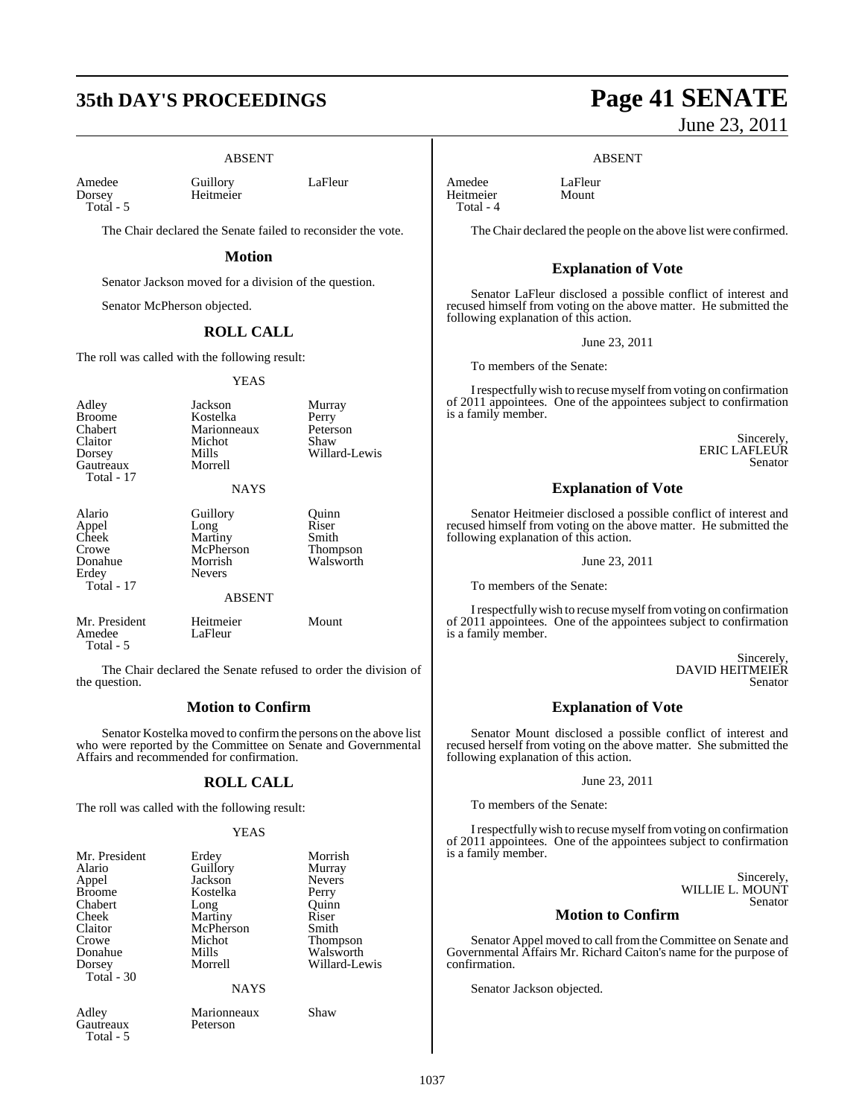## **35th DAY'S PROCEEDINGS Page 41 SENATE**

### ABSENT

Amedee Guillory LaFleur<br>Dorsey Heitmeier LaFleur Total - 5

Heitmeier

The Chair declared the Senate failed to reconsider the vote.

### **Motion**

Senator Jackson moved for a division of the question.

Senator McPherson objected.

### **ROLL CALL**

The roll was called with the following result:

#### YEAS

| Adley<br><b>Broome</b><br>Chabert<br>Claitor<br>Dorsey<br>Gautreaux<br>Total - 17 | Jackson<br>Kostelka<br>Marionneaux<br>Michot<br>Mills<br>Morrell                      | Murray<br>Perry<br>Peterson<br>Shaw<br>Willard-Lewis |
|-----------------------------------------------------------------------------------|---------------------------------------------------------------------------------------|------------------------------------------------------|
|                                                                                   | <b>NAYS</b>                                                                           |                                                      |
| Alario<br>Appel<br>Cheek<br>Crowe<br>Donahue<br>Erdey<br>Total - 17               | Guillory<br>Long<br>Martiny<br>McPherson<br>Morrish<br><b>Nevers</b><br><b>ABSENT</b> | Quinn<br>Riser<br>Smith<br>Thompson<br>Walsworth     |
| Mr. President<br>Amedee<br>Total - 5                                              | Heitmeier<br>LaFleur                                                                  | Mount                                                |

The Chair declared the Senate refused to order the division of the question.

### **Motion to Confirm**

Senator Kostelka moved to confirmthe persons on the above list who were reported by the Committee on Senate and Governmental Affairs and recommended for confirmation.

### **ROLL CALL**

The roll was called with the following result:

#### YEAS

| Mr. President            | Erdey       | Morrish         |
|--------------------------|-------------|-----------------|
| Alario                   | Guillory    | Murray          |
| Appel                    | Jackson     | <b>Nevers</b>   |
| <b>Broome</b>            | Kostelka    | Perry           |
| Chabert                  | Long        | Ouinn           |
| Cheek                    | Martiny     | Riser           |
| Claitor                  | McPherson   | Smith           |
| Crowe                    | Michot      | <b>Thompson</b> |
| Donahue                  | Mills       | Walsworth       |
| Dorsey                   | Morrell     | Willard-Lewis   |
| Total - 30               |             |                 |
|                          | <b>NAYS</b> |                 |
| Adley                    | Marionneaux | Shaw            |
| Gautreaux<br>$Total - 5$ | Peterson    |                 |

June 23, 2011

### ABSENT

Amedee LaFleur<br>Heitmeier Mount Heitmeier Total - 4

The Chair declared the people on the above list were confirmed.

### **Explanation of Vote**

Senator LaFleur disclosed a possible conflict of interest and recused himself from voting on the above matter. He submitted the following explanation of this action.

June 23, 2011

To members of the Senate:

I respectfully wish to recuse myself from voting on confirmation of 2011 appointees. One of the appointees subject to confirmation is a family member.

> Sincerely, ERIC LAFLEUR Senator

### **Explanation of Vote**

Senator Heitmeier disclosed a possible conflict of interest and recused himself from voting on the above matter. He submitted the following explanation of this action.

June 23, 2011

To members of the Senate:

I respectfully wish to recuse myself from voting on confirmation of 2011 appointees. One of the appointees subject to confirmation is a family member.

> Sincerely, DAVID HEITMEIER Senator

### **Explanation of Vote**

Senator Mount disclosed a possible conflict of interest and recused herself from voting on the above matter. She submitted the following explanation of this action.

#### June 23, 2011

To members of the Senate:

I respectfully wish to recuse myself from voting on confirmation of 2011 appointees. One of the appointees subject to confirmation is a family member.

> Sincerely, WILLIE L. MOUNT Senator

### **Motion to Confirm**

Senator Appel moved to call fromthe Committee on Senate and Governmental Affairs Mr. Richard Caiton's name for the purpose of confirmation.

Senator Jackson objected.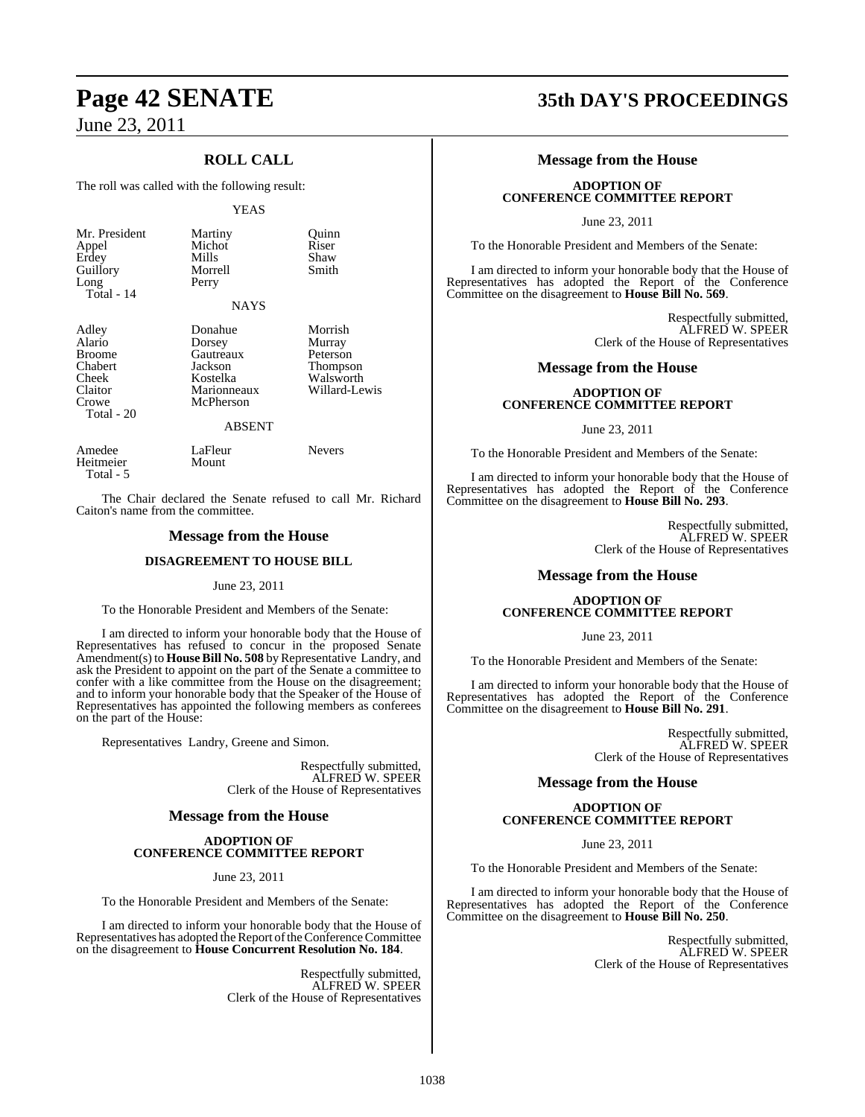Total - 5

### **ROLL CALL**

The roll was called with the following result:

### YEAS

| Mr. President<br>Appel<br>Erdey<br>Guillory<br>Long<br>$Total - 14$                    | Martiny<br>Michot<br>Mills<br>Morrell<br>Perry<br><b>NAYS</b>                                      | Ouinn<br>Riser<br>Shaw<br>Smith                                         |
|----------------------------------------------------------------------------------------|----------------------------------------------------------------------------------------------------|-------------------------------------------------------------------------|
| Adley<br>Alario<br><b>Broome</b><br>Chabert<br>Cheek<br>Claitor<br>Crowe<br>Total - 20 | Donahue<br>Dorsey<br>Gautreaux<br>Jackson<br>Kostelka<br>Marionneaux<br>McPherson<br><b>ABSENT</b> | Morrish<br>Murray<br>Peterson<br>Thompson<br>Walsworth<br>Willard-Lewis |
| Amedee<br>Heitmeier                                                                    | LaFleur<br>Mount                                                                                   | <b>Nevers</b>                                                           |

The Chair declared the Senate refused to call Mr. Richard Caiton's name from the committee.

### **Message from the House**

### **DISAGREEMENT TO HOUSE BILL**

### June 23, 2011

To the Honorable President and Members of the Senate:

I am directed to inform your honorable body that the House of Representatives has refused to concur in the proposed Senate Amendment(s) to **House Bill No. 508** byRepresentative Landry, and ask the President to appoint on the part of the Senate a committee to confer with a like committee from the House on the disagreement; and to inform your honorable body that the Speaker of the House of Representatives has appointed the following members as conferees on the part of the House:

Representatives Landry, Greene and Simon.

Respectfully submitted, ALFRED W. SPEER Clerk of the House of Representatives

### **Message from the House**

### **ADOPTION OF CONFERENCE COMMITTEE REPORT**

June 23, 2011

To the Honorable President and Members of the Senate:

I am directed to inform your honorable body that the House of Representatives has adopted the Report of the Conference Committee on the disagreement to **House Concurrent Resolution No. 184**.

> Respectfully submitted, ALFRED W. SPEER Clerk of the House of Representatives

## **Page 42 SENATE 35th DAY'S PROCEEDINGS**

### **Message from the House**

### **ADOPTION OF CONFERENCE COMMITTEE REPORT**

June 23, 2011

To the Honorable President and Members of the Senate:

I am directed to inform your honorable body that the House of Representatives has adopted the Report of the Conference Committee on the disagreement to **House Bill No. 569**.

> Respectfully submitted, ALFRED W. SPEER Clerk of the House of Representatives

### **Message from the House**

### **ADOPTION OF CONFERENCE COMMITTEE REPORT**

June 23, 2011

To the Honorable President and Members of the Senate:

I am directed to inform your honorable body that the House of Representatives has adopted the Report of the Conference Committee on the disagreement to **House Bill No. 293**.

> Respectfully submitted, ALFRED W. SPEER Clerk of the House of Representatives

### **Message from the House**

### **ADOPTION OF CONFERENCE COMMITTEE REPORT**

June 23, 2011

To the Honorable President and Members of the Senate:

I am directed to inform your honorable body that the House of Representatives has adopted the Report of the Conference Committee on the disagreement to **House Bill No. 291**.

> Respectfully submitted, ALFRED W. SPEER Clerk of the House of Representatives

### **Message from the House**

### **ADOPTION OF CONFERENCE COMMITTEE REPORT**

June 23, 2011

To the Honorable President and Members of the Senate:

I am directed to inform your honorable body that the House of Representatives has adopted the Report of the Conference Committee on the disagreement to **House Bill No. 250**.

> Respectfully submitted, ALFRED W. SPEER Clerk of the House of Representatives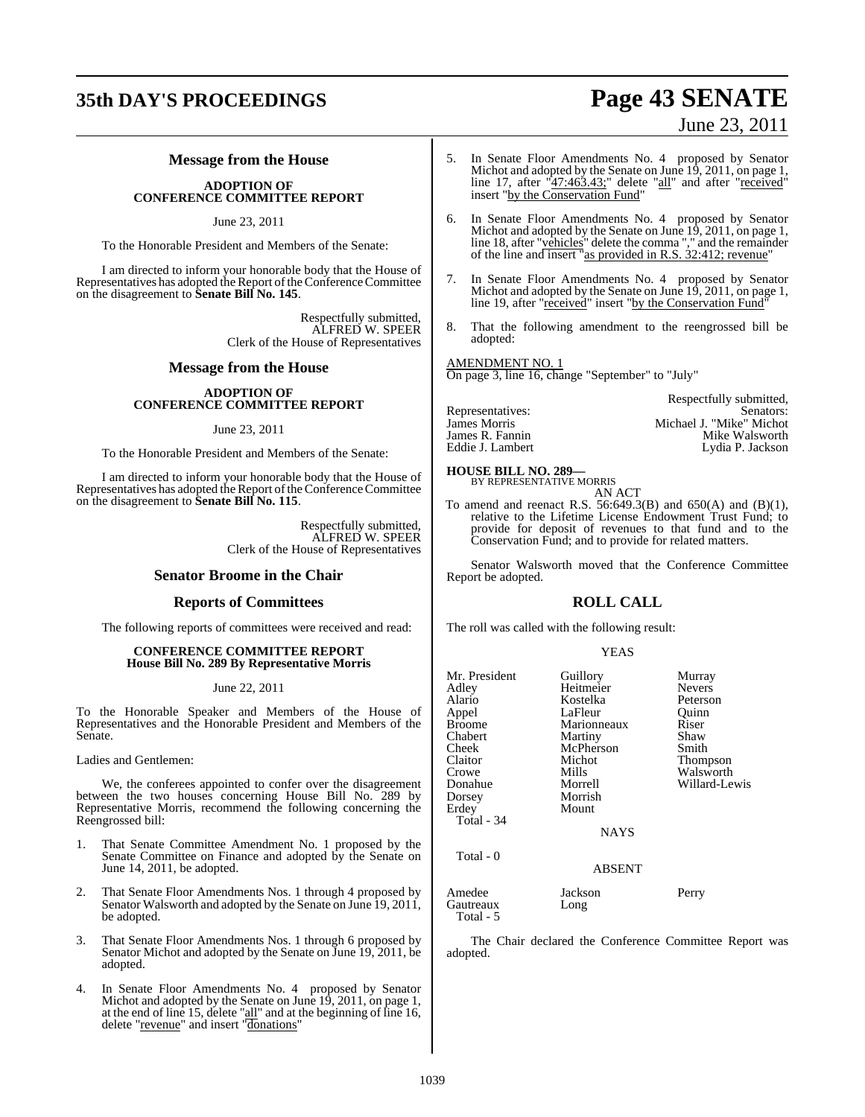### **35th DAY'S PROCEEDINGS Page 43 SENATE**

# June 23, 2011

### **Message from the House**

### **ADOPTION OF CONFERENCE COMMITTEE REPORT**

### June 23, 2011

To the Honorable President and Members of the Senate:

I am directed to inform your honorable body that the House of Representatives has adopted the Report of the Conference Committee on the disagreement to **Senate Bill No. 145**.

> Respectfully submitted, ALFRED W. SPEER Clerk of the House of Representatives

### **Message from the House**

### **ADOPTION OF CONFERENCE COMMITTEE REPORT**

### June 23, 2011

To the Honorable President and Members of the Senate:

I am directed to inform your honorable body that the House of Representatives has adopted the Report of the Conference Committee on the disagreement to **Senate Bill No. 115**.

> Respectfully submitted, ALFRED W. SPEER Clerk of the House of Representatives

### **Senator Broome in the Chair**

### **Reports of Committees**

The following reports of committees were received and read:

### **CONFERENCE COMMITTEE REPORT House Bill No. 289 By Representative Morris**

### June 22, 2011

To the Honorable Speaker and Members of the House of Representatives and the Honorable President and Members of the Senate.

Ladies and Gentlemen:

We, the conferees appointed to confer over the disagreement between the two houses concerning House Bill No. 289 by Representative Morris, recommend the following concerning the Reengrossed bill:

- 1. That Senate Committee Amendment No. 1 proposed by the Senate Committee on Finance and adopted by the Senate on June 14, 2011, be adopted.
- 2. That Senate Floor Amendments Nos. 1 through 4 proposed by Senator Walsworth and adopted by the Senate on June 19, 2011, be adopted.
- 3. That Senate Floor Amendments Nos. 1 through 6 proposed by Senator Michot and adopted by the Senate on June 19, 2011, be adopted.
- 4. In Senate Floor Amendments No. 4 proposed by Senator Michot and adopted by the Senate on June 19, 2011, on page 1, at the end of line 15, delete "all" and at the beginning of line 16, delete "revenue" and insert "donations"
- 5. In Senate Floor Amendments No. 4 proposed by Senator Michot and adopted by the Senate on June 19, 2011, on page 1, line 17, after "47:463.43;" delete "all" and after "received" insert "by the Conservation Fund"
- 6. In Senate Floor Amendments No. 4 proposed by Senator Michot and adopted by the Senate on June 19, 2011, on page 1, line 18, after "vehicles" delete the comma "," and the remainder of the line and insert "as provided in R.S. 32:412; revenue"
- In Senate Floor Amendments No. 4 proposed by Senator Michot and adopted by the Senate on June 19, 2011, on page 1, line 19, after "received" insert "by the Conservation Fund"
- 8. That the following amendment to the reengrossed bill be adopted:

### AMENDMENT NO. 1

On page 3, line 16, change "September" to "July"

|                  | Respectfully submitted,  |
|------------------|--------------------------|
| Representatives: | Senators:                |
| James Morris     | Michael J. "Mike" Michot |
| James R. Fannin  | Mike Walsworth           |
| Eddie J. Lambert | Lydia P. Jackson         |

### **HOUSE BILL NO. 289—** BY REPRESENTATIVE MORRIS

AN ACT

To amend and reenact R.S. 56:649.3(B) and 650(A) and (B)(1), relative to the Lifetime License Endowment Trust Fund; to provide for deposit of revenues to that fund and to the Conservation Fund; and to provide for related matters.

Senator Walsworth moved that the Conference Committee Report be adopted.

### **ROLL CALL**

The roll was called with the following result:

### YEAS

| Mr. President<br>Adley<br>Alario<br>Appel<br>Broome<br>Chabert<br>Cheek<br>Claitor<br>Crowe<br>Donahue | Guillory<br>Heitmeier<br>Kostelka<br>LaFleur<br>Marionneaux<br>Martiny<br>McPherson<br>Michot<br>Mills<br>Morrell | Murray<br><b>Nevers</b><br>Peterson<br>Quinn<br>Riser<br>Shaw<br>Smith<br>Thompson<br>Walsworth<br>Willard-Lewis |
|--------------------------------------------------------------------------------------------------------|-------------------------------------------------------------------------------------------------------------------|------------------------------------------------------------------------------------------------------------------|
| Dorsey<br>Erdey<br>Total - 34                                                                          | Morrish<br>Mount<br>NAYS                                                                                          |                                                                                                                  |
| Total - 0                                                                                              | <b>ABSENT</b>                                                                                                     |                                                                                                                  |
| Amedee<br>Gautreaux<br>Total - 5                                                                       | Jackson<br>Long                                                                                                   | Perry                                                                                                            |

The Chair declared the Conference Committee Report was adopted.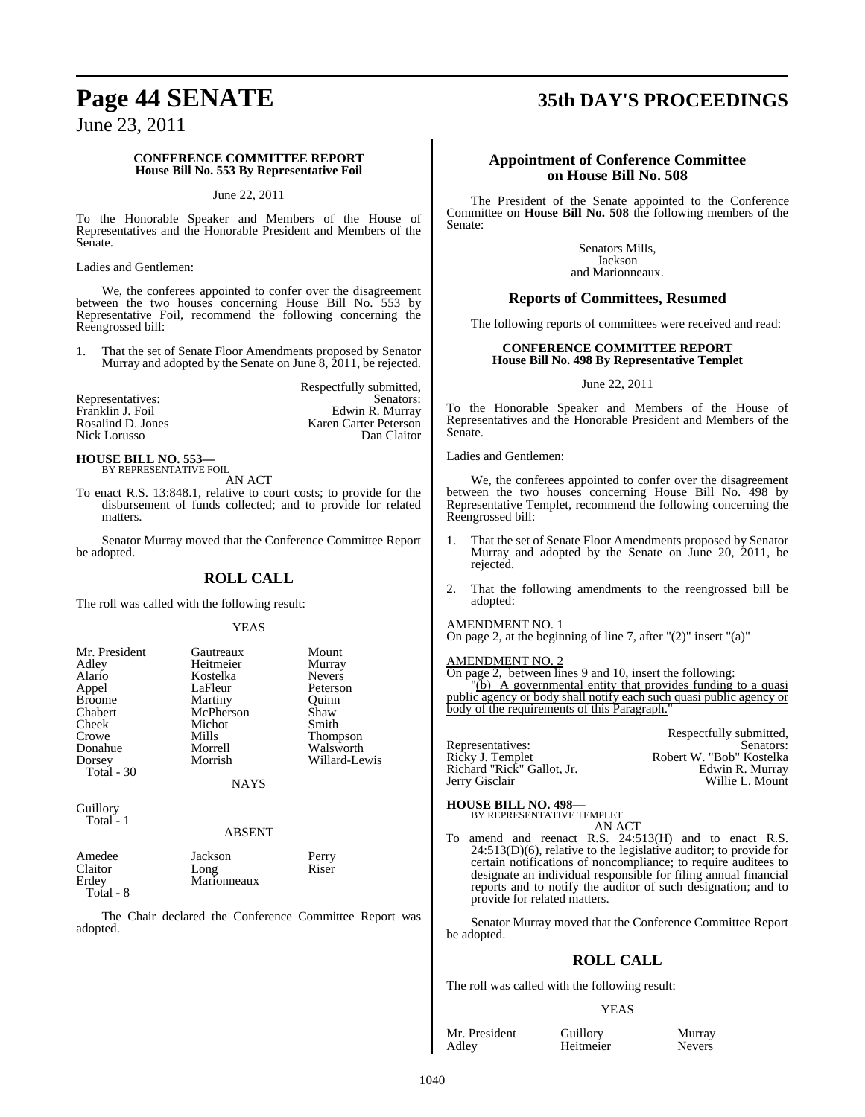## **Page 44 SENATE 35th DAY'S PROCEEDINGS**

June 23, 2011

### **CONFERENCE COMMITTEE REPORT House Bill No. 553 By Representative Foil**

### June 22, 2011

To the Honorable Speaker and Members of the House of Representatives and the Honorable President and Members of the Senate.

Ladies and Gentlemen:

We, the conferees appointed to confer over the disagreement between the two houses concerning House Bill No. 553 by Representative Foil, recommend the following concerning the Reengrossed bill:

1. That the set of Senate Floor Amendments proposed by Senator Murray and adopted by the Senate on June 8, 2011, be rejected.

|                   | Respectfully submitted, |
|-------------------|-------------------------|
| Representatives:  | Senators:               |
| Franklin J. Foil  | Edwin R. Murray         |
| Rosalind D. Jones | Karen Carter Peterson   |
| Nick Lorusso      | Dan Claitor             |

### **HOUSE BILL NO. 553—** BY REPRESENTATIVE FOIL

AN ACT

To enact R.S. 13:848.1, relative to court costs; to provide for the disbursement of funds collected; and to provide for related matters.

Senator Murray moved that the Conference Committee Report be adopted.

### **ROLL CALL**

The roll was called with the following result:

### YEAS

| Mr. President | Gautreaux   | Mount         |
|---------------|-------------|---------------|
| Adley         | Heitmeier   | Murray        |
| Alario        | Kostelka    | <b>Nevers</b> |
| Appel         | LaFleur     | Peterson      |
| <b>Broome</b> | Martiny     | Ouinn         |
| Chabert       | McPherson   | Shaw          |
| Cheek         | Michot      | Smith         |
| Crowe         | Mills       | Thompson      |
| Donahue       | Morrell     | Walsworth     |
| Dorsey        | Morrish     | Willard-Lewis |
| Total - 30    |             |               |
|               | <b>NAYS</b> |               |

**Guillory** Total - 1

### ABSENT

| Amedee    | Jackson     | Perry |
|-----------|-------------|-------|
| Claitor   | Long        | Riser |
| Erdev     | Marionneaux |       |
| Total - 8 |             |       |

The Chair declared the Conference Committee Report was adopted.

### **Appointment of Conference Committee on House Bill No. 508**

The President of the Senate appointed to the Conference Committee on **House Bill No. 508** the following members of the Senate:

> Senators Mills, Jackson and Marionneaux.

### **Reports of Committees, Resumed**

The following reports of committees were received and read:

### **CONFERENCE COMMITTEE REPORT House Bill No. 498 By Representative Templet**

### June 22, 2011

To the Honorable Speaker and Members of the House of Representatives and the Honorable President and Members of the Senate.

Ladies and Gentlemen:

We, the conferees appointed to confer over the disagreement between the two houses concerning House Bill No. 498 by Representative Templet, recommend the following concerning the Reengrossed bill:

- 1. That the set of Senate Floor Amendments proposed by Senator Murray and adopted by the Senate on June 20, 2011, be rejected.
- 2. That the following amendments to the reengrossed bill be adopted:

### AMENDMENT NO. 1

On page 2, at the beginning of line 7, after  $"(2)"$  insert  $"(a)"$ 

### AMENDMENT NO. 2

On page 2, between lines 9 and 10, insert the following: "(b) A governmental entity that provides funding to a quasi public agency or body shall notify each such quasi public agency or body of the requirements of this Paragraph.

Respectfully submitted,<br>Senators: Representatives: Robert W. "Bob" Kostelka<br>Edwin R. Murray Ricky J. Templet<br>Richard "Rick" Gallot, Jr. Jerry Gisclair Willie L. Mount

### **HOUSE BILL NO. 498—** BY REPRESENTATIVE TEMPLET

AN ACT

To amend and reenact R.S. 24:513(H) and to enact R.S.  $24:513(D)(6)$ , relative to the legislative auditor; to provide for certain notifications of noncompliance; to require auditees to designate an individual responsible for filing annual financial reports and to notify the auditor of such designation; and to provide for related matters.

Senator Murray moved that the Conference Committee Report be adopted.

### **ROLL CALL**

The roll was called with the following result:

Heitmeier

### YEAS

Mr. President Guillory Murray<br>Adley Heitmeier Nevers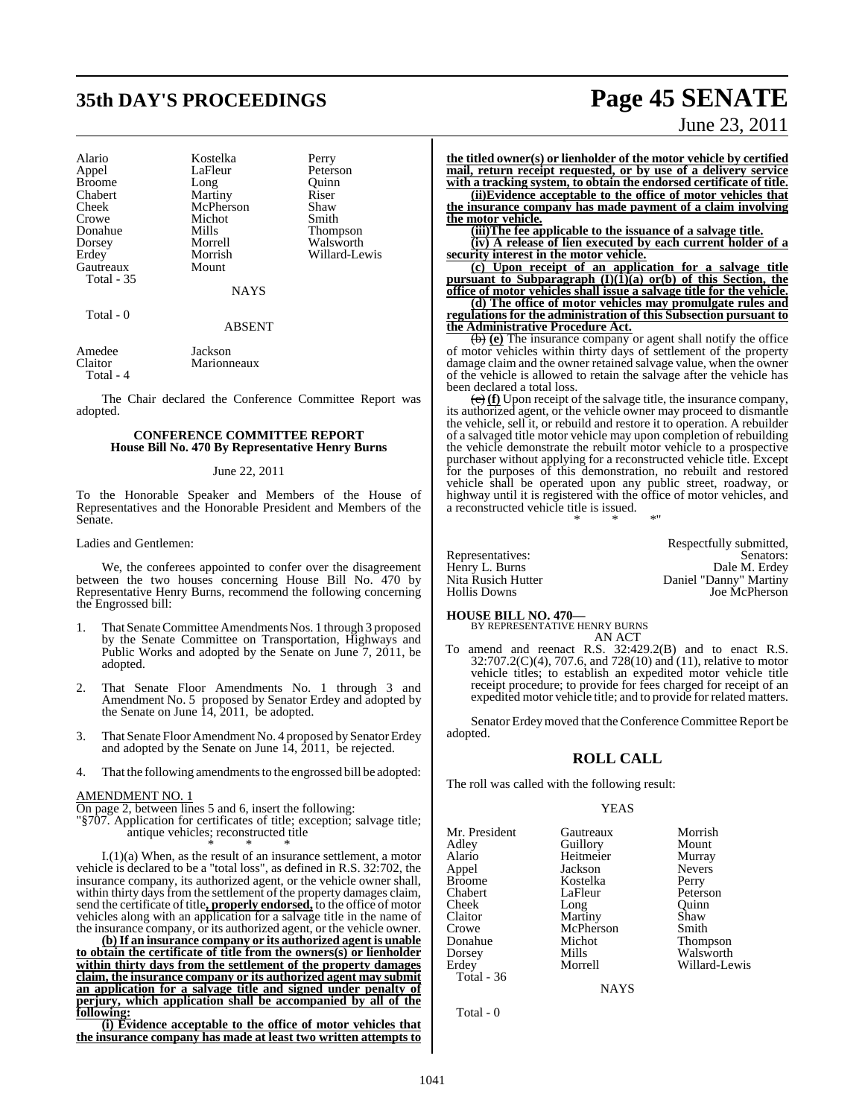## **35th DAY'S PROCEEDINGS Page 45 SENATE**

| Alario        | Kostelka  | Perry         |
|---------------|-----------|---------------|
| Appel         | LaFleur   | Peterson      |
| <b>Broome</b> | Long      | Ouinn         |
| Chabert       | Martiny   | Riser         |
| Cheek         | McPherson | Shaw          |
| Crowe         | Michot    | Smith         |
| Donahue       | Mills     | Thompson      |
| Dorsey        | Morrell   | Walsworth     |
| Erdey         | Morrish   | Willard-Lewis |
| Gautreaux     | Mount     |               |
| Total - 35    |           |               |
|               | NAYS      |               |

Total - 0

#### ABSENT

| Amedee    | Jackson     |
|-----------|-------------|
| Claitor   | Marionneaux |
| Total - 4 |             |

The Chair declared the Conference Committee Report was adopted.

### **CONFERENCE COMMITTEE REPORT House Bill No. 470 By Representative Henry Burns**

### June 22, 2011

To the Honorable Speaker and Members of the House of Representatives and the Honorable President and Members of the Senate.

### Ladies and Gentlemen:

We, the conferees appointed to confer over the disagreement between the two houses concerning House Bill No. 470 by Representative Henry Burns, recommend the following concerning the Engrossed bill:

- 1. That Senate Committee Amendments Nos. 1 through 3 proposed by the Senate Committee on Transportation, Highways and Public Works and adopted by the Senate on June 7, 2011, be adopted.
- That Senate Floor Amendments No. 1 through 3 and Amendment No. 5 proposed by Senator Erdey and adopted by the Senate on June 14, 2011, be adopted.
- 3. That Senate Floor Amendment No. 4 proposed by Senator Erdey and adopted by the Senate on June 14, 2011, be rejected.
- 4. That the following amendments to the engrossed bill be adopted:

#### AMENDMENT NO. 1

On page 2, between lines 5 and 6, insert the following:

"§707. Application for certificates of title; exception; salvage title; antique vehicles; reconstructed title \* \* \*

I.(1)(a) When, as the result of an insurance settlement, a motor vehicle is declared to be a "total loss", as defined in R.S. 32:702, the insurance company, its authorized agent, or the vehicle owner shall, within thirty days from the settlement of the property damages claim, send the certificate of title**, properly endorsed,** to the office of motor vehicles along with an application for a salvage title in the name of the insurance company, or its authorized agent, or the vehicle owner.

**(b)If an insurance company or its authorized agent is unable to obtain the certificate of title from the owners(s) or lienholder within thirty days from the settlement of the property damages claim, the insurance company or its authorized agent may submit an application for a salvage title and signed under penalty of perjury, which application shall be accompanied by all of the following:**

**(i) Evidence acceptable to the office of motor vehicles that the insurance company has made at least two written attempts to**

June 23, 2011

**the titled owner(s) or lienholder of the motor vehicle by certified mail, return receipt requested, or by use of a delivery service with a tracking system, to obtain the endorsed certificate of title.**

**(ii)Evidence acceptable to the office of motor vehicles that the insurance company has made payment of a claim involving the motor vehicle.**

**(iii)The fee applicable to the issuance of a salvage title.**

**(iv) A release of lien executed by each current holder of a security interest in the motor vehicle.**

**(c) Upon receipt of an application for a salvage title pursuant to Subparagraph (I)(1)(a) or(b) of this Section, the office of motor vehicles shall issue a salvage title for the vehicle.**

**(d) The office of motor vehicles may promulgate rules and regulations for the administration of this Subsection pursuant to the Administrative Procedure Act.**

(b) **(e)** The insurance company or agent shall notify the office of motor vehicles within thirty days of settlement of the property damage claim and the owner retained salvage value, when the owner of the vehicle is allowed to retain the salvage after the vehicle has been declared a total loss.

(c) **(f)** Upon receipt of the salvage title, the insurance company, its authorized agent, or the vehicle owner may proceed to dismantle the vehicle, sell it, or rebuild and restore it to operation. A rebuilder of a salvaged title motor vehicle may upon completion of rebuilding the vehicle demonstrate the rebuilt motor vehicle to a prospective purchaser without applying for a reconstructed vehicle title. Except for the purposes of this demonstration, no rebuilt and restored vehicle shall be operated upon any public street, roadway, or highway until it is registered with the office of motor vehicles, and a reconstructed vehicle title is issued. \* \* \*"

Respectfully submitted, Representatives: Senators: Senators: Senators: Senators: Senators: Senators: Senators: Senators: Senators: Senators: Senators: Senators: Senators: Senators: Senators: Senators: Senators: Senators: Senators: Senators: Senat Henry L. Burns Dale M. Erdey Nita Rusich Hutter Daniel "Danny" Martiny Hollis Downs Joe McPherson

### **HOUSE BILL NO. 470—** BY REPRESENTATIVE HENRY BURNS

AN ACT

To amend and reenact R.S. 32:429.2(B) and to enact R.S. 32:707.2(C)(4), 707.6, and 728(10) and (11), relative to motor vehicle titles; to establish an expedited motor vehicle title receipt procedure; to provide for fees charged for receipt of an expedited motor vehicle title; and to provide for related matters.

Senator Erdeymoved that the Conference Committee Report be adopted.

### **ROLL CALL**

The roll was called with the following result:

#### YEAS

| Mr. President | Gautreaux | Morrish       |
|---------------|-----------|---------------|
| Adley         | Guillory  | Mount         |
| Alario        | Heitmeier | Murray        |
| Appel         | Jackson   | <b>Nevers</b> |
| <b>Broome</b> | Kostelka  | Perry         |
| Chabert       | LaFleur   | Peterson      |
| Cheek         | Long      | Ouinn         |
| Claitor       | Martiny   | Shaw          |
| Crowe         | McPherson | Smith         |
| Donahue       | Michot    | Thompson      |
| Dorsey        | Mills     | Walsworth     |
| Erdey         | Morrell   | Willard-Lev   |
| Total - 36    |           |               |

Willard-Lewis

**NAYS** 

Total - 0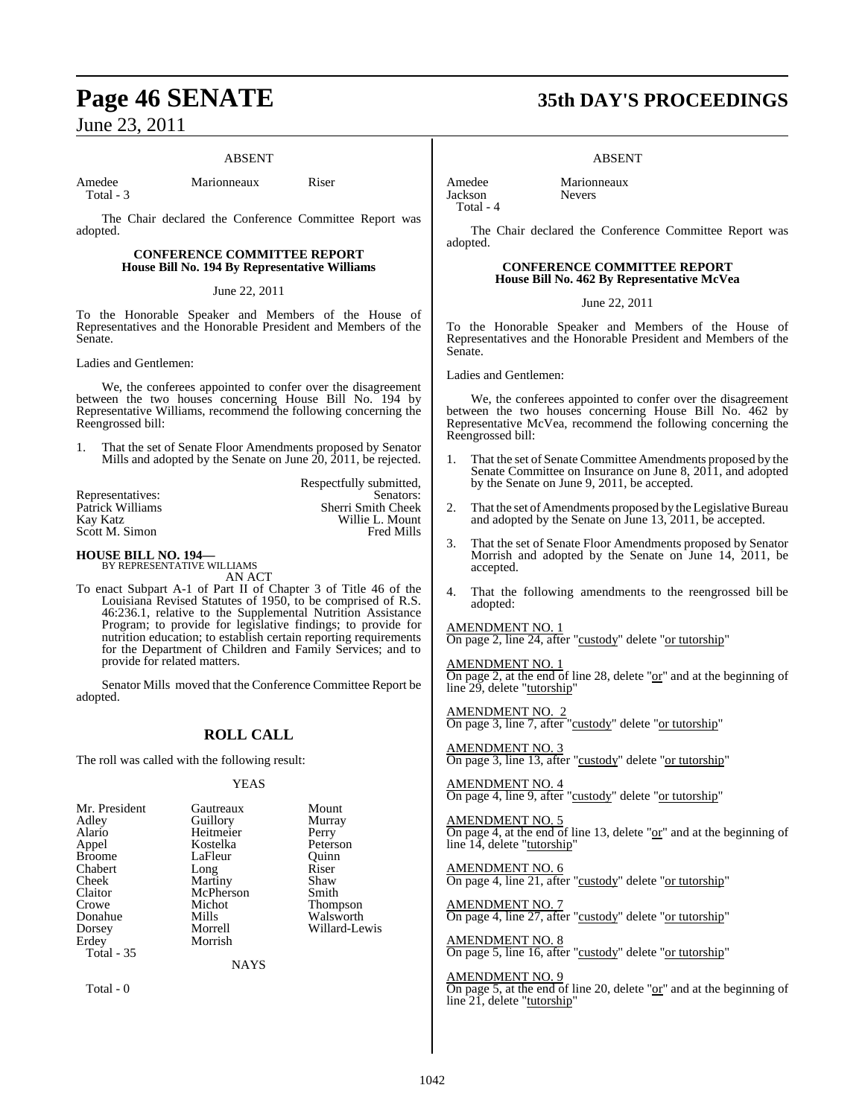### ABSENT

Amedee Marionneaux Riser Total - 3

The Chair declared the Conference Committee Report was adopted.

### **CONFERENCE COMMITTEE REPORT House Bill No. 194 By Representative Williams**

### June 22, 2011

To the Honorable Speaker and Members of the House of Representatives and the Honorable President and Members of the Senate.

Ladies and Gentlemen:

We, the conferees appointed to confer over the disagreement between the two houses concerning House Bill No. 194 by Representative Williams, recommend the following concerning the Reengrossed bill:

1. That the set of Senate Floor Amendments proposed by Senator Mills and adopted by the Senate on June 20, 2011, be rejected.

| Respectfully submitted, |
|-------------------------|
| Senators:               |
| Sherri Smith Cheek      |
| Willie L. Mount         |
| <b>Fred Mills</b>       |
|                         |

## **HOUSE BILL NO. 194—** BY REPRESENTATIVE WILLIAMS

AN ACT

To enact Subpart A-1 of Part II of Chapter 3 of Title 46 of the Louisiana Revised Statutes of 1950, to be comprised of R.S. 46:236.1, relative to the Supplemental Nutrition Assistance Program; to provide for legislative findings; to provide for nutrition education; to establish certain reporting requirements for the Department of Children and Family Services; and to provide for related matters.

Senator Mills moved that the Conference Committee Report be adopted.

### **ROLL CALL**

The roll was called with the following result:

### YEAS

| Mr. President | Gautreaux | Mount           |
|---------------|-----------|-----------------|
| Adley         | Guillory  | Murray          |
| Alario        | Heitmeier | Perry           |
| Appel         | Kostelka  | Peterson        |
| <b>Broome</b> | LaFleur   | Ouinn           |
| Chabert       | Long      | Riser           |
| Cheek         | Martiny   | Shaw            |
| Claitor       | McPherson | Smith           |
| Crowe         | Michot    | <b>Thompson</b> |
| Donahue       | Mills     | Walsworth       |
| Dorsey        | Morrell   | Willard-Lewis   |
| Erdey         | Morrish   |                 |
| Total $-35$   |           |                 |

NAYS

Total - 0

## **Page 46 SENATE 35th DAY'S PROCEEDINGS**

ABSENT

Amedee Marionneaux<br>Iackson Nevers **Jackson** Total - 4

The Chair declared the Conference Committee Report was adopted.

### **CONFERENCE COMMITTEE REPORT House Bill No. 462 By Representative McVea**

June 22, 2011

To the Honorable Speaker and Members of the House of Representatives and the Honorable President and Members of the Senate.

Ladies and Gentlemen:

We, the conferees appointed to confer over the disagreement between the two houses concerning House Bill No. 462 by Representative McVea, recommend the following concerning the Reengrossed bill:

- 1. That the set of Senate Committee Amendments proposed by the Senate Committee on Insurance on June 8, 2011, and adopted by the Senate on June 9, 2011, be accepted.
- 2. That the set of Amendments proposed by the Legislative Bureau and adopted by the Senate on June 13, 2011, be accepted.
- 3. That the set of Senate Floor Amendments proposed by Senator Morrish and adopted by the Senate on June 14, 2011, be accepted.
- 4. That the following amendments to the reengrossed bill be adopted:

### AMENDMENT NO. 1

On page 2, line 24, after "custody" delete "or tutorship"

### AMENDMENT NO. 1

On page 2, at the end of line 28, delete " $or$ " and at the beginning of line 29, delete "tutorship"

AMENDMENT NO. 2 On page 3, line 7, after "custody" delete "or tutorship"

AMENDMENT NO. 3 On page 3, line 13, after "custody" delete "or tutorship"

AMENDMENT NO. 4 On page 4, line 9, after "custody" delete "or tutorship"

AMENDMENT NO. 5 On page 4, at the end of line 13, delete "or" and at the beginning of line 14, delete "tutorship"

AMENDMENT NO. 6 On page 4, line 21, after "custody" delete "or tutorship"

AMENDMENT NO. 7 On page 4, line 27, after "custody" delete "or tutorship"

AMENDMENT NO. 8 On page 5, line 16, after "custody" delete "or tutorship"

### AMENDMENT NO. 9

On page 5, at the end of line 20, delete "or" and at the beginning of line 21, delete "tutorship"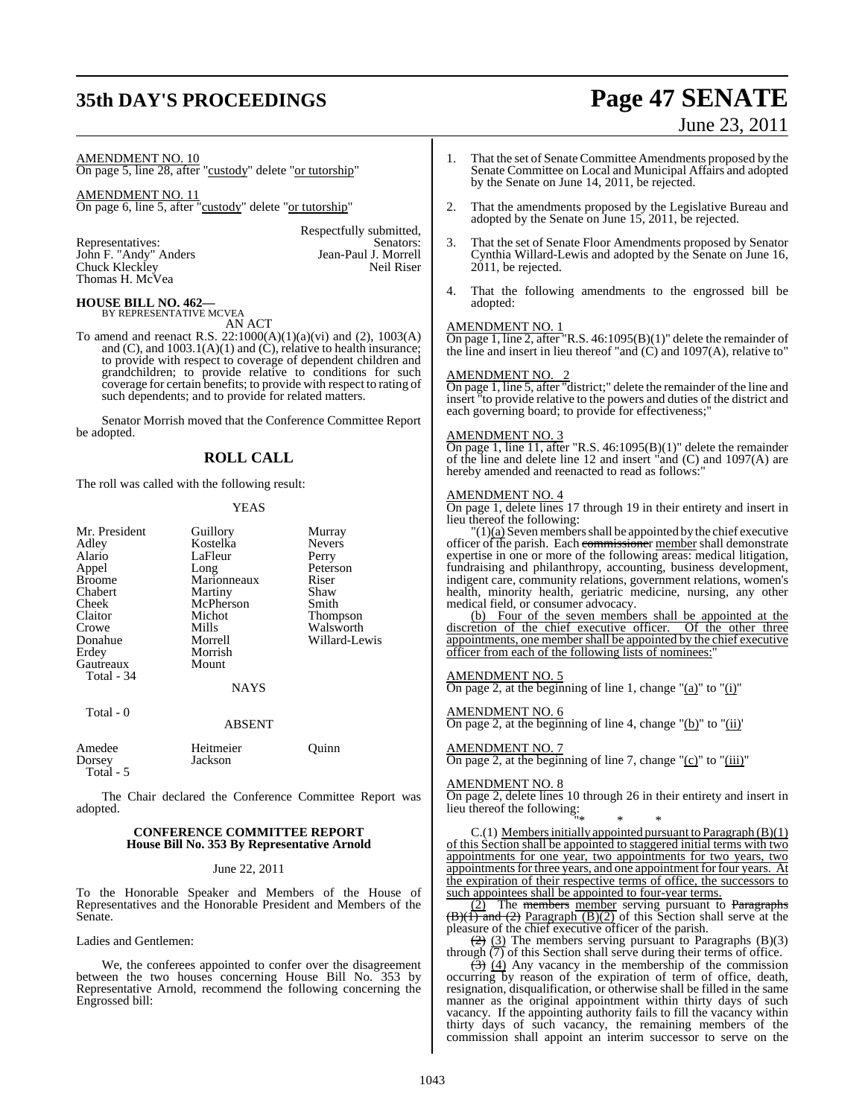### **35th DAY'S PROCEEDINGS Page 47 SENATE**

# June 23, 2011

AMENDMENT NO. 10

On page 5, line 28, after "custody" delete "or tutorship"

AMENDMENT NO. 11 On page 6, line 5, after "custody" delete "or tutorship"

John F. "Andy" Anders Jean-Paul J. Morrell<br>Chuck Kleckley Neil Riser Chuck Kleckley Thomas H. McVea

Respectfully submitted,<br>Senators: Representatives: Senators: Senators: Senators: Senators: Senators: Senators: Senators: Senators: Senators: Senators: Senators: Senators: Senators: Senators: Senators: Senators: Senators: Senators: Senators: Senators: Senat

**HOUSE BILL NO. 462—** BY REPRESENTATIVE MCVEA

AN ACT

To amend and reenact R.S. 22:1000(A)(1)(a)(vi) and (2), 1003(A) and  $(C)$ , and  $1003.1(A)(1)$  and  $(C)$ , relative to health insurance; to provide with respect to coverage of dependent children and grandchildren; to provide relative to conditions for such coverage for certain benefits; to provide with respect to rating of such dependents; and to provide for related matters.

Senator Morrish moved that the Conference Committee Report be adopted.

### **ROLL CALL**

The roll was called with the following result:

### **YEAS**

Nevers Perry Peterson<br>Riser

Thompson Walsworth Willard-Lewis

| Mr. President | Guillory    | Murray        |
|---------------|-------------|---------------|
| Adley         | Kostelka    | <b>Nevers</b> |
| Alario        | LaFleur     | Perry         |
| Appel         | Long        | Peterso       |
| <b>Broome</b> | Marionneaux | Riser         |
| Chabert       | Martiny     | Shaw          |
| Cheek         | McPherson   | Smith         |
| Claitor       | Michot      | Thomp         |
| Crowe         | Mills       | Walsw         |
| Donahue       | Morrell     | Willard       |
| Erdey         | Morrish     |               |
| Gautreaux     | Mount       |               |
| Total - 34    |             |               |
|               | NAYS        |               |
|               |             |               |

### ABSENT

| Amedee    | Heitmeier | Ouinn |
|-----------|-----------|-------|
| Dorsey    | Jackson   |       |
| Total - 5 |           |       |

The Chair declared the Conference Committee Report was adopted.

### **CONFERENCE COMMITTEE REPORT House Bill No. 353 By Representative Arnold**

June 22, 2011

To the Honorable Speaker and Members of the House of Representatives and the Honorable President and Members of the Senate.

Ladies and Gentlemen:

Total - 0

We, the conferees appointed to confer over the disagreement between the two houses concerning House Bill No. 353 by Representative Arnold, recommend the following concerning the Engrossed bill:

- 1. That the set of Senate Committee Amendments proposed by the Senate Committee on Local and Municipal Affairs and adopted by the Senate on June 14, 2011, be rejected.
- 2. That the amendments proposed by the Legislative Bureau and adopted by the Senate on June 15, 2011, be rejected.
- 3. That the set of Senate Floor Amendments proposed by Senator Cynthia Willard-Lewis and adopted by the Senate on June 16, 2011, be rejected.
- 4. That the following amendments to the engrossed bill be adopted:

### AMENDMENT NO. 1

On page 1, line 2, after "R.S. 46:1095(B)(1)" delete the remainder of the line and insert in lieu thereof "and (C) and 1097(A), relative to"

### AMENDMENT NO. 2

On page 1, line 5, after "district;" delete the remainder of the line and insert "to provide relative to the powers and duties of the district and each governing board; to provide for effectiveness;"

### AMENDMENT NO. 3

On page 1, line 11, after "R.S. 46:1095(B)(1)" delete the remainder of the line and delete line 12 and insert "and  $(C)$  and  $1097(A)$  are hereby amended and reenacted to read as follows:"

### AMENDMENT NO. 4

On page 1, delete lines 17 through 19 in their entirety and insert in lieu thereof the following:

 $'(1)(a)$  Seven members shall be appointed by the chief executive officer of the parish. Each commissioner member shall demonstrate expertise in one or more of the following areas: medical litigation, fundraising and philanthropy, accounting, business development, indigent care, community relations, government relations, women's health, minority health, geriatric medicine, nursing, any other medical field, or consumer advocacy.

(b) Four of the seven members shall be appointed at the discretion of the chief executive officer. Of the other three appointments, one member shall be appointed by the chief executive officer from each of the following lists of nominees:

### AMENDMENT NO. 5

On page 2, at the beginning of line 1, change " $(a)$ " to " $(i)$ "

### AMENDMENT NO. 6

On page 2, at the beginning of line 4, change " $(b)$ " to " $(ii)$ "

### AMENDMENT NO. 7

On page 2, at the beginning of line 7, change " $(c)$ " to " $(iii)$ "

### AMENDMENT NO. 8

On page 2, delete lines 10 through 26 in their entirety and insert in On page 2, we have  $\frac{1}{2}$  lieu thereof the following:

"\* \* \*  $C.(1)$  Members initially appointed pursuant to Paragraph  $(B)(1)$ of this Section shall be appointed to staggered initial terms with two appointments for one year, two appointments for two years, two appointments for three years, and one appointment for four years. At the expiration of their respective terms of office, the successors to such appointees shall be appointed to four-year terms.

(2) The members member serving pursuant to Paragraphs  $\overline{(B)(1)}$  and  $\overline{(2)}$  Paragraph  $\overline{(B)(2)}$  of this Section shall serve at the pleasure of the chief executive officer of the parish.

 $\left(\frac{2}{2}\right)$  (3) The members serving pursuant to Paragraphs (B)(3) through  $\overline{(7)}$  of this Section shall serve during their terms of office.

 $\left(\frac{3}{2}\right)$  (4) Any vacancy in the membership of the commission occurring by reason of the expiration of term of office, death, resignation, disqualification, or otherwise shall be filled in the same manner as the original appointment within thirty days of such vacancy. If the appointing authority fails to fill the vacancy within thirty days of such vacancy, the remaining members of the commission shall appoint an interim successor to serve on the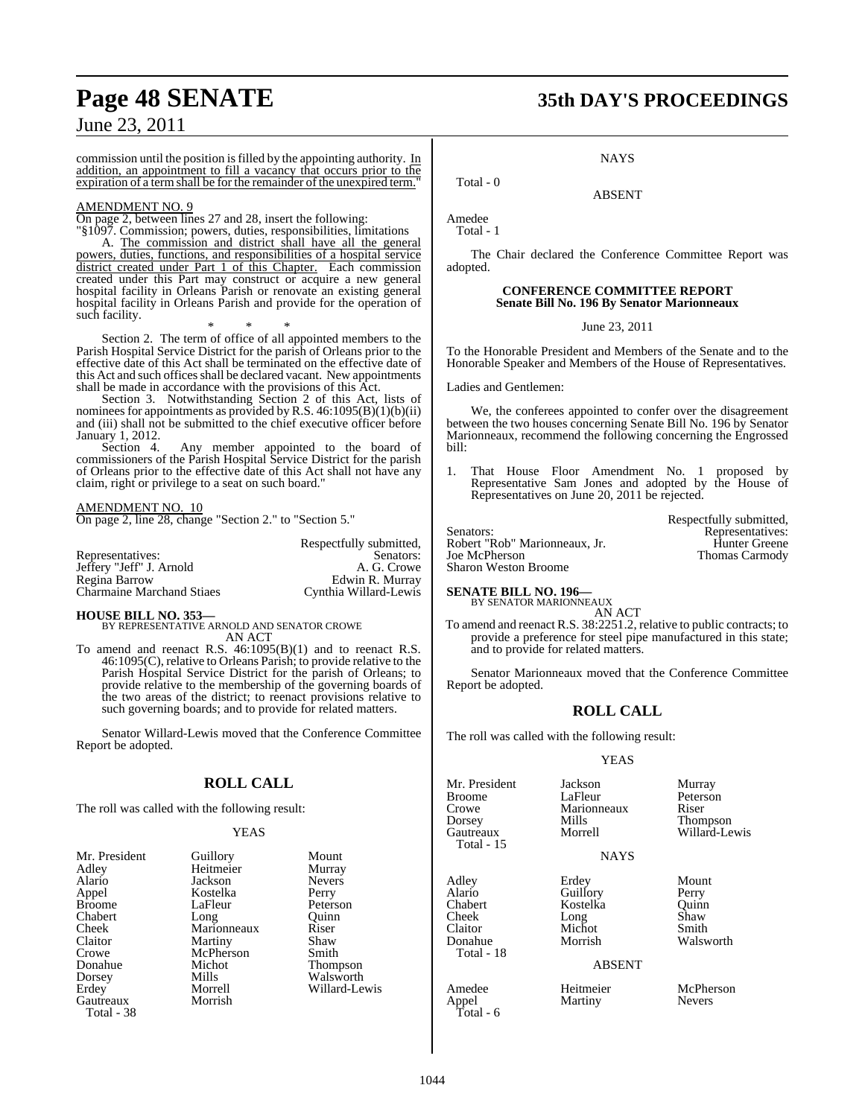commission until the position is filled by the appointing authority.  $\underline{\text{In}}$ addition, an appointment to fill a vacancy that occurs prior to the expiration of a term shall be for the remainder of the unexpired term."

### AMENDMENT NO. 9

On page 2, between lines 27 and 28, insert the following:

"§1097. Commission; powers, duties, responsibilities, limitations A. The commission and district shall have all the general powers, duties, functions, and responsibilities of a hospital service district created under Part 1 of this Chapter. Each commission created under this Part may construct or acquire a new general hospital facility in Orleans Parish or renovate an existing general hospital facility in Orleans Parish and provide for the operation of such facility.

\* \* \* Section 2. The term of office of all appointed members to the Parish Hospital Service District for the parish of Orleans prior to the effective date of this Act shall be terminated on the effective date of this Act and such offices shall be declared vacant. New appointments shall be made in accordance with the provisions of this Act.

Section 3. Notwithstanding Section 2 of this Act, lists of nominees for appointments as provided by R.S. 46:1095(B)(1)(b)(ii) and (iii) shall not be submitted to the chief executive officer before January 1, 2012.

Section 4. Any member appointed to the board of commissioners of the Parish Hospital Service District for the parish of Orleans prior to the effective date of this Act shall not have any claim, right or privilege to a seat on such board."

### AMENDMENT NO. 10

On page 2, line 28, change "Section 2." to "Section 5."

Representatives: Senators: Senators: Senators: Senators: Senators: Senators: Senators: A. G. Crowe Jeffery "Jeff" J. Arnold<br>Regina Barrow Charmaine Marchand Stiaes

Edwin R. Murray<br>Cynthia Willard-Lewis

Respectfully submitted,

**HOUSE BILL NO. 353—** BY REPRESENTATIVE ARNOLD AND SENATOR CROWE AN ACT

To amend and reenact R.S.  $46:1095(B)(1)$  and to reenact R.S. 46:1095(C), relative to Orleans Parish; to provide relative to the Parish Hospital Service District for the parish of Orleans; to provide relative to the membership of the governing boards of the two areas of the district; to reenact provisions relative to such governing boards; and to provide for related matters.

Senator Willard-Lewis moved that the Conference Committee Report be adopted.

### **ROLL CALL**

The roll was called with the following result:

### YEAS

| Mr. President           | Guillory    | Mount         |
|-------------------------|-------------|---------------|
| Adley                   | Heitmeier   | Murray        |
| Alario                  | Jackson     | <b>Nevers</b> |
| Appel                   | Kostelka    | Perry         |
| <b>Broome</b>           | LaFleur     | Peterso       |
| Chabert                 | Long        | Ouinn         |
| Cheek                   | Marionneaux | Riser         |
| Claitor                 | Martiny     | Shaw          |
| Crowe                   | McPherson   | Smith         |
| Donahue                 | Michot      | <b>Thomps</b> |
| Dorsey                  | Mills       | Walswo        |
| Erdey                   | Morrell     | Willard       |
| Gautreaux<br>Total - 38 | Morrish     |               |

Heitmeier Jackson Nevers<br>Kostelka Perry Kostelka<br>LaFleur Long Quinn<br>Marionneaux Riser Marionneaux Martiny Shaw<br>
McPherson Smith McPherson<br>Michot Michot Thompson<br>
Mills Walsworth Mills Walsworth<br>
Morrell Willard-Le Morrish

Peterson<br>Ouinn Willard-Lewis

## **Page 48 SENATE 35th DAY'S PROCEEDINGS**

**NAYS** 

ABSENT

Amedee Total - 1

Total - 0

The Chair declared the Conference Committee Report was adopted.

### **CONFERENCE COMMITTEE REPORT Senate Bill No. 196 By Senator Marionneaux**

June 23, 2011

To the Honorable President and Members of the Senate and to the Honorable Speaker and Members of the House of Representatives.

Ladies and Gentlemen:

We, the conferees appointed to confer over the disagreement between the two houses concerning Senate Bill No. 196 by Senator Marionneaux, recommend the following concerning the Engrossed bill:

1. That House Floor Amendment No. 1 proposed by Representative Sam Jones and adopted by the House of Representatives on June 20, 2011 be rejected.

Senators: Representatives: Robert "Rob" Marionneaux, Jr.<br>Joe McPherson Sharon Weston Broome

Thomas Carmody

Respectfully submitted,

**SENATE BILL NO. 196—** BY SENATOR MARIONNEAUX

- AN ACT
- To amend and reenact R.S. 38:2251.2, relative to public contracts; to provide a preference for steel pipe manufactured in this state; and to provide for related matters.

Senator Marionneaux moved that the Conference Committee Report be adopted.

### **ROLL CALL**

The roll was called with the following result:

### YEAS

| Mr. President<br>Broome<br>Crowe<br>Dorsey<br>Gautreaux<br>Total - 15   | Jackson<br>LaFleur<br>Marionneaux<br>Mills<br>Morrell<br><b>NAYS</b>        | Murray<br>Peterson<br>Riser<br>Thompson<br>Willard-Lewis |
|-------------------------------------------------------------------------|-----------------------------------------------------------------------------|----------------------------------------------------------|
| Adley<br>Alario<br>Chabert<br>Cheek<br>Claitor<br>Donahue<br>Total - 18 | Erdey<br>Guillory<br>Kostelka<br>Long<br>Michot<br>Morrish<br><b>ABSENT</b> | Mount<br>Perry<br>Ouinn<br>Shaw<br>Smith<br>Walsworth    |
| Amedee<br>Appel<br>Total - 6                                            | Heitmeier<br>Martiny                                                        | McPherson<br><b>Nevers</b>                               |

1044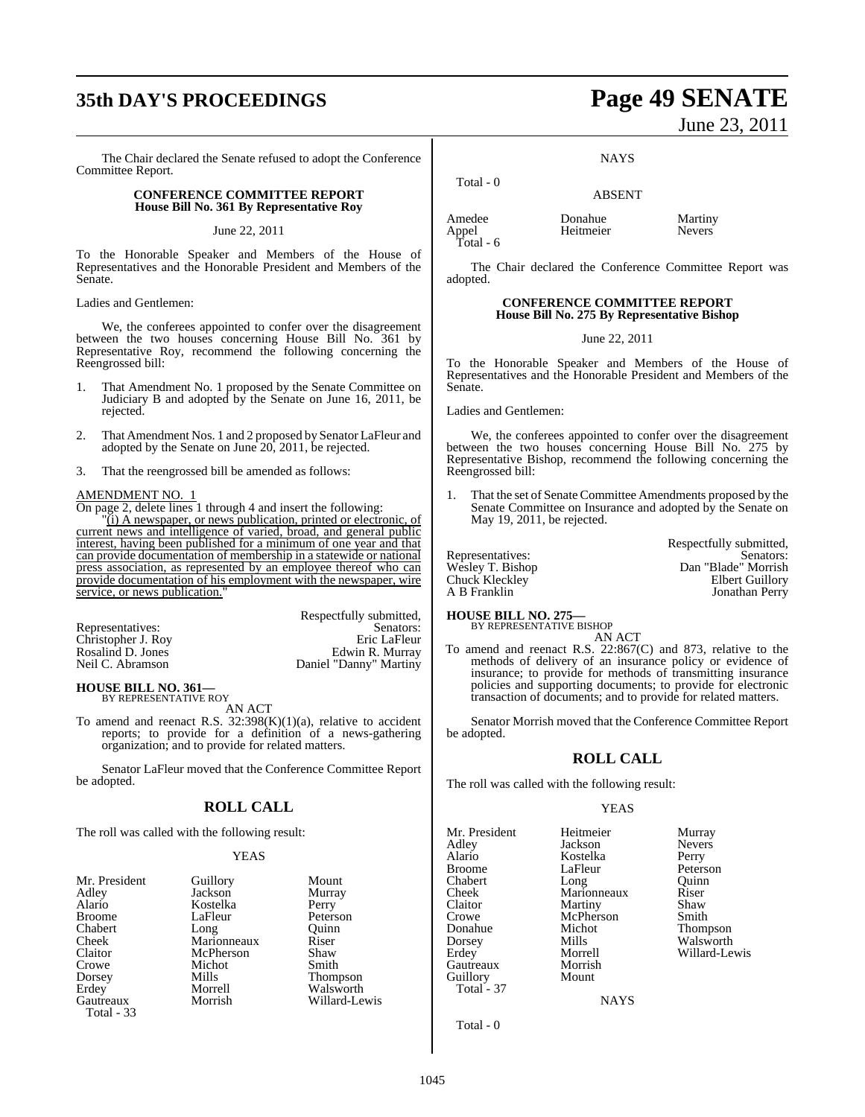## **35th DAY'S PROCEEDINGS Page 49 SENATE**

The Chair declared the Senate refused to adopt the Conference Committee Report.

### **CONFERENCE COMMITTEE REPORT House Bill No. 361 By Representative Roy**

June 22, 2011

To the Honorable Speaker and Members of the House of Representatives and the Honorable President and Members of the Senate.

Ladies and Gentlemen:

We, the conferees appointed to confer over the disagreement between the two houses concerning House Bill No. 361 by Representative Roy, recommend the following concerning the Reengrossed bill:

- 1. That Amendment No. 1 proposed by the Senate Committee on Judiciary B and adopted by the Senate on June 16, 2011, be rejected.
- 2. That Amendment Nos. 1 and 2 proposed by Senator LaFleur and adopted by the Senate on June 20, 2011, be rejected.
- 3. That the reengrossed bill be amended as follows:

### AMENDMENT NO. 1

On page 2, delete lines 1 through 4 and insert the following:

"(i) A newspaper, or news publication, printed or electronic, of current news and intelligence of varied, broad, and general public interest, having been published for a minimum of one year and that can provide documentation of membership in a statewide or national press association, as represented by an employee thereof who can provide documentation of his employment with the newspaper, wire service, or news publication.

|                    | Respectfully submitted, |
|--------------------|-------------------------|
| Representatives:   | Senators:               |
| Christopher J. Roy | Eric LaFleur            |
| Rosalind D. Jones  | Edwin R. Murray         |
| Neil C. Abramson   | Daniel "Danny" Martiny  |
|                    |                         |

#### **HOUSE BILL NO. 361—** BY REPRESENTATIVE ROY

AN ACT

To amend and reenact R.S. 32:398(K)(1)(a), relative to accident reports; to provide for a definition of a news-gathering organization; and to provide for related matters.

Senator LaFleur moved that the Conference Committee Report be adopted.

### **ROLL CALL**

The roll was called with the following result:

### YEAS

| Mr. President           | Guillory    | Mount         |
|-------------------------|-------------|---------------|
| Adley                   | Jackson     | Murray        |
| Alario                  | Kostelka    | Perry         |
| <b>Broome</b>           | LaFleur     | Peterson      |
| Chabert                 | Long        | Ouinn         |
| Cheek                   | Marionneaux | Riser         |
| Claitor                 | McPherson   | Shaw          |
| Crowe                   | Michot      | Smith         |
| Dorsey                  | Mills       | Thompson      |
| Erdey                   | Morrell     | Walsworth     |
| Gautreaux<br>Total - 33 | Morrish     | Willard-Lewis |

# June 23, 2011

**NAYS** 

Total - 0

Amedee Donahue Martiny<br>
Appel Heitmeier Nevers Appel Heitmeier Nevers Total - 6

The Chair declared the Conference Committee Report was adopted.

ABSENT

### **CONFERENCE COMMITTEE REPORT House Bill No. 275 By Representative Bishop**

June 22, 2011

To the Honorable Speaker and Members of the House of Representatives and the Honorable President and Members of the Senate.

Ladies and Gentlemen:

We, the conferees appointed to confer over the disagreement between the two houses concerning House Bill No. 275 by Representative Bishop, recommend the following concerning the Reengrossed bill:

1. That the set of Senate Committee Amendments proposed by the Senate Committee on Insurance and adopted by the Senate on May 19, 2011, be rejected.

Respectfully submitted, Representatives: Senators: Senators: Wesley T. Bishop Dan "Blade" Morrish Chuck Kleckley Elbert Guillory Jonathan Perry

### **HOUSE BILL NO. 275—** BY REPRESENTATIVE BISHOP

AN ACT To amend and reenact R.S. 22:867(C) and 873, relative to the methods of delivery of an insurance policy or evidence of insurance; to provide for methods of transmitting insurance policies and supporting documents; to provide for electronic transaction of documents; and to provide for related matters.

Senator Morrish moved that the Conference Committee Report be adopted.

### **ROLL CALL**

The roll was called with the following result:

### YEAS

Mr. President Heitmeier Murray<br>Adley Jackson Nevers Adley Jackson Nevers Alario Kostelka<br>Broome LaFleur Chabert Long Quinn<br>
Cheek Marionneaux Riser Cheek Marionneaux Riser<br>Claitor Martiny Shaw Claitor Martiny Shaw<br>Crowe McPherson Smith Crowe McPherson<br>
Donahue Michot Donahue Michot Thompson Dorsey Mills Walsworth<br>
Erdey Morrell Willard-Le Gautreaux Guillory Mount Total - 37

Peterson Morrell Willard-Lewis<br>Morrish

NAYS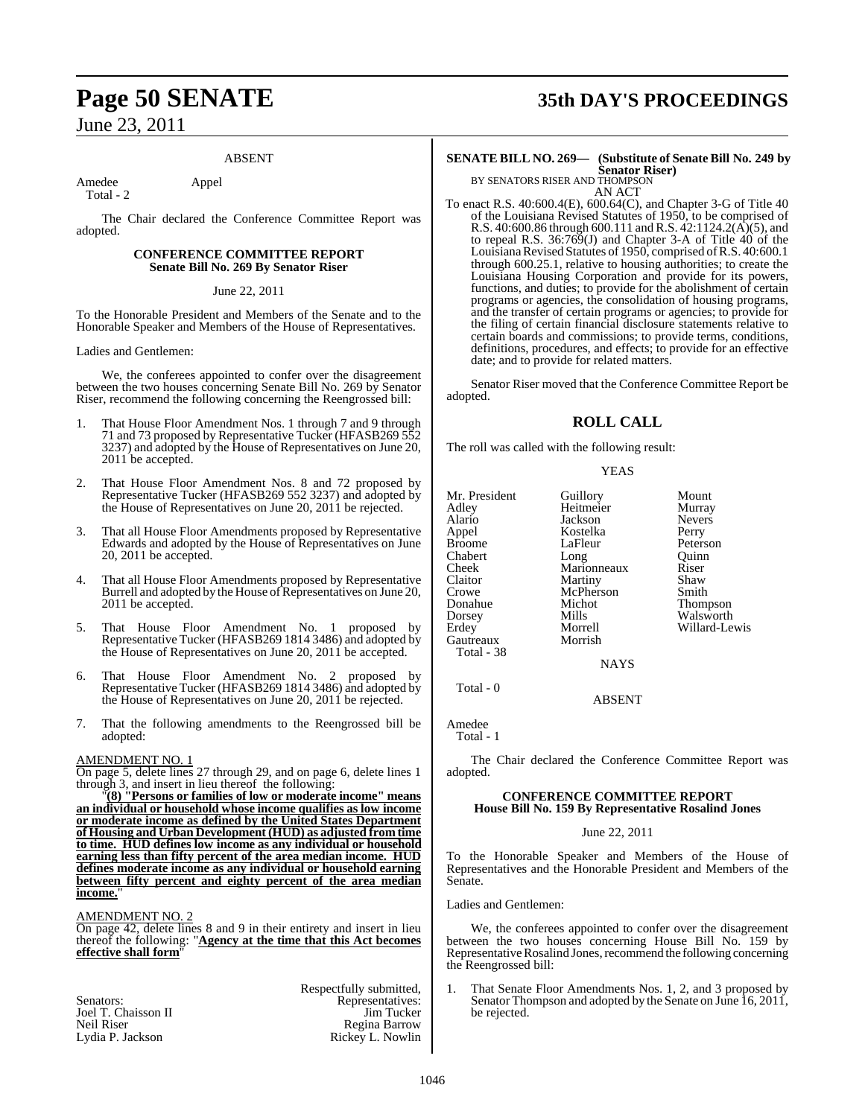### ABSENT

Amedee Appel Total - 2

The Chair declared the Conference Committee Report was adopted.

### **CONFERENCE COMMITTEE REPORT Senate Bill No. 269 By Senator Riser**

### June 22, 2011

To the Honorable President and Members of the Senate and to the Honorable Speaker and Members of the House of Representatives.

Ladies and Gentlemen:

We, the conferees appointed to confer over the disagreement between the two houses concerning Senate Bill No. 269 by Senator Riser, recommend the following concerning the Reengrossed bill:

- 1. That House Floor Amendment Nos. 1 through 7 and 9 through 71 and 73 proposed by Representative Tucker (HFASB269 552 3237) and adopted by the House of Representatives on June 20, 2011 be accepted.
- 2. That House Floor Amendment Nos. 8 and 72 proposed by Representative Tucker (HFASB269 552 3237) and adopted by the House of Representatives on June 20, 2011 be rejected.
- That all House Floor Amendments proposed by Representative Edwards and adopted by the House of Representatives on June 20, 2011 be accepted.
- That all House Floor Amendments proposed by Representative Burrell and adopted by the House of Representatives on June 20, 2011 be accepted.
- 5. That House Floor Amendment No. 1 proposed by Representative Tucker (HFASB269 1814 3486) and adopted by the House of Representatives on June 20, 2011 be accepted.
- 6. That House Floor Amendment No. 2 proposed by Representative Tucker (HFASB269 1814 3486) and adopted by the House of Representatives on June 20, 2011 be rejected.
- 7. That the following amendments to the Reengrossed bill be adopted:

### AMENDMENT NO. 1

On page 5, delete lines 27 through 29, and on page 6, delete lines 1 through 3, and insert in lieu thereof the following:

"**(8) "Persons or families of low or moderate income" means an individual or household whose income qualifies as low income or moderate income as defined by the United States Department of Housing and Urban Development (HUD) as adjusted from time to time. HUD defines low income as any individual or household earning less than fifty percent of the area median income. HUD defines moderate income as any individual or household earning between fifty percent and eighty percent of the area median income.**"

AMENDMENT NO. 2

On page 42, delete lines 8 and 9 in their entirety and insert in lieu thereof the following: "**Agency at the time that this Act becomes effective shall form**"

|                     | Respectfully submitted, |
|---------------------|-------------------------|
| Senators:           | Representatives:        |
| Joel T. Chaisson II | Jim Tucker              |
| Neil Riser          | Regina Barrow           |
| Lydia P. Jackson    | Rickey L. Nowlin        |

## **Page 50 SENATE 35th DAY'S PROCEEDINGS**

### **SENATE BILL NO. 269— (Substitute of Senate Bill No. 249 by Senator Riser)** BY SENATORS RISER AND THOMPSON

AN ACT

To enact R.S. 40:600.4(E), 600.64(C), and Chapter 3-G of Title 40 of the Louisiana Revised Statutes of 1950, to be comprised of R.S. 40:600.86 through 600.111 and R.S. 42:1124.2(A)(5), and to repeal R.S. 36:769(J) and Chapter 3-A of Title 40 of the Louisiana Revised Statutes of 1950, comprised of R.S. 40:600.1 through 600.25.1, relative to housing authorities; to create the Louisiana Housing Corporation and provide for its powers, functions, and duties; to provide for the abolishment of certain programs or agencies, the consolidation of housing programs, and the transfer of certain programs or agencies; to provide for the filing of certain financial disclosure statements relative to certain boards and commissions; to provide terms, conditions, definitions, procedures, and effects; to provide for an effective date; and to provide for related matters.

Senator Riser moved that the Conference Committee Report be adopted.

### **ROLL CALL**

The roll was called with the following result:

### YEAS

Mr. President Guillory Mount<br>Adley Heitmeier Murray Alario Jackson Nevers Appel Kostelka<br>Broome LaFleur Chabert Long Quinn<br>Cheek Marionneaux Riser Cheek Marionneaux Riser<br>Claitor Martiny Shaw Claitor Martiny Shaw<br>Crowe McPherson Smith Crowe McPherson<br>
Donahue Michot Dorsey Mills Walsworth<br>
Erdey Morrell Willard-Le Gautreaux Total - 38

Heitmeier **NAYS** 

Peterson<br>Ouinn Michot Thompson<br>
Mills Walsworth Morrell Willard-Lewis<br>Morrish

ABSENT

Amedee Total - 1

Total - 0

The Chair declared the Conference Committee Report was adopted.

### **CONFERENCE COMMITTEE REPORT House Bill No. 159 By Representative Rosalind Jones**

### June 22, 2011

To the Honorable Speaker and Members of the House of Representatives and the Honorable President and Members of the Senate.

### Ladies and Gentlemen:

We, the conferees appointed to confer over the disagreement between the two houses concerning House Bill No. 159 by Representative Rosalind Jones, recommend the following concerning the Reengrossed bill:

That Senate Floor Amendments Nos. 1, 2, and 3 proposed by Senator Thompson and adopted by the Senate on June 16, 2011, be rejected.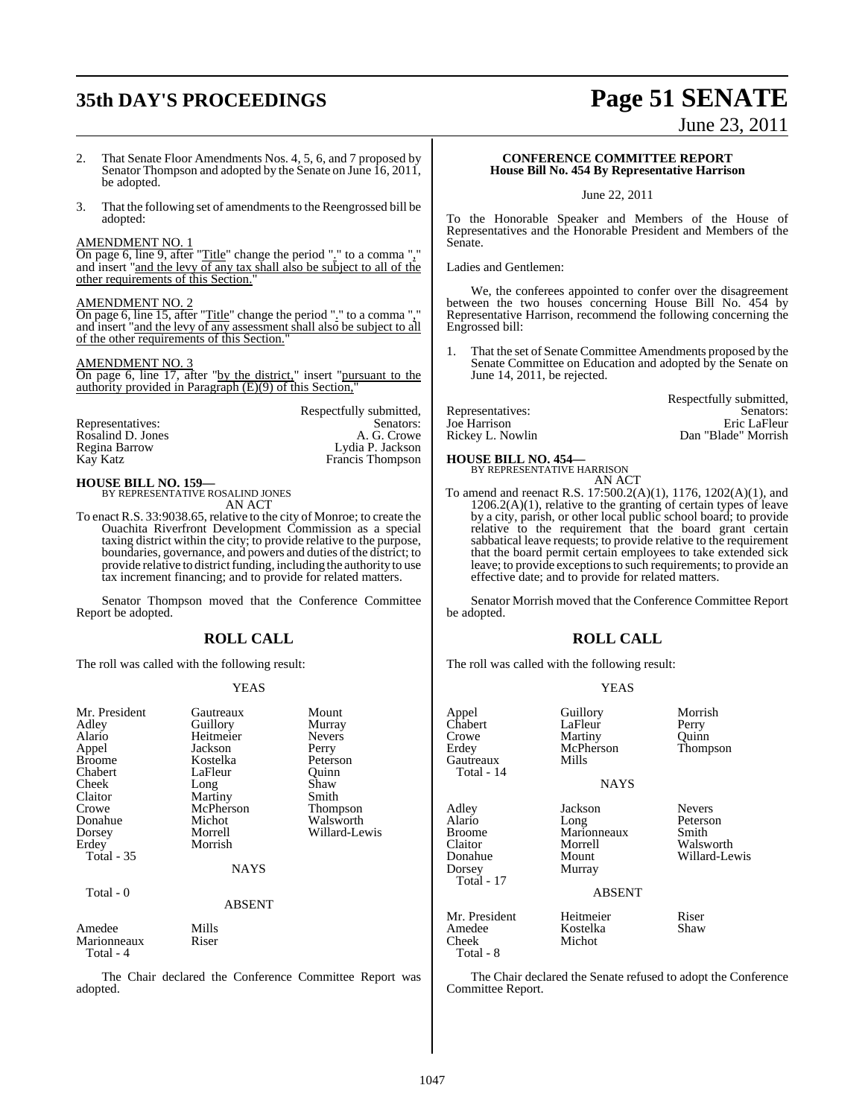## **35th DAY'S PROCEEDINGS Page 51 SENATE**

June 23, 2011

- 2. That Senate Floor Amendments Nos. 4, 5, 6, and 7 proposed by Senator Thompson and adopted by the Senate on June 16, 2011, be adopted.
- 3. That the following set of amendments to the Reengrossed bill be adopted:

### AMENDMENT NO. 1

On page 6, line 9, after "Title" change the period "." to a comma "," and insert "and the levy of any tax shall also be subject to all of the other requirements of this Section."

### AMENDMENT NO. 2

On page 6, line 15, after "Title" change the period "." to a comma "," and insert "and the levy of any assessment shall also be subject to all of the other requirements of this Section."

### AMENDMENT NO. 3

On page 6, line 17, after "by the district," insert "pursuant to the authority provided in Paragraph (E)(9) of this Section,"

Respectfully submitted,

|                   | Respectfully submitted. |
|-------------------|-------------------------|
| Representatives:  | Senators:               |
| Rosalind D. Jones | A. G. Crowe             |
| Regina Barrow     | Lydia P. Jackson        |
| Kay Katz          | Francis Thompson        |
|                   |                         |

### **HOUSE BILL NO. 159—**

BY REPRESENTATIVE ROSALIND JONES AN ACT

To enact R.S. 33:9038.65, relative to the city of Monroe; to create the Ouachita Riverfront Development Commission as a special taxing district within the city; to provide relative to the purpose, boundaries, governance, and powers and duties of the district; to provide relative to district funding, including the authority to use tax increment financing; and to provide for related matters.

Senator Thompson moved that the Conference Committee Report be adopted.

### **ROLL CALL**

The roll was called with the following result:

### YEAS

| Mr. President<br>Adley<br>Alario<br>Appel<br><b>Broome</b><br>Chabert<br>Cheek<br>Claitor<br>Crowe<br>Donahue<br>Dorsey<br>Erdey<br><b>Total - 35</b> | Gautreaux<br>Guillory<br>Heitmeier<br>Jackson<br>Kostelka<br>LaFleur<br>Long<br>Martiny<br>McPherson<br>Michot<br>Morrell<br>Morrish<br>NAYS | Mount<br>Murray<br><b>Nevers</b><br>Perry<br>Peterson<br>Ouinn<br>Shaw<br>Smith<br>Thompson<br>Walsworth<br>Willard-Lewis |
|-------------------------------------------------------------------------------------------------------------------------------------------------------|----------------------------------------------------------------------------------------------------------------------------------------------|---------------------------------------------------------------------------------------------------------------------------|
| Total - 0                                                                                                                                             | <b>ABSENT</b>                                                                                                                                |                                                                                                                           |
| Amedee<br>Marionneaux<br>Total - 4                                                                                                                    | Mills<br>Riser                                                                                                                               |                                                                                                                           |

The Chair declared the Conference Committee Report was adopted.

### **CONFERENCE COMMITTEE REPORT House Bill No. 454 By Representative Harrison**

June 22, 2011

To the Honorable Speaker and Members of the House of Representatives and the Honorable President and Members of the Senate.

Ladies and Gentlemen:

We, the conferees appointed to confer over the disagreement between the two houses concerning House Bill No. 454 by Representative Harrison, recommend the following concerning the Engrossed bill:

1. That the set of Senate Committee Amendments proposed by the Senate Committee on Education and adopted by the Senate on June 14, 2011, be rejected.

| Respectfully submitted, |
|-------------------------|
| Senators:               |
| Eric LaFleur            |
| Dan "Blade" Morrish     |
|                         |

## **HOUSE BILL NO. 454—** BY REPRESENTATIVE HARRISON

AN ACT

To amend and reenact R.S. 17:500.2(A)(1), 1176, 1202(A)(1), and  $1206.2(A)(1)$ , relative to the granting of certain types of leave by a city, parish, or other local public school board; to provide relative to the requirement that the board grant certain sabbatical leave requests; to provide relative to the requirement that the board permit certain employees to take extended sick leave; to provide exceptions to such requirements; to provide an effective date; and to provide for related matters.

Senator Morrish moved that the Conference Committee Report be adopted.

### **ROLL CALL**

The roll was called with the following result:

### YEAS

| Appel<br>Chabert<br>Crowe<br>Erdev<br>Gautreaux<br>Total - 14           | Guillory<br>LaFleur<br>Martiny<br>McPherson<br>Mills                   | Morrish<br>Perry<br>Quinn<br>Thompson                            |
|-------------------------------------------------------------------------|------------------------------------------------------------------------|------------------------------------------------------------------|
|                                                                         | <b>NAYS</b>                                                            |                                                                  |
| Adley<br>Alario<br>Broome<br>Claitor<br>Donahue<br>Dorsey<br>Total - 17 | Jackson<br>Long<br>Marionneaux<br>Morrell<br>Mount<br>Murray<br>ABSENT | <b>Nevers</b><br>Peterson<br>Smith<br>Walsworth<br>Willard-Lewis |
| Mr. President<br>Amedee<br>Cheek<br>Total - 8                           | Heitmeier<br>Kostelka<br>Michot                                        | Riser<br>Shaw                                                    |
|                                                                         | The Chair declared the Senate refused to adont the Con                 |                                                                  |

recrared the Senate refused to adopt the Conference Committee Report.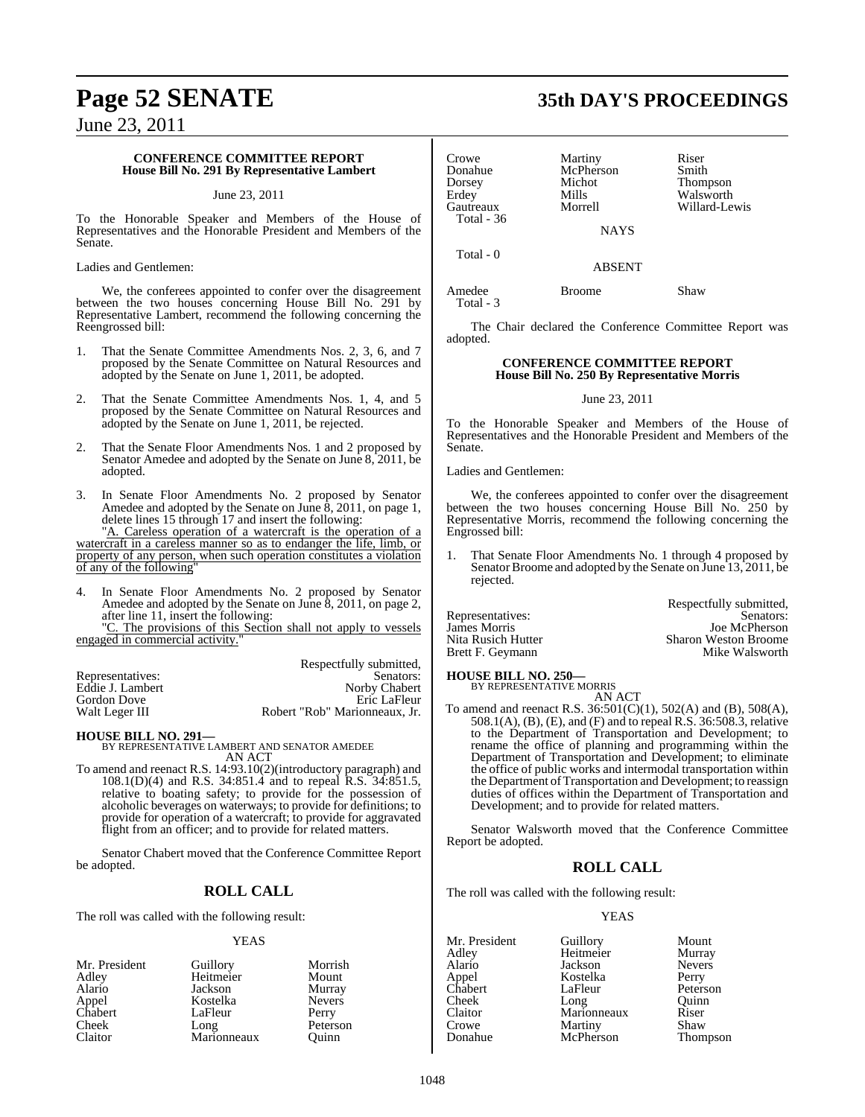### **CONFERENCE COMMITTEE REPORT House Bill No. 291 By Representative Lambert**

### June 23, 2011

To the Honorable Speaker and Members of the House of Representatives and the Honorable President and Members of the Senate.

### Ladies and Gentlemen:

We, the conferees appointed to confer over the disagreement between the two houses concerning House Bill No. 291 by Representative Lambert, recommend the following concerning the Reengrossed bill:

- 1. That the Senate Committee Amendments Nos. 2, 3, 6, and 7 proposed by the Senate Committee on Natural Resources and adopted by the Senate on June 1, 2011, be adopted.
- 2. That the Senate Committee Amendments Nos. 1, 4, and 5 proposed by the Senate Committee on Natural Resources and adopted by the Senate on June 1, 2011, be rejected.
- 2. That the Senate Floor Amendments Nos. 1 and 2 proposed by Senator Amedee and adopted by the Senate on June 8, 2011, be adopted.
- 3. In Senate Floor Amendments No. 2 proposed by Senator Amedee and adopted by the Senate on June 8, 2011, on page 1, delete lines 15 through 17 and insert the following:

"A. Careless operation of a watercraft is the operation of a watercraft in a careless manner so as to endanger the life, limb, or property of any person, when such operation constitutes a violation of any of the following"

4. In Senate Floor Amendments No. 2 proposed by Senator Amedee and adopted by the Senate on June 8, 2011, on page 2, after line 11, insert the following:

"C. The provisions of this Section shall not apply to vessels engaged in commercial activity."

|                  | Respectfully submitted,       |
|------------------|-------------------------------|
| Representatives: | Senators:                     |
| Eddie J. Lambert | Norby Chabert                 |
| Gordon Dove      | Eric LaFleur                  |
| Walt Leger III   | Robert "Rob" Marionneaux, Jr. |

**HOUSE BILL NO. 291—** BY REPRESENTATIVE LAMBERT AND SENATOR AMEDEE AN ACT

To amend and reenact R.S. 14:93.10(2)(introductory paragraph) and 108.1(D)(4) and R.S. 34:851.4 and to repeal R.S. 34:851.5, relative to boating safety; to provide for the possession of alcoholic beverages on waterways; to provide for definitions; to provide for operation of a watercraft; to provide for aggravated flight from an officer; and to provide for related matters.

Senator Chabert moved that the Conference Committee Report be adopted.

### **ROLL CALL**

The roll was called with the following result:

### YEAS

| Mr. President    | Guillory    | Morrish       |
|------------------|-------------|---------------|
| Adley            | Heitmeier   | Mount         |
| Alario           | Jackson     | Murray        |
| Appel<br>Chabert | Kostelka    | <b>Nevers</b> |
|                  | LaFleur     | Perry         |
| Cheek            | Long        | Peterson      |
| Claitor          | Marionneaux | Ouinn         |

## **Page 52 SENATE 35th DAY'S PROCEEDINGS**

| Crowe      | Martiny   |
|------------|-----------|
| Donahue    | McPherson |
| Dorsey     | Michot    |
| Erdey      | Mills     |
| Gautreaux  | Morrell   |
| Total - 36 |           |

Total - 0

Total - 3

Martiny Riser<br>McPherson Smith Michot Thompson<br>Mills Walsworth Erdey Mills Walsworth Willard-Lewis

**NAYS** 

ABSENT

Amedee Broome Shaw

The Chair declared the Conference Committee Report was adopted.

### **CONFERENCE COMMITTEE REPORT House Bill No. 250 By Representative Morris**

### June 23, 2011

To the Honorable Speaker and Members of the House of Representatives and the Honorable President and Members of the Senate.

Ladies and Gentlemen:

We, the conferees appointed to confer over the disagreement between the two houses concerning House Bill No. 250 by Representative Morris, recommend the following concerning the Engrossed bill:

1. That Senate Floor Amendments No. 1 through 4 proposed by Senator Broome and adopted by the Senate on June 13, 2011, be rejected.

|                    | Respectfully submitted,     |
|--------------------|-----------------------------|
| Representatives:   | Senators:                   |
| James Morris       | Joe McPherson               |
| Nita Rusich Hutter | <b>Sharon Weston Broome</b> |
| Brett F. Geymann   | Mike Walsworth              |
|                    |                             |

### **HOUSE BILL NO. 250—**

BY REPRESENTATIVE MORRIS AN ACT

To amend and reenact R.S. 36:501(C)(1), 502(A) and (B), 508(A), 508.1(A), (B), (E), and (F) and to repeal R.S. 36:508.3, relative to the Department of Transportation and Development; to rename the office of planning and programming within the Department of Transportation and Development; to eliminate the office of public works and intermodal transportation within the Department of Transportation and Development; to reassign duties of offices within the Department of Transportation and Development; and to provide for related matters.

Senator Walsworth moved that the Conference Committee Report be adopted.

### **ROLL CALL**

The roll was called with the following result:

### YEAS

Mr. President Guillory Mount<br>Adley Heitmeier Murray Adley Heitmeier Murray Jackson Appel Kostelka Perry LaFleur Peterson<br>
Long Quinn Cheek Long Quinn<br>Claitor Marionneaux Riser Claitor Marionneaux Riser<br>Crowe Martiny Shaw Crowe Martiny<br>
Donahue McPherson

Thompson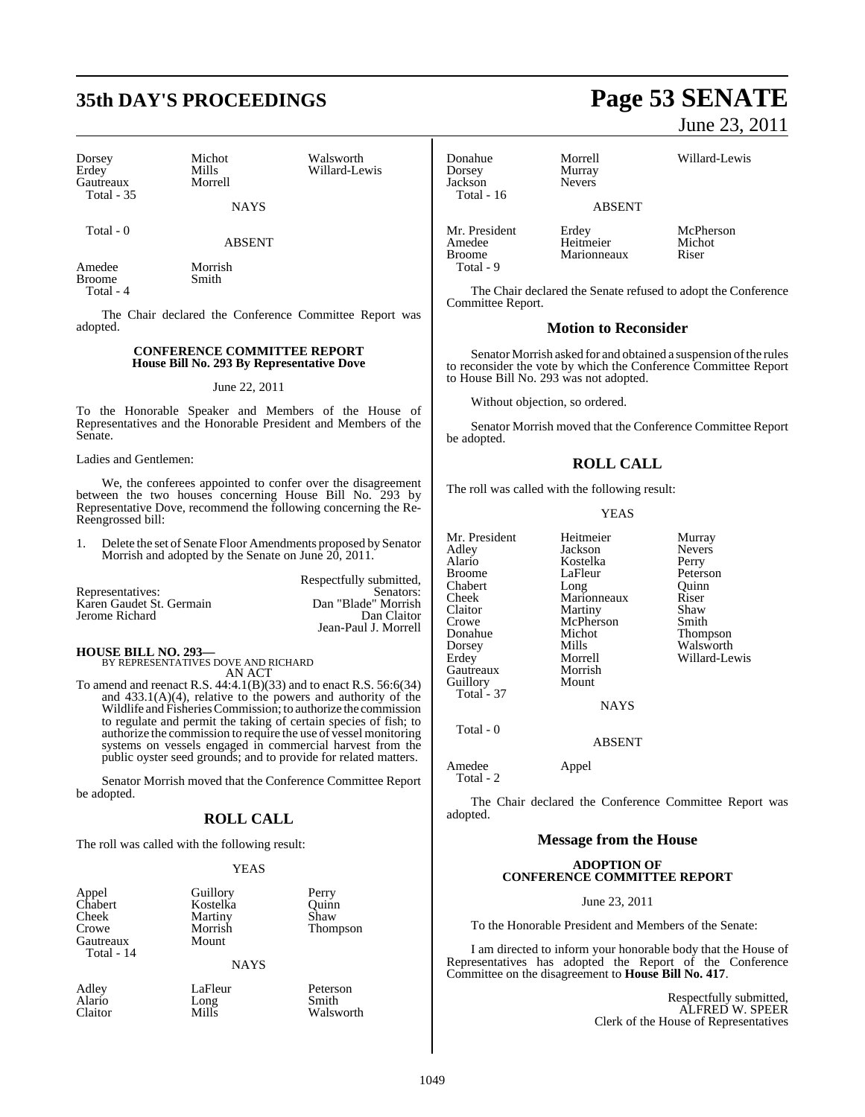## **35th DAY'S PROCEEDINGS Page 53 SENATE**

| Dorsey<br>Erdey                | Michot<br>Mills | Walsworth<br>Willard-Lewis |
|--------------------------------|-----------------|----------------------------|
| Gautreaux<br><b>Total - 35</b> | Morrell         |                            |
|                                | <b>NAYS</b>     |                            |

Total - 0

ABSENT

Amedee Morrish<br>Broome Smith Broome Total - 4

The Chair declared the Conference Committee Report was adopted.

### **CONFERENCE COMMITTEE REPORT House Bill No. 293 By Representative Dove**

### June 22, 2011

To the Honorable Speaker and Members of the House of Representatives and the Honorable President and Members of the Senate.

Ladies and Gentlemen:

We, the conferees appointed to confer over the disagreement between the two houses concerning House Bill No. 293 by Representative Dove, recommend the following concerning the Re-Reengrossed bill:

1. Delete the set of Senate Floor Amendments proposed by Senator Morrish and adopted by the Senate on June 20, 2011.

|                          | Respectfully submitted, |
|--------------------------|-------------------------|
| Representatives:         | Senators:               |
| Karen Gaudet St. Germain | Dan "Blade" Morrish     |
| Jerome Richard           | Dan Claitor             |
|                          | Jean-Paul J. Morrell    |

**HOUSE BILL NO. 293—** BY REPRESENTATIVES DOVE AND RICHARD

AN ACT To amend and reenact R.S. 44:4.1(B)(33) and to enact R.S. 56:6(34) and 433.1(A)(4), relative to the powers and authority of the Wildlife and FisheriesCommission; to authorize the commission to regulate and permit the taking of certain species of fish; to authorize the commission to require the use of vessel monitoring systems on vessels engaged in commercial harvest from the public oyster seed grounds; and to provide for related matters.

Senator Morrish moved that the Conference Committee Report be adopted.

### **ROLL CALL**

The roll was called with the following result:

#### YEAS

| Appel      | Guillory    | Perry    |
|------------|-------------|----------|
| Chabert    | Kostelka    | Ouinn    |
| Cheek      | Martiny     | Shaw     |
| Crowe      | Morrish     | Thompson |
| Gautreaux  | Mount       |          |
| Total - 14 |             |          |
|            | <b>NAYS</b> |          |

Alario Long<br>Claitor Mills

Adley LaFleur Peterson<br>Alario Long Smith Walsworth

June 23, 2011

Donahue Morrell Willard-Lewis

Jackson Total - 16

Total - 9

Murray<br>Nevers ABSENT

Mr. President Erdey McPherson<br>Amedee Heitmeier Michot Heitmeier Broome Marionneaux Riser

The Chair declared the Senate refused to adopt the Conference Committee Report.

### **Motion to Reconsider**

Senator Morrish asked for and obtained a suspension of the rules to reconsider the vote by which the Conference Committee Report to House Bill No. 293 was not adopted.

Without objection, so ordered.

Senator Morrish moved that the Conference Committee Report be adopted.

### **ROLL CALL**

The roll was called with the following result:

### YEAS

Mr. President Heitmeier Murray<br>Adley Jackson Nevers Adley Jackson Nevers Alario Kostelka<br>Broome LaFleur Chabert Long Quinn<br>Cheek Marionneaux Riser Cheek Marionneaux Riser<br>Claitor Martiny Shaw Claitor Martiny Shaw<br>Crowe McPherson Smith Crowe McPherson<br>
Donahue Michot Donahue Michot Thompson Dorsey Mills Walsworth<br>
Erdey Morrell Willard-Le Gautreaux Morris<br>
Guillory Mount Guillory  $Total - 37$ 

LaFleur Peterson<br>Long Quinn Morrell Willard-Lewis<br>Morrish

Total - 0

Amedee Appel

Total - 2

The Chair declared the Conference Committee Report was adopted.

NAYS

ABSENT

### **Message from the House**

### **ADOPTION OF CONFERENCE COMMITTEE REPORT**

June 23, 2011

To the Honorable President and Members of the Senate:

I am directed to inform your honorable body that the House of Representatives has adopted the Report of the Conference Committee on the disagreement to **House Bill No. 417**.

> Respectfully submitted, ALFRED W. SPEER Clerk of the House of Representatives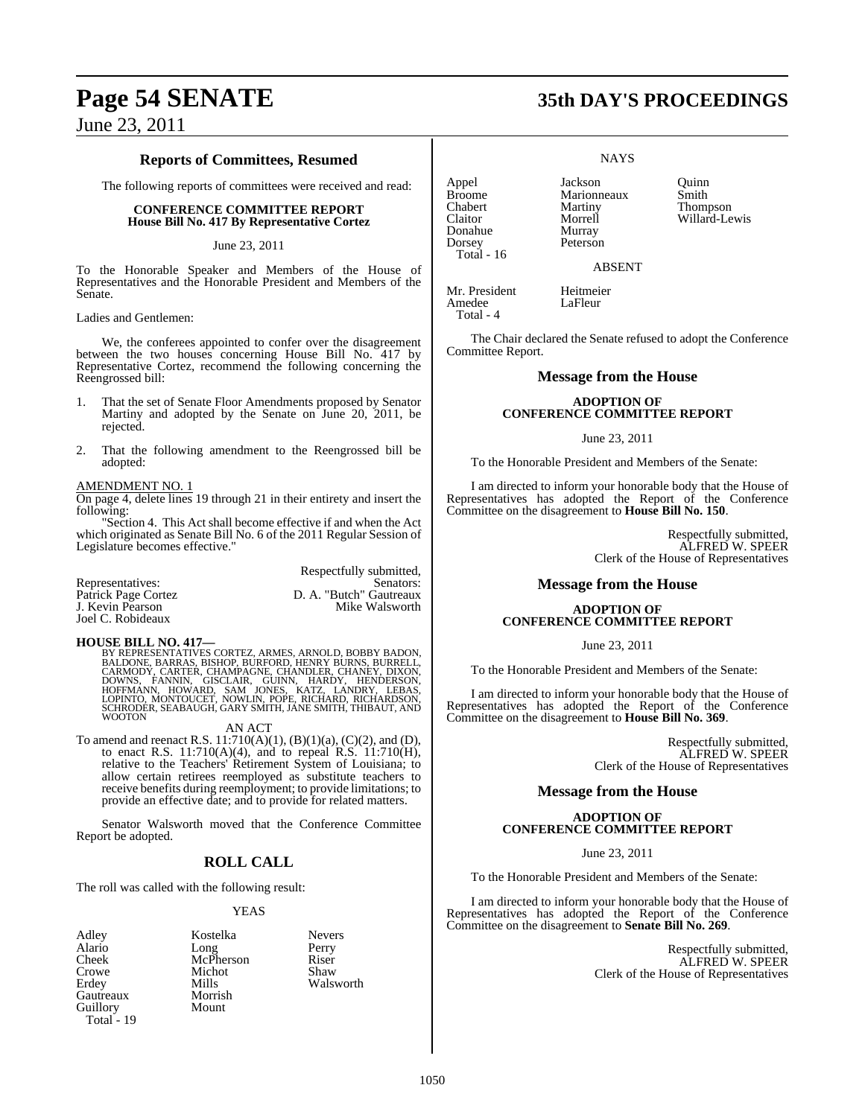### **Reports of Committees, Resumed**

The following reports of committees were received and read:

### **CONFERENCE COMMITTEE REPORT House Bill No. 417 By Representative Cortez**

### June 23, 2011

To the Honorable Speaker and Members of the House of Representatives and the Honorable President and Members of the Senate.

Ladies and Gentlemen:

We, the conferees appointed to confer over the disagreement between the two houses concerning House Bill No. 417 by Representative Cortez, recommend the following concerning the Reengrossed bill:

- 1. That the set of Senate Floor Amendments proposed by Senator Martiny and adopted by the Senate on June 20, 2011, be rejected.
- 2. That the following amendment to the Reengrossed bill be adopted:

### AMENDMENT NO. 1

On page 4, delete lines 19 through 21 in their entirety and insert the following:

"Section 4. This Act shall become effective if and when the Act which originated as Senate Bill No. 6 of the 2011 Regular Session of Legislature becomes effective."

|                     | Respectfully submitted, |
|---------------------|-------------------------|
| Representatives:    | Senators:               |
| Patrick Page Cortez | D. A. "Butch" Gautreaux |
| J. Kevin Pearson    | Mike Walsworth          |
| Joel C. Robideaux   |                         |

**HOUSE BILL NO. 417—**<br>BY REPRESENTATIVES CORTEZ, ARMES, ARNOLD, BOBBY BADON, BALDONE, BARRAS, BISHOP, BURFORD, HENRY BURNS, BURRELL,<br>CARMODY, CARTER, CHAMPAGNE, CHANDLER, CHANEY, DIXON,<br>DOWNS, FANNIN, GISCLAIR, GUINN, HARD WOOTON

AN ACT

To amend and reenact R.S. 11:710(A)(1), (B)(1)(a), (C)(2), and (D), to enact R.S. 11:710(A)(4), and to repeal R.S. 11:710(H), relative to the Teachers' Retirement System of Louisiana; to allow certain retirees reemployed as substitute teachers to receive benefits during reemployment; to provide limitations; to provide an effective date; and to provide for related matters.

Senator Walsworth moved that the Conference Committee Report be adopted.

### **ROLL CALL**

The roll was called with the following result:

### YEAS

Adley Kostelka Nevers Alario Long Perry<br>Cheek McPherson Riser Cheek McPherson Riser<br>Crowe Michot Shaw Crowe Michot<br>Erdey Mills Gautreaux Morris<br>
Guillory Mount Guillory Total<sup>-</sup> 19

Mills Walsworth<br>Morrish

Appel Jackson Quinn Broome Marionneaux<br>Chabert Martiny Chabert Martiny Thompson Donahue<br>Dorsey Total - 16

Morrell Willard-Lewis<br>Murray Peterson

ABSENT

**NAYS** 

Mr. President Heitmeier Amedee LaFleur Total - 4

The Chair declared the Senate refused to adopt the Conference Committee Report.

### **Message from the House**

### **ADOPTION OF CONFERENCE COMMITTEE REPORT**

### June 23, 2011

To the Honorable President and Members of the Senate:

I am directed to inform your honorable body that the House of Representatives has adopted the Report of the Conference Committee on the disagreement to **House Bill No. 150**.

> Respectfully submitted, ALFRED W. SPEER Clerk of the House of Representatives

### **Message from the House**

### **ADOPTION OF CONFERENCE COMMITTEE REPORT**

June 23, 2011

To the Honorable President and Members of the Senate:

I am directed to inform your honorable body that the House of Representatives has adopted the Report of the Conference Committee on the disagreement to **House Bill No. 369**.

> Respectfully submitted, ALFRED W. SPEER Clerk of the House of Representatives

### **Message from the House**

### **ADOPTION OF CONFERENCE COMMITTEE REPORT**

June 23, 2011

To the Honorable President and Members of the Senate:

I am directed to inform your honorable body that the House of Representatives has adopted the Report of the Conference Committee on the disagreement to **Senate Bill No. 269**.

> Respectfully submitted, ALFRED W. SPEER Clerk of the House of Representatives

## **Page 54 SENATE 35th DAY'S PROCEEDINGS**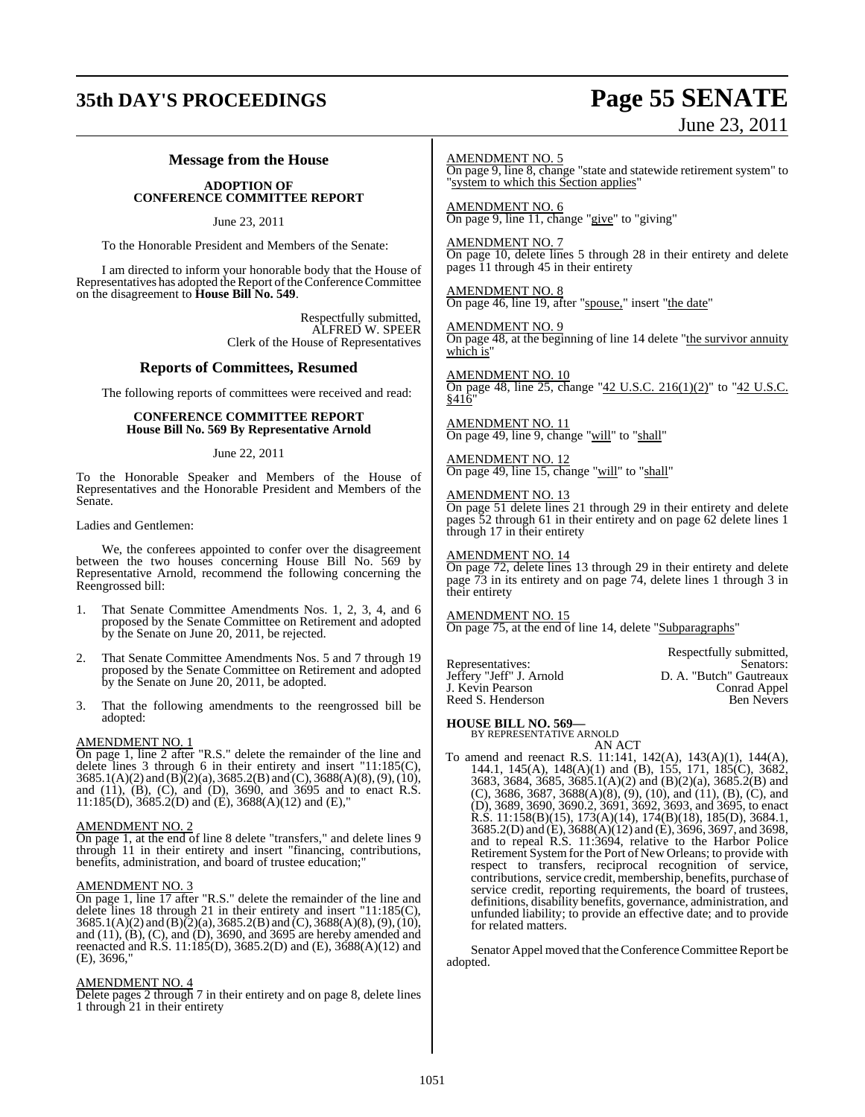### **35th DAY'S PROCEEDINGS Page 55 SENATE**

# June 23, 2011

### **Message from the House**

### **ADOPTION OF CONFERENCE COMMITTEE REPORT**

June 23, 2011

To the Honorable President and Members of the Senate:

I am directed to inform your honorable body that the House of Representatives has adopted the Report of the Conference Committee on the disagreement to **House Bill No. 549**.

> Respectfully submitted, ALFRED W. SPEER Clerk of the House of Representatives

### **Reports of Committees, Resumed**

The following reports of committees were received and read:

### **CONFERENCE COMMITTEE REPORT House Bill No. 569 By Representative Arnold**

### June 22, 2011

To the Honorable Speaker and Members of the House of Representatives and the Honorable President and Members of the Senate.

### Ladies and Gentlemen:

We, the conferees appointed to confer over the disagreement between the two houses concerning House Bill No. 569 by Representative Arnold, recommend the following concerning the Reengrossed bill:

- 1. That Senate Committee Amendments Nos. 1, 2, 3, 4, and 6 proposed by the Senate Committee on Retirement and adopted by the Senate on June 20, 2011, be rejected.
- 2. That Senate Committee Amendments Nos. 5 and 7 through 19 proposed by the Senate Committee on Retirement and adopted by the Senate on June 20, 2011, be adopted.
- 3. That the following amendments to the reengrossed bill be adopted:

### AMENDMENT NO. 1

On page 1, line 2 after "R.S." delete the remainder of the line and delete lines 3 through 6 in their entirety and insert "11:185(C),  $3685.1(A)(2)$  and  $(B)(2)(a)$ ,  $3685.2(B)$  and  $(C)$ ,  $3688(A)(8)$ ,  $(9)$ ,  $(10)$ , and (11), (B), (C), and (D), 3690, and 3695 and to enact R.S. 11:185(D), 3685.2(D) and (E), 3688(A)(12) and (E),"

### AMENDMENT NO. 2

On page 1, at the end of line 8 delete "transfers," and delete lines 9 through 11 in their entirety and insert "financing, contributions, benefits, administration, and board of trustee education;"

### AMENDMENT NO. 3

On page 1, line 17 after "R.S." delete the remainder of the line and delete lines 18 through 21 in their entirety and insert "11:185(C),  $3685.1(A)(2)$  and  $(B)(2)(a)$ ,  $3685.2(B)$  and  $(C)$ ,  $3688(A)(8)$ ,  $(9)$ ,  $(10)$ , and (11), (B), (C), and (D), 3690, and 3695 are hereby amended and reenacted and R.S. 11:185(D), 3685.2(D) and (E), 3688(A)(12) and (E), 3696,"

### AMENDMENT NO. 4

Delete pages 2 through 7 in their entirety and on page 8, delete lines 1 through 21 in their entirety

AMENDMENT NO. 5

On page 9, line 8, change "state and statewide retirement system" to "system to which this Section applies"

AMENDMENT NO. 6 On page 9, line 11, change "give" to "giving"

AMENDMENT NO. 7 On page 10, delete lines 5 through 28 in their entirety and delete pages 11 through 45 in their entirety

AMENDMENT NO. 8 On page 46, line 19, after "spouse," insert "the date"

AMENDMENT NO. 9 On page 48, at the beginning of line 14 delete "the survivor annuity which is"

### AMENDMENT NO. 10

On page 48, line 25, change "42 U.S.C. 216(1)(2)" to "42 U.S.C. §416"

AMENDMENT NO. 11 On page 49, line 9, change "will" to "shall"

AMENDMENT NO. 12 On page 49, line 15, change "will" to "shall"

### AMENDMENT NO. 13

On page 51 delete lines 21 through 29 in their entirety and delete pages 52 through 61 in their entirety and on page 62 delete lines 1 through 17 in their entirety

AMENDMENT NO. 14

On page 72, delete lines 13 through 29 in their entirety and delete page 73 in its entirety and on page 74, delete lines 1 through 3 in their entirety

AMENDMENT NO. 15 On page 75, at the end of line 14, delete "Subparagraphs"

Reed S. Henderson

Respectfully submitted, Representatives: Senators: Senators: Senators: Senators: Jeffery "Jeff" J. Arnold D. A. "Butch" Gautreaux D. A. "Butch" Gautreaux<br>Conrad Appel J. Kevin Pearson Conrad Appel

### **HOUSE BILL NO. 569—** BY REPRESENTATIVE ARNOLD

AN ACT

To amend and reenact R.S. 11:141, 142(A), 143(A)(1), 144(A), 144.1, 145(A), 148(A)(1) and (B), 155, 171, 185(C), 3682, 3683, 3684, 3685, 3685.1(A)(2) and (B)(2)(a), 3685.2(B) and (C), 3686, 3687, 3688(A)(8), (9), (10), and (11), (B), (C), and (D), 3689, 3690, 3690.2, 3691, 3692, 3693, and 3695, to enact R.S. 11:158(B)(15), 173(A)(14), 174(B)(18), 185(D), 3684.1, 3685.2(D) and (E), 3688(A)(12) and (E), 3696, 3697, and 3698, and to repeal R.S. 11:3694, relative to the Harbor Police Retirement System for the Port of New Orleans; to provide with respect to transfers, reciprocal recognition of service, contributions, service credit, membership, benefits, purchase of service credit, reporting requirements, the board of trustees, definitions, disability benefits, governance, administration, and unfunded liability; to provide an effective date; and to provide for related matters.

Senator Appel moved that the Conference Committee Report be adopted.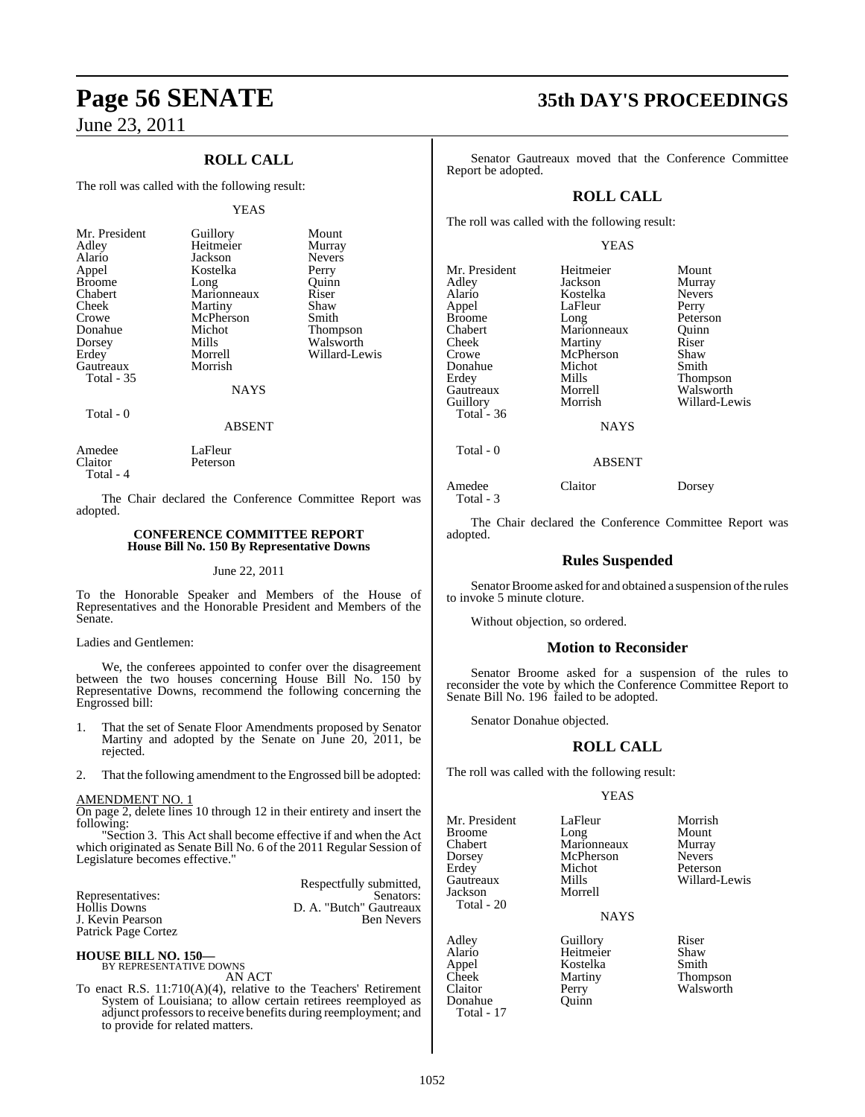### **ROLL CALL**

The roll was called with the following result:

#### YEAS

| Mr. President | Guillory    | Mount         |
|---------------|-------------|---------------|
| Adley         | Heitmeier   | Murray        |
| Alario        | Jackson     | <b>Nevers</b> |
| Appel         | Kostelka    | Perry         |
| <b>Broome</b> | Long        | Ouinn         |
| Chabert       | Marionneaux | Riser         |
| Cheek         | Martiny     | Shaw          |
| Crowe         | McPherson   | Smith         |
| Donahue       | Michot      | Thompson      |
| Dorsey        | Mills       | Walsworth     |
| Erdey         | Morrell     | Willard-Lewis |
| Gautreaux     | Morrish     |               |
| Total - 35    |             |               |
|               | NAYS        |               |

Total - 0

### ABSENT

Amedee LaFleur<br>Claitor Peterson Peterson Total - 4

The Chair declared the Conference Committee Report was adopted.

### **CONFERENCE COMMITTEE REPORT House Bill No. 150 By Representative Downs**

### June 22, 2011

To the Honorable Speaker and Members of the House of Representatives and the Honorable President and Members of the Senate.

### Ladies and Gentlemen:

We, the conferees appointed to confer over the disagreement between the two houses concerning House Bill No. 150 by Representative Downs, recommend the following concerning the Engrossed bill:

- 1. That the set of Senate Floor Amendments proposed by Senator Martiny and adopted by the Senate on June 20, 2011, be rejected.
- 2. That the following amendment to the Engrossed bill be adopted:

### AMENDMENT NO. 1

On page 2, delete lines 10 through 12 in their entirety and insert the following:

"Section 3. This Act shall become effective if and when the Act which originated as Senate Bill No. 6 of the 2011 Regular Session of Legislature becomes effective."

|                     | Respectfully submitted, |
|---------------------|-------------------------|
| Representatives:    | Senators:               |
| Hollis Downs        | D. A. "Butch" Gautreaux |
| J. Kevin Pearson    | <b>Ben Nevers</b>       |
| Patrick Page Cortez |                         |

**HOUSE BILL NO. 150—** BY REPRESENTATIVE DOWNS

AN ACT

To enact R.S. 11:710(A)(4), relative to the Teachers' Retirement System of Louisiana; to allow certain retirees reemployed as adjunct professorsto receive benefits during reemployment; and to provide for related matters.

## **Page 56 SENATE 35th DAY'S PROCEEDINGS**

Senator Gautreaux moved that the Conference Committee Report be adopted.

### **ROLL CALL**

The roll was called with the following result:

### YEAS

| Mr. President       | Heitmeier     | Mount           |
|---------------------|---------------|-----------------|
| Adley               | Jackson       | Murray          |
| Alario              | Kostelka      | <b>Nevers</b>   |
| Appel               | LaFleur       | Perry           |
| Broome              | Long          | Peterson        |
| Chabert             | Marionneaux   | Quinn           |
| Cheek               | Martiny       | Riser           |
| Crowe               | McPherson     | Shaw            |
| Donahue             | Michot        | Smith           |
| Erdev               | Mills         | <b>Thompson</b> |
| Gautreaux           | Morrell       | Walsworth       |
| Guillory            | Morrish       | Willard-Lewis   |
| Total - 36          |               |                 |
|                     | <b>NAYS</b>   |                 |
| Total - 0           |               |                 |
|                     | <b>ABSENT</b> |                 |
| Amedee<br>Total - 3 | Claitor       | Dorsey          |

The Chair declared the Conference Committee Report was adopted.

### **Rules Suspended**

Senator Broome asked for and obtained a suspension of the rules to invoke 5 minute cloture.

Without objection, so ordered.

### **Motion to Reconsider**

Senator Broome asked for a suspension of the rules to reconsider the vote by which the Conference Committee Report to Senate Bill No. 196 failed to be adopted.

Senator Donahue objected.

### **ROLL CALL**

The roll was called with the following result:

### YEAS

Broome Long Mount<br>
Chabert Marionneaux Murray Chabert Marionneaux Murray<br>
Dorsey McPherson Nevers Dorsey McPherson<br>Erdev Michot Erdey Michot Peterson<br>
Gautreaux Mills Willard-Total - 20

Jackson

Donahue Total - 17

Mr. President LaFleur Morrish<br>Broome Long Mount

Martiny

Mills Willard-Lewis<br>Morrell

NAYS

Adley Guillory Riser<br>Alario Heitmeier Shaw Alario Heitmeier Shaw<br>Appel Kostelka Smith Appel Kostelka Smith Claitor Perry Walsworth<br>
Donahue Quinn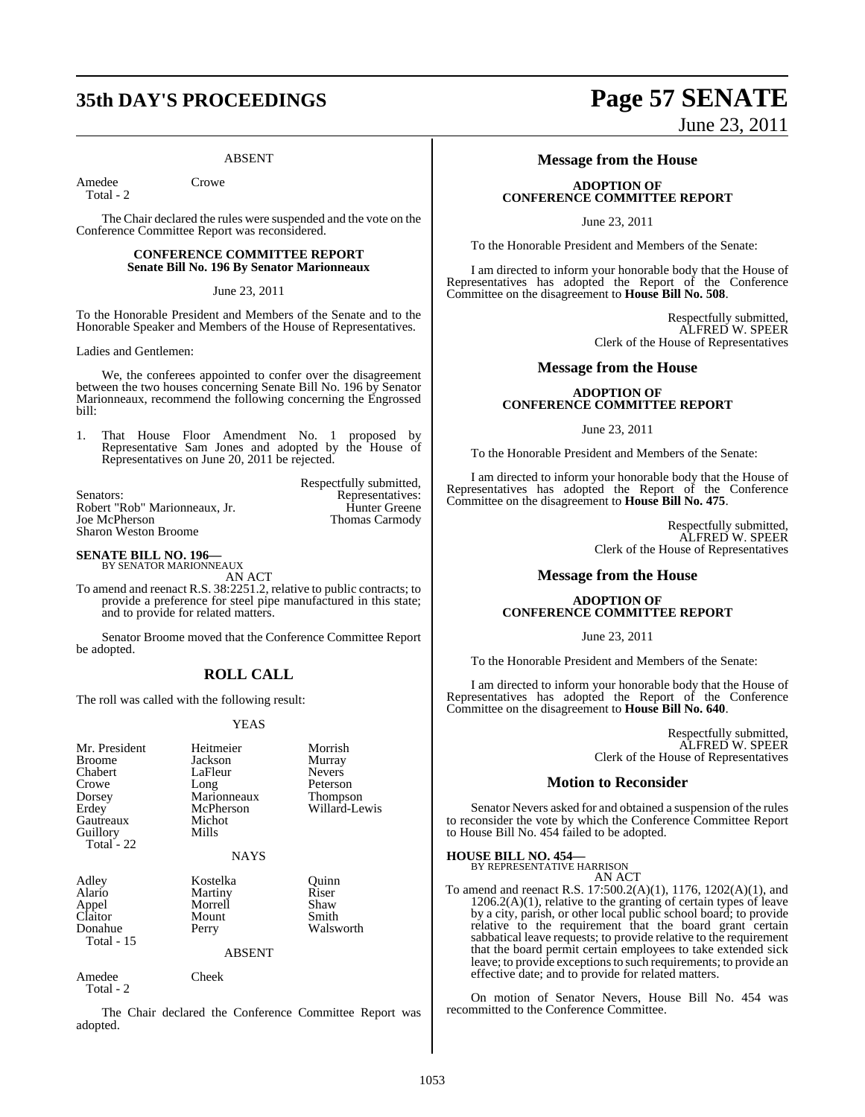## **35th DAY'S PROCEEDINGS Page 57 SENATE**

### ABSENT

Amedee Crowe

Total - 2

The Chair declared the rules were suspended and the vote on the Conference Committee Report was reconsidered.

### **CONFERENCE COMMITTEE REPORT Senate Bill No. 196 By Senator Marionneaux**

June 23, 2011

To the Honorable President and Members of the Senate and to the Honorable Speaker and Members of the House of Representatives.

Ladies and Gentlemen:

We, the conferees appointed to confer over the disagreement between the two houses concerning Senate Bill No. 196 by Senator Marionneaux, recommend the following concerning the Engrossed bill:

1. That House Floor Amendment No. 1 proposed by Representative Sam Jones and adopted by the House of Representatives on June 20, 2011 be rejected.

|                               | Respectfully submitted, |
|-------------------------------|-------------------------|
| Senators:                     | Representatives:        |
| Robert "Rob" Marionneaux, Jr. | <b>Hunter Greene</b>    |
| Joe McPherson                 | Thomas Carmody          |
| <b>Sharon Weston Broome</b>   |                         |

**SENATE BILL NO. 196—** BY SENATOR MARIONNEAUX

AN ACT

To amend and reenact R.S. 38:2251.2, relative to public contracts; to provide a preference for steel pipe manufactured in this state; and to provide for related matters.

Senator Broome moved that the Conference Committee Report be adopted.

### **ROLL CALL**

The roll was called with the following result:

### YEAS

| Mr. President<br><b>Broome</b><br>Chabert<br>Crowe<br>Dorsey<br>Erdey<br>Gautreaux<br>Guillory<br>Total - 22 | Heitmeier<br>Jackson<br>LaFleur<br>Long<br>Marionneaux<br>McPherson<br>Michot<br>Mills<br><b>NAYS</b> | Morrish<br>Murray<br><b>Nevers</b><br>Peterson<br>Thompson<br>Willard-Lewis |
|--------------------------------------------------------------------------------------------------------------|-------------------------------------------------------------------------------------------------------|-----------------------------------------------------------------------------|
| Adley<br>Alario<br>Appel<br>Claitor<br>Donahue<br><b>Total - 15</b>                                          | Kostelka<br>Martiny<br>Morrell<br>Mount<br>Perry<br><b>ABSENT</b>                                     | Quinn<br>Riser<br>Shaw<br>Smith<br>Walsworth                                |
| Amedee<br>Total - 2                                                                                          | Cheek                                                                                                 |                                                                             |

The Chair declared the Conference Committee Report was adopted.

## **Message from the House**

### **ADOPTION OF CONFERENCE COMMITTEE REPORT**

June 23, 2011

To the Honorable President and Members of the Senate:

I am directed to inform your honorable body that the House of Representatives has adopted the Report of the Conference Committee on the disagreement to **House Bill No. 508**.

> Respectfully submitted, ALFRED W. SPEER Clerk of the House of Representatives

June 23, 2011

### **Message from the House**

### **ADOPTION OF CONFERENCE COMMITTEE REPORT**

June 23, 2011

To the Honorable President and Members of the Senate:

I am directed to inform your honorable body that the House of Representatives has adopted the Report of the Conference Committee on the disagreement to **House Bill No. 475**.

> Respectfully submitted, ALFRED W. SPEER Clerk of the House of Representatives

### **Message from the House**

### **ADOPTION OF CONFERENCE COMMITTEE REPORT**

June 23, 2011

To the Honorable President and Members of the Senate:

I am directed to inform your honorable body that the House of Representatives has adopted the Report of the Conference Committee on the disagreement to **House Bill No. 640**.

> Respectfully submitted, ALFRED W. SPEER Clerk of the House of Representatives

### **Motion to Reconsider**

Senator Nevers asked for and obtained a suspension of the rules to reconsider the vote by which the Conference Committee Report to House Bill No. 454 failed to be adopted.

## **HOUSE BILL NO. 454—** BY REPRESENTATIVE HARRISON

AN ACT

To amend and reenact R.S. 17:500.2(A)(1), 1176, 1202(A)(1), and  $1206.2(A)(1)$ , relative to the granting of certain types of leave by a city, parish, or other local public school board; to provide relative to the requirement that the board grant certain sabbatical leave requests; to provide relative to the requirement that the board permit certain employees to take extended sick leave; to provide exceptions to such requirements; to provide an effective date; and to provide for related matters.

On motion of Senator Nevers, House Bill No. 454 was recommitted to the Conference Committee.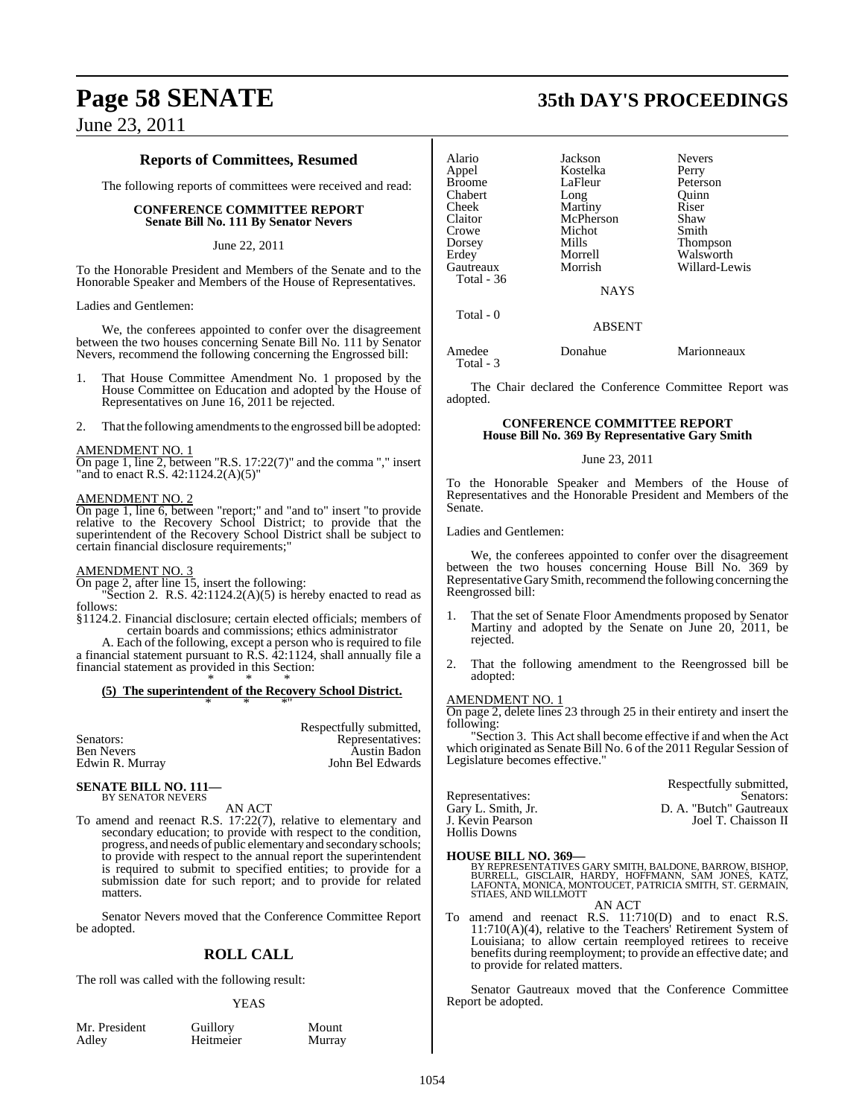### **Reports of Committees, Resumed**

The following reports of committees were received and read:

### **CONFERENCE COMMITTEE REPORT Senate Bill No. 111 By Senator Nevers**

### June 22, 2011

To the Honorable President and Members of the Senate and to the Honorable Speaker and Members of the House of Representatives.

Ladies and Gentlemen:

We, the conferees appointed to confer over the disagreement between the two houses concerning Senate Bill No. 111 by Senator Nevers, recommend the following concerning the Engrossed bill:

- 1. That House Committee Amendment No. 1 proposed by the House Committee on Education and adopted by the House of Representatives on June 16, 2011 be rejected.
- 2. That the following amendments to the engrossed bill be adopted:

#### AMENDMENT NO. 1

On page 1, line 2, between "R.S. 17:22(7)" and the comma "," insert "and to enact R.S. 42:1124.2(A)(5)"

### AMENDMENT NO. 2

On page 1, line 6, between "report;" and "and to" insert "to provide relative to the Recovery School District; to provide that the superintendent of the Recovery School District shall be subject to certain financial disclosure requirements;"

### AMENDMENT NO. 3

On page 2, after line 15, insert the following:

"Section 2. R.S.  $42:1124.2(A)(5)$  is hereby enacted to read as follows:

- §1124.2. Financial disclosure; certain elected officials; members of certain boards and commissions; ethics administrator
- A. Each of the following, except a person who is required to file

a financial statement pursuant to R.S. 42:1124, shall annually file a financial statement as provided in this Section: \* \* \*

### **(5) The superintendent of the Recovery School District.** \* \* \*"

| Respectfully submitted, |
|-------------------------|
| Representatives:        |
| <b>Austin Badon</b>     |
| John Bel Edwards        |
|                         |

#### **SENATE BILL NO. 111—** BY SENATOR NEVERS

AN ACT

To amend and reenact R.S. 17:22(7), relative to elementary and secondary education; to provide with respect to the condition, progress, and needs of public elementaryand secondary schools; to provide with respect to the annual report the superintendent is required to submit to specified entities; to provide for a submission date for such report; and to provide for related matters.

Senator Nevers moved that the Conference Committee Report be adopted.

### **ROLL CALL**

The roll was called with the following result:

### YEAS

Mr. President Guillory Mount<br>Adley Heitmeier Murray

Heitmeier

**Page 58 SENATE 35th DAY'S PROCEEDINGS**

| Alario            | Jackson     | <b>Nevers</b> |
|-------------------|-------------|---------------|
| Appel             | Kostelka    | Perry         |
| <b>Broome</b>     | LaFleur     | Peterson      |
| Chabert           | Long        | Ouinn         |
| Cheek             | Martiny     | Riser         |
| Claitor           | McPherson   | Shaw          |
| Crowe             | Michot      | Smith         |
| Dorsey            | Mills       | Thompson      |
| Erdey             | Morrell     | Walsworth     |
| Gautreaux         | Morrish     | Willard-Lewis |
| <b>Total</b> - 36 |             |               |
|                   | <b>NAYS</b> |               |
| Total - 0         |             |               |
|                   | ARSENT      |               |

Amedee Donahue Marionneaux Total - 3

The Chair declared the Conference Committee Report was adopted.

### **CONFERENCE COMMITTEE REPORT House Bill No. 369 By Representative Gary Smith**

### June 23, 2011

To the Honorable Speaker and Members of the House of Representatives and the Honorable President and Members of the Senate.

Ladies and Gentlemen:

We, the conferees appointed to confer over the disagreement between the two houses concerning House Bill No. 369 by Representative Gary Smith, recommend the following concerning the Reengrossed bill:

- 1. That the set of Senate Floor Amendments proposed by Senator Martiny and adopted by the Senate on June 20, 2011, be rejected.
- 2. That the following amendment to the Reengrossed bill be adopted:

### AMENDMENT NO. 1

On page 2, delete lines 23 through 25 in their entirety and insert the following:

Section 3. This Act shall become effective if and when the Act which originated as Senate Bill No. 6 of the 2011 Regular Session of Legislature becomes effective."

|                    | Respectfully submitted, |
|--------------------|-------------------------|
| Representatives:   | Senators:               |
| Gary L. Smith, Jr. | D. A. "Butch" Gautreaux |
| J. Kevin Pearson   | Joel T. Chaisson II     |
| Hollis Downs       |                         |

### **HOUSE BILL NO. 369—**

BY REPRESENTATIVES GARY SMITH, BALDONE, BARROW, BISHOP,<br>BURRELL, GISCLAIR, HARDY, HOFFMANN, SAM JONES, KATZ,<br>LAFONTA, MONICA, MONTOUCET, PATRICIA SMITH, ST. GERMAIN,<br>STIAES, AND WILLMOTT

AN ACT

To amend and reenact R.S. 11:710(D) and to enact R.S. 11:710(A)(4), relative to the Teachers' Retirement System of Louisiana; to allow certain reemployed retirees to receive benefits during reemployment; to provide an effective date; and to provide for related matters.

Senator Gautreaux moved that the Conference Committee Report be adopted.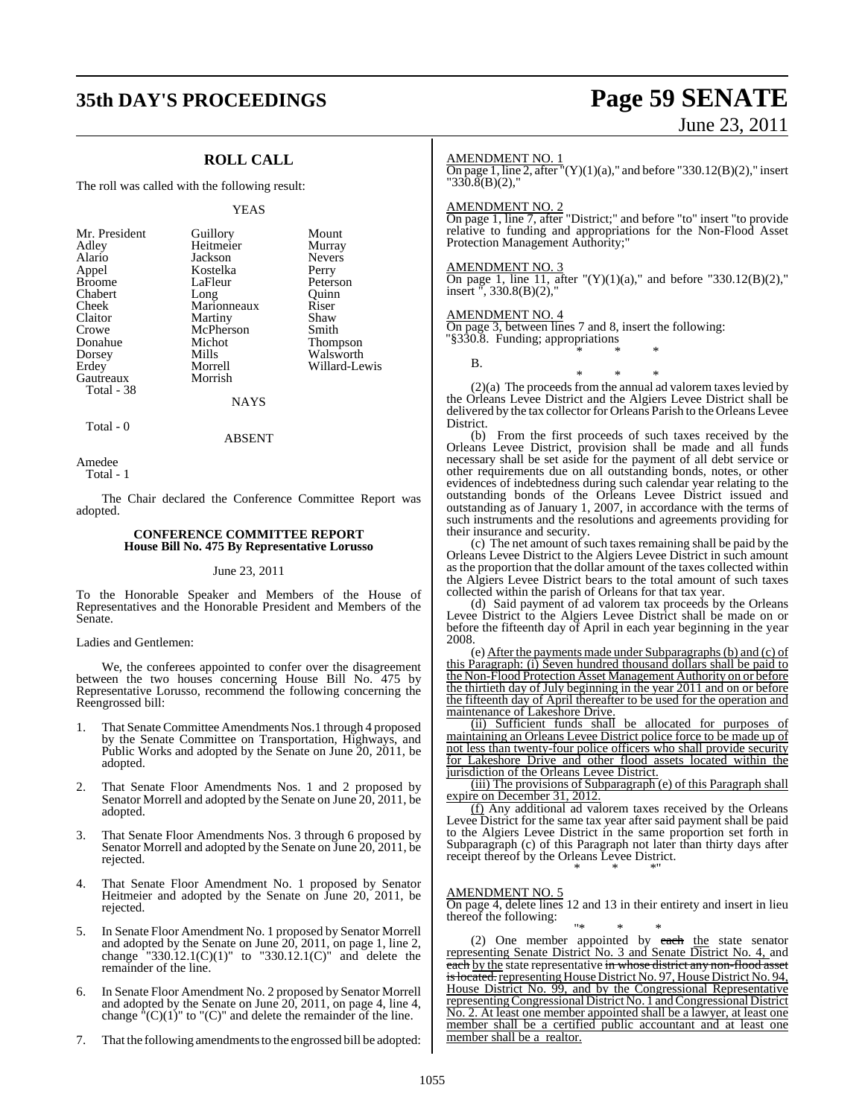### **35th DAY'S PROCEEDINGS Page 59 SENATE**

### **ROLL CALL**

The roll was called with the following result:

#### YEAS

### **NAYS**

Total - 0

ABSENT

Amedee Total - 1

The Chair declared the Conference Committee Report was adopted.

### **CONFERENCE COMMITTEE REPORT House Bill No. 475 By Representative Lorusso**

### June 23, 2011

To the Honorable Speaker and Members of the House of Representatives and the Honorable President and Members of the Senate.

#### Ladies and Gentlemen:

We, the conferees appointed to confer over the disagreement between the two houses concerning House Bill No. 475 by Representative Lorusso, recommend the following concerning the Reengrossed bill:

- 1. That Senate Committee Amendments Nos.1 through 4 proposed by the Senate Committee on Transportation, Highways, and Public Works and adopted by the Senate on June 20, 2011, be adopted.
- 2. That Senate Floor Amendments Nos. 1 and 2 proposed by Senator Morrell and adopted by the Senate on June 20, 2011, be adopted.
- 3. That Senate Floor Amendments Nos. 3 through 6 proposed by Senator Morrell and adopted by the Senate on June 20, 2011, be rejected.
- 4. That Senate Floor Amendment No. 1 proposed by Senator Heitmeier and adopted by the Senate on June 20, 2011, be rejected.
- 5. In Senate Floor Amendment No. 1 proposed by Senator Morrell and adopted by the Senate on June 20, 2011, on page 1, line 2, change "330.12.1(C)(1)" to "330.12.1(C)" and delete the remainder of the line.
- 6. In Senate Floor Amendment No. 2 proposed by Senator Morrell and adopted by the Senate on June 20, 2011, on page 4, line 4, change  $^{\text{th}}$ (C)(1)" to "(C)" and delete the remainder of the line.
- 7. That the following amendments to the engrossed bill be adopted:

# June 23, 2011

### AMENDMENT NO. 1

On page 1, line 2, after  $\Gamma(Y)(1)(a)$ ," and before "330.12(B)(2)," insert "330.8(B)(2),"

### AMENDMENT NO. 2

On page 1, line 7, after "District;" and before "to" insert "to provide relative to funding and appropriations for the Non-Flood Asset Protection Management Authority;

### AMENDMENT NO. 3

On page 1, line 11, after " $(Y)(1)(a)$ ," and before "330.12(B)(2)," insert ", 330.8(B)(2),"

### AMENDMENT NO. 4

On page 3, between lines 7 and 8, insert the following: "§330.8. Funding; appropriations

B.

(2)(a) The proceeds from the annual ad valorem taxes levied by the Orleans Levee District and the Algiers Levee District shall be delivered by the tax collector for Orleans Parish to the Orleans Levee District.

\* \* \*

\* \* \*

(b) From the first proceeds of such taxes received by the Orleans Levee District, provision shall be made and all funds necessary shall be set aside for the payment of all debt service or other requirements due on all outstanding bonds, notes, or other evidences of indebtedness during such calendar year relating to the outstanding bonds of the Orleans Levee District issued and outstanding as of January 1, 2007, in accordance with the terms of such instruments and the resolutions and agreements providing for their insurance and security.

(c) The net amount of such taxes remaining shall be paid by the Orleans Levee District to the Algiers Levee District in such amount as the proportion that the dollar amount of the taxes collected within the Algiers Levee District bears to the total amount of such taxes collected within the parish of Orleans for that tax year.

(d) Said payment of ad valorem tax proceeds by the Orleans Levee District to the Algiers Levee District shall be made on or before the fifteenth day of April in each year beginning in the year 2008.

(e) After the payments made under Subparagraphs(b) and (c) of this Paragraph: (i) Seven hundred thousand dollars shall be paid to the Non-Flood Protection Asset Management Authority on or before the thirtieth day of July beginning in the year 2011 and on or before the fifteenth day of April thereafter to be used for the operation and maintenance of Lakeshore Drive.

(ii) Sufficient funds shall be allocated for purposes of maintaining an Orleans Levee District police force to be made up of not less than twenty-four police officers who shall provide security for Lakeshore Drive and other flood assets located within the jurisdiction of the Orleans Levee District.

(iii) The provisions of Subparagraph (e) of this Paragraph shall expire on December 31, 2012.

(f) Any additional ad valorem taxes received by the Orleans Levee District for the same tax year after said payment shall be paid to the Algiers Levee District in the same proportion set forth in Subparagraph (c) of this Paragraph not later than thirty days after receipt thereof by the Orleans Levee District. \* \* \*"

### AMENDMENT NO. 5

On page 4, delete lines 12 and 13 in their entirety and insert in lieu thereof the following:

"\* \* \* (2) One member appointed by each the state senator representing Senate District No. 3 and Senate District No. 4, and each by the state representative in whose district any non-flood asset <del>is located</del>. representing House District No. 97, House District No. 94, House District No. 99, and by the Congressional Representative representing Congressional District No. 1 and Congressional District No. 2. At least one member appointed shall be a lawyer, at least one member shall be a certified public accountant and at least one member shall be a realtor.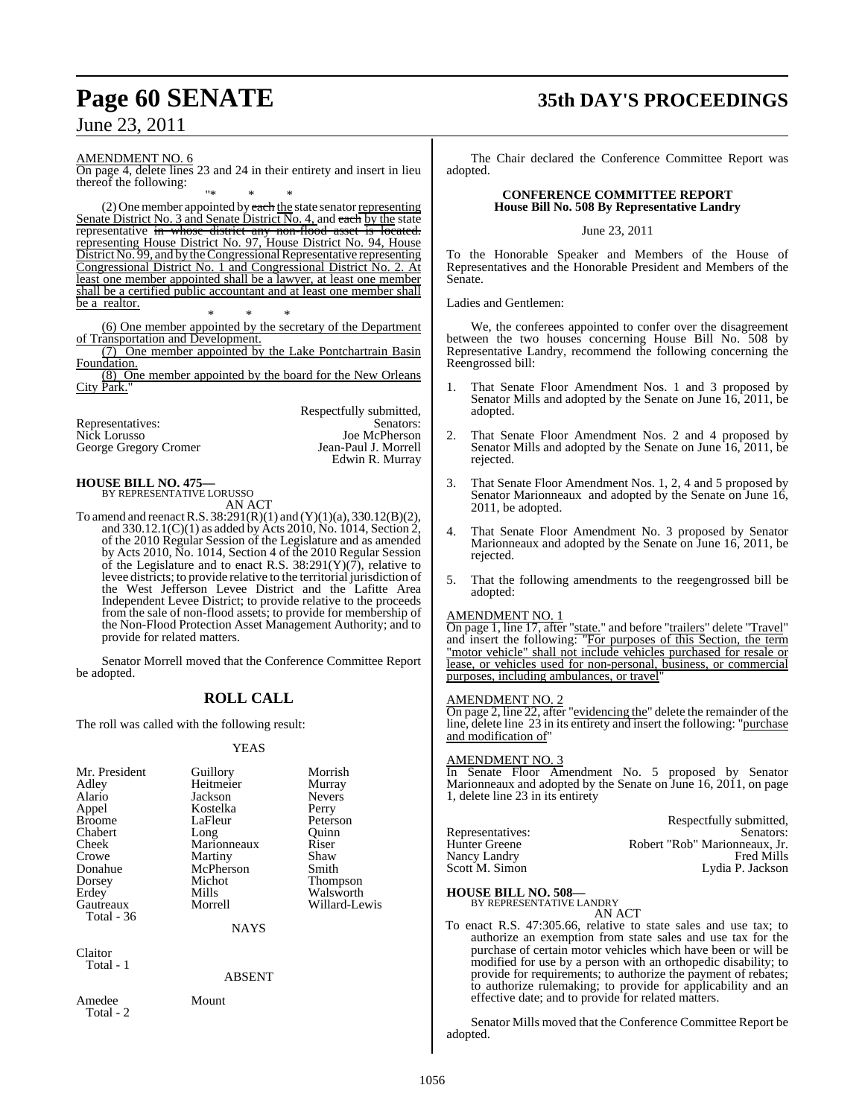## **Page 60 SENATE 35th DAY'S PROCEEDINGS**

AMENDMENT NO. 6

On page 4, delete lines 23 and 24 in their entirety and insert in lieu thereof the following:

"\* \* \* (2) One member appointed by each the state senator representing Senate District No. 3 and Senate District No. 4, and each by the state representative in whose district any non-flood asset is located. representing House District No. 97, House District No. 94, House District No. 99, and by the Congressional Representative representing Congressional District No. 1 and Congressional District No. 2. At least one member appointed shall be a lawyer, at least one member shall be a certified public accountant and at least one member shall be a realtor.

\* \* \* (6) One member appointed by the secretary of the Department of Transportation and Development.

(7) One member appointed by the Lake Pontchartrain Basin Foundation.

(8) One member appointed by the board for the New Orleans City Park."

|                       | Respectfully submitted, |
|-----------------------|-------------------------|
| Representatives:      | Senators:               |
| Nick Lorusso          | Joe McPherson           |
| George Gregory Cromer | Jean-Paul J. Morrell    |
|                       | Edwin R. Murray         |

#### **HOUSE BILL NO. 475—** BY REPRESENTATIVE LORUSSO

AN ACT

To amend and reenact R.S.  $38:291(R)(1)$  and  $(Y)(1)(a)$ ,  $330.12(B)(2)$ , and  $330.12.1(C)(1)$  as added by Acts 2010, No. 1014, Section 2, of the 2010 Regular Session of the Legislature and as amended by Acts 2010, No. 1014, Section 4 of the 2010 Regular Session of the Legislature and to enact R.S.  $38:291(Y)(7)$ , relative to levee districts; to provide relative to the territorial jurisdiction of the West Jefferson Levee District and the Lafitte Area Independent Levee District; to provide relative to the proceeds from the sale of non-flood assets; to provide for membership of the Non-Flood Protection Asset Management Authority; and to provide for related matters.

Senator Morrell moved that the Conference Committee Report be adopted.

### **ROLL CALL**

The roll was called with the following result:

### YEAS

| Mr. President | Guillory    | Morrish         |
|---------------|-------------|-----------------|
| Adley         | Heitmeier   | Murray          |
| Alario        | Jackson     | <b>Nevers</b>   |
| Appel         | Kostelka    | Perry           |
| <b>Broome</b> | LaFleur     | Peterson        |
| Chabert       | Long        | Ouinn           |
| Cheek         | Marionneaux | Riser           |
| Crowe         | Martiny     | Shaw            |
| Donahue       | McPherson   | Smith           |
| Dorsey        | Michot      | <b>Thompson</b> |
| Erdey         | Mills       | Walsworth       |
| Gautreaux     | Morrell     | Willard-Lewis   |
| Total - 36    |             |                 |
|               | <b>NAYS</b> |                 |
|               |             |                 |

Claitor Total - 1

ABSENT

Amedee Mount Total - 2

The Chair declared the Conference Committee Report was adopted.

### **CONFERENCE COMMITTEE REPORT House Bill No. 508 By Representative Landry**

June 23, 2011

To the Honorable Speaker and Members of the House of Representatives and the Honorable President and Members of the Senate.

Ladies and Gentlemen:

We, the conferees appointed to confer over the disagreement between the two houses concerning House Bill No. 508 by Representative Landry, recommend the following concerning the Reengrossed bill:

- 1. That Senate Floor Amendment Nos. 1 and 3 proposed by Senator Mills and adopted by the Senate on June 16, 2011, be adopted.
- 2. That Senate Floor Amendment Nos. 2 and 4 proposed by Senator Mills and adopted by the Senate on June 16, 2011, be rejected.
- 3. That Senate Floor Amendment Nos. 1, 2, 4 and 5 proposed by Senator Marionneaux and adopted by the Senate on June 16, 2011, be adopted.
- That Senate Floor Amendment No. 3 proposed by Senator Marionneaux and adopted by the Senate on June 16, 2011, be rejected.
- 5. That the following amendments to the reegengrossed bill be adopted:

### AMENDMENT NO. 1

On page 1, line 17, after "state." and before "trailers" delete "Travel" and insert the following: "For purposes of this Section, the term "motor vehicle" shall not include vehicles purchased for resale or lease, or vehicles used for non-personal, business, or commercial purposes, including ambulances, or travel

### AMENDMENT NO. 2

On page 2, line 22, after "evidencing the" delete the remainder of the line, delete line 23 in its entirety and insert the following: "purchase and modification of

### AMENDMENT NO. 3

In Senate Floor Amendment No. 5 proposed by Senator Marionneaux and adopted by the Senate on June 16, 2011, on page 1, delete line 23 in its entirety

|                  | Respectfully submitted,       |
|------------------|-------------------------------|
| Representatives: | Senators:                     |
| Hunter Greene    | Robert "Rob" Marionneaux, Jr. |
| Nancy Landry     | <b>Fred Mills</b>             |
| Scott M. Simon   | Lydia P. Jackson              |
|                  |                               |

**HOUSE BILL NO. 508—** BY REPRESENTATIVE LANDRY

AN ACT

To enact R.S. 47:305.66, relative to state sales and use tax; to authorize an exemption from state sales and use tax for the purchase of certain motor vehicles which have been or will be modified for use by a person with an orthopedic disability; to provide for requirements; to authorize the payment of rebates; to authorize rulemaking; to provide for applicability and an effective date; and to provide for related matters.

Senator Mills moved that the Conference Committee Report be adopted.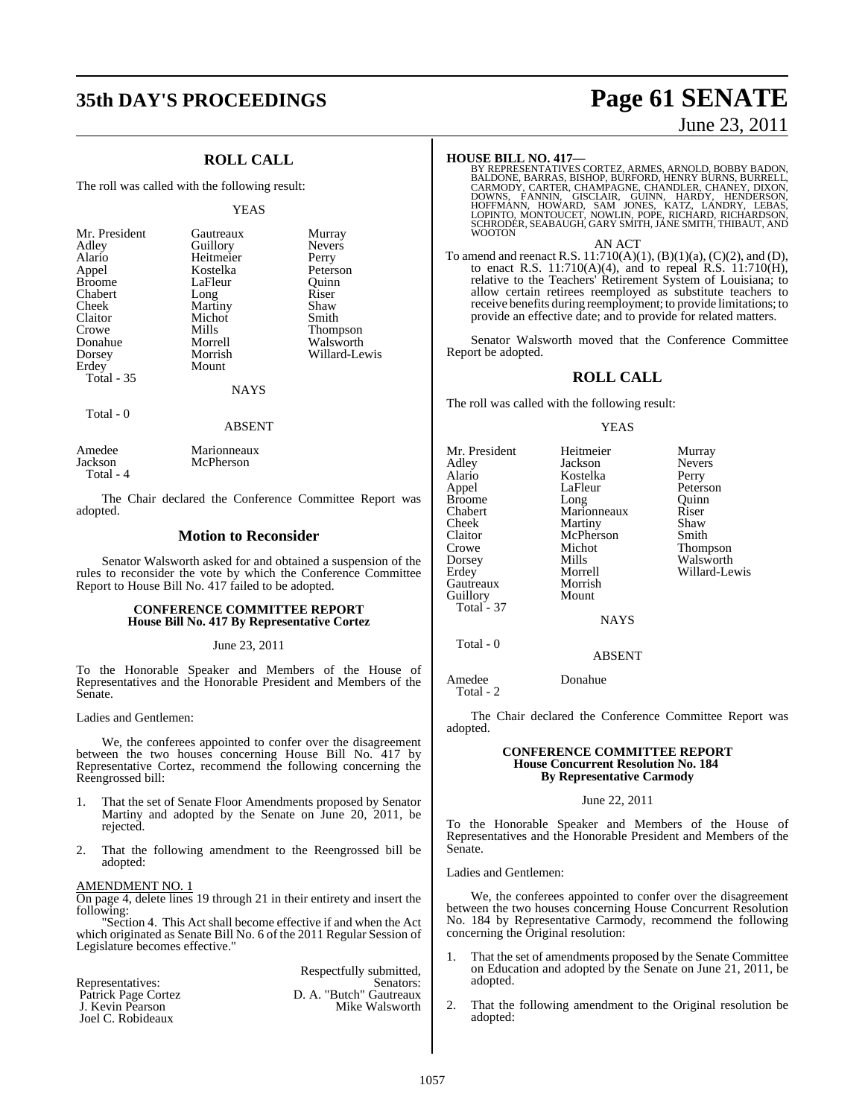## **35th DAY'S PROCEEDINGS Page 61 SENATE**

### **ROLL CALL**

The roll was called with the following result:

#### YEAS

| Mr. President     | Gautreaux | Murray          |
|-------------------|-----------|-----------------|
| Adley             | Guillory  | <b>Nevers</b>   |
| Alario            | Heitmeier | Perry           |
| Appel             | Kostelka  | Peterson        |
| <b>Broome</b>     | LaFleur   | Ouinn           |
| Chabert           | Long      | Riser           |
| Cheek             | Martiny   | Shaw            |
| Claitor           | Michot    | Smith           |
| Crowe             | Mills     | <b>Thompson</b> |
| Donahue           | Morrell   | Walsworth       |
| Dorsey            | Morrish   | Willard-Lewis   |
| Erdey             | Mount     |                 |
| <b>Total - 35</b> |           |                 |
|                   | NAYS      |                 |

Total - 0

### ABSENT

| Amedee    | Marionneaux |
|-----------|-------------|
| Jackson   | McPherson   |
| Total - 4 |             |

The Chair declared the Conference Committee Report was adopted.

### **Motion to Reconsider**

Senator Walsworth asked for and obtained a suspension of the rules to reconsider the vote by which the Conference Committee Report to House Bill No. 417 failed to be adopted.

### **CONFERENCE COMMITTEE REPORT House Bill No. 417 By Representative Cortez**

### June 23, 2011

To the Honorable Speaker and Members of the House of Representatives and the Honorable President and Members of the Senate.

### Ladies and Gentlemen:

We, the conferees appointed to confer over the disagreement between the two houses concerning House Bill No. 417 by Representative Cortez, recommend the following concerning the Reengrossed bill:

- 1. That the set of Senate Floor Amendments proposed by Senator Martiny and adopted by the Senate on June 20, 2011, be rejected.
- 2. That the following amendment to the Reengrossed bill be adopted:

### AMENDMENT NO. 1

On page 4, delete lines 19 through 21 in their entirety and insert the following:

"Section 4. This Act shall become effective if and when the Act which originated as Senate Bill No. 6 of the 2011 Regular Session of Legislature becomes effective."

|                     | Respectfully submitted, |
|---------------------|-------------------------|
| Representatives:    | Senators:               |
| Patrick Page Cortez | D. A. "Butch" Gautreaux |
| J. Kevin Pearson    | Mike Walsworth          |
| Joel C. Robideaux   |                         |

### June 23, 2011

**HOUSE BILL NO. 417—**<br>BY REPRESENTATIVES CORTEZ, ARMES, ARNOLD, BOBBY BADON,<br>BALDONE, BARRAS, BISHOP, BURFORD, HENRY BURNS, BURRELL,<br>CARMODY, CARTER, CHAMPAGNE, CHANDLER, CHANEY, DIXON,<br>DOWNS, FANNIN, GISCLAIR, GUINN, HARD

AN ACT

To amend and reenact R.S. 11:710(A)(1), (B)(1)(a), (C)(2), and (D), to enact R.S. 11:710(A)(4), and to repeal R.S. 11:710(H), relative to the Teachers' Retirement System of Louisiana; to allow certain retirees reemployed as substitute teachers to receive benefits during reemployment; to provide limitations; to provide an effective date; and to provide for related matters.

Senator Walsworth moved that the Conference Committee Report be adopted.

### **ROLL CALL**

The roll was called with the following result:

 $\bar{L}$ ong

McPherson<br>Michot

Morrish Mount

#### YEAS

| Mr. President     |
|-------------------|
| Adley             |
| Alario            |
| Appel             |
| Broome            |
| Chabert           |
| Cheek             |
| Claitor           |
| Crowe             |
| Dorsey            |
| Erdey             |
| Gautreaux         |
| Guillory          |
| <b>Total</b> - 37 |
|                   |
|                   |

Heitmeier Murray Jackson Nevers<br>Kostelka Perry Kostelka Perry<br>LaFleur Peterson LaFleur Peterson<br>Long Ouinn Marionneaux Riser<br>
Martiny Shaw Martiny Shaw<br>
McPherson Smith Michot Thompson<br>Mills Walsworth Mills Walsworth<br>
Morrell Willard-Le Willard-Lewis

**NAYS** 

ABSENT

Total - 0

Amedee Donahue

Total - 2

The Chair declared the Conference Committee Report was adopted.

### **CONFERENCE COMMITTEE REPORT House Concurrent Resolution No. 184 By Representative Carmody**

### June 22, 2011

To the Honorable Speaker and Members of the House of Representatives and the Honorable President and Members of the Senate.

Ladies and Gentlemen:

We, the conferees appointed to confer over the disagreement between the two houses concerning House Concurrent Resolution No. 184 by Representative Carmody, recommend the following concerning the Original resolution:

- 1. That the set of amendments proposed by the Senate Committee on Education and adopted by the Senate on June 21, 2011, be adopted.
- That the following amendment to the Original resolution be adopted: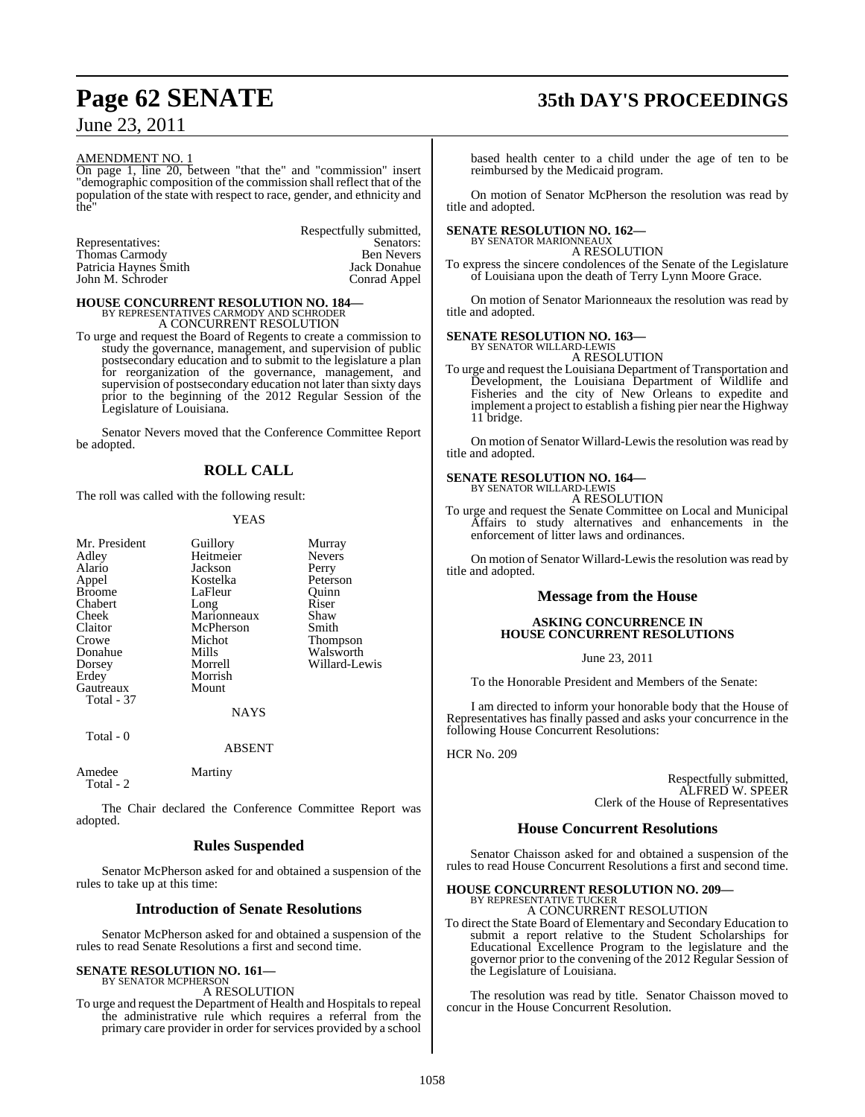## **Page 62 SENATE 35th DAY'S PROCEEDINGS**

June 23, 2011

### AMENDMENT NO. 1

On page 1, line 20, between "that the" and "commission" insert "demographic composition of the commission shall reflect that of the population of the state with respect to race, gender, and ethnicity and  $fhe$ 

Respectfully submitted,<br>Senators: Representatives: Thomas Carmody<br>
Patricia Haynes Smith Sack Donahue<br>
Jack Donahue Patricia Haynes Šmith Jack Donahue<br>
John M. Schroder Conrad Appel John M. Schroder

### **HOUSE CONCURRENT RESOLUTION NO. 184—** BY REPRESENTATIVES CARMODY AND SCHRODER A CONCURRENT RESOLUTION

To urge and request the Board of Regents to create a commission to

study the governance, management, and supervision of public postsecondary education and to submit to the legislature a plan for reorganization of the governance, management, and supervision of postsecondary education not later than sixty days prior to the beginning of the 2012 Regular Session of the Legislature of Louisiana.

Senator Nevers moved that the Conference Committee Report be adopted.

### **ROLL CALL**

The roll was called with the following result:

### YEAS

| Mr. President | Guillory    | Murray        |
|---------------|-------------|---------------|
| Adley         | Heitmeier   | <b>Nevers</b> |
| Alario        | Jackson     |               |
|               |             | Perry         |
| Appel         | Kostelka    | Peterson      |
| <b>Broome</b> | LaFleur     | Ouinn         |
| Chabert       | Long        | Riser         |
| Cheek         | Marionneaux | Shaw          |
| Claitor       | McPherson   | Smith         |
| Crowe         | Michot      | Thompson      |
| Donahue       | Mills       | Walsworth     |
| Dorsey        | Morrell     | Willard-Lewis |
| Erdey         | Morrish     |               |
| Gautreaux     | Mount       |               |
| Total - 37    |             |               |
|               | <b>NAYS</b> |               |
| Total - 0     |             |               |
|               | ABSENT      |               |

The Chair declared the Conference Committee Report was adopted.

### **Rules Suspended**

Senator McPherson asked for and obtained a suspension of the rules to take up at this time:

### **Introduction of Senate Resolutions**

Senator McPherson asked for and obtained a suspension of the rules to read Senate Resolutions a first and second time.

#### **SENATE RESOLUTION NO. 161—** BY SENATOR MCPHERSON

Amedee Martiny

Total - 2

A RESOLUTION

To urge and request the Department of Health and Hospitals to repeal the administrative rule which requires a referral from the primary care provider in order for services provided by a school based health center to a child under the age of ten to be reimbursed by the Medicaid program.

On motion of Senator McPherson the resolution was read by title and adopted.

### **SENATE RESOLUTION NO. 162—** BY SENATOR MARIONNEAUX

A RESOLUTION

To express the sincere condolences of the Senate of the Legislature of Louisiana upon the death of Terry Lynn Moore Grace.

On motion of Senator Marionneaux the resolution was read by title and adopted.

### **SENATE RESOLUTION NO. 163—**

BY SENATOR WILLARD-LEWIS A RESOLUTION

To urge and request the Louisiana Department of Transportation and Development, the Louisiana Department of Wildlife and Fisheries and the city of New Orleans to expedite and implement a project to establish a fishing pier near the Highway 11 bridge.

On motion of Senator Willard-Lewis the resolution was read by title and adopted.

## **SENATE RESOLUTION NO. 164—** BY SENATOR WILLARD-LEWIS

A RESOLUTION

To urge and request the Senate Committee on Local and Municipal Affairs to study alternatives and enhancements in the enforcement of litter laws and ordinances.

On motion of Senator Willard-Lewis the resolution was read by title and adopted.

### **Message from the House**

### **ASKING CONCURRENCE IN HOUSE CONCURRENT RESOLUTIONS**

June 23, 2011

To the Honorable President and Members of the Senate:

I am directed to inform your honorable body that the House of Representatives has finally passed and asks your concurrence in the following House Concurrent Resolutions:

HCR No. 209

Respectfully submitted, ALFRED W. SPEER Clerk of the House of Representatives

### **House Concurrent Resolutions**

Senator Chaisson asked for and obtained a suspension of the rules to read House Concurrent Resolutions a first and second time.

### **HOUSE CONCURRENT RESOLUTION NO. 209—**

BY REPRESENTATIVE TUCKER A CONCURRENT RESOLUTION

To direct the State Board of Elementary and Secondary Education to submit a report relative to the Student Scholarships for Educational Excellence Program to the legislature and the governor prior to the convening of the 2012 Regular Session of the Legislature of Louisiana.

The resolution was read by title. Senator Chaisson moved to concur in the House Concurrent Resolution.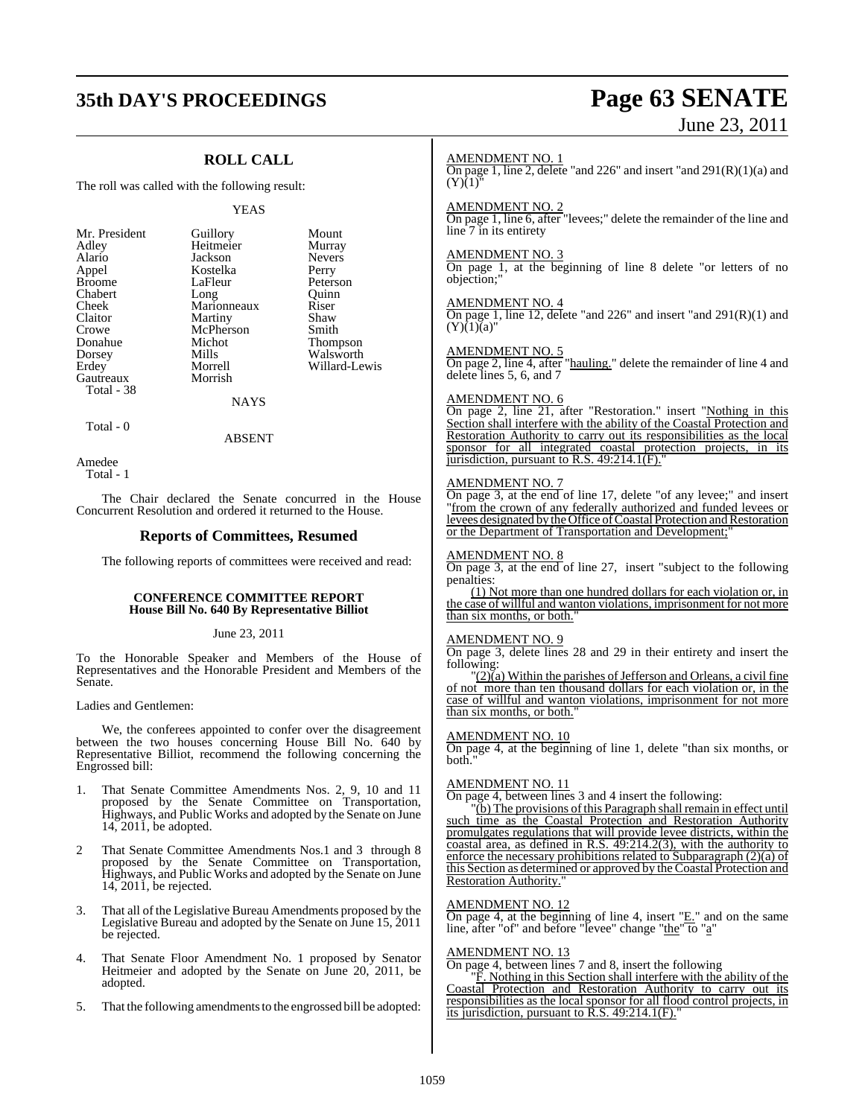## **35th DAY'S PROCEEDINGS Page 63 SENATE** June 23, 2011

### **ROLL CALL**

The roll was called with the following result:

#### YEAS

| Mr. President | Guillory    | Mour              |
|---------------|-------------|-------------------|
| Adley         | Heitmeier   | Murra             |
| Alario        | Jackson     | Neve <sub>1</sub> |
| Appel         | Kostelka    | Perry             |
| <b>Broome</b> | LaFleur     | Peters            |
| Chabert       | Long        | Quini             |
| Cheek         | Marionneaux | Riser             |
| Claitor       | Martiny     | Shaw              |
| Crowe         | McPherson   | Smith             |
| Donahue       | Michot      | Thom              |
| Dorsey        | Mills       | Walsy             |
| Erdey         | Morrell     | Willa             |
| Gautreaux     | Morrish     |                   |
| Total - 38    |             |                   |

huillory Mount<br>Teitmeier Murray ackson Nevers<br>Lostelka Perry aFleur Peterson<br>
ong Quinn Quinn<br>Riser **Marionneaux** The Muslim Smith<br>The Smith Smith<br>Thom Donahue Michot Thompson 1991 Malsworth<br>1991 Millard-Le

Willard-Lewis

### NAYS

Total - 0

Amedee Total - 1

The Chair declared the Senate concurred in the House Concurrent Resolution and ordered it returned to the House.

ABSENT

### **Reports of Committees, Resumed**

The following reports of committees were received and read:

### **CONFERENCE COMMITTEE REPORT House Bill No. 640 By Representative Billiot**

### June 23, 2011

To the Honorable Speaker and Members of the House of Representatives and the Honorable President and Members of the Senate.

Ladies and Gentlemen:

We, the conferees appointed to confer over the disagreement between the two houses concerning House Bill No. 640 by Representative Billiot, recommend the following concerning the Engrossed bill:

- 1. That Senate Committee Amendments Nos. 2, 9, 10 and 11 proposed by the Senate Committee on Transportation, Highways, and Public Works and adopted by the Senate on June 14, 2011, be adopted.
- 2 That Senate Committee Amendments Nos.1 and 3 through 8 proposed by the Senate Committee on Transportation, Highways, and Public Works and adopted by the Senate on June 14, 2011, be rejected.
- 3. That all of the Legislative Bureau Amendments proposed by the Legislative Bureau and adopted by the Senate on June 15, 2011 be rejected.
- 4. That Senate Floor Amendment No. 1 proposed by Senator Heitmeier and adopted by the Senate on June 20, 2011, be adopted.
- 5. That the following amendments to the engrossed bill be adopted:

### AMENDMENT NO. 1

On page 1, line 2, delete "and 226" and insert "and 291(R)(1)(a) and  $(Y)(1)$ 

### AMENDMENT NO. 2

On page 1, line 6, after "levees;" delete the remainder of the line and line 7 in its entirety

### AMENDMENT NO. 3

On page 1, at the beginning of line 8 delete "or letters of no objection;"

### AMENDMENT NO. 4

On page 1, line 12, delete "and 226" and insert "and 291(R)(1) and  $(Y)(1)(a)$ "

### AMENDMENT NO. 5

On page 2, line 4, after "hauling." delete the remainder of line 4 and delete lines 5, 6, and 7

### AMENDMENT NO. 6

On page 2, line 21, after "Restoration." insert "Nothing in this Section shall interfere with the ability of the Coastal Protection and Restoration Authority to carry out its responsibilities as the local sponsor for all integrated coastal protection projects, in its jurisdiction, pursuant to R.S.  $49:214.1(F)$ ."

### AMENDMENT NO. 7

On page 3, at the end of line 17, delete "of any levee;" and insert "from the crown of any federally authorized and funded levees or levees designated by the Office of Coastal Protection and Restoration or the Department of Transportation and Development;

### AMENDMENT NO. 8

On page 3, at the end of line 27, insert "subject to the following penalties:

(1) Not more than one hundred dollars for each violation or, in the case of willful and wanton violations, imprisonment for not more than six months, or both.

### AMENDMENT NO. 9

On page 3, delete lines 28 and 29 in their entirety and insert the following:

 $\frac{1}{2}(2)(a)$  Within the parishes of Jefferson and Orleans, a civil fine of not more than ten thousand dollars for each violation or, in the case of willful and wanton violations, imprisonment for not more than six months, or both."

### AMENDMENT NO. 10

On page 4, at the beginning of line 1, delete "than six months, or hoth.

### AMENDMENT NO. 11

On page 4, between lines 3 and 4 insert the following:

(b) The provisions of this Paragraph shall remain in effect until such time as the Coastal Protection and Restoration Authority promulgates regulations that will provide levee districts, within the coastal area, as defined in R.S. 49:214.2(3), with the authority to enforce the necessary prohibitions related to Subparagraph (2)(a) of this Section as determined or approved by the Coastal Protection and Restoration Authority."

### AMENDMENT NO. 12

On page 4, at the beginning of line 4, insert  $"E."$  and on the same line, after "of" and before "levee" change "the" to "a"

### AMENDMENT NO. 13

On page 4, between lines 7 and 8, insert the following

"F. Nothing in this Section shall interfere with the ability of the Coastal Protection and Restoration Authority to carry out its responsibilities as the local sponsor for all flood control projects, in its jurisdiction, pursuant to  $\overline{R}$ . S. 49:214.1(F).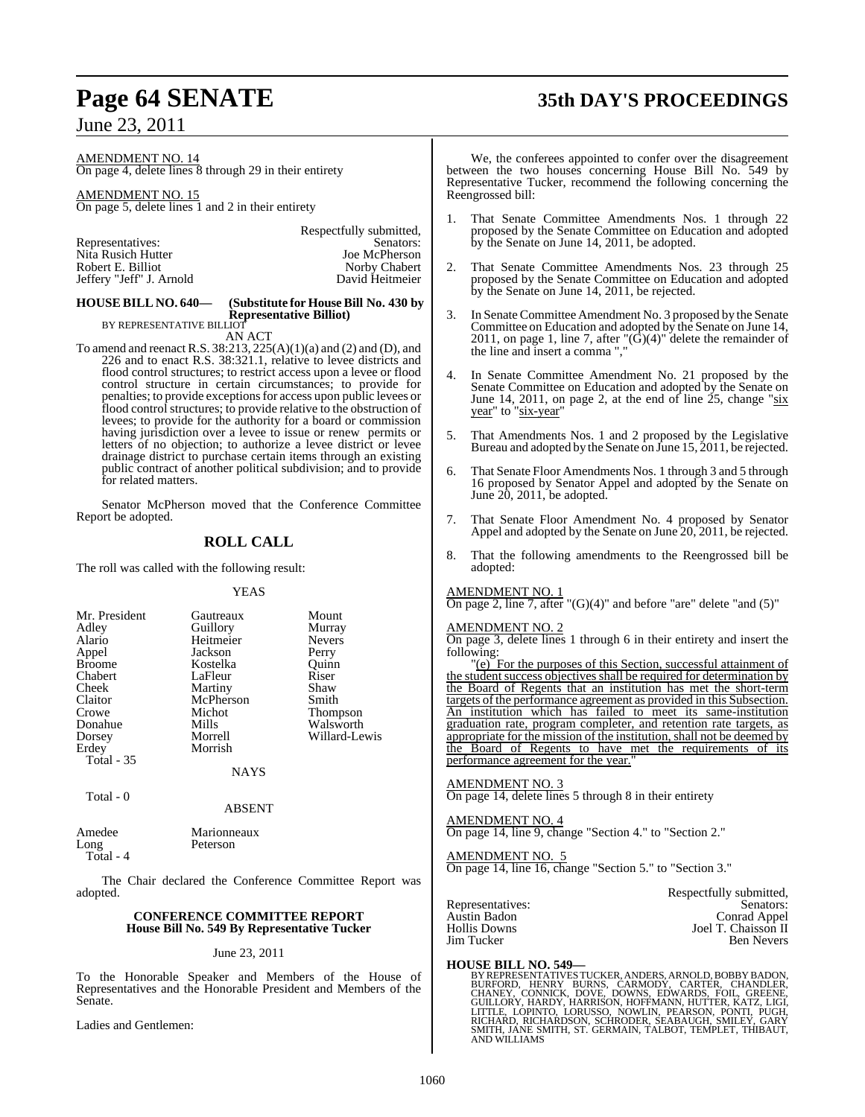## **Page 64 SENATE 35th DAY'S PROCEEDINGS**

June 23, 2011

AMENDMENT NO. 14 On page 4, delete lines 8 through 29 in their entirety

AMENDMENT NO. 15 On page 5, delete lines 1 and 2 in their entirety

| Respectfully submitted, |
|-------------------------|
| Senators:               |
| Joe McPherson           |
| Norby Chabert           |
| David Heitmeier         |
|                         |

### **HOUSE BILL NO. 640— (Substitute for House Bill No. 430 by Representative Billiot)**

BY REPRESENTATIVE BILLIOT

AN ACT

To amend and reenact R.S. 38:213, 225(A)(1)(a) and (2) and (D), and 226 and to enact R.S. 38:321.1, relative to levee districts and flood control structures; to restrict access upon a levee or flood control structure in certain circumstances; to provide for penalties; to provide exceptions for access upon public levees or flood control structures; to provide relative to the obstruction of levees; to provide for the authority for a board or commission having jurisdiction over a levee to issue or renew permits or letters of no objection; to authorize a levee district or levee drainage district to purchase certain items through an existing public contract of another political subdivision; and to provide for related matters.

Senator McPherson moved that the Conference Committee Report be adopted.

### **ROLL CALL**

The roll was called with the following result:

### YEAS

| Mr. President | Gautreaux | Mount           |
|---------------|-----------|-----------------|
| Adley         | Guillory  | Murray          |
| Alario        | Heitmeier | <b>Nevers</b>   |
| Appel         | Jackson   | Perry           |
| <b>Broome</b> | Kostelka  | Ouinn           |
| Chabert       | LaFleur   | Riser           |
| Cheek         | Martiny   | Shaw            |
| Claitor       | McPherson | Smith           |
| Crowe         | Michot    | <b>Thompson</b> |
| Donahue       | Mills     | Walsworth       |
| Dorsey        | Morrell   | Willard-Lewis   |
| Erdey         | Morrish   |                 |
| Total - 35    |           |                 |
|               | NAYS      |                 |

Total - 0

ABSENT

Amedee Marionneaux<br>Long Peterson Peterson

Total - 4

The Chair declared the Conference Committee Report was adopted.

### **CONFERENCE COMMITTEE REPORT House Bill No. 549 By Representative Tucker**

### June 23, 2011

To the Honorable Speaker and Members of the House of Representatives and the Honorable President and Members of the Senate.

Ladies and Gentlemen:

We, the conferees appointed to confer over the disagreement between the two houses concerning House Bill No. 549 by Representative Tucker, recommend the following concerning the Reengrossed bill:

- 1. That Senate Committee Amendments Nos. 1 through 22 proposed by the Senate Committee on Education and adopted by the Senate on June 14, 2011, be adopted.
- That Senate Committee Amendments Nos. 23 through 25 proposed by the Senate Committee on Education and adopted by the Senate on June 14, 2011, be rejected.
- 3. In Senate Committee Amendment No. 3 proposed by the Senate Committee on Education and adopted by the Senate on June 14, 2011, on page 1, line 7, after  $\Gamma(G)(4)$ " delete the remainder of the line and insert a comma ","
- 4. In Senate Committee Amendment No. 21 proposed by the Senate Committee on Education and adopted by the Senate on June 14, 2011, on page 2, at the end of line  $25$ , change " $\frac{\text{six}}{\text{six}}$ year" to "six-year"
- 5. That Amendments Nos. 1 and 2 proposed by the Legislative Bureau and adopted by the Senate on June 15, 2011, be rejected.
- That Senate Floor Amendments Nos. 1 through 3 and 5 through 16 proposed by Senator Appel and adopted by the Senate on June 20, 2011, be adopted.
- 7. That Senate Floor Amendment No. 4 proposed by Senator Appel and adopted by the Senate on June 20, 2011, be rejected.
- 8. That the following amendments to the Reengrossed bill be adopted:

### AMENDMENT NO. 1

On page 2, line 7, after " $(G)(4)$ " and before "are" delete "and  $(5)$ "

### AMENDMENT NO. 2

On page 3, delete lines 1 through 6 in their entirety and insert the following:

"(e) For the purposes of this Section, successful attainment of the student success objectives shall be required for determination by the Board of Regents that an institution has met the short-term targets of the performance agreement as provided in this Subsection. An institution which has failed to meet its same-institution graduation rate, program completer, and retention rate targets, as appropriate for the mission of the institution, shall not be deemed by the Board of Regents to have met the requirements of its performance agreement for the year."

### AMENDMENT NO. 3

On page 14, delete lines 5 through 8 in their entirety

AMENDMENT NO. 4 On page 14, line 9, change "Section 4." to "Section 2."

### AMENDMENT NO. 5

On page 14, line 16, change "Section 5." to "Section 3."

|                  | Respectfully submitted, |
|------------------|-------------------------|
| Representatives: | Senators:               |
| Austin Badon     | Conrad Appel            |
| Hollis Downs     | Joel T. Chaisson II     |
| Jim Tucker       | <b>Ben Nevers</b>       |
|                  |                         |

### **HOUSE BILL NO. 549—**

BY REPRESENTATIVES TUCKER, ANDERS, ARNOLD, BOBBY BADON,<br>BURFORD, HENRY BURNS, CARMODY, CARTER, CHANDLER,<br>CHANEY, CONNICK, DOVE, DOWNS, EDWARDS, FOIL, GREENE,<br>GUILLORY, HARDY, HARRISON, HOFFMANN, HUTTER, KATZ, LIGI,<br>LITTLE, SMITH, JANE SMITH, ST. GERMAIN, TALBOT, TEMPLET, THIBAUT, AND WILLIAMS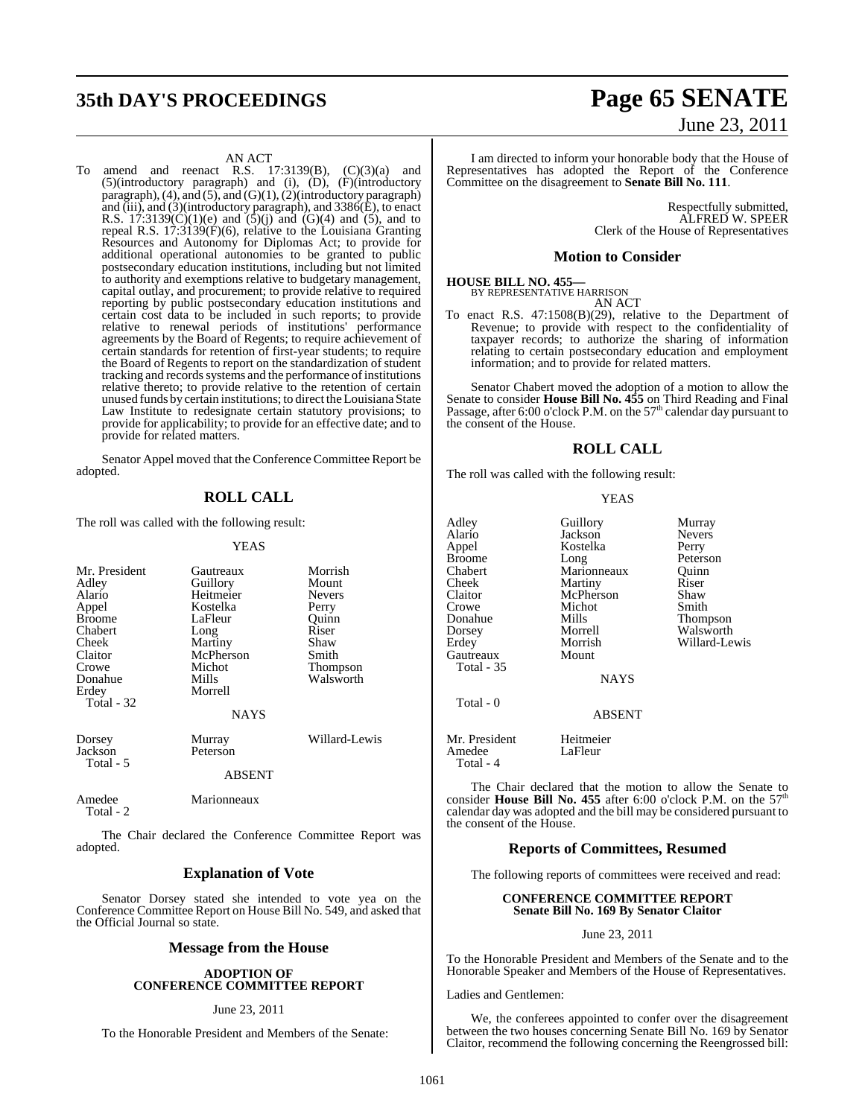## **35th DAY'S PROCEEDINGS Page 65 SENATE**

### AN ACT

To amend and reenact R.S.  $17:3139(B)$ ,  $(C)(3)(a)$  and (5)(introductory paragraph) and (i), (D), (F)(introductory paragraph), (4), and (5), and (G)(1), (2)(introductory paragraph) and (iii), and (3)(introductory paragraph), and 3386(E), to enact R.S. 17:3139(C)(1)(e) and  $(5)(j)$  and  $(6)(4)$  and  $(5)$ , and to repeal R.S. 17:3139(F)(6), relative to the Louisiana Granting Resources and Autonomy for Diplomas Act; to provide for additional operational autonomies to be granted to public postsecondary education institutions, including but not limited to authority and exemptions relative to budgetary management, capital outlay, and procurement; to provide relative to required reporting by public postsecondary education institutions and certain cost data to be included in such reports; to provide relative to renewal periods of institutions' performance agreements by the Board of Regents; to require achievement of certain standards for retention of first-year students; to require the Board of Regents to report on the standardization of student tracking and records systems and the performance of institutions relative thereto; to provide relative to the retention of certain unused funds by certain institutions; to direct theLouisiana State Law Institute to redesignate certain statutory provisions; to provide for applicability; to provide for an effective date; and to provide for related matters.

Senator Appel moved that the Conference Committee Report be adopted.

### **ROLL CALL**

The roll was called with the following result:

Total - 2

### **YEAS**

| Mr. President<br>Adley<br>Alario<br>Appel<br><b>Broome</b><br>Chabert<br>Cheek<br>Claitor<br>Crowe<br>Donahue<br>Erdey | Gautreaux<br>Guillory<br>Heitmeier<br>Kostelka<br>LaFleur<br>Long<br>Martiny<br>McPherson<br>Michot<br>Mills<br>Morrell | Morrish<br>Mount<br><b>Nevers</b><br>Perry<br>Ouinn<br>Riser<br>Shaw<br>Smith<br><b>Thompson</b><br>Walsworth |
|------------------------------------------------------------------------------------------------------------------------|-------------------------------------------------------------------------------------------------------------------------|---------------------------------------------------------------------------------------------------------------|
| Total - 32                                                                                                             | <b>NAYS</b>                                                                                                             |                                                                                                               |
| Dorsey<br>Jackson<br>Total - 5                                                                                         | Murray<br>Peterson                                                                                                      | Willard-Lewis                                                                                                 |
|                                                                                                                        | <b>ABSENT</b>                                                                                                           |                                                                                                               |
| Amedee                                                                                                                 | Marionneaux                                                                                                             |                                                                                                               |

The Chair declared the Conference Committee Report was adopted.

### **Explanation of Vote**

Senator Dorsey stated she intended to vote yea on the Conference Committee Report on House Bill No. 549, and asked that the Official Journal so state.

### **Message from the House**

### **ADOPTION OF CONFERENCE COMMITTEE REPORT**

### June 23, 2011

To the Honorable President and Members of the Senate:

# June 23, 2011

I am directed to inform your honorable body that the House of Representatives has adopted the Report of the Conference Committee on the disagreement to **Senate Bill No. 111**.

> Respectfully submitted, ALFRED W. SPEER Clerk of the House of Representatives

### **Motion to Consider**

## **HOUSE BILL NO. 455—** BY REPRESENTATIVE HARRISON

AN ACT

To enact R.S. 47:1508(B)(29), relative to the Department of Revenue; to provide with respect to the confidentiality of taxpayer records; to authorize the sharing of information relating to certain postsecondary education and employment information; and to provide for related matters.

Senator Chabert moved the adoption of a motion to allow the Senate to consider **House Bill No. 455** on Third Reading and Final Passage, after  $6:00$  o'clock P.M. on the  $57<sup>th</sup>$  calendar day pursuant to the consent of the House.

### **ROLL CALL**

The roll was called with the following result:

#### YEAS

| Adley             | Guillory      | Murray        |
|-------------------|---------------|---------------|
| Alario            | Jackson       | <b>Nevers</b> |
| Appel             | Kostelka      | Perry         |
| <b>Broome</b>     | Long          | Peterson      |
| Chabert           | Marionneaux   | Ouinn         |
| Cheek             | Martiny       | Riser         |
| Claitor           | McPherson     | Shaw          |
| Crowe             | Michot        | Smith         |
| Donahue           | Mills         | Thompson      |
| Dorsey            | Morrell       | Walsworth     |
| Erdey             | Morrish       | Willard-Lewis |
| Gautreaux         | Mount         |               |
| <b>Total - 35</b> |               |               |
|                   | <b>NAYS</b>   |               |
| Total - 0         |               |               |
|                   | <b>ABSENT</b> |               |
| _ _ _             | $-  -$        |               |

Mr. President Heitmeier<br>Amedee LaFleur Amedee Total - 4

The Chair declared that the motion to allow the Senate to consider **House Bill No. 455** after 6:00 o'clock P.M. on the 57<sup>th</sup> calendar day was adopted and the bill may be considered pursuant to the consent of the House.

### **Reports of Committees, Resumed**

The following reports of committees were received and read:

### **CONFERENCE COMMITTEE REPORT Senate Bill No. 169 By Senator Claitor**

June 23, 2011

To the Honorable President and Members of the Senate and to the Honorable Speaker and Members of the House of Representatives.

Ladies and Gentlemen:

We, the conferees appointed to confer over the disagreement between the two houses concerning Senate Bill No. 169 by Senator Claitor, recommend the following concerning the Reengrossed bill: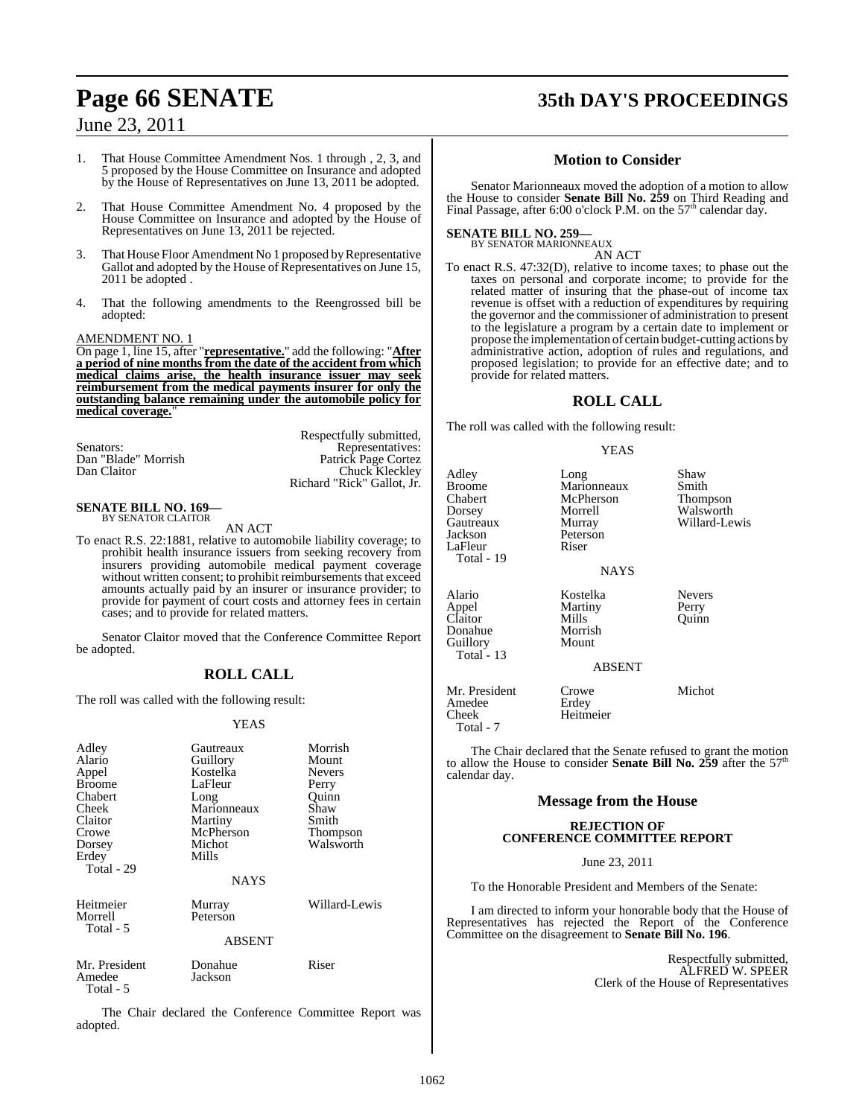## **Page 66 SENATE 35th DAY'S PROCEEDINGS**

### June 23, 2011

- 1. That House Committee Amendment Nos. 1 through , 2, 3, and 5 proposed by the House Committee on Insurance and adopted by the House of Representatives on June 13, 2011 be adopted.
- 2. That House Committee Amendment No. 4 proposed by the House Committee on Insurance and adopted by the House of Representatives on June 13, 2011 be rejected.
- 3. That House Floor Amendment No 1 proposed by Representative Gallot and adopted by the House of Representatives on June 15, 2011 be adopted .
- 4. That the following amendments to the Reengrossed bill be adopted:

### AMENDMENT NO. 1

On page 1, line 15, after "**representative.**" add the following: "**After a period of nine months from the date of the accident from which medical claims arise, the health insurance issuer may seek reimbursement from the medical payments insurer for only the outstanding balance remaining under the automobile policy for medical coverage.**"

|                     | Respectfully submitted,    |
|---------------------|----------------------------|
| Senators:           | Representatives:           |
| Dan "Blade" Morrish | Patrick Page Cortez        |
| Dan Claitor         | Chuck Kleckley             |
|                     | Richard "Rick" Gallot, Jr. |

#### **SENATE BILL NO. 169—** BY SENATOR CLAITOR

AN ACT

To enact R.S. 22:1881, relative to automobile liability coverage; to prohibit health insurance issuers from seeking recovery from insurers providing automobile medical payment coverage without written consent; to prohibit reimbursements that exceed amounts actually paid by an insurer or insurance provider; to provide for payment of court costs and attorney fees in certain cases; and to provide for related matters.

Senator Claitor moved that the Conference Committee Report be adopted.

### **ROLL CALL**

The roll was called with the following result:

### YEAS

| Adley<br>Alario<br>Appel<br><b>Broome</b><br>Chabert<br>Cheek<br>Claitor<br>Crowe<br>Dorsey | Gautreaux<br>Guillory<br>Kostelka<br>LaFleur<br>Long<br>Marionneaux<br>Martiny<br>McPherson<br>Michot | Morrish<br>Mount<br><b>Nevers</b><br>Perry<br>Ouinn<br>Shaw<br>Smith<br>Thompson<br>Walsworth |
|---------------------------------------------------------------------------------------------|-------------------------------------------------------------------------------------------------------|-----------------------------------------------------------------------------------------------|
| Erdey<br>Total - 29                                                                         | Mills<br>NAYS                                                                                         |                                                                                               |
| Heitmeier<br>Morrell<br>Total - 5                                                           | Murray<br>Peterson<br>ABSENT                                                                          | Willard-Lewis                                                                                 |
| Mr. President<br>Amedee<br>Total - 5                                                        | Donahue<br>Jackson                                                                                    | Riser                                                                                         |

The Chair declared the Conference Committee Report was adopted.

### **Motion to Consider**

Senator Marionneaux moved the adoption of a motion to allow the House to consider **Senate Bill No. 259** on Third Reading and Final Passage, after 6:00 o'clock P.M. on the 57<sup>th</sup> calendar day.

#### **SENATE BILL NO. 259—** BY SENATOR MARIONNEAUX

AN ACT

To enact R.S. 47:32(D), relative to income taxes; to phase out the taxes on personal and corporate income; to provide for the related matter of insuring that the phase-out of income tax revenue is offset with a reduction of expenditures by requiring the governor and the commissioner of administration to present to the legislature a program by a certain date to implement or propose the implementation of certain budget-cutting actions by administrative action, adoption of rules and regulations, and proposed legislation; to provide for an effective date; and to provide for related matters.

### **ROLL CALL**

The roll was called with the following result:

### YEAS

| Adley<br>Broome<br>Chabert<br>Dorsey<br>Gautreaux<br>Jackson<br>LaFleur<br>Total - 19 | Long<br>Marionneaux<br>McPherson<br>Morrell<br>Murray<br>Peterson<br>Riser<br>NAYS | Shaw<br>Smith<br>Thompson<br>Walsworth<br>Willard-Lewis |
|---------------------------------------------------------------------------------------|------------------------------------------------------------------------------------|---------------------------------------------------------|
| Alario<br>Appel<br>Claitor<br>Donahue<br>Guillory<br>Total - 13                       | Kostelka<br>Martiny<br>Mills<br>Morrish<br>Mount<br>ABSENT                         | <b>Nevers</b><br>Perry<br>Ouinn                         |
| Mr. President<br>Amedee<br>Cheek<br>Total - 7                                         | Crowe<br>Erdey<br>Heitmeier                                                        | Michot                                                  |

The Chair declared that the Senate refused to grant the motion to allow the House to consider **Senate Bill No. 259** after the 57th calendar day.

### **Message from the House**

### **REJECTION OF CONFERENCE COMMITTEE REPORT**

June 23, 2011

To the Honorable President and Members of the Senate:

I am directed to inform your honorable body that the House of Representatives has rejected the Report of the Conference Committee on the disagreement to **Senate Bill No. 196**.

> Respectfully submitted, ALFRED W. SPEER Clerk of the House of Representatives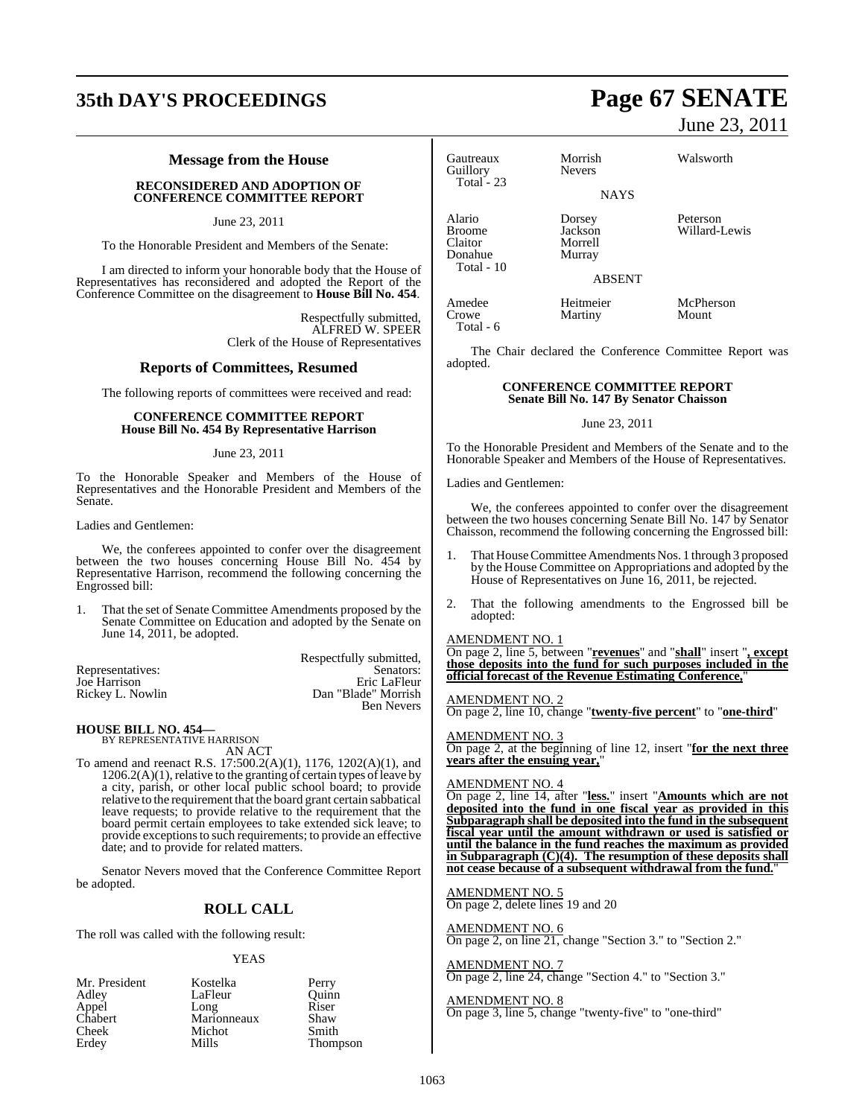## **35th DAY'S PROCEEDINGS Page 67 SENATE**

### **Message from the House**

### **RECONSIDERED AND ADOPTION OF CONFERENCE COMMITTEE REPORT**

June 23, 2011

To the Honorable President and Members of the Senate:

I am directed to inform your honorable body that the House of Representatives has reconsidered and adopted the Report of the Conference Committee on the disagreement to **House Bill No. 454**.

> Respectfully submitted, ALFRED W. SPEER Clerk of the House of Representatives

### **Reports of Committees, Resumed**

The following reports of committees were received and read:

### **CONFERENCE COMMITTEE REPORT House Bill No. 454 By Representative Harrison**

### June 23, 2011

To the Honorable Speaker and Members of the House of Representatives and the Honorable President and Members of the Senate.

### Ladies and Gentlemen:

We, the conferees appointed to confer over the disagreement between the two houses concerning House Bill No. 454 by Representative Harrison, recommend the following concerning the Engrossed bill:

1. That the set of Senate Committee Amendments proposed by the Senate Committee on Education and adopted by the Senate on June 14, 2011, be adopted.

|                  | Respectfully submitted, |
|------------------|-------------------------|
| Representatives: | Senators:               |
| Joe Harrison     | Eric LaFleur            |
| Rickey L. Nowlin | Dan "Blade" Morrish     |
|                  | <b>Ben Nevers</b>       |

### **HOUSE BILL NO. 454—**

BY REPRESENTATIVE HARRISON AN ACT

To amend and reenact R.S. 17:500.2(A)(1), 1176, 1202(A)(1), and  $1206.2(A)(1)$ , relative to the granting of certain types of leave by a city, parish, or other local public school board; to provide relative to the requirement that the board grant certain sabbatical leave requests; to provide relative to the requirement that the board permit certain employees to take extended sick leave; to provide exceptions to such requirements; to provide an effective date; and to provide for related matters.

Senator Nevers moved that the Conference Committee Report be adopted.

### **ROLL CALL**

The roll was called with the following result:

#### YEAS

| Mr. President | Kostelka    | Perry    |
|---------------|-------------|----------|
| Adley         | LaFleur     | Ouinn    |
| Appel         | Long        | Riser    |
| Chabert       | Marionneaux | Shaw     |
| Cheek         | Michot      | Smith    |
| Erdey         | Mills       | Thompson |

June 23, 2011

Gautreaux Morrish Walsworth Guillory Total - 23

Total - 10

**NAYS** 

Alario Dorsey Peterson Broome Jackson Willard-Lewis<br>Claitor Morrell Willard-Lewis Morrell Donahue Murray

Martiny

Amedee Heitmeier McPherson<br>Crowe Martiny Mount Total - 6

The Chair declared the Conference Committee Report was adopted.

ABSENT

### **CONFERENCE COMMITTEE REPORT Senate Bill No. 147 By Senator Chaisson**

June 23, 2011

To the Honorable President and Members of the Senate and to the Honorable Speaker and Members of the House of Representatives.

Ladies and Gentlemen:

We, the conferees appointed to confer over the disagreement between the two houses concerning Senate Bill No. 147 by Senator Chaisson, recommend the following concerning the Engrossed bill:

- 1. That House Committee Amendments Nos. 1 through 3 proposed by the House Committee on Appropriations and adopted by the House of Representatives on June 16, 2011, be rejected.
- 2. That the following amendments to the Engrossed bill be adopted:

### AMENDMENT NO. 1

On page 2, line 5, between "**revenues**" and "**shall**" insert "**, except those deposits into the fund for such purposes included in the official forecast of the Revenue Estimating Conference,**"

### AMENDMENT NO. 2

On page 2, line 10, change "**twenty-five percent**" to "**one-third**"

#### AMENDMENT NO. 3

On page 2, at the beginning of line 12, insert "**for the next three years after the ensuing year,**"

### AMENDMENT NO. 4

On page 2, line 14, after "**less.**" insert "**Amounts which are not deposited into the fund in one fiscal year as provided in this Subparagraph shall be deposited into the fund in the subsequent fiscal year until the amount withdrawn or used is satisfied or until the balance in the fund reaches the maximum as provided in Subparagraph (C)(4). The resumption of these deposits shall not cease because of a subsequent withdrawal from the fund.**"

AMENDMENT NO. 5 On page 2, delete lines 19 and 20

### AMENDMENT NO. 6

On page 2, on line 21, change "Section 3." to "Section 2."

AMENDMENT NO. 7 On page 2, line 24, change "Section 4." to "Section 3."

AMENDMENT NO. 8 On page 3, line 5, change "twenty-five" to "one-third"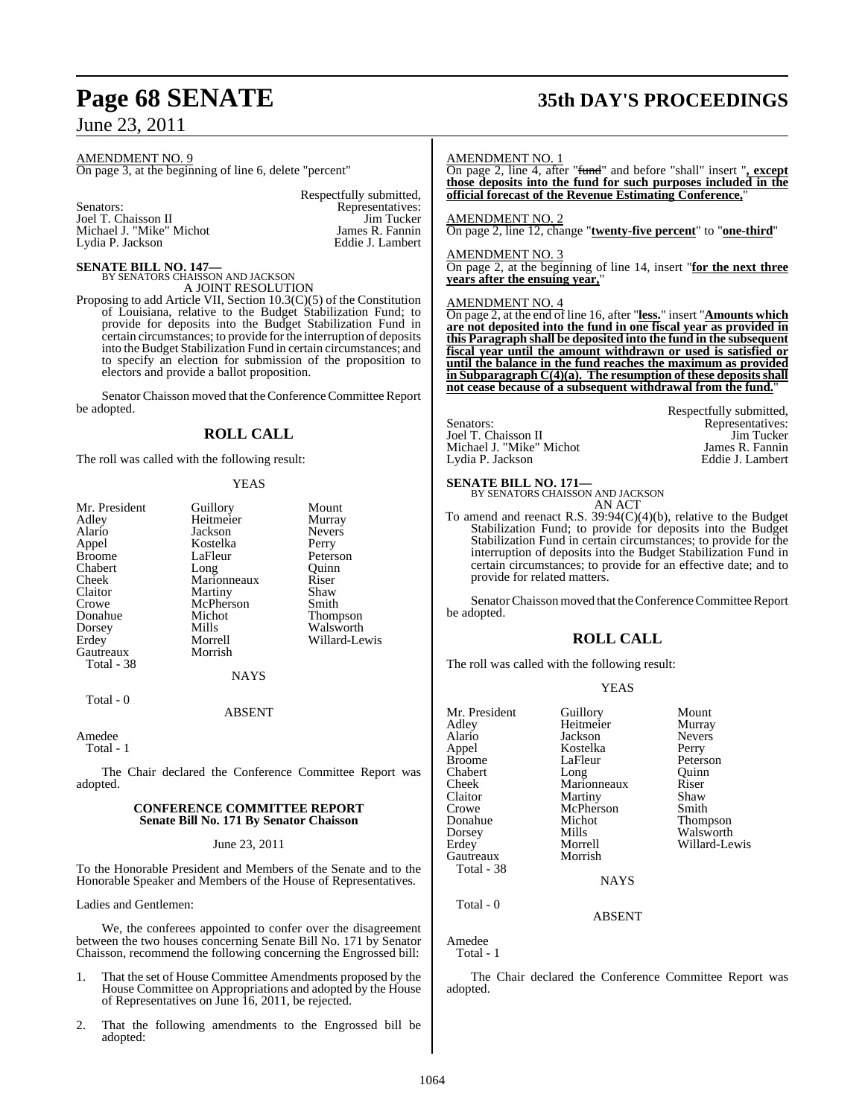AMENDMENT NO. 9

On page 3, at the beginning of line 6, delete "percent"

Senators: Representatives: Joel T. Chaisson II and Representatives: Joel T. Chaisson II Joel T. Chaisson II and T. Chaisson II and Tucker<br>
Michael J. "Mike" Michot Michael J. James R. Fannin Michael J. "Mike" Michot James R. Fannin<br>Lydia P. Jackson J. Eddie J. Lambert Lydia P. Jackson

Respectfully submitted,

### **SENATE BILL NO. 147—**

BY SENATORS CHAISSON AND JACKSON A JOINT RESOLUTION

Proposing to add Article VII, Section 10.3(C)(5) of the Constitution of Louisiana, relative to the Budget Stabilization Fund; to provide for deposits into the Budget Stabilization Fund in certain circumstances; to provide for the interruption of deposits into the Budget Stabilization Fund in certain circumstances; and to specify an election for submission of the proposition to electors and provide a ballot proposition.

Senator Chaisson moved that the Conference Committee Report be adopted.

### **ROLL CALL**

The roll was called with the following result:

### YEAS

| Mr. President | Guillory    | Mount         |
|---------------|-------------|---------------|
| Adley         | Heitmeier   | Murray        |
| Alario        | Jackson     | <b>Nevers</b> |
| Appel         | Kostelka    | Perry         |
| <b>Broome</b> | LaFleur     | Peterson      |
| Chabert       | Long        | Ouinn         |
| Cheek         | Marionneaux | Riser         |
| Claitor       | Martiny     | Shaw          |
| Crowe         | McPherson   | Smith         |
| Donahue       | Michot      | Thompson      |
| Dorsey        | Mills       | Walsworth     |
| Erdey         | Morrell     | Willard-Lewis |
| Gautreaux     | Morrish     |               |
| Total - 38    |             |               |
|               | NAYS        |               |
| Total - 0     |             |               |

### ABSENT

Amedee

Total - 1

The Chair declared the Conference Committee Report was adopted.

### **CONFERENCE COMMITTEE REPORT Senate Bill No. 171 By Senator Chaisson**

### June 23, 2011

To the Honorable President and Members of the Senate and to the Honorable Speaker and Members of the House of Representatives.

Ladies and Gentlemen:

We, the conferees appointed to confer over the disagreement between the two houses concerning Senate Bill No. 171 by Senator Chaisson, recommend the following concerning the Engrossed bill:

- 1. That the set of House Committee Amendments proposed by the House Committee on Appropriations and adopted by the House of Representatives on June 16, 2011, be rejected.
- 2. That the following amendments to the Engrossed bill be adopted:

## **Page 68 SENATE 35th DAY'S PROCEEDINGS**

### AMENDMENT NO. 1

On page 2, line 4, after "fund" and before "shall" insert "**, except those deposits into the fund for such purposes included in the official forecast of the Revenue Estimating Conference,**"

### AMENDMENT NO. 2

On page 2, line 12, change "**twenty-five percent**" to "**one-third**"

### AMENDMENT NO. 3

On page 2, at the beginning of line 14, insert "**for the next three years after the ensuing year,**"

### AMENDMENT NO. 4

On page 2, at the end of line 16, after "**less.**" insert "**Amounts which are not deposited into the fund in one fiscal year as provided in this Paragraph shall be deposited into the fund in the subsequent fiscal year until the amount withdrawn or used is satisfied or until the balance in the fund reaches the maximum as provided in Subparagraph C(4)(a). The resumption of these deposits shall not cease because of a subsequent withdrawal from the fund.**"

Senators: Representatives: Toel T. Chaisson II and the Senators: Toel T. Chaisson II and Tucker Joel T. Chaisson II and The Line of Text of Tucker Michael J. "Vim Tucker Michael J. "Mike" Michot James R. Fannin<br>Lydia P. Jackson Lydia B. Lambert Lydia P. Jackson

Respectfully submitted,

### **SENATE BILL NO. 171—** BY SENATORS CHAISSON AND JACKSON

AN ACT

To amend and reenact R.S. 39:94(C)(4)(b), relative to the Budget Stabilization Fund; to provide for deposits into the Budget Stabilization Fund in certain circumstances; to provide for the interruption of deposits into the Budget Stabilization Fund in certain circumstances; to provide for an effective date; and to provide for related matters.

Senator Chaisson moved that the Conference Committee Report be adopted.

### **ROLL CALL**

The roll was called with the following result:

### YEAS

|             | Mount                 |
|-------------|-----------------------|
|             | Murray                |
| Jackson     | <b>Nevers</b>         |
| Kostelka    | Perry                 |
| LaFleur     | Peterson              |
| Long        | Ouinn                 |
| Marionneaux | Riser                 |
| Martiny     | Shaw                  |
| McPherson   | Smith                 |
| Michot      | <b>Thompson</b>       |
| Mills       | Walsworth             |
| Morrell     | Willard-Lewis         |
| Morrish     |                       |
|             |                       |
| <b>NAYS</b> |                       |
|             | Guillory<br>Heitmeier |

ABSENT

Amedee Total - 1

Total - 0

The Chair declared the Conference Committee Report was adopted.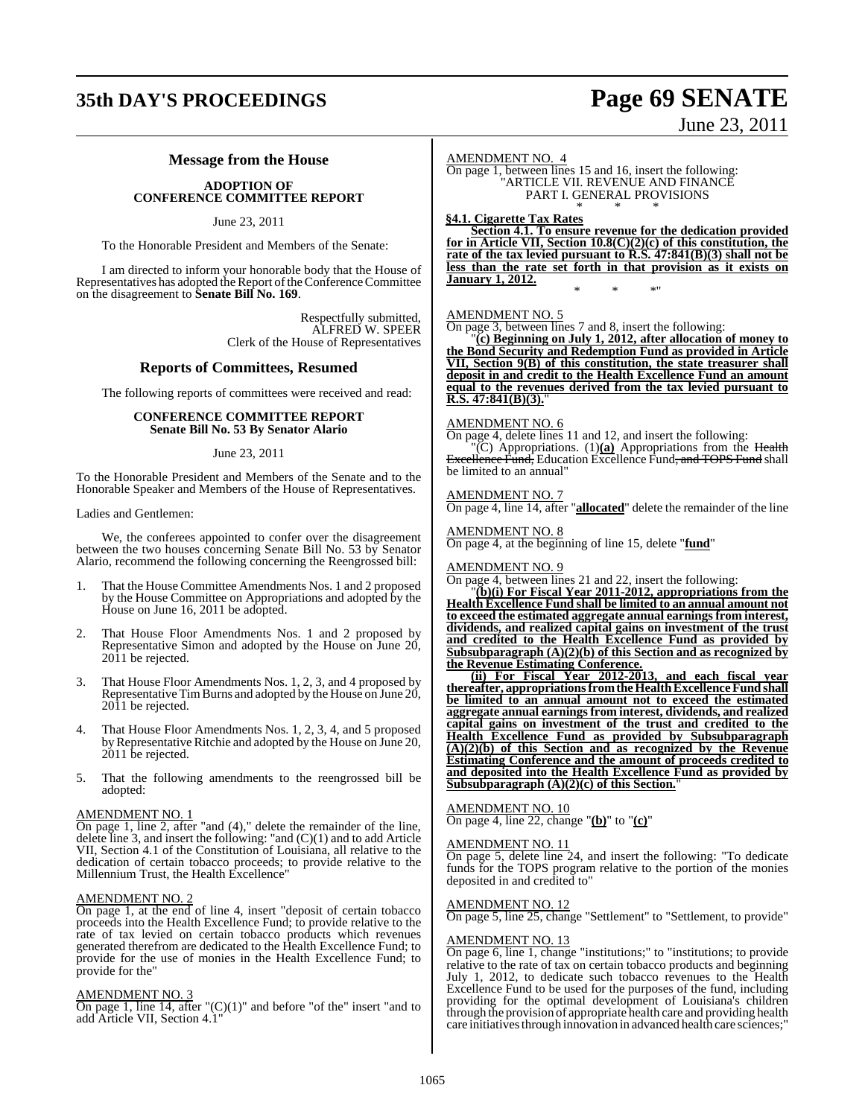## **35th DAY'S PROCEEDINGS Page 69 SENATE**

June 23, 2011

### **Message from the House**

### **ADOPTION OF CONFERENCE COMMITTEE REPORT**

June 23, 2011

To the Honorable President and Members of the Senate:

I am directed to inform your honorable body that the House of Representatives has adopted the Report of the Conference Committee on the disagreement to **Senate Bill No. 169**.

> Respectfully submitted, ALFRED W. SPEER Clerk of the House of Representatives

### **Reports of Committees, Resumed**

The following reports of committees were received and read:

### **CONFERENCE COMMITTEE REPORT Senate Bill No. 53 By Senator Alario**

### June 23, 2011

To the Honorable President and Members of the Senate and to the Honorable Speaker and Members of the House of Representatives.

Ladies and Gentlemen:

We, the conferees appointed to confer over the disagreement between the two houses concerning Senate Bill No. 53 by Senator Alario, recommend the following concerning the Reengrossed bill:

- 1. That the House Committee Amendments Nos. 1 and 2 proposed by the House Committee on Appropriations and adopted by the House on June 16, 2011 be adopted.
- 2. That House Floor Amendments Nos. 1 and 2 proposed by Representative Simon and adopted by the House on June 20, 2011 be rejected.
- 3. That House Floor Amendments Nos. 1, 2, 3, and 4 proposed by Representative TimBurns and adopted by the House on June 20, 2011 be rejected.
- 4. That House Floor Amendments Nos. 1, 2, 3, 4, and 5 proposed byRepresentative Ritchie and adopted by the House on June 20, 2011 be rejected.
- 5. That the following amendments to the reengrossed bill be adopted:

### AMENDMENT NO. 1

 $\overline{On}$  page 1, line 2, after "and (4)," delete the remainder of the line, delete line 3, and insert the following: "and (C)(1) and to add Article VII, Section 4.1 of the Constitution of Louisiana, all relative to the dedication of certain tobacco proceeds; to provide relative to the Millennium Trust, the Health Excellence"

### AMENDMENT NO. 2

On page 1, at the end of line 4, insert "deposit of certain tobacco proceeds into the Health Excellence Fund; to provide relative to the rate of tax levied on certain tobacco products which revenues generated therefrom are dedicated to the Health Excellence Fund; to provide for the use of monies in the Health Excellence Fund; to provide for the"

### AMENDMENT NO. 3

On page 1, line 14, after " $(C)(1)$ " and before "of the" insert "and to add Article VII, Section 4.1"

### AMENDMENT NO. 4

On page 1, between lines 15 and 16, insert the following: "ARTICLE VII. REVENUE AND FINANCE PART I. GENERAL PROVISIONS \* \* \*

**§4.1. Cigarette Tax Rates**

**Section 4.1. To ensure revenue for the dedication provided for in Article VII, Section 10.8(C)(2)(c) of this constitution, the rate of the tax levied pursuant to R.S. 47:841(B)(3) shall not be less than the rate set forth in that provision as it exists on January 1, 2012.** \* \* \*"

### AMENDMENT NO. 5

On page 3, between lines 7 and 8, insert the following:

"**(c) Beginning on July 1, 2012, after allocation of money to the Bond Security and Redemption Fund as provided in Article VII, Section 9(B) of this constitution, the state treasurer shall deposit in and credit to the Health Excellence Fund an amount equal to the revenues derived from the tax levied pursuant to R.S. 47:841(B)(3).**"

### AMENDMENT NO. 6

On page 4, delete lines 11 and 12, and insert the following: "(C) Appropriations. (1)**(a)** Appropriations from the Health Excellence Fund, Education Excellence Fund, and TOPS Fund shall be limited to an annual"

### AMENDMENT NO. 7

On page 4, line 14, after "**allocated**" delete the remainder of the line

AMENDMENT NO. 8

On page 4, at the beginning of line 15, delete "**fund**"

### AMENDMENT NO. 9

On page 4, between lines 21 and 22, insert the following:

"**(b)(i) For Fiscal Year 2011-2012, appropriations from the Health Excellence Fund shall be limited to an annual amount not to exceed the estimated aggregate annual earnings from interest, dividends, and realized capital gains on investment of the trust and credited to the Health Excellence Fund as provided by Subsubparagraph (A)(2)(b) of this Section and as recognized by the Revenue Estimating Conference.**

**(ii) For Fiscal Year 2012-2013, and each fiscal year thereafter, appropriationsfromtheHealthExcellenceFund shall be limited to an annual amount not to exceed the estimated aggregate annual earnings from interest, dividends, and realized capital gains on investment of the trust and credited to the Health Excellence Fund as provided by Subsubparagraph (A)(2)(b) of this Section and as recognized by the Revenue Estimating Conference and the amount of proceeds credited to and deposited into the Health Excellence Fund as provided by Subsubparagraph (A)(2)(c) of this Section.**"

### AMENDMENT NO. 10

On page 4, line 22, change "**(b)**" to "**(c)**"

### AMENDMENT NO. 11

On page 5, delete line 24, and insert the following: "To dedicate funds for the TOPS program relative to the portion of the monies deposited in and credited to"

### AMENDMENT NO. 12

On page 5, line 25, change "Settlement" to "Settlement, to provide"

### AMENDMENT NO. 13

On page 6, line 1, change "institutions;" to "institutions; to provide relative to the rate of tax on certain tobacco products and beginning July 1, 2012, to dedicate such tobacco revenues to the Health Excellence Fund to be used for the purposes of the fund, including providing for the optimal development of Louisiana's children through the provision of appropriate health care and providing health care initiatives through innovation in advanced health care sciences;"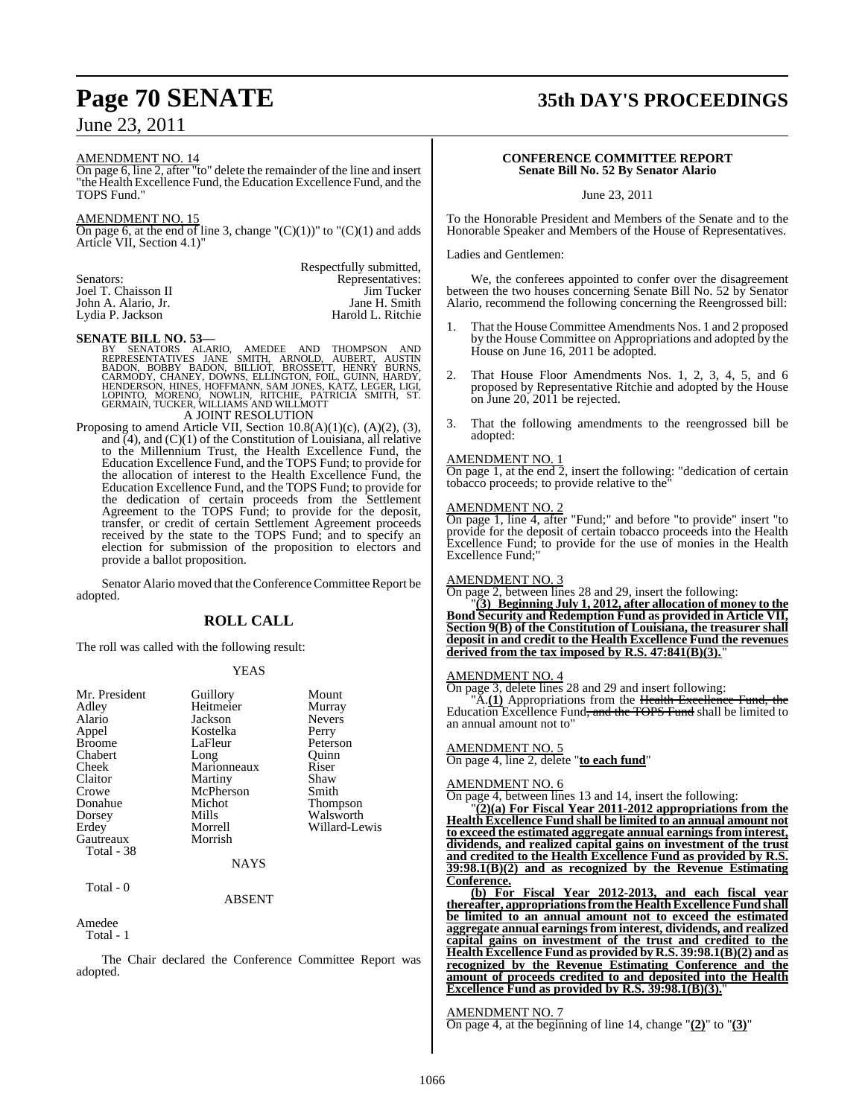### AMENDMENT NO. 14

On page 6, line 2, after "to" delete the remainder of the line and insert "the Health Excellence Fund, the Education Excellence Fund, and the TOPS Fund."

### AMENDMENT NO. 15

On page 6, at the end of line 3, change " $(C)(1)$ " to " $(C)(1)$  and adds Article VII, Section 4.1)"

| Respectfully submitted. |
|-------------------------|
| Representatives:        |
| Jim Tucker              |
| Jane H. Smith           |
| Harold L. Ritchie       |
|                         |

### **SENATE BILL NO. 53—**

BY SENATORS ALARIO, AMEDEE AND THOMPSON AND<br>REPRESENTATIVES JANE SMITH, ARNOLD, AUBERT, AUSTIN<br>BADON, BOBBY BADON, BILLIOT, BROSSETT, HENRÝ BURNS,<br>CARMODY, CHANEY, DOWNS, ELLINGTON, FOIL, GUINN, HARDY,<br>HENDERSON, HINES, HO

Proposing to amend Article VII, Section 10.8(A)(1)(c), (A)(2), (3), and  $(4)$ , and  $(C)(1)$  of the Constitution of Louisiana, all relative to the Millennium Trust, the Health Excellence Fund, the Education Excellence Fund, and the TOPS Fund; to provide for the allocation of interest to the Health Excellence Fund, the Education Excellence Fund, and the TOPS Fund; to provide for the dedication of certain proceeds from the Settlement Agreement to the TOPS Fund; to provide for the deposit, transfer, or credit of certain Settlement Agreement proceeds received by the state to the TOPS Fund; and to specify an election for submission of the proposition to electors and provide a ballot proposition.

Senator Alario moved that the Conference Committee Report be adopted.

### **ROLL CALL**

The roll was called with the following result:

### YEAS

| Mr. President | Guillory    | Mount         |
|---------------|-------------|---------------|
| Adley         | Heitmeier   | Murray        |
| Alario        | Jackson     | <b>Nevers</b> |
| Appel         | Kostelka    | Perry         |
| <b>Broome</b> | LaFleur     | Peterson      |
| Chabert       | Long        | Ouinn         |
| Cheek         | Marionneaux | Riser         |
| Claitor       | Martiny     | Shaw          |
| Crowe         | McPherson   | Smith         |
| Donahue       | Michot      | Thompson      |
| Dorsey        | Mills       | Walsworth     |
| Erdey         | Morrell     | Willard-Lewis |
| Gautreaux     | Morrish     |               |
| Total - 38    |             |               |
|               | <b>NAYS</b> |               |
| Total - 0     |             |               |

### ABSENT

Amedee

Total - 1

The Chair declared the Conference Committee Report was adopted.

### **Page 70 SENATE 35th DAY'S PROCEEDINGS**

### **CONFERENCE COMMITTEE REPORT Senate Bill No. 52 By Senator Alario**

June 23, 2011

To the Honorable President and Members of the Senate and to the Honorable Speaker and Members of the House of Representatives.

### Ladies and Gentlemen:

We, the conferees appointed to confer over the disagreement between the two houses concerning Senate Bill No. 52 by Senator Alario, recommend the following concerning the Reengrossed bill:

- 1. That the House Committee Amendments Nos. 1 and 2 proposed by the House Committee on Appropriations and adopted by the House on June 16, 2011 be adopted.
- 2. That House Floor Amendments Nos. 1, 2, 3, 4, 5, and 6 proposed by Representative Ritchie and adopted by the House on June 20, 2011 be rejected.
- 3. That the following amendments to the reengrossed bill be adopted:

### AMENDMENT NO. 1

On page 1, at the end 2, insert the following: "dedication of certain tobacco proceeds; to provide relative to the"

### AMENDMENT NO. 2

On page 1, line 4, after "Fund;" and before "to provide" insert "to provide for the deposit of certain tobacco proceeds into the Health Excellence Fund; to provide for the use of monies in the Health Excellence Fund;"

#### AMENDMENT NO. 3

On page 2, between lines 28 and 29, insert the following:

"**(3) Beginning July 1, 2012, after allocation of money to the Bond Security and Redemption Fund as provided in Article VII, Section 9(B) of the Constitution of Louisiana, the treasurer shall deposit in and credit to the Health Excellence Fund the revenues** derived from the tax imposed by R.S. 47:841(B)(3).

### AMENDMENT NO. 4

On page 3, delete lines 28 and 29 and insert following:

A.(1) Appropriations from the Health Excellence Fund, the Education Excellence Fund<del>, and the TOPS Fund</del> shall be limited to an annual amount not to"

### AMENDMENT NO. 5

On page 4, line 2, delete "**to each fund**"

### AMENDMENT NO. 6

On page 4, between lines 13 and 14, insert the following:

"**(2)(a) For Fiscal Year 2011-2012 appropriations from the Health Excellence Fund shall be limited to an annual amount not to exceed the estimated aggregate annual earnings from interest, dividends, and realized capital gains on investment of the trust and credited to the Health Excellence Fund as provided by R.S. 39:98.1(B)(2) and as recognized by the Revenue Estimating Conference.**

**(b) For Fiscal Year 2012-2013, and each fiscal year thereafter, appropriations from the Health Excellence Fund shall be limited to an annual amount not to exceed the estimated aggregate annual earningsfrom interest, dividends, and realized capital gains on investment of the trust and credited to the Health Excellence Fund as provided by R.S. 39:98.1(B)(2) and as recognized by the Revenue Estimating Conference and the amount of proceeds credited to and deposited into the Health Excellence Fund as provided by R.S. 39:98.1(B)(3).**"

### AMENDMENT NO. 7

On page 4, at the beginning of line 14, change "**(2)**" to "**(3)**"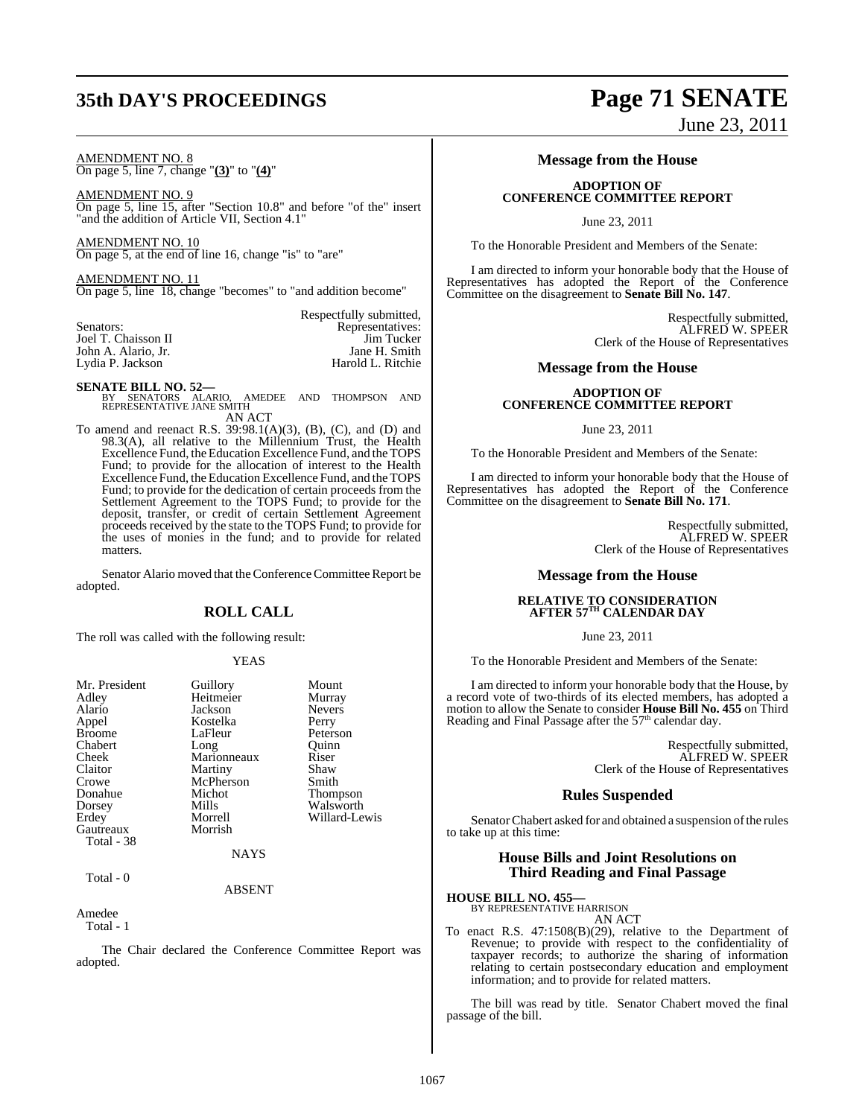## **35th DAY'S PROCEEDINGS Page 71 SENATE**

### AMENDMENT NO. 8

On page 5, line 7, change "**(3)**" to "**(4)**"

AMENDMENT NO. 9 On page 5, line 15, after "Section 10.8" and before "of the" insert "and the addition of Article VII, Section 4.1"

AMENDMENT NO. 10 On page 5, at the end of line 16, change "is" to "are"

AMENDMENT NO. 11 On page 5, line 18, change "becomes" to "and addition become"

|                     | Respectfully submitted, |
|---------------------|-------------------------|
| Senators:           | Representatives:        |
| Joel T. Chaisson II | Jim Tucker              |
| John A. Alario, Jr. | Jane H. Smith           |
| Lydia P. Jackson    | Harold L. Ritchie       |
|                     |                         |

**SENATE BILL NO. 52—**<br>BY SENATORS ALARIO, AMEDEE AND THOMPSON AND<br>REPRESENTATIVE JANE SMITH

AN ACT

To amend and reenact R.S. 39:98.1(A)(3), (B), (C), and (D) and 98.3(A), all relative to the Millennium Trust, the Health Excellence Fund, the Education Excellence Fund, and the TOPS Fund; to provide for the allocation of interest to the Health Excellence Fund, the Education Excellence Fund, and the TOPS Fund; to provide for the dedication of certain proceeds from the Settlement Agreement to the TOPS Fund; to provide for the deposit, transfer, or credit of certain Settlement Agreement proceeds received by the state to the TOPS Fund; to provide for the uses of monies in the fund; and to provide for related matters.

Senator Alario moved that the Conference Committee Report be adopted.

### **ROLL CALL**

The roll was called with the following result:

### YEAS

| Mr. President | Guillory    | Mount         |
|---------------|-------------|---------------|
| Adley         | Heitmeier   | Murray        |
| Alario        | Jackson     | <b>Nevers</b> |
| Appel         | Kostelka    | Perry         |
| <b>Broome</b> | LaFleur     | Peterson      |
| Chabert       | Long        | Ouinn         |
| Cheek         | Marionneaux | Riser         |
| Claitor       | Martiny     | Shaw          |
| Crowe         | McPherson   | Smith         |
| Donahue       | Michot      | Thompson      |
| Dorsey        | Mills       | Walsworth     |
| Erdey         | Morrell     | Willard-Lewis |
| Gautreaux     | Morrish     |               |
| Total - 38    |             |               |
|               | <b>NAYS</b> |               |
| Total - 0     |             |               |
|               | ABSENT      |               |

Amedee

Total - 1

The Chair declared the Conference Committee Report was adopted.

# June 23, 2011

**Message from the House**

### **ADOPTION OF CONFERENCE COMMITTEE REPORT**

June 23, 2011

To the Honorable President and Members of the Senate:

I am directed to inform your honorable body that the House of Representatives has adopted the Report of the Conference Committee on the disagreement to **Senate Bill No. 147**.

> Respectfully submitted, ALFRED W. SPEER Clerk of the House of Representatives

### **Message from the House**

### **ADOPTION OF CONFERENCE COMMITTEE REPORT**

June 23, 2011

To the Honorable President and Members of the Senate:

I am directed to inform your honorable body that the House of Representatives has adopted the Report of the Conference Committee on the disagreement to **Senate Bill No. 171**.

> Respectfully submitted, ALFRED W. SPEER Clerk of the House of Representatives

### **Message from the House**

### **RELATIVE TO CONSIDERATION AFTER 57TH CALENDAR DAY**

June 23, 2011

To the Honorable President and Members of the Senate:

I am directed to inform your honorable body that the House, by a record vote of two-thirds of its elected members, has adopted a motion to allow the Senate to consider **House Bill No. 455** on Third Reading and Final Passage after the  $57<sup>th</sup>$  calendar day.

> Respectfully submitted, ALFRED W. SPEER Clerk of the House of Representatives

### **Rules Suspended**

Senator Chabert asked for and obtained a suspension of the rules to take up at this time:

### **House Bills and Joint Resolutions on Third Reading and Final Passage**

### **HOUSE BILL NO. 455—**

BY REPRESENTATIVE HARRISON AN ACT

To enact R.S. 47:1508(B)(29), relative to the Department of Revenue; to provide with respect to the confidentiality of taxpayer records; to authorize the sharing of information relating to certain postsecondary education and employment information; and to provide for related matters.

The bill was read by title. Senator Chabert moved the final passage of the bill.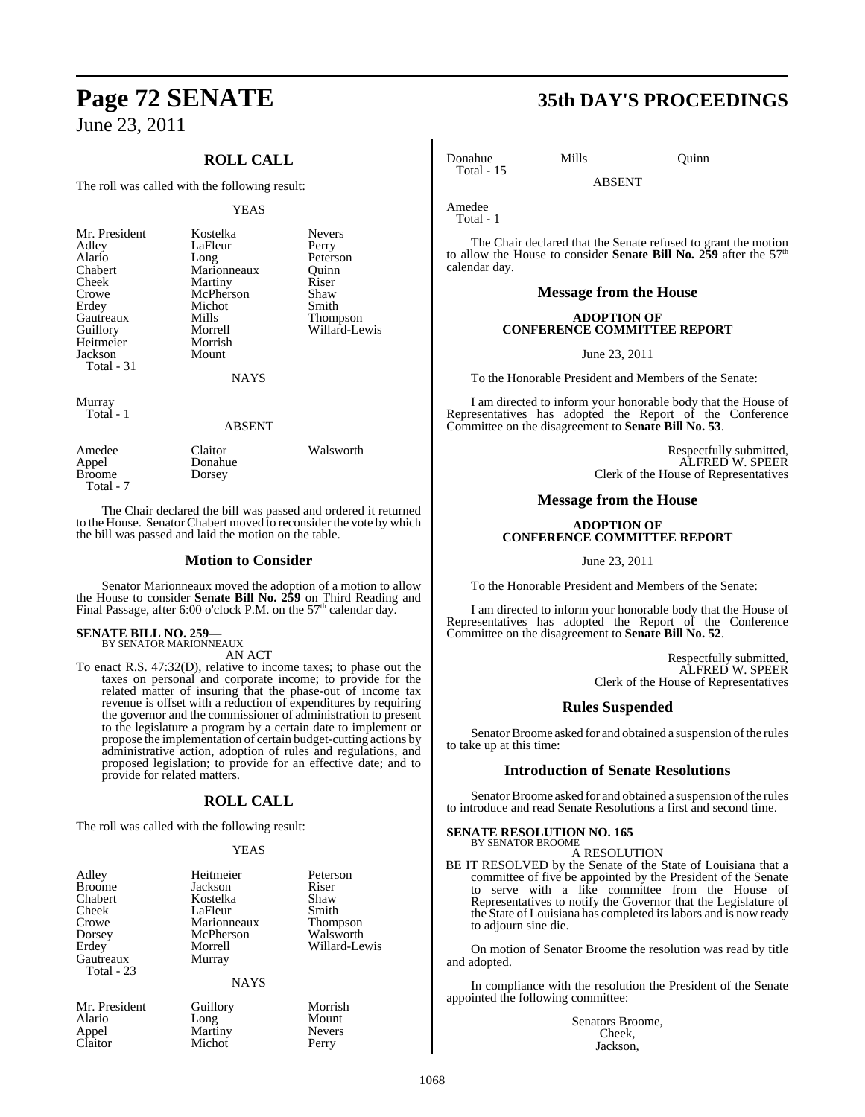### **ROLL CALL**

The roll was called with the following result:

### YEAS

| Mr. President<br>Adley<br>Alario<br>Chabert<br>Cheek<br>Crowe<br>Erdey<br>Gautreaux<br>Guillory<br>Heitmeier<br>Jackson<br>Total - 31 | Kostelka<br>LaFleur<br>Long<br>Marionneaux<br>Martiny<br>McPherson<br>Michot<br>Mills<br>Morrell<br>Morrish<br>Mount<br><b>NAYS</b> | <b>Nevers</b><br>Perry<br>Peterson<br>Ouinn<br>Riser<br>Shaw<br>Smith<br>Thompson<br>Willard-Lewis |
|---------------------------------------------------------------------------------------------------------------------------------------|-------------------------------------------------------------------------------------------------------------------------------------|----------------------------------------------------------------------------------------------------|
| Murray<br>Total - 1                                                                                                                   | <b>ABSENT</b>                                                                                                                       |                                                                                                    |

Amedee Claitor Walsworth Appel Donahue<br>Broome Dorsey Dorsey Total - 7

The Chair declared the bill was passed and ordered it returned to the House. Senator Chabert moved to reconsider the vote by which the bill was passed and laid the motion on the table.

### **Motion to Consider**

Senator Marionneaux moved the adoption of a motion to allow the House to consider **Senate Bill No. 259** on Third Reading and Final Passage, after 6:00 o'clock P.M. on the  $57<sup>th</sup>$  calendar day.

### **SENATE BILL NO. 259—** BY SENATOR MARIONNEAUX

AN ACT

To enact R.S. 47:32(D), relative to income taxes; to phase out the taxes on personal and corporate income; to provide for the related matter of insuring that the phase-out of income tax revenue is offset with a reduction of expenditures by requiring the governor and the commissioner of administration to present to the legislature a program by a certain date to implement or propose the implementation of certain budget-cutting actions by administrative action, adoption of rules and regulations, and proposed legislation; to provide for an effective date; and to provide for related matters.

### **ROLL CALL**

The roll was called with the following result:

### YEAS

| Adley<br><b>Broome</b><br>Chabert<br>Cheek<br>Crowe<br>Dorsey<br>Erdey<br>Gautreaux<br><b>Total - 23</b> | Heitmeier<br>Jackson<br>Kostelka<br>LaFleur<br>Marionneaux<br>McPherson<br>Morrell<br>Murray | Peterson<br>Riser<br>Shaw<br>Smith<br>Thompson<br>Walsworth<br>Willard-Le <sup>®</sup> |
|----------------------------------------------------------------------------------------------------------|----------------------------------------------------------------------------------------------|----------------------------------------------------------------------------------------|
|                                                                                                          | <b>NAYS</b>                                                                                  |                                                                                        |
| Mr. President                                                                                            | Guillory                                                                                     | Morrish                                                                                |

Michot

Alario Long Mount<br>
Appel Martiny Nevers Appel Martiny Never<br>Claitor Michot Perry

illard-Lewis

## **Page 72 SENATE 35th DAY'S PROCEEDINGS**

Donahue Mills Quinn

Total - 1

Total - 15

Amedee

The Chair declared that the Senate refused to grant the motion to allow the House to consider **Senate Bill No. 259** after the 57th calendar day.

ABSENT

### **Message from the House**

### **ADOPTION OF CONFERENCE COMMITTEE REPORT**

June 23, 2011

To the Honorable President and Members of the Senate:

I am directed to inform your honorable body that the House of Representatives has adopted the Report of the Conference Committee on the disagreement to **Senate Bill No. 53**.

> Respectfully submitted, ALFRED W. SPEER Clerk of the House of Representatives

### **Message from the House**

### **ADOPTION OF CONFERENCE COMMITTEE REPORT**

June 23, 2011

To the Honorable President and Members of the Senate:

I am directed to inform your honorable body that the House of Representatives has adopted the Report of the Conference Committee on the disagreement to **Senate Bill No. 52**.

> Respectfully submitted, ALFRED W. SPEER Clerk of the House of Representatives

### **Rules Suspended**

Senator Broome asked for and obtained a suspension of the rules to take up at this time:

### **Introduction of Senate Resolutions**

Senator Broome asked for and obtained a suspension of the rules to introduce and read Senate Resolutions a first and second time.

#### **SENATE RESOLUTION NO. 165** BY SENATOR BROOME

A RESOLUTION

BE IT RESOLVED by the Senate of the State of Louisiana that a committee of five be appointed by the President of the Senate to serve with a like committee from the House of Representatives to notify the Governor that the Legislature of the State of Louisiana has completed itslabors and is now ready to adjourn sine die.

On motion of Senator Broome the resolution was read by title and adopted.

In compliance with the resolution the President of the Senate appointed the following committee:

> Senators Broome, Cheek, Jackson,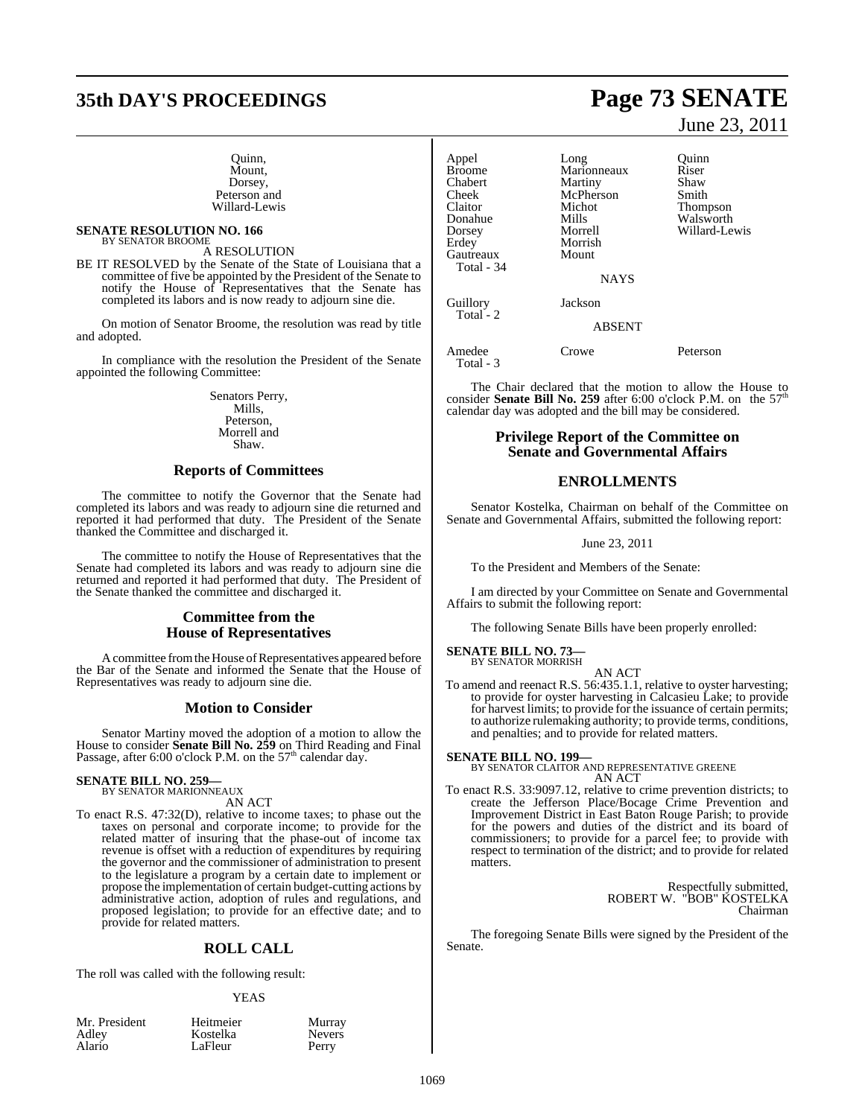# **35th DAY'S PROCEEDINGS Page 73 SENATE**

#### Quinn, Mount, Dorsey. Peterson and Willard-Lewis

#### **SENATE RESOLUTION NO. 166** BY SENATOR BROOME

A RESOLUTION

BE IT RESOLVED by the Senate of the State of Louisiana that a committee of five be appointed by the President of the Senate to notify the House of Representatives that the Senate has completed its labors and is now ready to adjourn sine die.

On motion of Senator Broome, the resolution was read by title and adopted.

In compliance with the resolution the President of the Senate appointed the following Committee:

> Senators Perry, Mills, Peterson, Morrell and Shaw.

### **Reports of Committees**

The committee to notify the Governor that the Senate had completed its labors and was ready to adjourn sine die returned and reported it had performed that duty. The President of the Senate thanked the Committee and discharged it.

The committee to notify the House of Representatives that the Senate had completed its labors and was ready to adjourn sine die returned and reported it had performed that duty. The President of the Senate thanked the committee and discharged it.

#### **Committee from the House of Representatives**

A committee from the House of Representatives appeared before the Bar of the Senate and informed the Senate that the House of Representatives was ready to adjourn sine die.

### **Motion to Consider**

Senator Martiny moved the adoption of a motion to allow the House to consider **Senate Bill No. 259** on Third Reading and Final<br>Passage, after 6:00 o'clock P.M. on the 57<sup>th</sup> calendar day.

# **SENATE BILL NO. 259—** BY SENATOR MARIONNEAUX

AN ACT To enact R.S. 47:32(D), relative to income taxes; to phase out the taxes on personal and corporate income; to provide for the related matter of insuring that the phase-out of income tax revenue is offset with a reduction of expenditures by requiring the governor and the commissioner of administration to present to the legislature a program by a certain date to implement or propose the implementation of certain budget-cutting actions by administrative action, adoption of rules and regulations, and proposed legislation; to provide for an effective date; and to

#### **ROLL CALL**

The roll was called with the following result:

provide for related matters.

#### YEAS

| Mr. President |  |
|---------------|--|
| Adley         |  |
| Alario        |  |

Heitmeier Murray Kostelka Nevers<br>LaFleur Perry LaFleur

June 23, 2011

Appel Long Quinn Broome Marionneaux Riser Chabert Martiny Shaw<br>
Cheek McPherson Smith Cheek McPherson<br>Claitor Michot Claitor Michot Thompson<br>
Donahue Mills Walsworth Donahue Mills Walsworth<br>
Dorsey Morrell Willard-Le Dorsey Morrell Willard-Lewis Morrish Gautreaux Mount Total - 34 **NAYS** Guillory Jackson Total<sup>-</sup>2 ABSENT Amedee Crowe Peterson

Total - 3

The Chair declared that the motion to allow the House to consider **Senate Bill No. 259** after 6:00 o'clock P.M. on the  $57<sup>th</sup>$ calendar day was adopted and the bill may be considered.

### **Privilege Report of the Committee on Senate and Governmental Affairs**

### **ENROLLMENTS**

Senator Kostelka, Chairman on behalf of the Committee on Senate and Governmental Affairs, submitted the following report:

June 23, 2011

To the President and Members of the Senate:

I am directed by your Committee on Senate and Governmental Affairs to submit the following report:

The following Senate Bills have been properly enrolled:

#### **SENATE BILL NO. 73—**

BY SENATOR MORRISH

AN ACT To amend and reenact R.S. 56:435.1.1, relative to oyster harvesting; to provide for oyster harvesting in Calcasieu Lake; to provide for harvest limits; to provide for the issuance of certain permits; to authorize rulemaking authority; to provide terms, conditions,

and penalties; and to provide for related matters. **SENATE BILL NO. 199—** BY SENATOR CLAITOR AND REPRESENTATIVE GREENE

AN ACT

To enact R.S. 33:9097.12, relative to crime prevention districts; to create the Jefferson Place/Bocage Crime Prevention and Improvement District in East Baton Rouge Parish; to provide for the powers and duties of the district and its board of commissioners; to provide for a parcel fee; to provide with respect to termination of the district; and to provide for related matters.

> Respectfully submitted, ROBERT W. "BOB" KOSTELKA Chairman

The foregoing Senate Bills were signed by the President of the Senate.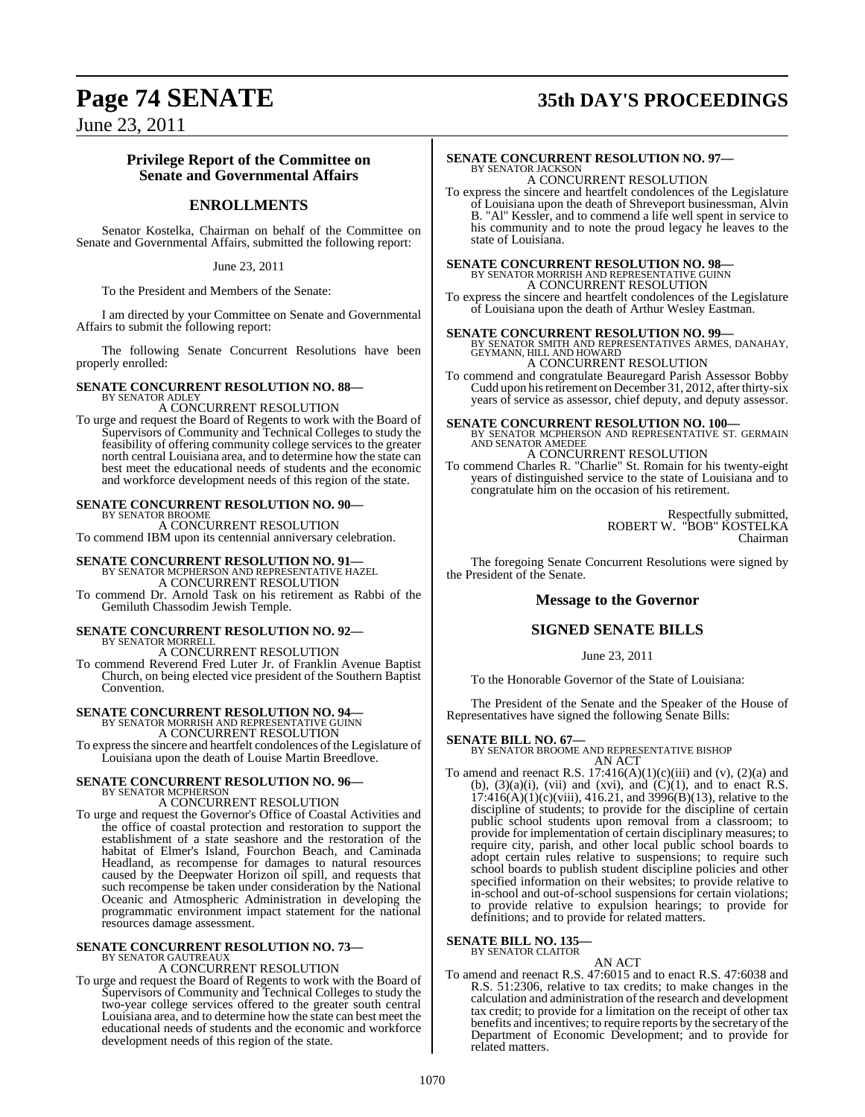# **Page 74 SENATE 35th DAY'S PROCEEDINGS**

June 23, 2011

### **Privilege Report of the Committee on Senate and Governmental Affairs**

### **ENROLLMENTS**

Senator Kostelka, Chairman on behalf of the Committee on Senate and Governmental Affairs, submitted the following report:

June 23, 2011

To the President and Members of the Senate:

I am directed by your Committee on Senate and Governmental Affairs to submit the following report:

The following Senate Concurrent Resolutions have been properly enrolled:

#### **SENATE CONCURRENT RESOLUTION NO. 88—** BY SENATOR ADLEY

A CONCURRENT RESOLUTION

To urge and request the Board of Regents to work with the Board of Supervisors of Community and Technical Colleges to study the feasibility of offering community college services to the greater north central Louisiana area, and to determine how the state can best meet the educational needs of students and the economic and workforce development needs of this region of the state.

### **SENATE CONCURRENT RESOLUTION NO. 90—**

BY SENATOR BROOME A CONCURRENT RESOLUTION To commend IBM upon its centennial anniversary celebration.

### **SENATE CONCURRENT RESOLUTION NO. 91-**BY SENATOR MCPHERSON AND REPRESENTATIVE HAZEL A CONCURRENT RESOLUTION

To commend Dr. Arnold Task on his retirement as Rabbi of the Gemiluth Chassodim Jewish Temple.

### **SENATE CONCURRENT RESOLUTION NO. 92—**

BY SENATOR MORRELL A CONCURRENT RESOLUTION To commend Reverend Fred Luter Jr. of Franklin Avenue Baptist Church, on being elected vice president of the Southern Baptist Convention.

# **SENATE CONCURRENT RESOLUTION NO. 94—** BY SENATOR MORRISH AND REPRESENTATIVE GUINN

A CONCURRENT RESOLUTION

To expressthe sincere and heartfelt condolences of the Legislature of Louisiana upon the death of Louise Martin Breedlove.

#### **SENATE CONCURRENT RESOLUTION NO. 96—** BY SENATOR MCPHERSON

A CONCURRENT RESOLUTION

To urge and request the Governor's Office of Coastal Activities and the office of coastal protection and restoration to support the establishment of a state seashore and the restoration of the habitat of Elmer's Island, Fourchon Beach, and Caminada Headland, as recompense for damages to natural resources caused by the Deepwater Horizon oil spill, and requests that such recompense be taken under consideration by the National Oceanic and Atmospheric Administration in developing the programmatic environment impact statement for the national resources damage assessment.

# **SENATE CONCURRENT RESOLUTION NO. 73—** BY SENATOR GAUTREAUX

A CONCURRENT RESOLUTION

To urge and request the Board of Regents to work with the Board of Supervisors of Community and Technical Colleges to study the two-year college services offered to the greater south central Louisiana area, and to determine how the state can best meet the educational needs of students and the economic and workforce development needs of this region of the state.

#### **SENATE CONCURRENT RESOLUTION NO. 97—** BY SENATOR JACKSON

A CONCURRENT RESOLUTION To express the sincere and heartfelt condolences of the Legislature of Louisiana upon the death of Shreveport businessman, Alvin B. "Al" Kessler, and to commend a life well spent in service to his community and to note the proud legacy he leaves to the state of Louisiana.

**SENATE CONCURRENT RESOLUTION NO. 98—** BY SENATOR MORRISH AND REPRESENTATIVE GUINN A CONCURRENT RESOLUTION

To express the sincere and heartfelt condolences of the Legislature of Louisiana upon the death of Arthur Wesley Eastman.

**SENATE CONCURRENT RESOLUTION NO. 99—**<br>BY SENATOR SMITH AND REPRESENTATIVES ARMES, DANAHAY,<br>GEYMANN, HILL AND HOWARD<br>A CONCURRENT RESOLUTION<br>A CONCURRENT RESOLUTION

To commend and congratulate Beauregard Parish Assessor Bobby Cudd upon his retirement on December 31, 2012, after thirty-six years of service as assessor, chief deputy, and deputy assessor.

**SENATE CONCURRENT RESOLUTION NO. 100—**<br>BY SENATOR MCPHERSON AND REPRESENTATIVE ST. GERMAIN<br>AND SENATOR AMEDEE A CONCURRENT RESOLUTION

To commend Charles R. "Charlie" St. Romain for his twenty-eight years of distinguished service to the state of Louisiana and to congratulate him on the occasion of his retirement.

> Respectfully submitted, ROBERT W. "BOB" KOSTELKA Chairman

The foregoing Senate Concurrent Resolutions were signed by the President of the Senate.

### **Message to the Governor**

### **SIGNED SENATE BILLS**

June 23, 2011

To the Honorable Governor of the State of Louisiana:

The President of the Senate and the Speaker of the House of Representatives have signed the following Senate Bills:

#### **SENATE BILL NO. 67—**

BY SENATOR BROOME AND REPRESENTATIVE BISHOP AN ACT

To amend and reenact R.S.  $17:416(A)(1)(c)(iii)$  and  $(v)$ ,  $(2)(a)$  and (b),  $(3)(a)(i)$ , (vii) and (xvi), and  $(C)(1)$ , and to enact R.S.  $17:416(A)(1)(c)(viii)$ ,  $416.21$ , and  $3996(B)(13)$ , relative to the discipline of students; to provide for the discipline of certain public school students upon removal from a classroom; to provide for implementation of certain disciplinary measures; to require city, parish, and other local public school boards to adopt certain rules relative to suspensions; to require such school boards to publish student discipline policies and other specified information on their websites; to provide relative to in-school and out-of-school suspensions for certain violations; to provide relative to expulsion hearings; to provide for definitions; and to provide for related matters.

#### **SENATE BILL NO. 135—** BY SENATOR CLAITOR

- AN ACT
- To amend and reenact R.S. 47:6015 and to enact R.S. 47:6038 and R.S. 51:2306, relative to tax credits; to make changes in the calculation and administration of the research and development tax credit; to provide for a limitation on the receipt of other tax benefits and incentives; to require reports by the secretary of the Department of Economic Development; and to provide for related matters.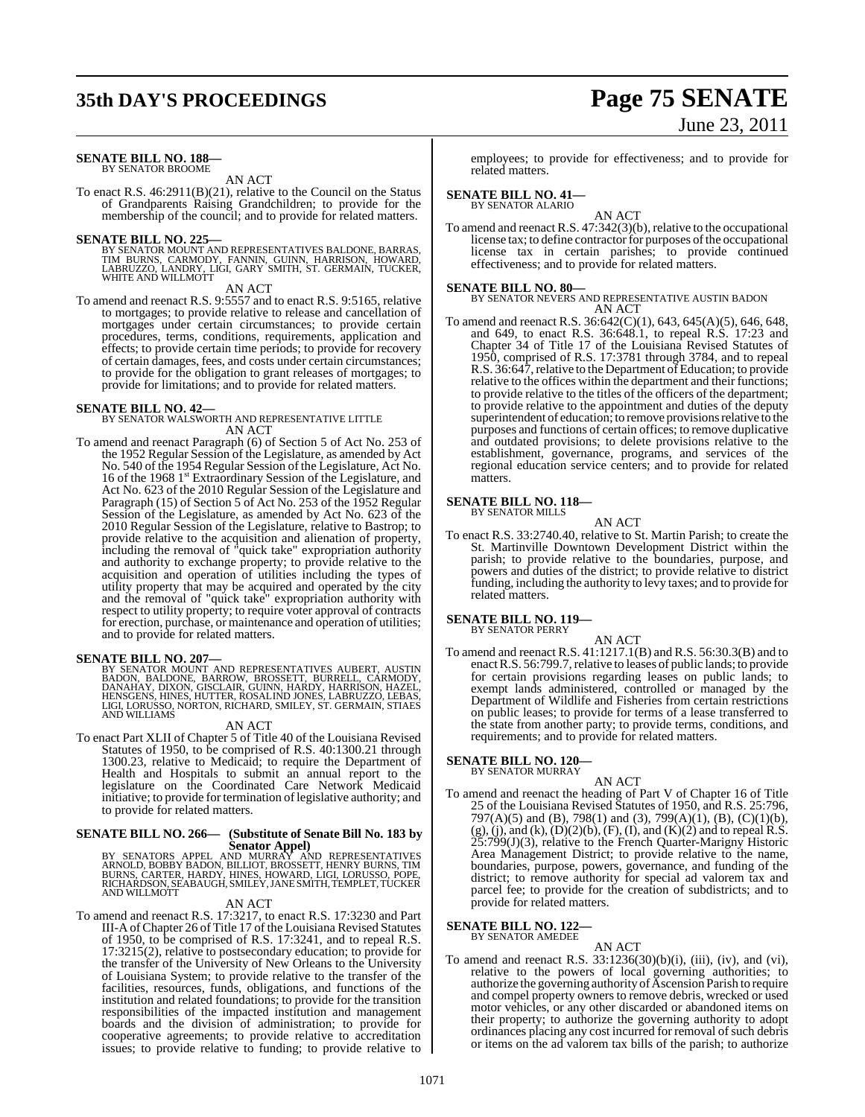# **35th DAY'S PROCEEDINGS Page 75 SENATE**

# June 23, 2011

#### **SENATE BILL NO. 188—** BY SENATOR BROOME

### AN ACT

To enact R.S. 46:2911(B)(21), relative to the Council on the Status of Grandparents Raising Grandchildren; to provide for the membership of the council; and to provide for related matters.

**SENATE BILL NO. 225—**<br>BY SENATOR MOUNT AND REPRESENTATIVES BALDONE, BARRAS,<br>TIM BURNS, CARMODY, FANNIN, GUINN, HARRISON, HOWARD,<br>LABRUZZO, LANDRY, LIGI, GARY SMITH, ST. GERMAIN, TUCKER, WHITE AND WILLMOTT

#### AN ACT

To amend and reenact R.S. 9:5557 and to enact R.S. 9:5165, relative to mortgages; to provide relative to release and cancellation of mortgages under certain circumstances; to provide certain procedures, terms, conditions, requirements, application and effects; to provide certain time periods; to provide for recovery of certain damages, fees, and costs under certain circumstances; to provide for the obligation to grant releases of mortgages; to provide for limitations; and to provide for related matters.

**SENATE BILL NO. 42—** BY SENATOR WALSWORTH AND REPRESENTATIVE LITTLE AN ACT

To amend and reenact Paragraph (6) of Section 5 of Act No. 253 of the 1952 Regular Session of the Legislature, as amended by Act No. 540 of the 1954 Regular Session of the Legislature, Act No. 16 of the 1968 1<sup>st</sup> Extraordinary Session of the Legislature, and Act No. 623 of the 2010 Regular Session of the Legislature and Paragraph (15) of Section 5 of Act No. 253 of the 1952 Regular Session of the Legislature, as amended by Act No. 623 of the 2010 Regular Session of the Legislature, relative to Bastrop; to provide relative to the acquisition and alienation of property, including the removal of "quick take" expropriation authority and authority to exchange property; to provide relative to the acquisition and operation of utilities including the types of utility property that may be acquired and operated by the city and the removal of "quick take" expropriation authority with respect to utility property; to require voter approval of contracts for erection, purchase, or maintenance and operation of utilities; and to provide for related matters.

**SENATE BILL NO. 207—**<br>BY SENATOR MOUNT AND REPRESENTATIVES AUBERT, AUSTIN<br>BADON, BALDONE, BARROW, BROSSETT, BURRELL, CARMODY,<br>DANAHAY, DIXON, GISCLAIR, GUINN, HARDY, HARRISON, HAZEL,<br>HENSGENS, HINES, HUTTER, ROSALIND JONE LIGI, LORUSSO, NORTON, RICHARD, SMILEY, ST. GERMAIN, STIAES AND WILLIAMS

#### AN ACT

To enact Part XLII of Chapter 5 of Title 40 of the Louisiana Revised Statutes of 1950, to be comprised of R.S. 40:1300.21 through 1300.23, relative to Medicaid; to require the Department of Health and Hospitals to submit an annual report to the legislature on the Coordinated Care Network Medicaid initiative; to provide for termination of legislative authority; and to provide for related matters.

# **SENATE BILL NO. 266— (Substitute of Senate Bill No. 183 by**

Senator Appel)<br>BY SENATORS APPEL AND MURRAY AND REPRESENTATIVES<br>ARNOLD, BOBBY BADON, BILLIOT, BROSSETT, HENRY BURNS, TIM<br>BURNS, CARTER, HARDY, HINES, HOWARD, LIGI, LORUSSO, POPE,<br>RICHARDSON, SEABAUGH, SMILEY, JANESMITH, TE AND WILLMOTT

#### AN ACT

To amend and reenact R.S. 17:3217, to enact R.S. 17:3230 and Part III-A ofChapter 26 of Title 17 of the Louisiana Revised Statutes of 1950, to be comprised of R.S. 17:3241, and to repeal R.S. 17:3215(2), relative to postsecondary education; to provide for the transfer of the University of New Orleans to the University of Louisiana System; to provide relative to the transfer of the facilities, resources, funds, obligations, and functions of the institution and related foundations; to provide for the transition responsibilities of the impacted institution and management boards and the division of administration; to provide for cooperative agreements; to provide relative to accreditation issues; to provide relative to funding; to provide relative to

employees; to provide for effectiveness; and to provide for related matters.

# **SENATE BILL NO. 41—** BY SENATOR ALARIO

AN ACT To amend and reenact R.S. 47:342(3)(b), relative to the occupational license tax; to define contractor for purposes of the occupational license tax in certain parishes; to provide continued effectiveness; and to provide for related matters.

**SENATE BILL NO. 80—** BY SENATOR NEVERS AND REPRESENTATIVE AUSTIN BADON AN ACT

To amend and reenact R.S. 36:642(C)(1), 643, 645(A)(5), 646, 648, and 649, to enact R.S. 36:648.1, to repeal R.S. 17:23 and Chapter 34 of Title 17 of the Louisiana Revised Statutes of 1950, comprised of R.S. 17:3781 through 3784, and to repeal R.S. 36:647, relative to the Department of Education; to provide relative to the offices within the department and their functions; to provide relative to the titles of the officers of the department; to provide relative to the appointment and duties of the deputy superintendent of education; to remove provisions relative to the purposes and functions of certain offices; to remove duplicative and outdated provisions; to delete provisions relative to the establishment, governance, programs, and services of the regional education service centers; and to provide for related matters.

#### **SENATE BILL NO. 118—** BY SENATOR MILLS

AN ACT

To enact R.S. 33:2740.40, relative to St. Martin Parish; to create the St. Martinville Downtown Development District within the parish; to provide relative to the boundaries, purpose, and powers and duties of the district; to provide relative to district funding, including the authority to levy taxes; and to provide for related matters.

# **SENATE BILL NO. 119—** BY SENATOR PERRY

AN ACT To amend and reenact R.S. 41:1217.1(B) and R.S. 56:30.3(B) and to enact R.S. 56:799.7, relative to leases of public lands; to provide for certain provisions regarding leases on public lands; to exempt lands administered, controlled or managed by the Department of Wildlife and Fisheries from certain restrictions on public leases; to provide for terms of a lease transferred to the state from another party; to provide terms, conditions, and requirements; and to provide for related matters.

#### **SENATE BILL NO. 120—** BY SENATOR MURRAY

To amend and reenact the heading of Part V of Chapter 16 of Title 25 of the Louisiana Revised Statutes of 1950, and R.S. 25:796, 797(A)(5) and (B), 798(1) and (3), 799(A)(1), (B), (C)(1)(b),  $(g)$ , (j), and (k),  $(D)(2)(b)$ ,  $(F)$ , (I), and  $(K)(2)$  and to repeal R.S.  $25:799(J)(3)$ , relative to the French Quarter-Marigny Historic Area Management District; to provide relative to the name, boundaries, purpose, powers, governance, and funding of the district; to remove authority for special ad valorem tax and parcel fee; to provide for the creation of subdistricts; and to provide for related matters.

AN ACT

#### **SENATE BILL NO. 122—** BY SENATOR AMEDEE

AN ACT

To amend and reenact R.S.  $33:1236(30)(b)(i)$ , (iii), (iv), and (vi), relative to the powers of local governing authorities; to authorize the governing authority of Ascension Parish to require and compel property owners to remove debris, wrecked or used motor vehicles, or any other discarded or abandoned items on their property; to authorize the governing authority to adopt ordinances placing any cost incurred for removal of such debris or items on the ad valorem tax bills of the parish; to authorize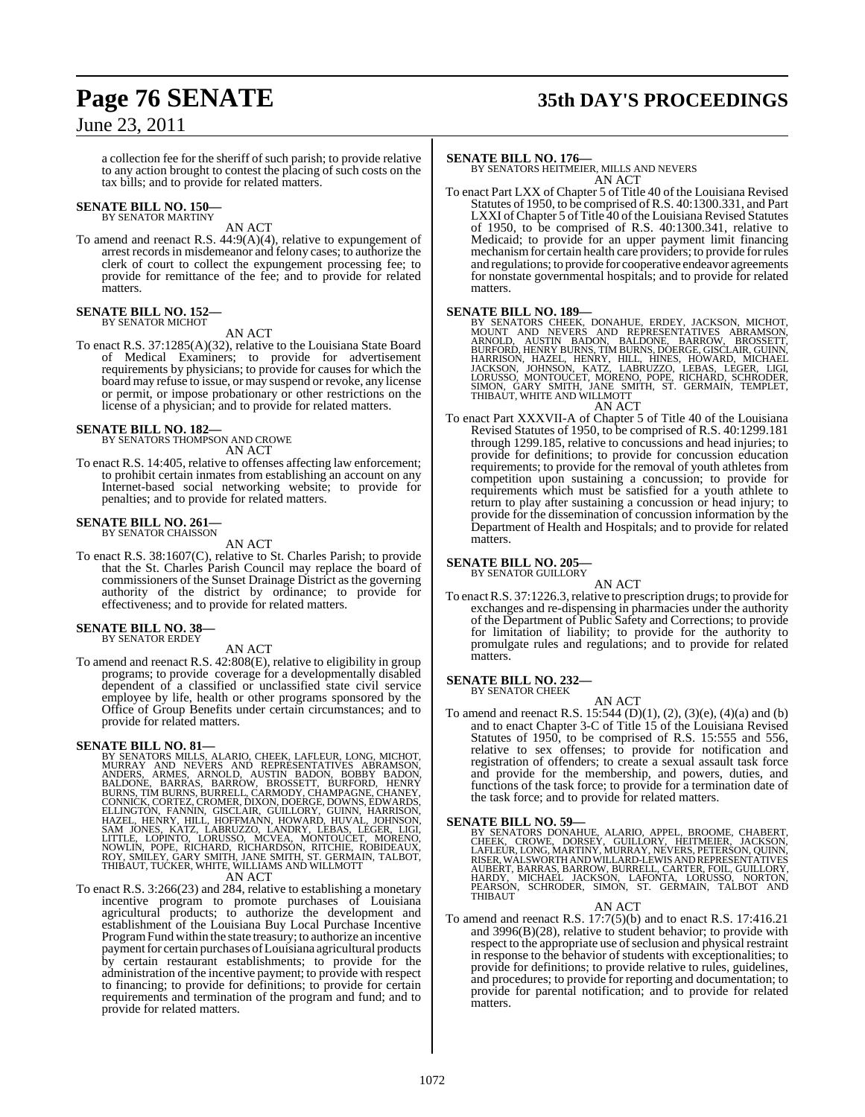# **Page 76 SENATE 35th DAY'S PROCEEDINGS**

### June 23, 2011

a collection fee for the sheriff of such parish; to provide relative to any action brought to contest the placing of such costs on the tax bills; and to provide for related matters.

# **SENATE BILL NO. 150—** BY SENATOR MARTINY

AN ACT

To amend and reenact R.S. 44:9(A)(4), relative to expungement of arrest recordsin misdemeanor and felony cases; to authorize the clerk of court to collect the expungement processing fee; to provide for remittance of the fee; and to provide for related matters.

#### **SENATE BILL NO. 152—** BY SENATOR MICHOT

AN ACT

To enact R.S. 37:1285(A)(32), relative to the Louisiana State Board of Medical Examiners; to provide for advertisement requirements by physicians; to provide for causes for which the board may refuse to issue, or may suspend or revoke, any license or permit, or impose probationary or other restrictions on the license of a physician; and to provide for related matters.

# **SENATE BILL NO. 182—** BY SENATORS THOMPSON AND CROWE

AN ACT

To enact R.S. 14:405, relative to offenses affecting law enforcement; to prohibit certain inmates from establishing an account on any Internet-based social networking website; to provide for penalties; and to provide for related matters.

# **SENATE BILL NO. 261—** BY SENATOR CHAISSON

AN ACT

To enact R.S. 38:1607(C), relative to St. Charles Parish; to provide that the St. Charles Parish Council may replace the board of commissioners of the Sunset Drainage District as the governing authority of the district by ordinance; to provide for effectiveness; and to provide for related matters.

### **SENATE BILL NO. 38—**

BY SENATOR ERDEY

#### AN ACT

To amend and reenact R.S. 42:808(E), relative to eligibility in group programs; to provide coverage for a developmentally disabled dependent of a classified or unclassified state civil service employee by life, health or other programs sponsored by the Office of Group Benefits under certain circumstances; and to provide for related matters.

SENATE BILL NO. 81—<br>
BY SENATORS MILLS, ALARIO, CHEEK, LAFLEUR, LONG, MICHOT, MURRAY AND NEVERS AND REPRESENTATIVES ABRAMSON, MODERS, ARMES, ARNOLD, AUSTIN BADON, BOBBY BADON, BARROW, HENRY<br>
BULDONE, BARRAS, BARROW, BROSSE

AN ACT<br>To enact R.S. 3:266(23) and 284, relative to establishing a monetary incentive program to promote purchases of Louisiana agricultural products; to authorize the development and establishment of the Louisiana Buy Local Purchase Incentive Program Fund within the state treasury; to authorize an incentive payment for certain purchases of Louisiana agricultural products by certain restaurant establishments; to provide for the administration of the incentive payment; to provide with respect to financing; to provide for definitions; to provide for certain requirements and termination of the program and fund; and to provide for related matters.

#### **SENATE BILL NO. 176—**

BY SENATORS HEITMEIER, MILLS AND NEVERS AN ACT

To enact Part LXX of Chapter 5 of Title 40 of the Louisiana Revised Statutes of 1950, to be comprised of R.S. 40:1300.331, and Part LXXI of Chapter 5 of Title 40 of the Louisiana Revised Statutes of 1950, to be comprised of R.S. 40:1300.341, relative to Medicaid; to provide for an upper payment limit financing mechanism for certain health care providers; to provide for rules and regulations; to provide for cooperative endeavor agreements for nonstate governmental hospitals; and to provide for related matters.

SENATE BILL NO. 189—<br>BY SENATORS CHEEK, DONAHUE, ERDEY, JACKSON, MICHOT, MOUNT AND NEVERS AND REPRESENTATIVES ABRAMSON, MRNOLD, AUSTIN BADON, BALDONE, BARROW, BROSSETT,<br>BURFORD, HENRY BURNS, TIMBURNS, DOERGE, GISCLAIR, GUI AN ACT

To enact Part XXXVII-A of Chapter 5 of Title 40 of the Louisiana Revised Statutes of 1950, to be comprised of R.S. 40:1299.181 through 1299.185, relative to concussions and head injuries; to provide for definitions; to provide for concussion education requirements; to provide for the removal of youth athletes from competition upon sustaining a concussion; to provide for requirements which must be satisfied for a youth athlete to return to play after sustaining a concussion or head injury; to provide for the dissemination of concussion information by the Department of Health and Hospitals; and to provide for related matters.

# **SENATE BILL NO. 205—** BY SENATOR GUILLORY

AN ACT To enactR.S. 37:1226.3,relative to prescription drugs; to provide for exchanges and re-dispensing in pharmacies under the authority of the Department of Public Safety and Corrections; to provide for limitation of liability; to provide for the authority to promulgate rules and regulations; and to provide for related matters.

#### **SENATE BILL NO. 232—** BY SENATOR CHEEK

AN ACT

To amend and reenact R.S. 15:544 (D)(1), (2), (3)(e), (4)(a) and (b) and to enact Chapter 3-C of Title 15 of the Louisiana Revised Statutes of 1950, to be comprised of R.S. 15:555 and 556, relative to sex offenses; to provide for notification and registration of offenders; to create a sexual assault task force and provide for the membership, and powers, duties, and functions of the task force; to provide for a termination date of the task force; and to provide for related matters.

**SENATE BILL NO. 59—**<br>BY SENATORS DONAHUE, ALARIO, APPEL, BROOME, CHABERT, CROWE, CORORE, CROWE, DORSEY, GUILLORY, HEITMEIER, JACKSON,<br>LAFLEUR, LONG, MARTINY, MURRAY, NEVERS, PETERSON, QUINN,<br>RISER, WALSWORTH AND WILLARD-L THIBAUT

AN ACT

To amend and reenact R.S. 17:7(5)(b) and to enact R.S. 17:416.21 and 3996(B)(28), relative to student behavior; to provide with respect to the appropriate use of seclusion and physical restraint in response to the behavior of students with exceptionalities; to provide for definitions; to provide relative to rules, guidelines, and procedures; to provide for reporting and documentation; to provide for parental notification; and to provide for related matters.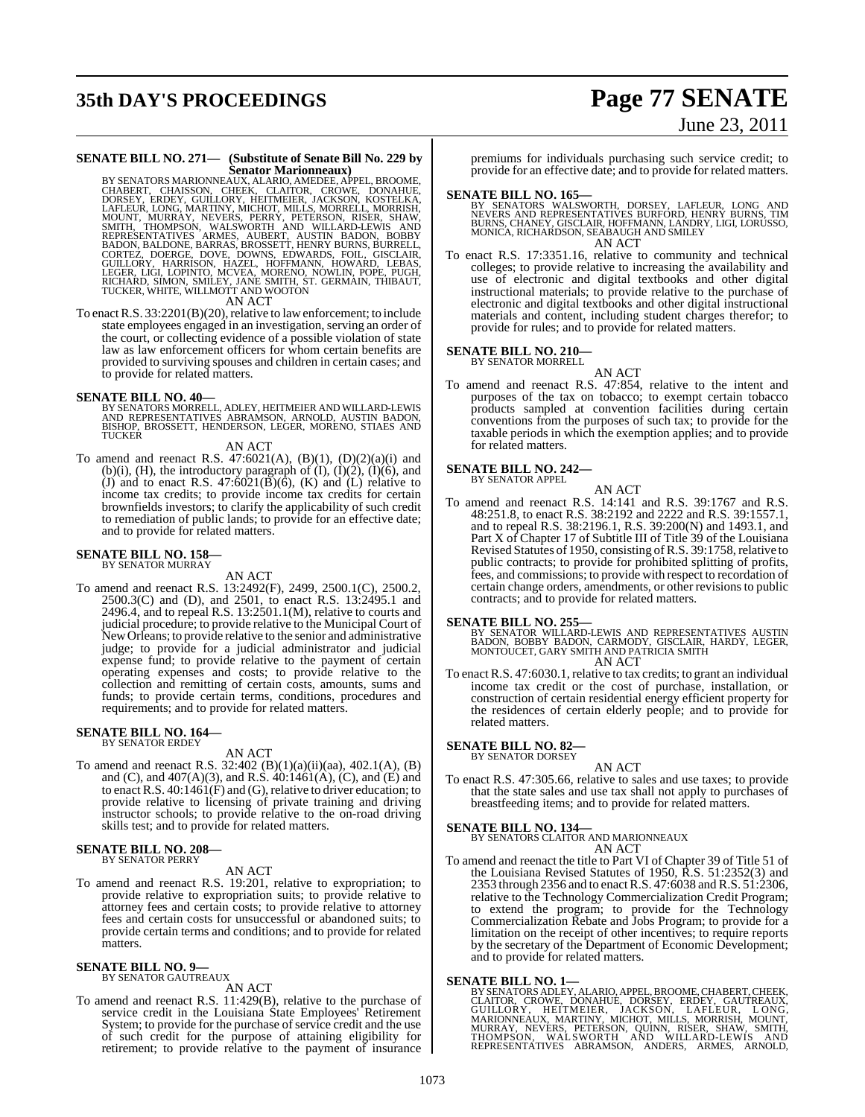# **35th DAY'S PROCEEDINGS Page 77 SENATE**

# June 23, 2011

# **SENATE BILL NO. 271— (Substitute of Senate Bill No. 229 by**

Senator Marionneaux)<br>
BY SENATORS MARIONNE, ALARIO, AMEDEE, APPEL, BROOME,<br>
CHABERT, CHAISSON, CHEEK, CLAITOR, CROWE, DONAHUE,<br>
DORSEY, ERDEY, GUILLORY, HEITMEIER, JACKSON, KOSTELKA,<br>
LAFLEUR, LONG, MARITINY, MICHOT, MILLS

To enact R.S. 33:2201(B)(20), relative to law enforcement; to include state employees engaged in an investigation, serving an order of the court, or collecting evidence of a possible violation of state law as law enforcement officers for whom certain benefits are provided to surviving spouses and children in certain cases; and to provide for related matters.

#### **SENATE BILL NO. 40—**

BY SENATORS MORRELL, ADLEY, HEITMEIER AND WILLARD-LEWIS<br>AND REPRESENTATIVES ABRAMSON, ARNOLD, AUSTIN BADON,<br>BISHOP, BROSSETT, HENDERSON, LEGER, MORENO, STIAES AND<br>TUCKER

#### AN ACT

To amend and reenact R.S.  $47:6021(A)$ ,  $(B)(1)$ ,  $(D)(2)(a)(i)$  and (b)(i), (H), the introductory paragraph of  $(I)$ ,  $(I)(2)$ ,  $(I)(6)$ , and (J) and to enact R.S.  $47:6021(\overline{B})(6)$ , (K) and (L) relative to income tax credits; to provide income tax credits for certain brownfields investors; to clarify the applicability of such credit to remediation of public lands; to provide for an effective date; and to provide for related matters.

#### **SENATE BILL NO. 158—** BY SENATOR MURRAY

AN ACT

To amend and reenact R.S. 13:2492(F), 2499, 2500.1(C), 2500.2,  $2500.3(C)$  and (D), and  $2501$ , to enact R.S. 13:2495.1 and  $2496.4$ , and to repeal R.S.  $13:2501.1(M)$ , relative to courts and judicial procedure; to provide relative to the Municipal Court of NewOrleans; to provide relative to the senior and administrative judge; to provide for a judicial administrator and judicial expense fund; to provide relative to the payment of certain operating expenses and costs; to provide relative to the collection and remitting of certain costs, amounts, sums and funds; to provide certain terms, conditions, procedures and requirements; and to provide for related matters.

#### **SENATE BILL NO. 164—** BY SENATOR ERDEY

AN ACT

To amend and reenact R.S. 32:402 (B)(1)(a)(ii)(aa), 402.1(A), (B) and (C), and  $407(A)(3)$ , and R.S.  $40:1461(A)$ , (C), and (E) and to enact R.S.  $40:1461(F)$  and (G), relative to driver education; to provide relative to licensing of private training and driving instructor schools; to provide relative to the on-road driving skills test; and to provide for related matters.

# **SENATE BILL NO. 208—** BY SENATOR PERRY

#### AN ACT

To amend and reenact R.S. 19:201, relative to expropriation; to provide relative to expropriation suits; to provide relative to attorney fees and certain costs; to provide relative to attorney fees and certain costs for unsuccessful or abandoned suits; to provide certain terms and conditions; and to provide for related matters.

#### **SENATE BILL NO. 9—** BY SENATOR GAUTREAUX

AN ACT

To amend and reenact R.S. 11:429(B), relative to the purchase of service credit in the Louisiana State Employees' Retirement System; to provide for the purchase of service credit and the use of such credit for the purpose of attaining eligibility for retirement; to provide relative to the payment of insurance premiums for individuals purchasing such service credit; to provide for an effective date; and to provide for related matters.

- **SENATE BILL NO. 165—**<br>BY SENATORS WALSWORTH, DORSEY, LAFLEUR, LONG AND NEVERS AND REPRESENTATIVES BURFORD, HENRY BURNS, TIM<br>BURNS, CHANEY, GISCLAIR, HOFFMANN, LANDRY, LIGI, LORUSSO,<br>MONICA, RICHARDSON, SEABAUGH AND SMILEY AN ACT
- To enact R.S. 17:3351.16, relative to community and technical colleges; to provide relative to increasing the availability and use of electronic and digital textbooks and other digital instructional materials; to provide relative to the purchase of electronic and digital textbooks and other digital instructional materials and content, including student charges therefor; to provide for rules; and to provide for related matters.

# **SENATE BILL NO. 210—** BY SENATOR MORRELL

AN ACT

To amend and reenact R.S. 47:854, relative to the intent and purposes of the tax on tobacco; to exempt certain tobacco products sampled at convention facilities during certain conventions from the purposes of such tax; to provide for the taxable periods in which the exemption applies; and to provide for related matters.

#### **SENATE BILL NO. 242—** BY SENATOR APPEL

AN ACT

To amend and reenact R.S. 14:141 and R.S. 39:1767 and R.S. 48:251.8, to enact R.S. 38:2192 and 2222 and R.S. 39:1557.1, and to repeal R.S. 38:2196.1, R.S. 39:200(N) and 1493.1, and Part X of Chapter 17 of Subtitle III of Title 39 of the Louisiana Revised Statutes of 1950, consisting ofR.S. 39:1758,relative to public contracts; to provide for prohibited splitting of profits, fees, and commissions; to provide with respect to recordation of certain change orders, amendments, or other revisionsto public contracts; and to provide for related matters.

**SENATE BILL NO. 255—**<br>BY SENATOR WILLARD-LEWIS AND REPRESENTATIVES AUSTIN<br>BADON, BOBBY BADON, CARMODY, GISCLAIR, HARDY, LEGER,<br>MONTOUCET, GARY SMITH AND PATRICIA SMITH AN ACT

To enact R.S. 47:6030.1, relative to tax credits; to grant an individual income tax credit or the cost of purchase, installation, or construction of certain residential energy efficient property for the residences of certain elderly people; and to provide for related matters.

# **SENATE BILL NO. 82—** BY SENATOR DORSEY

AN ACT

To enact R.S. 47:305.66, relative to sales and use taxes; to provide that the state sales and use tax shall not apply to purchases of breastfeeding items; and to provide for related matters.

**SENATE BILL NO. 134—** BY SENATORS CLAITOR AND MARIONNEAUX

- AN ACT
- To amend and reenact the title to Part VI of Chapter 39 of Title 51 of the Louisiana Revised Statutes of 1950, R.S. 51:2352(3) and 2353 through 2356 and to enact R.S. 47:6038 and R.S. 51:2306, relative to the Technology Commercialization Credit Program; to extend the program; to provide for the Technology Commercialization Rebate and Jobs Program; to provide for a limitation on the receipt of other incentives; to require reports by the secretary of the Department of Economic Development; and to provide for related matters.

#### **SENATE BILL NO. 1—**

BY SENATORS ADLEY, ALARIO, APPEL, BROOME, CHABERT, CHEEK, CLAITOR, CROWE, DONAHUE, DORSEY, GENEY, GAUTREAUX,<br>GUILLORY, HEITMEIER, JACKSON, LAFLEUR, LONG,<br>MARIONNEAUX, MARTINY, MICHOT, MILLS, MORRISH, MOUNT,<br>MARIONNEAUX, MA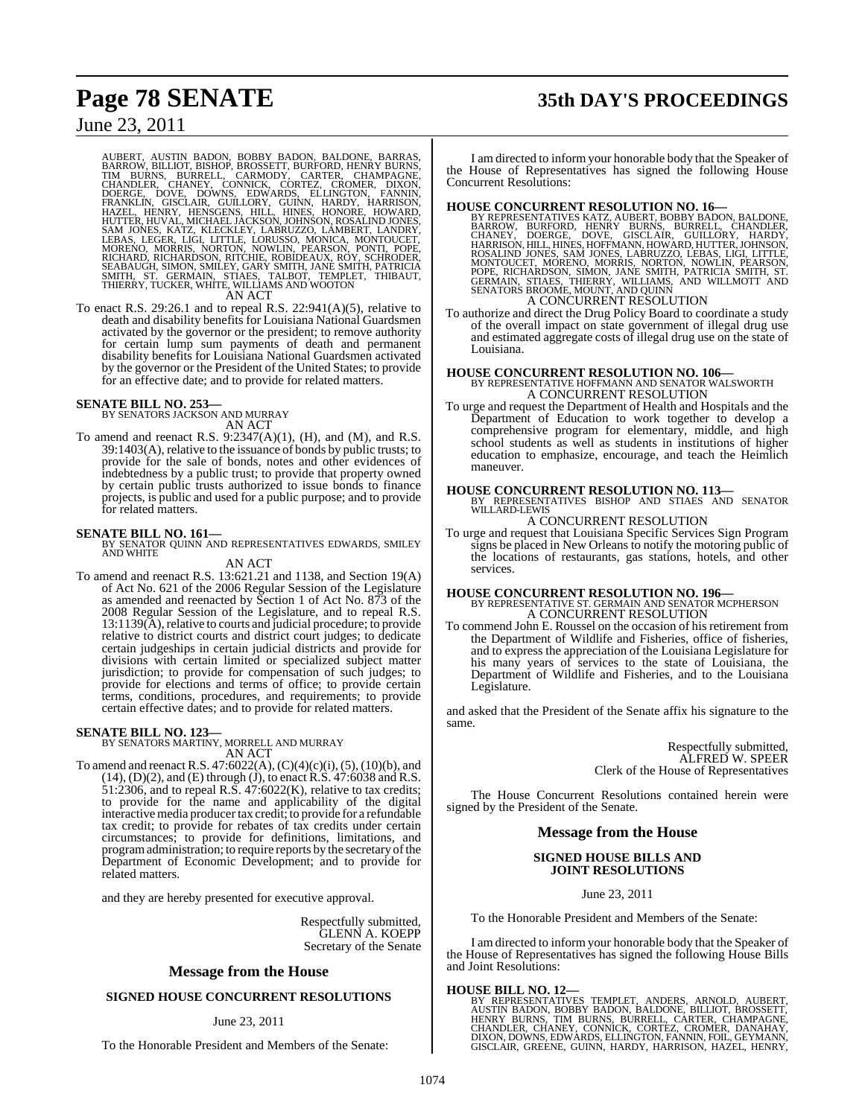# **Page 78 SENATE 35th DAY'S PROCEEDINGS**

## June 23, 2011

AUBERT, AUSTIN BADON, BOBBY BADON, BALDONE, BARRAS, BARROW, BILLIOT, BISHOP, BROSSETT, BURFORD, HENRY BURNS, CHANDLER, CHANEY, CONNICK, CORTEZ, CROMER, DIXON, DOERGE, DOVER, CHANDER, CHANEY, CONNICK, CORTEZ, CROMER, DIXON,

To enact R.S. 29:26.1 and to repeal R.S. 22:941(A)(5), relative to death and disability benefits for Louisiana National Guardsmen activated by the governor or the president; to remove authority for certain lump sum payments of death and permanent disability benefits for Louisiana National Guardsmen activated by the governor or the President of the United States; to provide for an effective date; and to provide for related matters.

**SENATE BILL NO. 253—** BY SENATORS JACKSON AND MURRAY AN ACT

To amend and reenact R.S. 9:2347(A)(1), (H), and (M), and R.S. 39:1403(A), relative to the issuance of bonds by public trusts; to provide for the sale of bonds, notes and other evidences of indebtedness by a public trust; to provide that property owned by certain public trusts authorized to issue bonds to finance projects, is public and used for a public purpose; and to provide for related matters.

**SENATE BILL NO. 161—**<br>BY SENATOR QUINN AND REPRESENTATIVES EDWARDS, SMILEY<br>AND WHITE

#### AN ACT

To amend and reenact R.S. 13:621.21 and 1138, and Section 19(A) of Act No. 621 of the 2006 Regular Session of the Legislature as amended and reenacted by Section 1 of Act No. 873 of the 2008 Regular Session of the Legislature, and to repeal R.S.  $13:1139(A)$ , relative to courts and judicial procedure; to provide relative to district courts and district court judges; to dedicate certain judgeships in certain judicial districts and provide for divisions with certain limited or specialized subject matter jurisdiction; to provide for compensation of such judges; to provide for elections and terms of office; to provide certain terms, conditions, procedures, and requirements; to provide certain effective dates; and to provide for related matters.

**SENATE BILL NO. 123—** BY SENATORS MARTINY, MORRELL AND MURRAY

AN ACT To amend and reenact R.S. 47:6022(A), (C)(4)(c)(i), (5), (10)(b), and  $(14)$ ,  $(D)(2)$ , and  $(E)$  through  $(J)$ , to enact R.S.  $47:6038$  and R.S.  $51:2306$ , and to repeal R.S.  $47:6022(K)$ , relative to tax credits; to provide for the name and applicability of the digital interactive media producer tax credit; to provide for a refundable tax credit; to provide for rebates of tax credits under certain circumstances; to provide for definitions, limitations, and program administration; to require reports by the secretary of the Department of Economic Development; and to provide for related matters.

and they are hereby presented for executive approval.

Respectfully submitted, GLENN A. KOEPP Secretary of the Senate

#### **Message from the House**

#### **SIGNED HOUSE CONCURRENT RESOLUTIONS**

#### June 23, 2011

To the Honorable President and Members of the Senate:

I am directed to inform your honorable body that the Speaker of the House of Representatives has signed the following House Concurrent Resolutions:

- **HOUSE CONCURRENT RESOLUTION NO. 16**<br>BY REPRESENTATIVES KATZ, AUBERT, BOBBY BADDONE, BARROW, BURFORD, HENRY BURNS, BURRELL, CHANDLER,<br>CHANEY, DOERGE, DOVE, GISCLAIR, GUILLORY, HARDY,<br>HARRISON, HILL, HINES, HOFFMANN, HOWARD A CONCURRENT RESOLUTION
- To authorize and direct the Drug Policy Board to coordinate a study of the overall impact on state government of illegal drug use and estimated aggregate costs of illegal drug use on the state of Louisiana.

### **HOUSE CONCURRENT RESOLUTION NO. 106—** BY REPRESENTATIVE HOFFMANN AND SENATOR WALSWORTH A CONCURRENT RESOLUTION

To urge and request the Department of Health and Hospitals and the Department of Education to work together to develop a comprehensive program for elementary, middle, and high school students as well as students in institutions of higher education to emphasize, encourage, and teach the Heimlich maneuver.

#### **HOUSE CONCURRENT RESOLUTION NO. 113—**

BY REPRESENTATIVES BISHOP AND STIAES AND SENATOR WILLARD-LEWIS A CONCURRENT RESOLUTION

To urge and request that Louisiana Specific Services Sign Program signs be placed in New Orleans to notify the motoring public of the locations of restaurants, gas stations, hotels, and other services.

**HOUSE CONCURRENT RESOLUTION NO. 196—** BY REPRESENTATIVE ST. GERMAIN AND SENATOR MCPHERSON A CONCURRENT RESOLUTION

To commend John E. Roussel on the occasion of his retirement from the Department of Wildlife and Fisheries, office of fisheries, and to express the appreciation of the Louisiana Legislature for his many years of services to the state of Louisiana, the Department of Wildlife and Fisheries, and to the Louisiana Legislature.

and asked that the President of the Senate affix his signature to the same.

> Respectfully submitted, ALFRED W. SPEER Clerk of the House of Representatives

The House Concurrent Resolutions contained herein were signed by the President of the Senate.

#### **Message from the House**

**SIGNED HOUSE BILLS AND JOINT RESOLUTIONS**

June 23, 2011

To the Honorable President and Members of the Senate:

I am directed to inform your honorable body that the Speaker of the House of Representatives has signed the following House Bills and Joint Resolutions:

#### **HOUSE BILL NO. 12—**

BY REPRESENTATIVES TEMPLET, ANDERS, ARNOLD, AUBERT,<br>AUSTIN BADON, BOBBY BADON, BALDONE, BILLIOT, BROSSETT,<br>HENRY BURNS, TIM BURNS, BURRELL, CARTER, CHAMPAGNE,<br>CHANDLER, CHANEY, CONNICK, CORTEZ, CROMER, DANAHAY,<br>DIXON,DOWNS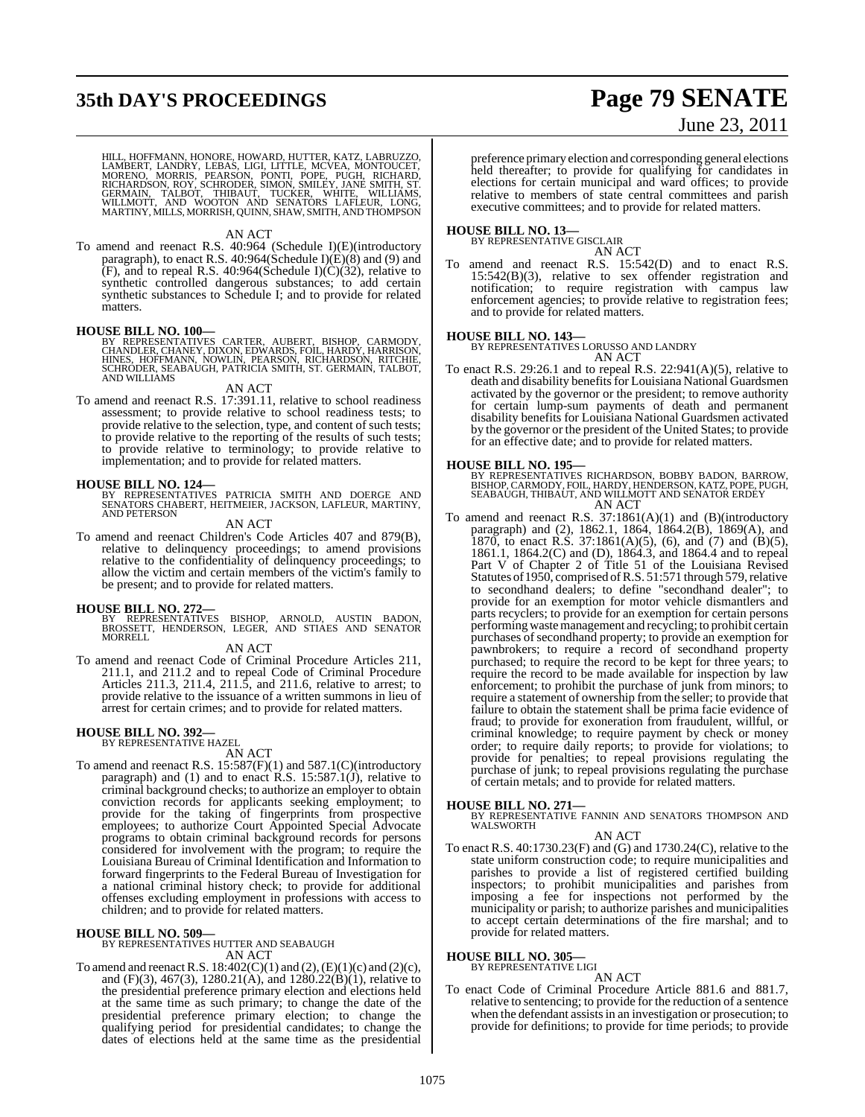# **35th DAY'S PROCEEDINGS Page 79 SENATE**

# June 23, 2011

HILL, HOFFMANN, HONORE, HOWARD, HUTTER, KATZ, LABRUZZO,<br>LAMBERT, LANDRY, LEBAS, LIGI, LITTLE, MCVEA, MONTOUCET,<br>MORENO, MORRIS, PEARSON, PONTI, POPE, PUGH, RICHARD,<br>RICHARDSON, ROY, SCHRODER, SIMON, SMILEY, JANE SMITH, ST.

#### AN ACT

To amend and reenact R.S. 40:964 (Schedule I)(E)(introductory paragraph), to enact R.S. 40:964(Schedule I)(E)(8) and (9) and  $(F)$ , and to repeal R.S. 40:964(Schedule I) $(\hat{C})(32)$ , relative to synthetic controlled dangerous substances; to add certain synthetic substances to Schedule I; and to provide for related matters.

#### **HOUSE BILL NO. 100—**

BY REPRESENTATIVES CARTER, AUBERT, BISHOP, CARMODY,<br>CHANDLER,CHANEY,DIXON,EDWARDS,FOIL,HARDY,HARRISON,<br>HINES, HOFFMANN, NOWLIN, PEARSON, RICHARDSON, RITCHIE,<br>SCHRODER,SEABAUGH,PATRICIA SMITH,ST.GERMAIN,TALBOT,<br>AND WILLIAMS

#### AN ACT

To amend and reenact R.S. 17:391.11, relative to school readiness assessment; to provide relative to school readiness tests; to provide relative to the selection, type, and content of such tests; to provide relative to the reporting of the results of such tests; to provide relative to terminology; to provide relative to implementation; and to provide for related matters.

**HOUSE BILL NO. 124—**<br>BY REPRESENTATIVES PATRICIA SMITH AND DOERGE AND<br>SENATORS CHABERT, HEITMEIER, JACKSON, LAFLEUR, MARTINY,<br>AND PETERSON

#### AN ACT

To amend and reenact Children's Code Articles 407 and 879(B), relative to delinquency proceedings; to amend provisions relative to the confidentiality of delinquency proceedings; to allow the victim and certain members of the victim's family to be present; and to provide for related matters.

**HOUSE BILL NO. 272—**<br>BY REPRESENTATIVES BISHOP, ARNOLD, AUSTIN BADON,<br>BROSSETT, HENDERSON, LEGER, AND STIAES AND SENATOR<br>MORRELL

AN ACT

To amend and reenact Code of Criminal Procedure Articles 211, 211.1, and 211.2 and to repeal Code of Criminal Procedure Articles 211.3, 211.4, 211.5, and 211.6, relative to arrest; to provide relative to the issuance of a written summons in lieu of arrest for certain crimes; and to provide for related matters.

#### **HOUSE BILL NO. 392—** BY REPRESENTATIVE HAZEL

AN ACT

To amend and reenact R.S. 15:587(F)(1) and 587.1(C)(introductory paragraph) and (1) and to enact R.S.  $15:587.1(j)$ , relative to criminal background checks; to authorize an employer to obtain conviction records for applicants seeking employment; to provide for the taking of fingerprints from prospective employees; to authorize Court Appointed Special Advocate programs to obtain criminal background records for persons considered for involvement with the program; to require the Louisiana Bureau of Criminal Identification and Information to forward fingerprints to the Federal Bureau of Investigation for a national criminal history check; to provide for additional offenses excluding employment in professions with access to children; and to provide for related matters.

#### **HOUSE BILL NO. 509—**

BY REPRESENTATIVES HUTTER AND SEABAUGH AN ACT

To amend and reenact R.S.  $18:402(C)(1)$  and  $(2)$ ,  $(E)(1)(c)$  and  $(2)(c)$ , and (F)(3), 467(3), 1280.21(A), and  $1280.22(B)(1)$ , relative to the presidential preference primary election and elections held at the same time as such primary; to change the date of the presidential preference primary election; to change the qualifying period for presidential candidates; to change the dates of elections held at the same time as the presidential

preference primary election and corresponding general elections held thereafter; to provide for qualifying for candidates in elections for certain municipal and ward offices; to provide relative to members of state central committees and parish executive committees; and to provide for related matters.

# **HOUSE BILL NO. 13—** BY REPRESENTATIVE GISCLAIR

AN ACT

To amend and reenact R.S. 15:542(D) and to enact R.S. 15:542(B)(3), relative to sex offender registration and notification; to require registration with campus law enforcement agencies; to provide relative to registration fees; and to provide for related matters.

#### **HOUSE BILL NO. 143—**

BY REPRESENTATIVES LORUSSO AND LANDRY AN ACT

To enact R.S. 29:26.1 and to repeal R.S. 22:941(A)(5), relative to death and disability benefits for Louisiana National Guardsmen activated by the governor or the president; to remove authority for certain lump-sum payments of death and permanent disability benefits for Louisiana National Guardsmen activated by the governor or the president of the United States; to provide for an effective date; and to provide for related matters.

**HOUSE BILL NO. 195—**<br>BY REPRESENTATIVES RICHARDSON, BOBBY BADON, BARROW,<br>BISHOP, CARMODY, FOIL, HARDY, HENDERSON, KATZ, POPE, PUGH,<br>SEABAUGH, THIBAUT, AND WILLMOTT AND SENATOR ERDEY AN ACT

To amend and reenact R.S.  $37:1861(A)(1)$  and (B)(introductory paragraph) and (2), 1862.1, 1864, 1864.2(B), 1869(A), and 1870, to enact R.S. 37:1861(A)(5), (6), and (7) and (B)(5), 1861.1, 1864.2(C) and (D), 1864.3, and 1864.4 and to repeal Part V of Chapter 2 of Title 51 of the Louisiana Revised Statutes of 1950, comprised of R.S. 51:571 through 579, relative to secondhand dealers; to define "secondhand dealer"; to provide for an exemption for motor vehicle dismantlers and parts recyclers; to provide for an exemption for certain persons performing waste management and recycling; to prohibit certain purchases of secondhand property; to provide an exemption for pawnbrokers; to require a record of secondhand property purchased; to require the record to be kept for three years; to require the record to be made available for inspection by law enforcement; to prohibit the purchase of junk from minors; to require a statement of ownership from the seller; to provide that failure to obtain the statement shall be prima facie evidence of fraud; to provide for exoneration from fraudulent, willful, or criminal knowledge; to require payment by check or money order; to require daily reports; to provide for violations; to provide for penalties; to repeal provisions regulating the purchase of junk; to repeal provisions regulating the purchase of certain metals; and to provide for related matters.

**HOUSE BILL NO. 271—** BY REPRESENTATIVE FANNIN AND SENATORS THOMPSON AND WALSWORTH

#### AN ACT

To enact R.S. 40:1730.23(F) and (G) and 1730.24(C), relative to the state uniform construction code; to require municipalities and parishes to provide a list of registered certified building inspectors; to prohibit municipalities and parishes from imposing a fee for inspections not performed by the municipality or parish; to authorize parishes and municipalities to accept certain determinations of the fire marshal; and to provide for related matters.

**HOUSE BILL NO. 305—**

BY REPRESENTATIVE LIGI

AN ACT

To enact Code of Criminal Procedure Article 881.6 and 881.7, relative to sentencing; to provide for the reduction of a sentence when the defendant assists in an investigation or prosecution; to provide for definitions; to provide for time periods; to provide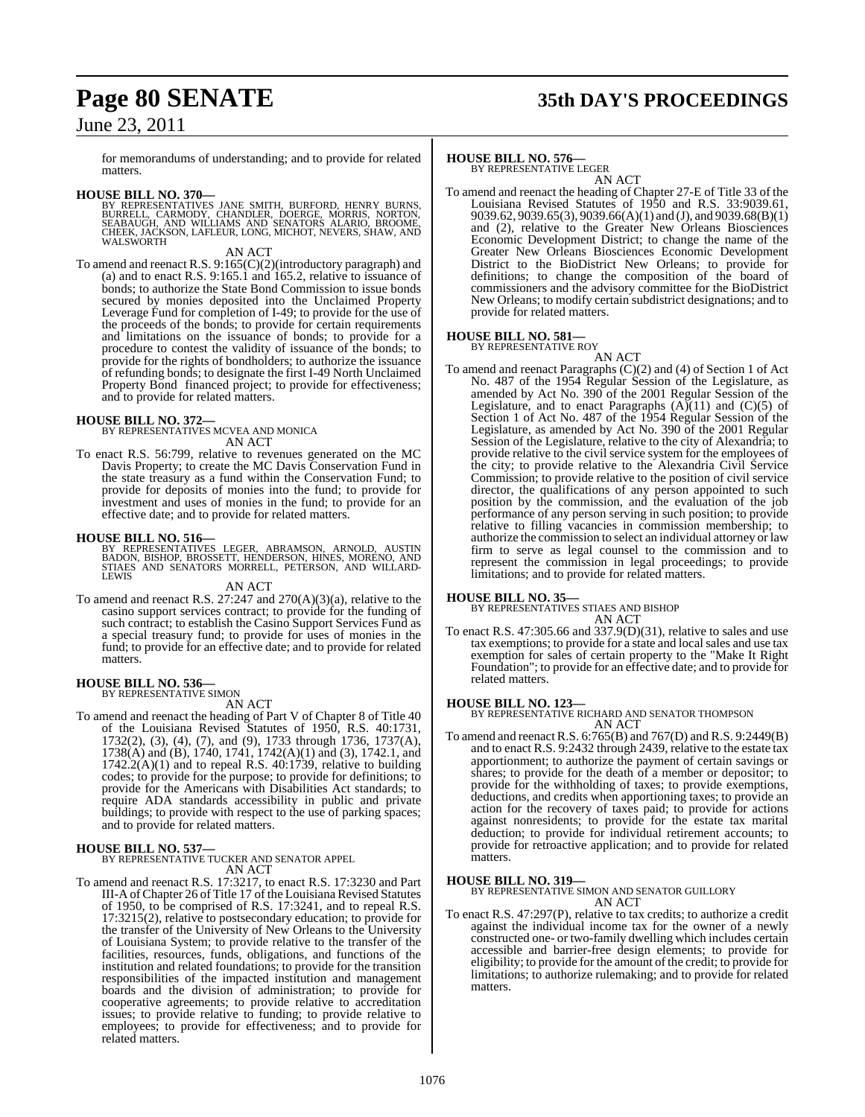# **Page 80 SENATE 35th DAY'S PROCEEDINGS**

## June 23, 2011

for memorandums of understanding; and to provide for related matters.

**HOUSE BILL NO. 370—**<br>BY REPRESENTATIVES JANE SMITH, BURFORD, HENRY BURNS, BURRELL, CARMODY, CHANDLER, DOERGE, MORRIS, NORTON,<br>SEABAUGH, AND WILLIAMS AND SENATORS ALARIO, BROOME,<br>CHEEK, JACKSON, LAFLEUR, LONG, MICHOT, NEVE

#### AN ACT

To amend and reenact R.S. 9:165(C)(2)(introductory paragraph) and (a) and to enact R.S. 9:165.1 and 165.2, relative to issuance of bonds; to authorize the State Bond Commission to issue bonds secured by monies deposited into the Unclaimed Property Leverage Fund for completion of I-49; to provide for the use of the proceeds of the bonds; to provide for certain requirements and limitations on the issuance of bonds; to provide for a procedure to contest the validity of issuance of the bonds; to provide for the rights of bondholders; to authorize the issuance of refunding bonds; to designate the first I-49 North Unclaimed Property Bond financed project; to provide for effectiveness; and to provide for related matters.

**HOUSE BILL NO. 372—** BY REPRESENTATIVES MCVEA AND MONICA AN ACT

To enact R.S. 56:799, relative to revenues generated on the MC Davis Property; to create the MC Davis Conservation Fund in the state treasury as a fund within the Conservation Fund; to provide for deposits of monies into the fund; to provide for investment and uses of monies in the fund; to provide for an effective date; and to provide for related matters.

#### **HOUSE BILL NO. 516—**

BY REPRESENTATIVES LEGER, ABRAMSON, ARNOLD, AUSTIN BADON, BISHOP, BROSSETT, HENDERSON, HINES, MORENO, AND STIAES AND SENATORS MORRELL, PETERSON, AND WILLARD-LEWIS

#### AN ACT

To amend and reenact R.S. 27:247 and 270(A)(3)(a), relative to the casino support services contract; to provide for the funding of such contract; to establish the Casino Support Services Fund as a special treasury fund; to provide for uses of monies in the fund; to provide for an effective date; and to provide for related matters.

# **HOUSE BILL NO. 536—** BY REPRESENTATIVE SIMON

- AN ACT
- To amend and reenact the heading of Part V of Chapter 8 of Title 40 of the Louisiana Revised Statutes of 1950, R.S. 40:1731, 1732(2), (3), (4), (7), and (9), 1733 through 1736, 1737(A), 1738(A) and (B), 1740, 1741, 1742(A)(1) and (3), 1742.1, and  $1742.2(A)(1)$  and to repeal R.S.  $40:1739$ , relative to building codes; to provide for the purpose; to provide for definitions; to provide for the Americans with Disabilities Act standards; to require ADA standards accessibility in public and private buildings; to provide with respect to the use of parking spaces; and to provide for related matters.

#### **HOUSE BILL NO. 537—**

BY REPRESENTATIVE TUCKER AND SENATOR APPEL AN ACT

To amend and reenact R.S. 17:3217, to enact R.S. 17:3230 and Part III-A ofChapter 26 of Title 17 of the Louisiana Revised Statutes of 1950, to be comprised of R.S. 17:3241, and to repeal R.S. 17:3215(2), relative to postsecondary education; to provide for the transfer of the University of New Orleans to the University of Louisiana System; to provide relative to the transfer of the facilities, resources, funds, obligations, and functions of the institution and related foundations; to provide for the transition responsibilities of the impacted institution and management boards and the division of administration; to provide for cooperative agreements; to provide relative to accreditation issues; to provide relative to funding; to provide relative to employees; to provide for effectiveness; and to provide for related matters.

#### **HOUSE BILL NO. 576—**

BY REPRESENTATIVE LEGER AN ACT

To amend and reenact the heading of Chapter 27-E of Title 33 of the Louisiana Revised Statutes of 1950 and R.S. 33:9039.61, 9039.62, 9039.65(3), 9039.66(A)(1) and (J), and 9039.68(B)(1) and (2), relative to the Greater New Orleans Biosciences Economic Development District; to change the name of the Greater New Orleans Biosciences Economic Development District to the BioDistrict New Orleans; to provide for definitions; to change the composition of the board of commissioners and the advisory committee for the BioDistrict New Orleans; to modify certain subdistrict designations; and to provide for related matters.

#### **HOUSE BILL NO. 581—** BY REPRESENTATIVE ROY

- AN ACT
- To amend and reenact Paragraphs (C)(2) and (4) of Section 1 of Act No. 487 of the 1954 Regular Session of the Legislature, as amended by Act No. 390 of the 2001 Regular Session of the Legislature, and to enact Paragraphs  $(A)(11)$  and  $(C)(5)$  of Section 1 of Act No. 487 of the 1954 Regular Session of the Legislature, as amended by Act No. 390 of the 2001 Regular Session of the Legislature, relative to the city of Alexandria; to provide relative to the civil service system for the employees of the city; to provide relative to the Alexandria Civil Service Commission; to provide relative to the position of civil service director, the qualifications of any person appointed to such position by the commission, and the evaluation of the job performance of any person serving in such position; to provide relative to filling vacancies in commission membership; to authorize the commission to select an individual attorney or law firm to serve as legal counsel to the commission and to represent the commission in legal proceedings; to provide limitations; and to provide for related matters.

#### **HOUSE BILL NO. 35—**

BY REPRESENTATIVES STIAES AND BISHOP AN ACT

To enact R.S. 47:305.66 and 337.9(D)(31), relative to sales and use tax exemptions; to provide for a state and local sales and use tax exemption for sales of certain property to the "Make It Right Foundation"; to provide for an effective date; and to provide for related matters.

#### **HOUSE BILL NO. 123—**

BY REPRESENTATIVE RICHARD AND SENATOR THOMPSON AN ACT

To amend and reenact R.S. 6:765(B) and 767(D) and R.S. 9:2449(B) and to enact R.S. 9:2432 through 2439, relative to the estate tax apportionment; to authorize the payment of certain savings or shares; to provide for the death of a member or depositor; to provide for the withholding of taxes; to provide exemptions, deductions, and credits when apportioning taxes; to provide an action for the recovery of taxes paid; to provide for actions against nonresidents; to provide for the estate tax marital deduction; to provide for individual retirement accounts; to provide for retroactive application; and to provide for related matters.

#### **HOUSE BILL NO. 319—**

BY REPRESENTATIVE SIMON AND SENATOR GUILLORY AN ACT

To enact R.S. 47:297(P), relative to tax credits; to authorize a credit against the individual income tax for the owner of a newly constructed one- or two-family dwelling which includes certain accessible and barrier-free design elements; to provide for eligibility; to provide for the amount of the credit; to provide for limitations; to authorize rulemaking; and to provide for related matters.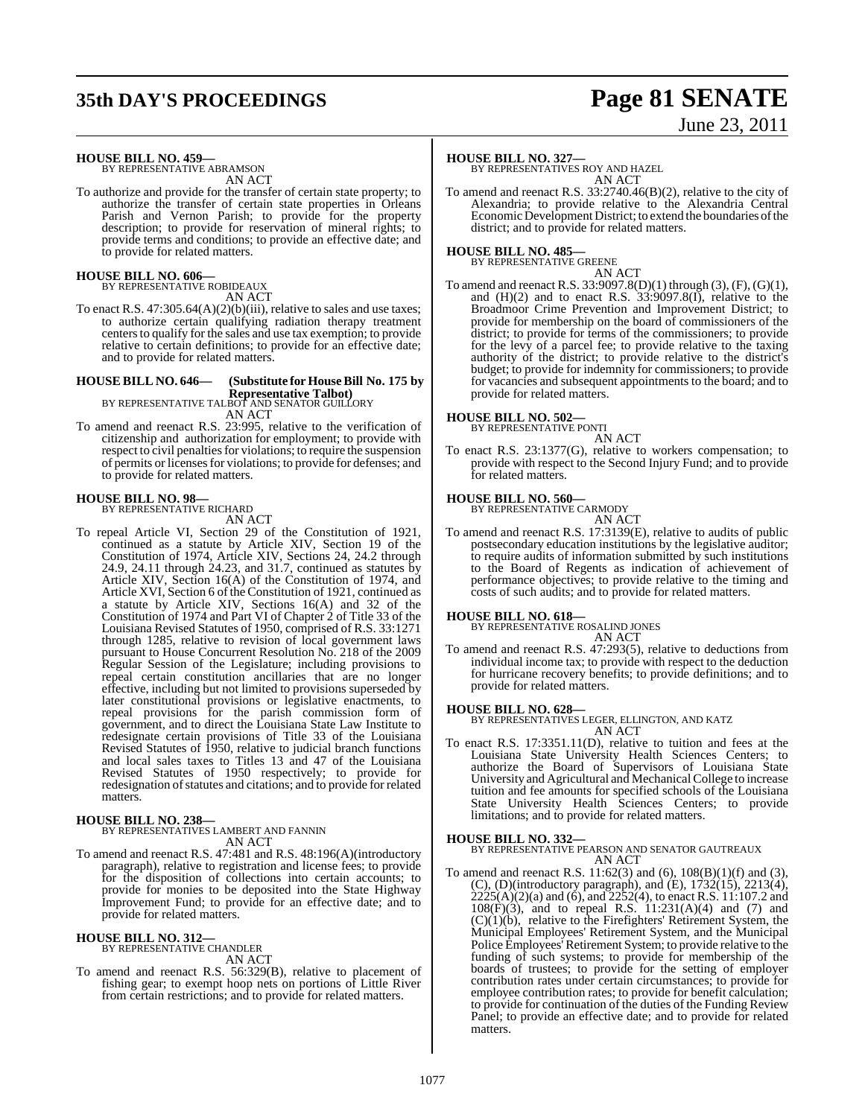# **35th DAY'S PROCEEDINGS Page 81 SENATE**

# June 23, 2011

**HOUSE BILL NO. 459—**

BY REPRESENTATIVE ABRAMSON AN ACT

To authorize and provide for the transfer of certain state property; to authorize the transfer of certain state properties in Orleans Parish and Vernon Parish; to provide for the property description; to provide for reservation of mineral rights; to provide terms and conditions; to provide an effective date; and to provide for related matters.

# **HOUSE BILL NO. 606—** BY REPRESENTATIVE ROBIDEAUX

AN ACT

To enact R.S. 47:305.64(A)(2)(b)(iii), relative to sales and use taxes; to authorize certain qualifying radiation therapy treatment centersto qualify for the sales and use tax exemption; to provide relative to certain definitions; to provide for an effective date; and to provide for related matters.

### **HOUSE BILL NO. 646— (Substitute for House Bill No. 175 by Representative Talbot)** BY REPRESENTATIVE TALBOT AND SENATOR GUILLORY

AN ACT

To amend and reenact R.S. 23:995, relative to the verification of citizenship and authorization for employment; to provide with respect to civil penalties for violations; to require the suspension of permits or licensesfor violations; to provide for defenses; and to provide for related matters.

# **HOUSE BILL NO. 98—** BY REPRESENTATIVE RICHARD

AN ACT

To repeal Article VI, Section 29 of the Constitution of 1921, continued as a statute by Article XIV, Section 19 of the Constitution of 1974, Article XIV, Sections 24, 24.2 through 24.9, 24.11 through 24.23, and 31.7, continued as statutes by Article XIV, Section 16(A) of the Constitution of 1974, and Article XVI, Section 6 of the Constitution of 1921, continued as a statute by Article XIV, Sections 16(A) and 32 of the Constitution of 1974 and Part VI of Chapter 2 of Title 33 of the Louisiana Revised Statutes of 1950, comprised of R.S. 33:1271 through 1285, relative to revision of local government laws pursuant to House Concurrent Resolution No. 218 of the 2009 Regular Session of the Legislature; including provisions to repeal certain constitution ancillaries that are no longer effective, including but not limited to provisions superseded by later constitutional provisions or legislative enactments, to repeal provisions for the parish commission form of government, and to direct the Louisiana State Law Institute to redesignate certain provisions of Title 33 of the Louisiana Revised Statutes of 1950, relative to judicial branch functions and local sales taxes to Titles 13 and 47 of the Louisiana Revised Statutes of 1950 respectively; to provide for redesignation of statutes and citations; and to provide for related matters.

**HOUSE BILL NO. 238—** BY REPRESENTATIVES LAMBERT AND FANNIN AN ACT

To amend and reenact R.S. 47:481 and R.S. 48:196(A)(introductory paragraph), relative to registration and license fees; to provide for the disposition of collections into certain accounts; to provide for monies to be deposited into the State Highway Improvement Fund; to provide for an effective date; and to provide for related matters.

#### **HOUSE BILL NO. 312—**

BY REPRESENTATIVE CHANDLER AN ACT

To amend and reenact R.S. 56:329(B), relative to placement of fishing gear; to exempt hoop nets on portions of Little River from certain restrictions; and to provide for related matters.

#### **HOUSE BILL NO. 327—**

BY REPRESENTATIVES ROY AND HAZEL AN ACT

To amend and reenact R.S. 33:2740.46(B)(2), relative to the city of Alexandria; to provide relative to the Alexandria Central Economic Development District; to extend the boundaries of the district; and to provide for related matters.

# **HOUSE BILL NO. 485—** BY REPRESENTATIVE GREENE

AN ACT To amend and reenact R.S. 33:9097.8(D)(1) through (3), (F), (G)(1), and  $(H)(2)$  and to enact R.S. 33:9097.8(I), relative to the Broadmoor Crime Prevention and Improvement District; to provide for membership on the board of commissioners of the district; to provide for terms of the commissioners; to provide for the levy of a parcel fee; to provide relative to the taxing authority of the district; to provide relative to the district's budget; to provide for indemnity for commissioners; to provide for vacancies and subsequent appointments to the board; and to provide for related matters.

#### **HOUSE BILL NO. 502—**

BY REPRESENTATIVE PONTI

AN ACT

To enact R.S. 23:1377(G), relative to workers compensation; to provide with respect to the Second Injury Fund; and to provide for related matters.

# **HOUSE BILL NO. 560—** BY REPRESENTATIVE CARMODY

AN ACT

To amend and reenact R.S. 17:3139(E), relative to audits of public postsecondary education institutions by the legislative auditor; to require audits of information submitted by such institutions to the Board of Regents as indication of achievement of performance objectives; to provide relative to the timing and costs of such audits; and to provide for related matters.

**HOUSE BILL NO. 618—** BY REPRESENTATIVE ROSALIND JONES AN ACT

To amend and reenact R.S.  $47:293(5)$ , relative to deductions from individual income tax; to provide with respect to the deduction for hurricane recovery benefits; to provide definitions; and to provide for related matters.

**HOUSE BILL NO. 628—** BY REPRESENTATIVES LEGER, ELLINGTON, AND KATZ AN ACT

To enact R.S. 17:3351.11(D), relative to tuition and fees at the Louisiana State University Health Sciences Centers; to authorize the Board of Supervisors of Louisiana State University and Agricultural and Mechanical College to increase tuition and fee amounts for specified schools of the Louisiana State University Health Sciences Centers; to provide limitations; and to provide for related matters.

**HOUSE BILL NO. 332—** BY REPRESENTATIVE PEARSON AND SENATOR GAUTREAUX AN ACT

To amend and reenact R.S. 11:62(3) and (6), 108(B)(1)(f) and (3), (C), (D)(introductory paragraph), and (E), 1732(15), 2213(4),  $2225(A)(2)(a)$  and  $(6)$ , and  $2252(4)$ , to enact R.S. 11:107.2 and 108(F)(3), and to repeal R.S. 11:231(A)(4) and (7) and  $(C)(1)(b)$ , relative to the Firefighters' Retirement System, the Municipal Employees' Retirement System, and the Municipal Police Employees' Retirement System; to provide relative to the funding of such systems; to provide for membership of the boards of trustees; to provide for the setting of employer contribution rates under certain circumstances; to provide for employee contribution rates; to provide for benefit calculation; to provide for continuation of the duties of the Funding Review Panel; to provide an effective date; and to provide for related matters.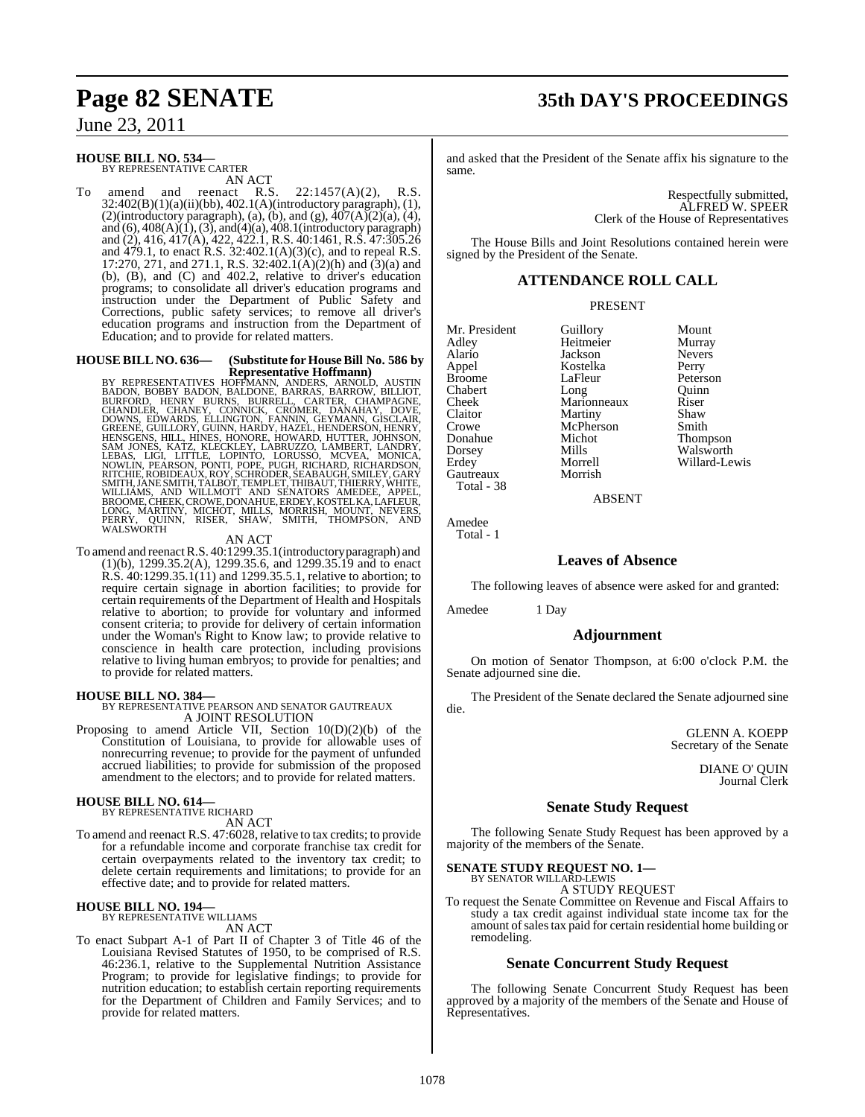## June 23, 2011

### **HOUSE BILL NO. 534—**

BY REPRESENTATIVE CARTER

AN ACT<br>reenact R.S. To amend and reenact R.S.  $22:1457(A)(2)$ , R.S. 32:402(B)(1)(a)(ii)(bb), 402.1(A)(introductory paragraph), (1), (2)(introductory paragraph), (a), (b), and (g),  $\overline{407}(A)\overline{(2)}(a)$ , (4), and  $(6)$ ,  $408(A)(1)$ ,  $(3)$ , and $(4)(a)$ ,  $408.1$ (introductory paragraph) and (2), 416, 417(A), 422, 422.1, R.S. 40:1461, R.S. 47:305.26 and 479.1, to enact R.S. 32:402.1(A)(3)(c), and to repeal R.S. 17:270, 271, and 271.1, R.S. 32:402.1(A)(2)(h) and (3)(a) and (b), (B), and (C) and 402.2, relative to driver's education programs; to consolidate all driver's education programs and instruction under the Department of Public Safety and Corrections, public safety services; to remove all driver's education programs and instruction from the Department of Education; and to provide for related matters.

# **HOUSE BILL NO. 636—** (Substitute for House Bill No. 586 by<br>Representative Hoffmann)

**Representative Hoffmann)**<br>
BY REPRESENTATIVES HOFFMANN, ANDERS, ARNOLD, AUSTIN<br>
BADON, BOBBY BADON, BALDONE, BARRAS, BARROW, BILLIOT,<br>
BURFORD, HENRY BURNS, BURRELL, CARTER, CHAMPAGNE,<br>
CHANDLER, CHANEY, CONNICK, CROMER,

AN ACT

To amend and reenactR.S. 40:1299.35.1(introductory paragraph) and (1)(b), 1299.35.2(A), 1299.35.6, and 1299.35.19 and to enact R.S. 40:1299.35.1(11) and 1299.35.5.1, relative to abortion; to require certain signage in abortion facilities; to provide for certain requirements of the Department of Health and Hospitals relative to abortion; to provide for voluntary and informed consent criteria; to provide for delivery of certain information under the Woman's Right to Know law; to provide relative to conscience in health care protection, including provisions relative to living human embryos; to provide for penalties; and to provide for related matters.

**HOUSE BILL NO. 384—** BY REPRESENTATIVE PEARSON AND SENATOR GAUTREAUX A JOINT RESOLUTION

Proposing to amend Article VII, Section 10(D)(2)(b) of the Constitution of Louisiana, to provide for allowable uses of nonrecurring revenue; to provide for the payment of unfunded accrued liabilities; to provide for submission of the proposed amendment to the electors; and to provide for related matters.

#### **HOUSE BILL NO. 614—** BY REPRESENTATIVE RICHARD

AN ACT

To amend and reenact R.S. 47:6028, relative to tax credits; to provide for a refundable income and corporate franchise tax credit for certain overpayments related to the inventory tax credit; to delete certain requirements and limitations; to provide for an effective date; and to provide for related matters.

### **HOUSE BILL NO. 194—**

BY REPRESENTATIVE WILLIAMS AN ACT

To enact Subpart A-1 of Part II of Chapter 3 of Title 46 of the Louisiana Revised Statutes of 1950, to be comprised of R.S. 46:236.1, relative to the Supplemental Nutrition Assistance Program; to provide for legislative findings; to provide for nutrition education; to establish certain reporting requirements for the Department of Children and Family Services; and to provide for related matters.

# **Page 82 SENATE 35th DAY'S PROCEEDINGS**

and asked that the President of the Senate affix his signature to the same.

> Respectfully submitted, ALFRED W. SPEER Clerk of the House of Representatives

The House Bills and Joint Resolutions contained herein were signed by the President of the Senate.

### **ATTENDANCE ROLL CALL**

#### PRESENT

Mr. President Guillory Mount<br>Adley Heitmeier Murray Adley Heitmeier Murray Appel Kostelka<br>Broome LaFleur Chabert Long Quinr<br>
Cheek Marionneaux Riser Cheek Marionneaux Riser<br>Claitor Martiny Shaw Crowe McPherson Smith<br>
Donahue Michot Thom Donahue Michot Thompson Dorsey Mills Walsworth Gautreaux

Jackson Never<br>Kostelka Perry LaFleur Peterson<br>Long Quinn **Martiny** Morrell Willard-Lewis<br>Morrish

ABSENT

Amedee Total - 1

Total - 38

### **Leaves of Absence**

The following leaves of absence were asked for and granted:

Amedee 1 Day

### **Adjournment**

On motion of Senator Thompson, at 6:00 o'clock P.M. the Senate adjourned sine die.

The President of the Senate declared the Senate adjourned sine die.

> GLENN A. KOEPP Secretary of the Senate

> > DIANE O' QUIN Journal Clerk

### **Senate Study Request**

The following Senate Study Request has been approved by a majority of the members of the Senate.

# **SENATE STUDY REQUEST NO. 1—** BY SENATOR WILLARD-LEWIS

A STUDY REQUEST

To request the Senate Committee on Revenue and Fiscal Affairs to study a tax credit against individual state income tax for the amount of sales tax paid for certain residential home building or remodeling.

### **Senate Concurrent Study Request**

The following Senate Concurrent Study Request has been approved by a majority of the members of the Senate and House of Representatives.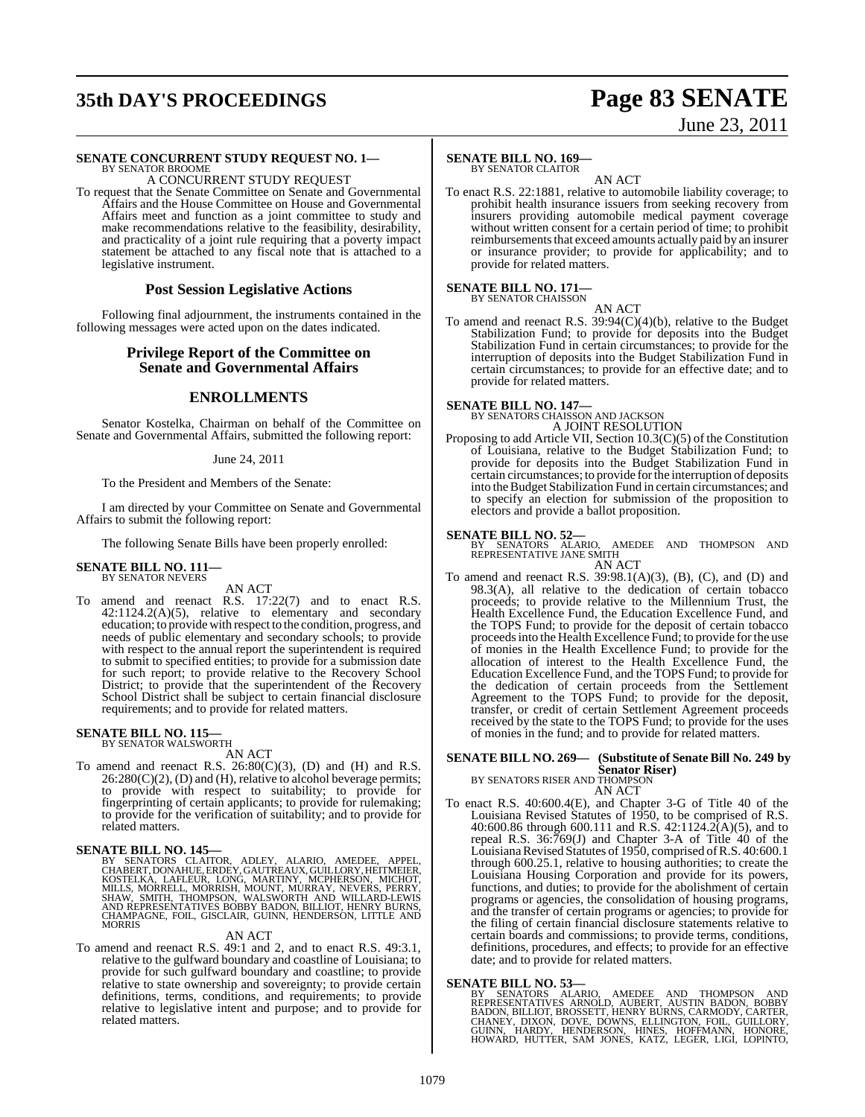# **35th DAY'S PROCEEDINGS Page 83 SENATE**

# June 23, 2011

#### **SENATE CONCURRENT STUDY REQUEST NO. 1—** BY SENATOR BROOME

A CONCURRENT STUDY REQUEST

To request that the Senate Committee on Senate and Governmental Affairs and the House Committee on House and Governmental Affairs meet and function as a joint committee to study and make recommendations relative to the feasibility, desirability, and practicality of a joint rule requiring that a poverty impact statement be attached to any fiscal note that is attached to a legislative instrument.

#### **Post Session Legislative Actions**

Following final adjournment, the instruments contained in the following messages were acted upon on the dates indicated.

### **Privilege Report of the Committee on Senate and Governmental Affairs**

### **ENROLLMENTS**

Senator Kostelka, Chairman on behalf of the Committee on Senate and Governmental Affairs, submitted the following report:

#### June 24, 2011

To the President and Members of the Senate:

I am directed by your Committee on Senate and Governmental Affairs to submit the following report:

The following Senate Bills have been properly enrolled:

# **SENATE BILL NO. 111—** BY SENATOR NEVERS

AN ACT

To amend and reenact R.S. 17:22(7) and to enact R.S. 42:1124.2(A)(5), relative to elementary and secondary education; to providewith respect to the condition, progress, and needs of public elementary and secondary schools; to provide with respect to the annual report the superintendent is required to submit to specified entities; to provide for a submission date for such report; to provide relative to the Recovery School District; to provide that the superintendent of the Recovery School District shall be subject to certain financial disclosure requirements; and to provide for related matters.

#### **SENATE BILL NO. 115—** BY SENATOR WALSWORTH

AN ACT

To amend and reenact R.S.  $26:80(C)(3)$ , (D) and (H) and R.S.  $26:280(C)(2)$ , (D) and (H), relative to alcohol beverage permits; to provide with respect to suitability; to provide for fingerprinting of certain applicants; to provide for rulemaking; to provide for the verification of suitability; and to provide for related matters.

### **SENATE BILL NO. 145—**

BY SENATORS CLAITOR, ADLEY, ALARIO, AMEDEE, APPEL,<br>CHABERT,DONAHUE,ERDEY,GAUTREAUX,GUILLORY,HEITMEIER,<br>KOSTELKA, LAFLEUR, LONG, MARTINY,GUILLORY,HEITMEIER,<br>MILLS, MORRELL, MORRISH, MOUNT, MURRAY, NEVERS, PERRY,<br>SHAW, SMITH

#### AN ACT

To amend and reenact R.S. 49:1 and 2, and to enact R.S. 49:3.1, relative to the gulfward boundary and coastline of Louisiana; to provide for such gulfward boundary and coastline; to provide relative to state ownership and sovereignty; to provide certain definitions, terms, conditions, and requirements; to provide relative to legislative intent and purpose; and to provide for related matters.

#### **SENATE BILL NO. 169—** BY SENATOR CLAITOR

AN ACT To enact R.S. 22:1881, relative to automobile liability coverage; to prohibit health insurance issuers from seeking recovery from insurers providing automobile medical payment coverage without written consent for a certain period of time; to prohibit reimbursements that exceed amounts actually paid by an insurer or insurance provider; to provide for applicability; and to provide for related matters.

# **SENATE BILL NO. 171—** BY SENATOR CHAISSON

AN ACT To amend and reenact R.S. 39:94(C)(4)(b), relative to the Budget Stabilization Fund; to provide for deposits into the Budget Stabilization Fund in certain circumstances; to provide for the

#### interruption of deposits into the Budget Stabilization Fund in certain circumstances; to provide for an effective date; and to provide for related matters.

# **SENATE BILL NO. 147—** BY SENATORS CHAISSON AND JACKSON

A JOINT RESOLUTION

Proposing to add Article VII, Section 10.3(C)(5) of the Constitution of Louisiana, relative to the Budget Stabilization Fund; to provide for deposits into the Budget Stabilization Fund in certain circumstances; to provide forthe interruption of deposits into the Budget Stabilization Fund in certain circumstances; and to specify an election for submission of the proposition to electors and provide a ballot proposition.

#### **SENATE BILL NO. 52—**

BY SENATORS ALARIO, AMEDEE AND THOMPSON AND REPRESENTATIVE JANE SMITH AN ACT

To amend and reenact R.S.  $39:98.1(A)(3)$ , (B), (C), and (D) and 98.3(A), all relative to the dedication of certain tobacco proceeds; to provide relative to the Millennium Trust, the Health Excellence Fund, the Education Excellence Fund, and the TOPS Fund; to provide for the deposit of certain tobacco proceedsinto the Health Excellence Fund; to provide for the use of monies in the Health Excellence Fund; to provide for the allocation of interest to the Health Excellence Fund, the Education Excellence Fund, and the TOPS Fund; to provide for the dedication of certain proceeds from the Settlement Agreement to the TOPS Fund; to provide for the deposit, transfer, or credit of certain Settlement Agreement proceeds received by the state to the TOPS Fund; to provide for the uses of monies in the fund; and to provide for related matters.

### **SENATE BILL NO. 269— (Substitute of Senate Bill No. 249 by Senator Riser)** BY SENATORS RISER AND THOMPSON

AN ACT

To enact R.S. 40:600.4(E), and Chapter 3-G of Title 40 of the Louisiana Revised Statutes of 1950, to be comprised of R.S. 40:600.86 through 600.111 and R.S. 42:1124.2(A)(5), and to repeal R.S. 36:769(J) and Chapter 3-A of Title 40 of the Louisiana Revised Statutes of 1950, comprised of R.S. 40:600.1 through 600.25.1, relative to housing authorities; to create the Louisiana Housing Corporation and provide for its powers, functions, and duties; to provide for the abolishment of certain programs or agencies, the consolidation of housing programs, and the transfer of certain programs or agencies; to provide for the filing of certain financial disclosure statements relative to certain boards and commissions; to provide terms, conditions, definitions, procedures, and effects; to provide for an effective date; and to provide for related matters.

#### **SENATE BILL NO. 53—**

BY SENATORS ALARIO, AMEDEE AND THOMPSON AND<br>REPRESENTATIVES ARNOLD, AUBERT, AUSTIN BADON, BOBBY<br>BADON,BILLIOT,BROSSETT,HENRYBURNS,CARMODY,CARTER,<br>CHANEY, DIXON,DOVE,DOWNS,ELLINGTON,FOIL,GUILLORY,<br>GUINN, HARDY, HENDERSON, H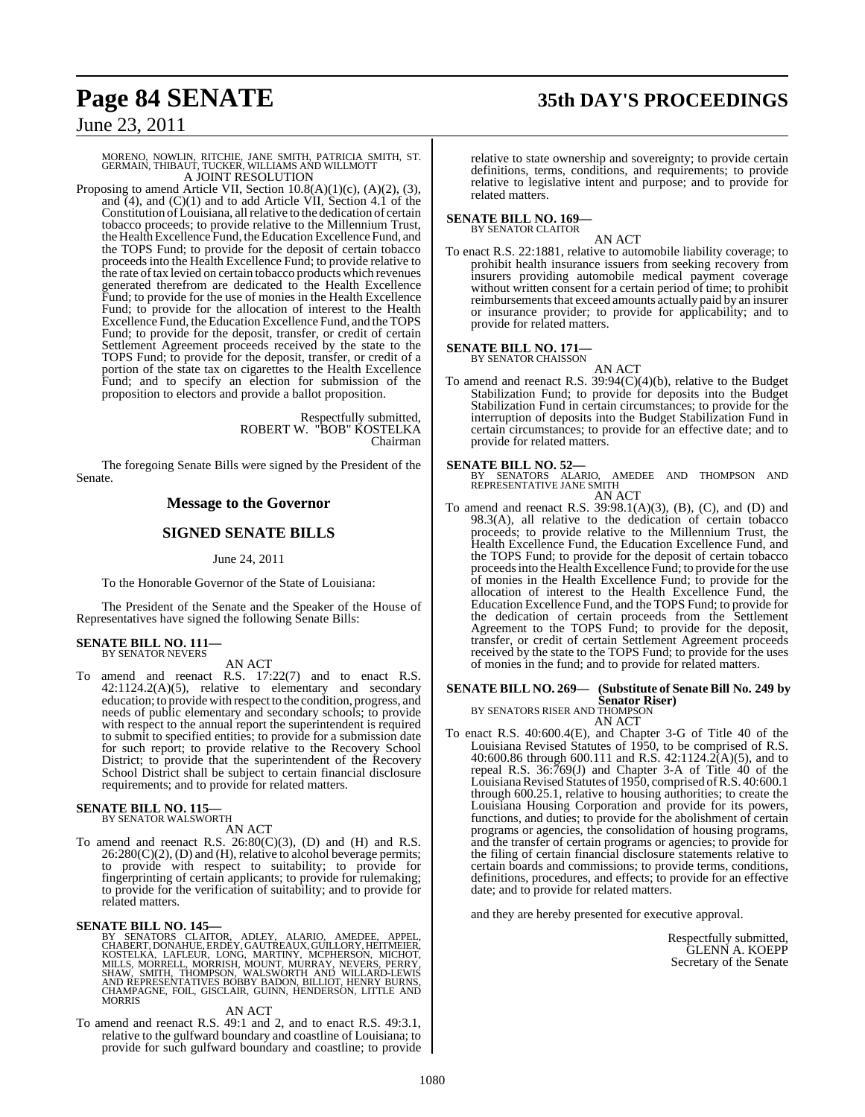# **Page 84 SENATE 35th DAY'S PROCEEDINGS**

June 23, 2011

# MORENO, NOWLIN, RITCHIE, JANE SMITH, PATRICIA SMITH, ST. GERMAIN, THIBAUT, TUCKER, WILLIAMS AND WILLMOTT A JOINT RESOLUTION

Proposing to amend Article VII, Section  $10.8(A)(1)(c)$ ,  $(A)(2)$ ,  $(3)$ , and  $(4)$ , and  $(C)(1)$  and to add Article VII, Section 4.1 of the Constitution of Louisiana, all relative to the dedication of certain tobacco proceeds; to provide relative to the Millennium Trust, the Health Excellence Fund, the Education Excellence Fund, and the TOPS Fund; to provide for the deposit of certain tobacco proceeds into the Health Excellence Fund; to provide relative to the rate oftax levied on certain tobacco products which revenues generated therefrom are dedicated to the Health Excellence Fund; to provide for the use of monies in the Health Excellence Fund; to provide for the allocation of interest to the Health Excellence Fund, the Education Excellence Fund, and the TOPS Fund; to provide for the deposit, transfer, or credit of certain Settlement Agreement proceeds received by the state to the TOPS Fund; to provide for the deposit, transfer, or credit of a portion of the state tax on cigarettes to the Health Excellence Fund; and to specify an election for submission of the proposition to electors and provide a ballot proposition.

> Respectfully submitted, ROBERT W. "BOB" KOSTELKA Chairman

The foregoing Senate Bills were signed by the President of the Senate.

#### **Message to the Governor**

### **SIGNED SENATE BILLS**

June 24, 2011

To the Honorable Governor of the State of Louisiana:

The President of the Senate and the Speaker of the House of Representatives have signed the following Senate Bills:

#### **SENATE BILL NO. 111—** BY SENATOR NEVERS

AN ACT

To amend and reenact R.S. 17:22(7) and to enact R.S.  $42:1124.2(A)(5)$ , relative to elementary and secondary education; to provide with respect to the condition, progress, and needs of public elementary and secondary schools; to provide with respect to the annual report the superintendent is required to submit to specified entities; to provide for a submission date for such report; to provide relative to the Recovery School District; to provide that the superintendent of the Recovery School District shall be subject to certain financial disclosure requirements; and to provide for related matters.

# **SENATE BILL NO. 115—** BY SENATOR WALSWORTH

AN ACT

To amend and reenact R.S.  $26:80(C)(3)$ , (D) and (H) and R.S.  $26:280(C)(2)$ , (D) and (H), relative to alcohol beverage permits; to provide with respect to suitability; to provide for fingerprinting of certain applicants; to provide for rulemaking; to provide for the verification of suitability; and to provide for related matters.

**SENATE BILL NO. 145—**<br>BY SENATORS CLAITOR, ADLEY, ALARIO, AMEDEE, APPEL,<br>CHABERT, DONAHUE, ERDEY, GAUTREAUX, GUILLORY, HEITMEIER,<br>KOSTELKA, LAFLEUR, LONG, MARTINY, MCPHERSON, MICHOT,<br>MILLS, MORRELL, MORRISH, MOUNT, MURARY

#### AN ACT

To amend and reenact R.S. 49:1 and 2, and to enact R.S. 49:3.1, relative to the gulfward boundary and coastline of Louisiana; to provide for such gulfward boundary and coastline; to provide

relative to state ownership and sovereignty; to provide certain definitions, terms, conditions, and requirements; to provide relative to legislative intent and purpose; and to provide for related matters.

#### **SENATE BILL NO. 169—** BY SENATOR CLAITOR

AN ACT

To enact R.S. 22:1881, relative to automobile liability coverage; to prohibit health insurance issuers from seeking recovery from insurers providing automobile medical payment coverage without written consent for a certain period of time; to prohibit reimbursements that exceed amounts actually paid by an insurer or insurance provider; to provide for applicability; and to provide for related matters.

# **SENATE BILL NO. 171—**<br>BY SENATOR CHAISSON

AN ACT

To amend and reenact R.S. 39:94(C)(4)(b), relative to the Budget Stabilization Fund; to provide for deposits into the Budget Stabilization Fund in certain circumstances; to provide for the interruption of deposits into the Budget Stabilization Fund in certain circumstances; to provide for an effective date; and to provide for related matters.

**SENATE BILL NO. 52—**<br>BY SENATORS ALARIO, AMEDEE AND THOMPSON AND<br>REPRESENTATIVE JANE SMITH AN ACT

To amend and reenact R.S. 39:98.1(A)(3), (B), (C), and (D) and 98.3(A), all relative to the dedication of certain tobacco proceeds; to provide relative to the Millennium Trust, the Health Excellence Fund, the Education Excellence Fund, and the TOPS Fund; to provide for the deposit of certain tobacco proceedsinto the Health Excellence Fund; to provide for the use of monies in the Health Excellence Fund; to provide for the allocation of interest to the Health Excellence Fund, the Education Excellence Fund, and the TOPS Fund; to provide for the dedication of certain proceeds from the Settlement Agreement to the TOPS Fund; to provide for the deposit, transfer, or credit of certain Settlement Agreement proceeds received by the state to the TOPS Fund; to provide for the uses of monies in the fund; and to provide for related matters.

## **SENATE BILL NO. 269— (Substitute of Senate Bill No. 249 by**

**Senator Riser)** BY SENATORS RISER AND THOMPSON

- AN ACT
- To enact R.S. 40:600.4(E), and Chapter 3-G of Title 40 of the Louisiana Revised Statutes of 1950, to be comprised of R.S. 40:600.86 through 600.111 and R.S. 42:1124.2(A)(5), and to repeal R.S. 36:769(J) and Chapter 3-A of Title 40 of the Louisiana Revised Statutes of 1950, comprised of R.S. 40:600.1 through 600.25.1, relative to housing authorities; to create the Louisiana Housing Corporation and provide for its powers, functions, and duties; to provide for the abolishment of certain programs or agencies, the consolidation of housing programs, and the transfer of certain programs or agencies; to provide for the filing of certain financial disclosure statements relative to certain boards and commissions; to provide terms, conditions, definitions, procedures, and effects; to provide for an effective date; and to provide for related matters.

and they are hereby presented for executive approval.

Respectfully submitted, GLENN A. KOEPP Secretary of the Senate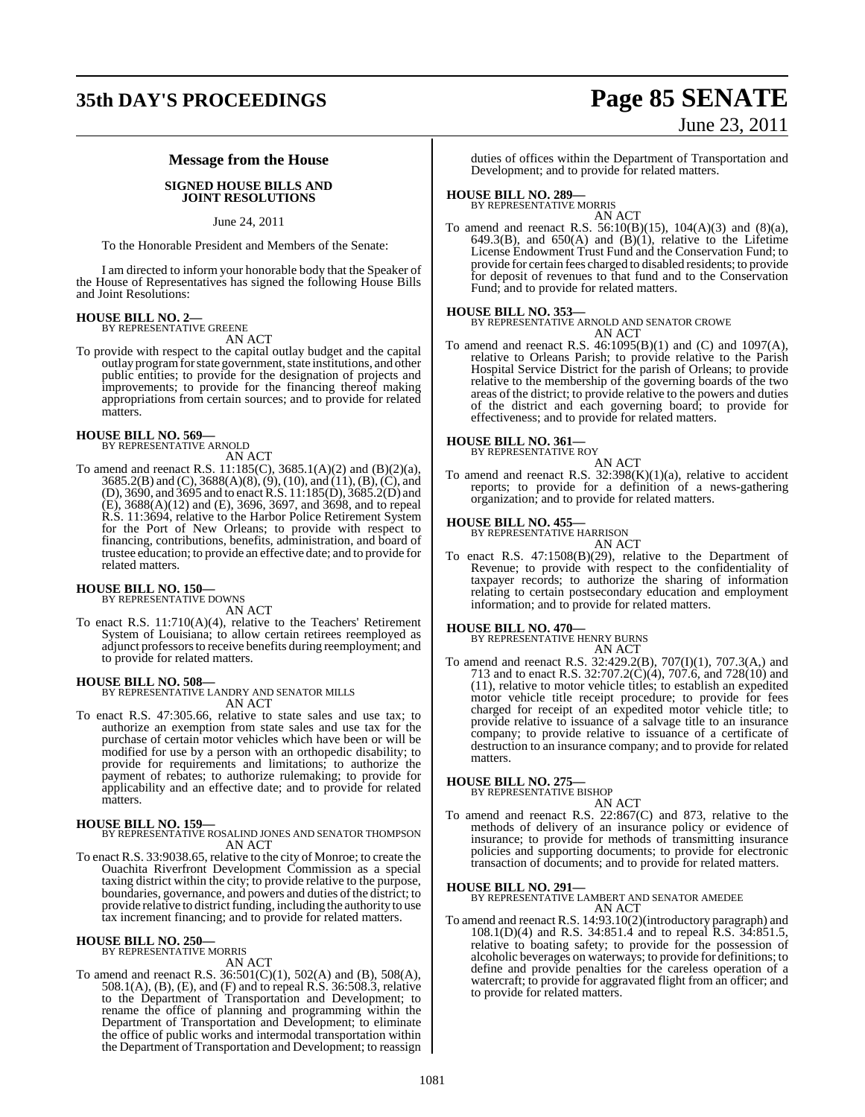# **35th DAY'S PROCEEDINGS Page 85 SENATE**

# June 23, 2011

### **Message from the House**

#### **SIGNED HOUSE BILLS AND JOINT RESOLUTIONS**

June 24, 2011

To the Honorable President and Members of the Senate:

I am directed to inform your honorable body that the Speaker of the House of Representatives has signed the following House Bills and Joint Resolutions:

# **HOUSE BILL NO. 2—** BY REPRESENTATIVE GREENE

AN ACT

To provide with respect to the capital outlay budget and the capital outlay program for state government, state institutions, and other public entities; to provide for the designation of projects and improvements; to provide for the financing thereof making appropriations from certain sources; and to provide for related matters.

#### **HOUSE BILL NO. 569—** BY REPRESENTATIVE ARNOLD

AN ACT

To amend and reenact R.S. 11:185(C), 3685.1(A)(2) and (B)(2)(a), 3685.2(B) and (C), 3688(A)(8), (9), (10), and (11), (B), (C), and (D), 3690, and 3695 and to enact R.S. 11:185(D), 3685.2(D) and (E), 3688(A)(12) and (E), 3696, 3697, and 3698, and to repeal R.S. 11:3694, relative to the Harbor Police Retirement System for the Port of New Orleans; to provide with respect to financing, contributions, benefits, administration, and board of trustee education; to provide an effective date; and to provide for related matters.

# **HOUSE BILL NO. 150—** BY REPRESENTATIVE DOWNS

AN ACT

To enact R.S. 11:710(A)(4), relative to the Teachers' Retirement System of Louisiana; to allow certain retirees reemployed as adjunct professorsto receive benefits during reemployment; and to provide for related matters.

#### **HOUSE BILL NO. 508—**

BY REPRESENTATIVE LANDRY AND SENATOR MILLS AN ACT

To enact R.S. 47:305.66, relative to state sales and use tax; to authorize an exemption from state sales and use tax for the purchase of certain motor vehicles which have been or will be modified for use by a person with an orthopedic disability; to provide for requirements and limitations; to authorize the payment of rebates; to authorize rulemaking; to provide for applicability and an effective date; and to provide for related matters.

**HOUSE BILL NO. 159—** BY REPRESENTATIVE ROSALIND JONES AND SENATOR THOMPSON AN ACT

To enact R.S. 33:9038.65, relative to the city of Monroe; to create the Ouachita Riverfront Development Commission as a special taxing district within the city; to provide relative to the purpose, boundaries, governance, and powers and duties of the district; to provide relative to district funding, including the authority to use tax increment financing; and to provide for related matters.

#### **HOUSE BILL NO. 250—**

BY REPRESENTATIVE MORRIS AN ACT

To amend and reenact R.S. 36:501(C)(1), 502(A) and (B), 508(A), 508.1(A), (B), (E), and (F) and to repeal R.S. 36:508.3, relative to the Department of Transportation and Development; to rename the office of planning and programming within the Department of Transportation and Development; to eliminate the office of public works and intermodal transportation within the Department of Transportation and Development; to reassign duties of offices within the Department of Transportation and Development; and to provide for related matters.

# **HOUSE BILL NO. 289—** BY REPRESENTATIVE MORRIS

AN ACT To amend and reenact R.S. 56:10(B)(15), 104(A)(3) and (8)(a), 649.3(B), and 650(A) and (B)(1), relative to the Lifetime License Endowment Trust Fund and the Conservation Fund; to provide for certain fees charged to disabled residents; to provide for deposit of revenues to that fund and to the Conservation Fund; and to provide for related matters.

**HOUSE BILL NO. 353—** BY REPRESENTATIVE ARNOLD AND SENATOR CROWE AN ACT

To amend and reenact R.S. 46:1095(B)(1) and (C) and 1097(A), relative to Orleans Parish; to provide relative to the Parish Hospital Service District for the parish of Orleans; to provide relative to the membership of the governing boards of the two areas of the district; to provide relative to the powers and duties of the district and each governing board; to provide for effectiveness; and to provide for related matters.

# **HOUSE BILL NO. 361—** BY REPRESENTATIVE ROY

AN ACT

To amend and reenact R.S.  $32:398(K)(1)(a)$ , relative to accident reports; to provide for a definition of a news-gathering organization; and to provide for related matters.

# **HOUSE BILL NO. 455—** BY REPRESENTATIVE HARRISON

AN ACT

To enact R.S. 47:1508(B)(29), relative to the Department of Revenue; to provide with respect to the confidentiality of taxpayer records; to authorize the sharing of information relating to certain postsecondary education and employment information; and to provide for related matters.

#### **HOUSE BILL NO. 470—**

BY REPRESENTATIVE HENRY BURNS AN ACT

To amend and reenact R.S. 32:429.2(B), 707(I)(1), 707.3(A,) and 713 and to enact R.S. 32:707.2(C)(4), 707.6, and 728(10) and (11), relative to motor vehicle titles; to establish an expedited motor vehicle title receipt procedure; to provide for fees charged for receipt of an expedited motor vehicle title; to provide relative to issuance of a salvage title to an insurance company; to provide relative to issuance of a certificate of destruction to an insurance company; and to provide for related matters.

#### **HOUSE BILL NO. 275—**

BY REPRESENTATIVE BISHOP AN ACT

To amend and reenact R.S. 22:867(C) and 873, relative to the methods of delivery of an insurance policy or evidence of insurance; to provide for methods of transmitting insurance policies and supporting documents; to provide for electronic transaction of documents; and to provide for related matters.

**HOUSE BILL NO. 291—** BY REPRESENTATIVE LAMBERT AND SENATOR AMEDEE AN ACT

To amend and reenact R.S. 14:93.10(2)(introductory paragraph) and 108.1(D)(4) and R.S. 34:851.4 and to repeal R.S. 34:851.5, relative to boating safety; to provide for the possession of alcoholic beverages on waterways; to provide for definitions; to define and provide penalties for the careless operation of a watercraft; to provide for aggravated flight from an officer; and to provide for related matters.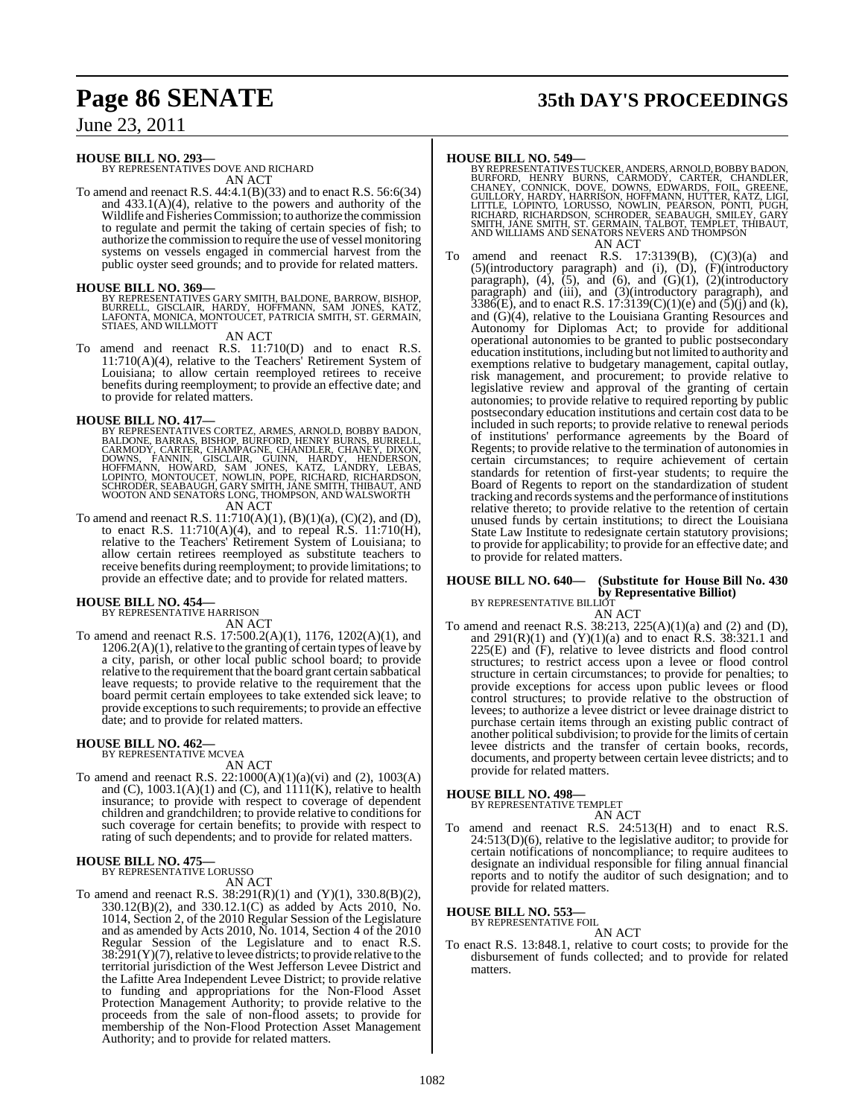# **Page 86 SENATE 35th DAY'S PROCEEDINGS**

### June 23, 2011

#### **HOUSE BILL NO. 293—**

BY REPRESENTATIVES DOVE AND RICHARD AN ACT

To amend and reenact R.S. 44:4.1(B)(33) and to enact R.S. 56:6(34) and  $433.1(A)(4)$ , relative to the powers and authority of the Wildlife and Fisheries Commission; to authorize the commission to regulate and permit the taking of certain species of fish; to authorize the commission to require the use of vessel monitoring systems on vessels engaged in commercial harvest from the public oyster seed grounds; and to provide for related matters.

**HOUSE BILL NO. 369—** BY REPRESENTATIVES GARY SMITH, BALDONE, BARROW, BISHOP, BURRELL, GISCLAIR, HARDY, HOFFMANN, SAM JONES, KATZ,<br>LAFONTA, MONICA, MONTOUCET, PATRICIA SMITH, ST. GERMAIN,<br>STIAES, AND WILLMOTT

#### AN ACT

To amend and reenact R.S. 11:710(D) and to enact R.S. 11:710(A)(4), relative to the Teachers' Retirement System of Louisiana; to allow certain reemployed retirees to receive benefits during reemployment; to provide an effective date; and to provide for related matters.

- **HOUSE BILL NO. 417—**<br>BY REPRESENTATIVES CORTEZ, ARMES, ARNOLD, BOBBY BADON,<br>BALDONE, BARRAS, BISHOP, BURFORD, HENRY BURNS, BURRELL,<br>CARMODY, CARTER, CHAMPAGNE, CHANDLER, CHANEY, DIXON,<br>DOWNS, FANNIN, GISCLAIR, GUINN, HARD AN ACT
- To amend and reenact R.S.  $11:710(A)(1)$ ,  $(B)(1)(a)$ ,  $(C)(2)$ , and  $(D)$ , to enact R.S.  $11:710(A)(4)$ , and to repeal R.S.  $11:710(H)$ , relative to the Teachers' Retirement System of Louisiana; to allow certain retirees reemployed as substitute teachers to receive benefits during reemployment; to provide limitations; to provide an effective date; and to provide for related matters.

# **HOUSE BILL NO. 454—** BY REPRESENTATIVE HARRISON

AN ACT To amend and reenact R.S. 17:500.2(A)(1), 1176, 1202(A)(1), and  $1206.2(A)(1)$ , relative to the granting of certain types of leave by a city, parish, or other local public school board; to provide relative to the requirement that the board grant certain sabbatical leave requests; to provide relative to the requirement that the board permit certain employees to take extended sick leave; to provide exceptions to such requirements; to provide an effective date; and to provide for related matters.

#### **HOUSE BILL NO. 462—** BY REPRESENTATIVE MCVEA

AN ACT

To amend and reenact R.S. 22:1000(A)(1)(a)(vi) and (2), 1003(A) and  $(C)$ , 1003.1(A)(1) and  $(C)$ , and  $1111(K)$ , relative to health insurance; to provide with respect to coverage of dependent children and grandchildren; to provide relative to conditions for such coverage for certain benefits; to provide with respect to rating of such dependents; and to provide for related matters.

#### **HOUSE BILL NO. 475—**

BY REPRESENTATIVE LORUSSO

AN ACT

To amend and reenact R.S.  $38:291(R)(1)$  and  $(Y)(1)$ ,  $330.8(B)(2)$ , 330.12(B)(2), and 330.12.1(C) as added by Acts 2010, No. 1014, Section 2, of the 2010 Regular Session of the Legislature and as amended by Acts 2010, No. 1014, Section 4 of the 2010 Regular Session of the Legislature and to enact R.S.  $38:291(Y)(7)$ , relative to levee districts; to provide relative to the territorial jurisdiction of the West Jefferson Levee District and the Lafitte Area Independent Levee District; to provide relative to funding and appropriations for the Non-Flood Asset Protection Management Authority; to provide relative to the proceeds from the sale of non-flood assets; to provide for membership of the Non-Flood Protection Asset Management Authority; and to provide for related matters.

- **HOUSE BILL NO. 549—**<br>BYREPSENTATIVES TUCKER, ANDERS, ARNOLD, BOBBY BADON,<br>BURFORD, HENRY BURNS, CARMODY, CARTER, CHANDLER,<br>CHANEY, CONNICK, DOVE, DOWNS, EDWARDS, FOIL, GREENE,<br>GUILLORY, HARDY, HARRISON, HOFFMANN, HUTTER, AN ACT
- To amend and reenact R.S.  $17:3139(B)$ ,  $(C)(3)(a)$  and (5)(introductory paragraph) and (i), (D), (F)(introductory paragraph),  $(4)$ ,  $(5)$ , and  $(6)$ , and  $(G)(1)$ ,  $(2)$ (introductory paragraph) and (iii), and (3)(introductory paragraph), and  $3386(E)$ , and to enact R.S. 17:3139(C)(1)(e) and (5)(j) and (k), and (G)(4), relative to the Louisiana Granting Resources and Autonomy for Diplomas Act; to provide for additional operational autonomies to be granted to public postsecondary education institutions, including but not limited to authority and exemptions relative to budgetary management, capital outlay, risk management, and procurement; to provide relative to legislative review and approval of the granting of certain autonomies; to provide relative to required reporting by public postsecondary education institutions and certain cost data to be included in such reports; to provide relative to renewal periods of institutions' performance agreements by the Board of Regents; to provide relative to the termination of autonomiesin certain circumstances; to require achievement of certain standards for retention of first-year students; to require the Board of Regents to report on the standardization of student tracking and records systems and the performance of institutions relative thereto; to provide relative to the retention of certain unused funds by certain institutions; to direct the Louisiana State Law Institute to redesignate certain statutory provisions; to provide for applicability; to provide for an effective date; and to provide for related matters.

### **HOUSE BILL NO. 640— (Substitute for House Bill No. 430 by Representative Billiot**)<br>BY REPRESENTATIVE BILLIOT

AN ACT

To amend and reenact R.S. 38:213, 225(A)(1)(a) and (2) and (D), and  $291(R)(1)$  and  $(Y)(1)(a)$  and to enact R.S. 38:321.1 and 225(E) and (F), relative to levee districts and flood control structures; to restrict access upon a levee or flood control structure in certain circumstances; to provide for penalties; to provide exceptions for access upon public levees or flood control structures; to provide relative to the obstruction of levees; to authorize a levee district or levee drainage district to purchase certain items through an existing public contract of another political subdivision; to provide for the limits of certain levee districts and the transfer of certain books, records, documents, and property between certain levee districts; and to provide for related matters.

#### **HOUSE BILL NO. 498—**

BY REPRESENTATIVE TEMPLET

- AN ACT
- To amend and reenact R.S. 24:513(H) and to enact R.S. 24:513(D)(6), relative to the legislative auditor; to provide for certain notifications of noncompliance; to require auditees to designate an individual responsible for filing annual financial reports and to notify the auditor of such designation; and to provide for related matters.

#### **HOUSE BILL NO. 553—** BY REPRESENTATIVE FOIL

AN ACT

To enact R.S. 13:848.1, relative to court costs; to provide for the disbursement of funds collected; and to provide for related matters.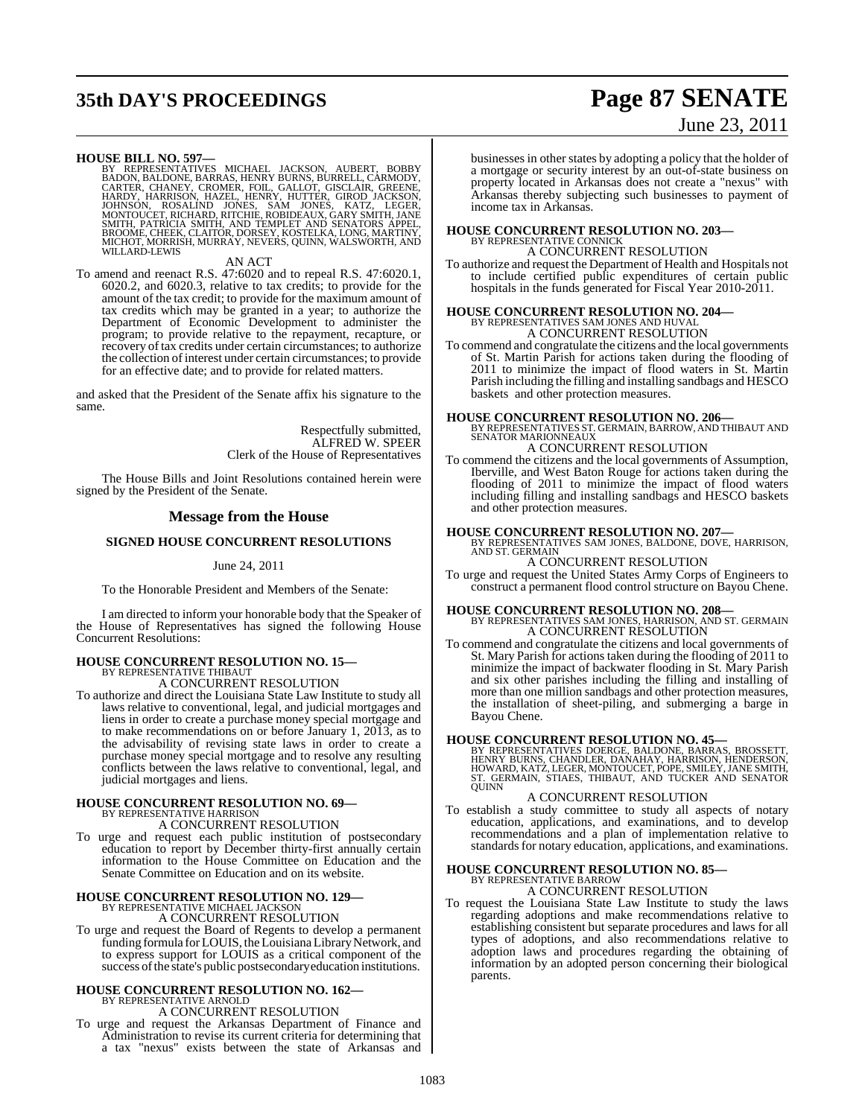# **35th DAY'S PROCEEDINGS Page 87 SENATE**

## June 23, 2011

**HOUSE BILL NO. 597—**<br>BY REPRESENTATIVES MICHAEL JACKSON, AUBERT, BOBBY<br>BADON, BALDONE, BARRAS, HENRY BURNS, BURRELL, CARMODY,<br>CARTER, CHANEY, CROMER, FOIL, GALLOT, GISCLAIR, GREENE,<br>HARDY, HARRISON, HAZEL, HENRY, HUTTER, WILLARD-LEWIS

#### AN ACT

To amend and reenact R.S. 47:6020 and to repeal R.S. 47:6020.1, 6020.2, and 6020.3, relative to tax credits; to provide for the amount of the tax credit; to provide for the maximum amount of tax credits which may be granted in a year; to authorize the Department of Economic Development to administer the program; to provide relative to the repayment, recapture, or recovery of tax credits under certain circumstances; to authorize the collection of interest under certain circumstances; to provide for an effective date; and to provide for related matters.

and asked that the President of the Senate affix his signature to the same.

> Respectfully submitted, ALFRED W. SPEER Clerk of the House of Representatives

The House Bills and Joint Resolutions contained herein were signed by the President of the Senate.

#### **Message from the House**

### **SIGNED HOUSE CONCURRENT RESOLUTIONS**

#### June 24, 2011

To the Honorable President and Members of the Senate:

I am directed to inform your honorable body that the Speaker of the House of Representatives has signed the following House Concurrent Resolutions:

### **HOUSE CONCURRENT RESOLUTION NO. 15—** BY REPRESENTATIVE THIBAUT A CONCURRENT RESOLUTION

To authorize and direct the Louisiana State Law Institute to study all laws relative to conventional, legal, and judicial mortgages and liens in order to create a purchase money special mortgage and to make recommendations on or before January 1, 2013, as to the advisability of revising state laws in order to create a purchase money special mortgage and to resolve any resulting conflicts between the laws relative to conventional, legal, and judicial mortgages and liens.

#### **HOUSE CONCURRENT RESOLUTION NO. 69—** BY REPRESENTATIVE HARRISON

A CONCURRENT RESOLUTION

To urge and request each public institution of postsecondary education to report by December thirty-first annually certain information to the House Committee on Education and the Senate Committee on Education and on its website.

# **HOUSE CONCURRENT RESOLUTION NO. 129—** BY REPRESENTATIVE MICHAEL JACKSON

A CONCURRENT RESOLUTION

To urge and request the Board of Regents to develop a permanent funding formula for LOUIS, the Louisiana Library Network, and to express support for LOUIS as a critical component of the success of the state's public postsecondary education institutions.

#### **HOUSE CONCURRENT RESOLUTION NO. 162—** BY REPRESENTATIVE ARNOLD

A CONCURRENT RESOLUTION

To urge and request the Arkansas Department of Finance and Administration to revise its current criteria for determining that a tax "nexus" exists between the state of Arkansas and businesses in other states by adopting a policy that the holder of a mortgage or security interest by an out-of-state business on property located in Arkansas does not create a "nexus" with Arkansas thereby subjecting such businesses to payment of income tax in Arkansas.

# **HOUSE CONCURRENT RESOLUTION NO. 203—** BY REPRESENTATIVE CONNICK

### A CONCURRENT RESOLUTION

To authorize and request the Department of Health and Hospitals not to include certified public expenditures of certain public hospitals in the funds generated for Fiscal Year 2010-2011.

# **HOUSE CONCURRENT RESOLUTION NO. 204—** BY REPRESENTATIVES SAM JONES AND HUVAL A CONCURRENT RESOLUTION

To commend and congratulate the citizens and the local governments of St. Martin Parish for actions taken during the flooding of 2011 to minimize the impact of flood waters in St. Martin Parish including the filling and installing sandbags and HESCO baskets and other protection measures.

**HOUSE CONCURRENT RESOLUTION NO. 206—** BY REPRESENTATIVES ST. GERMAIN, BARROW, AND THIBAUT AND SENATOR MARIONNEAUX

### A CONCURRENT RESOLUTION

To commend the citizens and the local governments of Assumption, Iberville, and West Baton Rouge for actions taken during the flooding of 2011 to minimize the impact of flood waters including filling and installing sandbags and HESCO baskets and other protection measures.

**HOUSE CONCURRENT RESOLUTION NO. 207—** BY REPRESENTATIVES SAM JONES, BALDONE, DOVE, HARRISON, AND ST. GERMAIN A CONCURRENT RESOLUTION

To urge and request the United States Army Corps of Engineers to construct a permanent flood control structure on Bayou Chene.

# **HOUSE CONCURRENT RESOLUTION NO. 208—** BY REPRESENTATIVES SAM JONES, HARRISON, AND ST. GERMAIN

A CONCURRENT RESOLUTION

To commend and congratulate the citizens and local governments of St. Mary Parish for actions taken during the flooding of 2011 to minimize the impact of backwater flooding in St. Mary Parish and six other parishes including the filling and installing of more than one million sandbags and other protection measures, the installation of sheet-piling, and submerging a barge in Bayou Chene.

**HOUSE CONCURRENT RESOLUTION NO. 45—**<br>BY REPRESENTATIVES DOERGE, BALDONE, BARRAS, BROSSETT,<br>HENRY BURNS, CHANDLER, DANAHAY, HARRISON, HENDERSON,<br>HOWARD, KATZ, LEGER, MONTOUCET, POPE, SMILEY, JANE SMITH,<br>ST. GERMAIN, STIAES QUINN

#### A CONCURRENT RESOLUTION

To establish a study committee to study all aspects of notary education, applications, and examinations, and to develop recommendations and a plan of implementation relative to standards for notary education, applications, and examinations.

#### **HOUSE CONCURRENT RESOLUTION NO. 85—** BY REPRESENTATIVE BARROW

### A CONCURRENT RESOLUTION

To request the Louisiana State Law Institute to study the laws regarding adoptions and make recommendations relative to establishing consistent but separate procedures and laws for all types of adoptions, and also recommendations relative to adoption laws and procedures regarding the obtaining of information by an adopted person concerning their biological parents.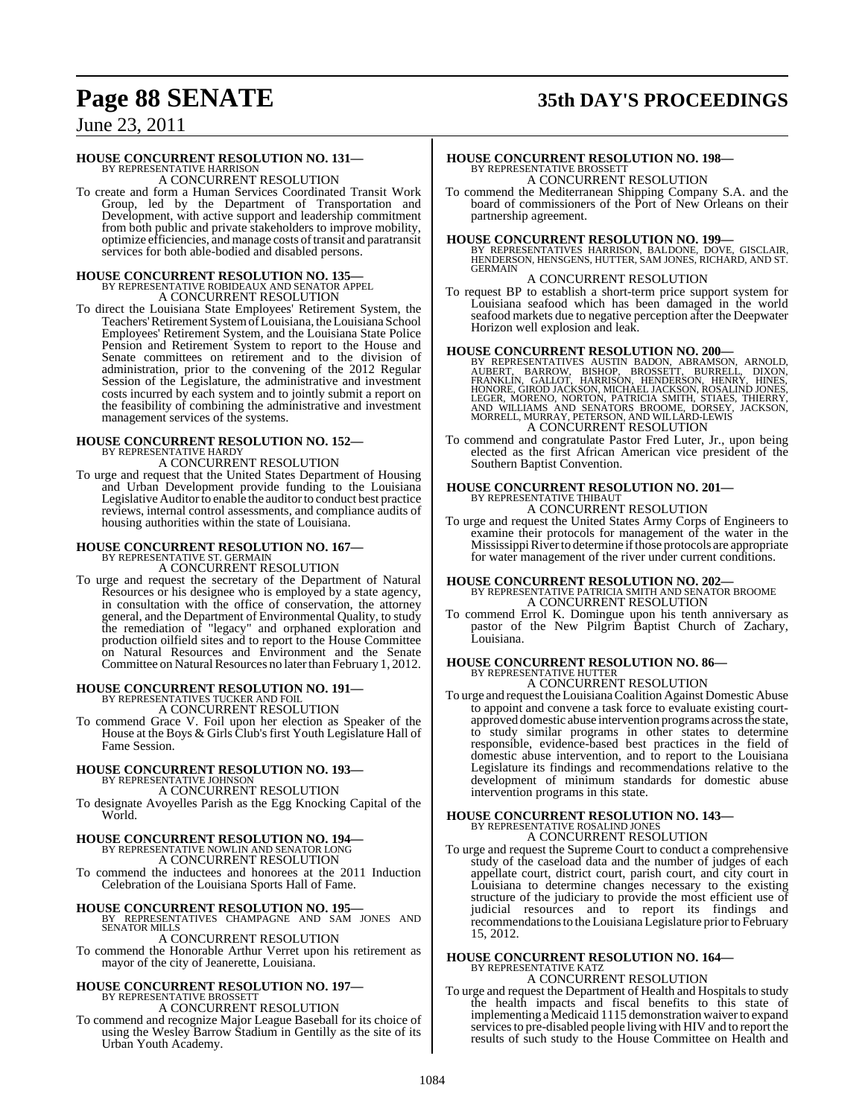# **Page 88 SENATE 35th DAY'S PROCEEDINGS**

June 23, 2011

### **HOUSE CONCURRENT RESOLUTION NO. 131—**

BY REPRESENTATIVE HARRISON A CONCURRENT RESOLUTION

To create and form a Human Services Coordinated Transit Work Group, led by the Department of Transportation and Development, with active support and leadership commitment from both public and private stakeholders to improve mobility, optimize efficiencies, and manage costs oftransit and paratransit services for both able-bodied and disabled persons.

# **HOUSE CONCURRENT RESOLUTION NO. 135—** BY REPRESENTATIVE ROBIDEAUX AND SENATOR APPEL

A CONCURRENT RESOLUTION

To direct the Louisiana State Employees' Retirement System, the Teachers'Retirement SystemofLouisiana, theLouisiana School Employees' Retirement System, and the Louisiana State Police Pension and Retirement System to report to the House and Senate committees on retirement and to the division of administration, prior to the convening of the 2012 Regular Session of the Legislature, the administrative and investment costs incurred by each system and to jointly submit a report on the feasibility of combining the administrative and investment management services of the systems.

#### **HOUSE CONCURRENT RESOLUTION NO. 152—** BY REPRESENTATIVE HARDY A CONCURRENT RESOLUTION

To urge and request that the United States Department of Housing and Urban Development provide funding to the Louisiana Legislative Auditor to enable the auditor to conduct best practice reviews, internal control assessments, and compliance audits of housing authorities within the state of Louisiana.

# **HOUSE CONCURRENT RESOLUTION NO. 167—** BY REPRESENTATIVE ST. GERMAIN A CONCURRENT RESOLUTION

To urge and request the secretary of the Department of Natural Resources or his designee who is employed by a state agency, in consultation with the office of conservation, the attorney general, and the Department of Environmental Quality, to study the remediation of "legacy" and orphaned exploration and production oilfield sites and to report to the House Committee on Natural Resources and Environment and the Senate Committee on Natural Resources no later than February 1, 2012.

# **HOUSE CONCURRENT RESOLUTION NO. 191—** BY REPRESENTATIVES TUCKER AND FOIL

A CONCURRENT RESOLUTION

To commend Grace V. Foil upon her election as Speaker of the House at the Boys & Girls Club's first Youth Legislature Hall of Fame Session.

#### **HOUSE CONCURRENT RESOLUTION NO. 193—** BY REPRESENTATIVE JOHNSON

A CONCURRENT RESOLUTION

To designate Avoyelles Parish as the Egg Knocking Capital of the World.

# **HOUSE CONCURRENT RESOLUTION NO. 194—** BY REPRESENTATIVE NOWLIN AND SENATOR LONG

A CONCURRENT RESOLUTION

To commend the inductees and honorees at the 2011 Induction Celebration of the Louisiana Sports Hall of Fame.

**HOUSE CONCURRENT RESOLUTION NO. 195—** BY REPRESENTATIVES CHAMPAGNE AND SAM JONES AND SENATOR MILLS

### A CONCURRENT RESOLUTION

To commend the Honorable Arthur Verret upon his retirement as mayor of the city of Jeanerette, Louisiana.

### **HOUSE CONCURRENT RESOLUTION NO. 197—** BY REPRESENTATIVE BROSSETT

A CONCURRENT RESOLUTION

To commend and recognize Major League Baseball for its choice of using the Wesley Barrow Stadium in Gentilly as the site of its Urban Youth Academy.

# **HOUSE CONCURRENT RESOLUTION NO. 198—** BY REPRESENTATIVE BROSSETT A CONCURRENT RESOLUTION

To commend the Mediterranean Shipping Company S.A. and the board of commissioners of the Port of New Orleans on their partnership agreement.

**HOUSE CONCURRENT RESOLUTION NO. 199—** BY REPRESENTATIVES HARRISON, BALDONE, DOVE, GISCLAIR, HENDERSON, HENSGENS, HUTTER, SAM JONES, RICHARD, AND ST. GERMAIN

### A CONCURRENT RESOLUTION

To request BP to establish a short-term price support system for Louisiana seafood which has been damaged in the world seafood markets due to negative perception after the Deepwater Horizon well explosion and leak.

**HOUSE CONCURRENT RESOLUTION NO. 200—**<br>BY REPRESENTATIVES AUSTIN BADON, ABRAMSON, ARNOLD, AUSENT, BARROW, BISHOP, BOOSSETT, BURRELL, DIXON, FRANKLIN, GALLOT, HARRISON, HENDERSON, HENRY, HINES, HONORE, GIROD JACKSON, MICHAE A CONCURRENT RESOLUTION

To commend and congratulate Pastor Fred Luter, Jr., upon being elected as the first African American vice president of the Southern Baptist Convention.

# **HOUSE CONCURRENT RESOLUTION NO. 201—** BY REPRESENTATIVE THIBAUT

A CONCURRENT RESOLUTION

To urge and request the United States Army Corps of Engineers to examine their protocols for management of the water in the Mississippi River to determine if those protocols are appropriate for water management of the river under current conditions.

### **HOUSE CONCURRENT RESOLUTION NO. 202—** BY REPRESENTATIVE PATRICIA SMITH AND SENATOR BROOME A CONCURRENT RESOLUTION

To commend Errol K. Domingue upon his tenth anniversary as pastor of the New Pilgrim Baptist Church of Zachary, Louisiana.

#### **HOUSE CONCURRENT RESOLUTION NO. 86—** BY REPRESENTATIVE HUTTER A CONCURRENT RESOLUTION

To urge and request theLouisianaCoalition Against Domestic Abuse to appoint and convene a task force to evaluate existing courtapproved domestic abuse intervention programs across the state, to study similar programs in other states to determine responsible, evidence-based best practices in the field of domestic abuse intervention, and to report to the Louisiana Legislature its findings and recommendations relative to the development of minimum standards for domestic abuse intervention programs in this state.

### **HOUSE CONCURRENT RESOLUTION NO. 143—** BY REPRESENTATIVE ROSALIND JONES A CONCURRENT RESOLUTION

To urge and request the Supreme Court to conduct a comprehensive study of the caseload data and the number of judges of each appellate court, district court, parish court, and city court in Louisiana to determine changes necessary to the existing structure of the judiciary to provide the most efficient use of judicial resources and to report its findings and recommendations to the Louisiana Legislature prior to February 15, 2012.

#### **HOUSE CONCURRENT RESOLUTION NO. 164—**

BY REPRESENTATIVE KATZ A CONCURRENT RESOLUTION

To urge and request the Department of Health and Hospitals to study the health impacts and fiscal benefits to this state of implementing a Medicaid 1115 demonstration waiver to expand services to pre-disabled people living with HIV and to report the results of such study to the House Committee on Health and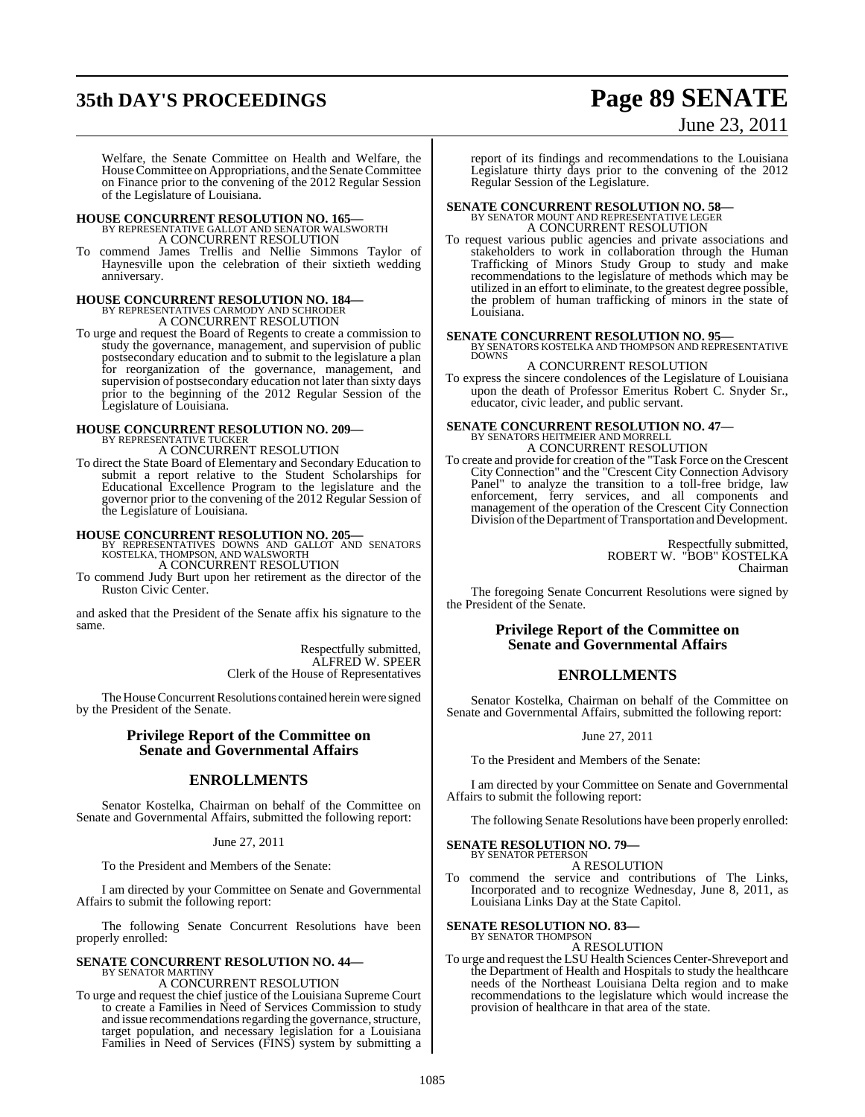# **35th DAY'S PROCEEDINGS Page 89 SENATE**

# June 23, 2011

Welfare, the Senate Committee on Health and Welfare, the House Committee on Appropriations, and the Senate Committee on Finance prior to the convening of the 2012 Regular Session of the Legislature of Louisiana.

# **HOUSE CONCURRENT RESOLUTION NO. 165—** BY REPRESENTATIVE GALLOT AND SENATOR WALSWORTH A CONCURRENT RESOLUTION

commend James Trellis and Nellie Simmons Taylor of Haynesville upon the celebration of their sixtieth wedding anniversary.

### **HOUSE CONCURRENT RESOLUTION NO. 184—** BY REPRESENTATIVES CARMODY AND SCHRODER A CONCURRENT RESOLUTION

To urge and request the Board of Regents to create a commission to study the governance, management, and supervision of public postsecondary education and to submit to the legislature a plan for reorganization of the governance, management, and supervision of postsecondary education not later than sixty days prior to the beginning of the 2012 Regular Session of the Legislature of Louisiana.

# **HOUSE CONCURRENT RESOLUTION NO. 209—** BY REPRESENTATIVE TUCKER A CONCURRENT RESOLUTION

To direct the State Board of Elementary and Secondary Education to submit a report relative to the Student Scholarships for Educational Excellence Program to the legislature and the governor prior to the convening of the 2012 Regular Session of the Legislature of Louisiana.

**HOUSE CONCURRENT RESOLUTION NO. 205—** BY REPRESENTATIVES DOWNS AND GALLOT AND SENATORS KOSTELKA, THOMPSON, AND WALSWORTH

A CONCURRENT RESOLUTION To commend Judy Burt upon her retirement as the director of the

Ruston Civic Center.

and asked that the President of the Senate affix his signature to the same.

> Respectfully submitted, ALFRED W. SPEER Clerk of the House of Representatives

The House Concurrent Resolutions contained herein were signed by the President of the Senate.

### **Privilege Report of the Committee on Senate and Governmental Affairs**

### **ENROLLMENTS**

Senator Kostelka, Chairman on behalf of the Committee on Senate and Governmental Affairs, submitted the following report:

#### June 27, 2011

To the President and Members of the Senate:

I am directed by your Committee on Senate and Governmental Affairs to submit the following report:

The following Senate Concurrent Resolutions have been properly enrolled:

# **SENATE CONCURRENT RESOLUTION NO. 44—** BY SENATOR MARTINY

A CONCURRENT RESOLUTION

To urge and request the chief justice of the Louisiana Supreme Court to create a Families in Need of Services Commission to study and issue recommendations regarding the governance, structure, target population, and necessary legislation for a Louisiana Families in Need of Services (FINS) system by submitting a report of its findings and recommendations to the Louisiana Legislature thirty days prior to the convening of the 2012 Regular Session of the Legislature.

# **SENATE CONCURRENT RESOLUTION NO. 58—** BY SENATOR MOUNT AND REPRESENTATIVE LEGER

A CONCURRENT RESOLUTION To request various public agencies and private associations and stakeholders to work in collaboration through the Human Trafficking of Minors Study Group to study and make recommendations to the legislature of methods which may be utilized in an effort to eliminate, to the greatest degree possible, the problem of human trafficking of minors in the state of Louisiana.

**SENATE CONCURRENT RESOLUTION NO. 95—BY SENATORS KOSTELKA AND THOMPSON AND REPRESENTATIVE DOWNS** 

A CONCURRENT RESOLUTION To express the sincere condolences of the Legislature of Louisiana upon the death of Professor Emeritus Robert C. Snyder Sr., educator, civic leader, and public servant.

# **SENATE CONCURRENT RESOLUTION NO. 47—**<br>BY SENATORS HEITMEIER AND MORRELL<br>A CONCURRENT RESOLUTION

To create and provide for creation of the "Task Force on the Crescent City Connection" and the "Crescent City Connection Advisory Panel" to analyze the transition to a toll-free bridge, law enforcement, ferry services, and all components and management of the operation of the Crescent City Connection Division of the Department of Transportation and Development.

> Respectfully submitted, ROBERT W. "BOB" KOSTELKA Chairman

The foregoing Senate Concurrent Resolutions were signed by the President of the Senate.

### **Privilege Report of the Committee on Senate and Governmental Affairs**

### **ENROLLMENTS**

Senator Kostelka, Chairman on behalf of the Committee on Senate and Governmental Affairs, submitted the following report:

June 27, 2011

To the President and Members of the Senate:

I am directed by your Committee on Senate and Governmental Affairs to submit the following report:

The following Senate Resolutions have been properly enrolled:

#### **SENATE RESOLUTION NO. 79—** BY SENATOR PETERSON

A RESOLUTION

To commend the service and contributions of The Links, Incorporated and to recognize Wednesday, June 8, 2011, as Louisiana Links Day at the State Capitol.

# **SENATE RESOLUTION NO. 83—**<br>BY SENATOR THOMPSON

A RESOLUTION

To urge and request the LSU Health Sciences Center-Shreveport and the Department of Health and Hospitals to study the healthcare needs of the Northeast Louisiana Delta region and to make recommendations to the legislature which would increase the provision of healthcare in that area of the state.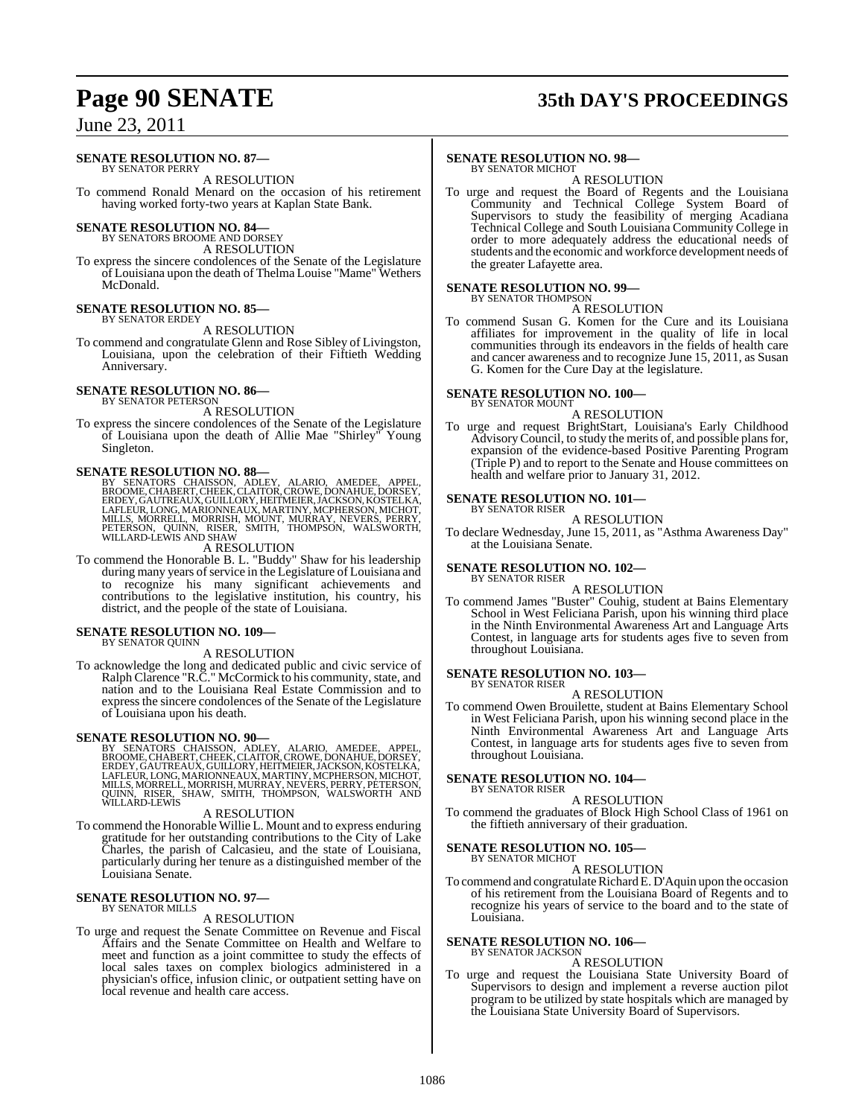# **Page 90 SENATE 35th DAY'S PROCEEDINGS**

## June 23, 2011

### **SENATE RESOLUTION NO. 87—**

BY SENATOR PERRY A RESOLUTION

To commend Ronald Menard on the occasion of his retirement having worked forty-two years at Kaplan State Bank.

# **SENATE RESOLUTION NO. 84––**<br>BY SENATORS BROOME AND DORSEY

A RESOLUTION

To express the sincere condolences of the Senate of the Legislature of Louisiana upon the death of Thelma Louise "Mame" Wethers McDonald.

#### **SENATE RESOLUTION NO. 85—** BY SENATOR ERDEY

A RESOLUTION

To commend and congratulate Glenn and Rose Sibley of Livingston, Louisiana, upon the celebration of their Fiftieth Wedding Anniversary.

#### **SENATE RESOLUTION NO. 86—** BY SENATOR PETERSON

A RESOLUTION

To express the sincere condolences of the Senate of the Legislature of Louisiana upon the death of Allie Mae "Shirley" Young Singleton.

### **SENATE RESOLUTION NO. 88—**

BY SENATORS CHAISSON, ADLEY, ALARIO, AMEDEE, APPEL,<br>BROOME,CHABERT,CHEEK,CLAITOR,CROWE,DONAHUE,DORSEY,<br>ERDEY,GAUTREAUX,GUILLORY,HETMEIER,JACKSON,KOSTELKA,<br>LAFLEUR,LONG,MARIONNEAUX,MARTINY,MCPHERSON,MICHOT,<br>MILLS, MORRELL,M

#### A RESOLUTION

To commend the Honorable B. L. "Buddy" Shaw for his leadership during many years of service in the Legislature of Louisiana and to recognize his many significant achievements and contributions to the legislative institution, his country, his district, and the people of the state of Louisiana.

#### **SENATE RESOLUTION NO. 109—** BY SENATOR QUINN

#### A RESOLUTION

To acknowledge the long and dedicated public and civic service of Ralph Clarence "R.C." McCormick to his community, state, and nation and to the Louisiana Real Estate Commission and to express the sincere condolences of the Senate of the Legislature of Louisiana upon his death.

### **SENATE RESOLUTION NO. 90—**

BY SENATORS CHAISSON, ADLEY, ALARIO, AMEDEE, APPEL,<br>BROOME,CHABERT,CHEEK,CLAITOR,CROWE,DONAHUE,DORSEY,<br>ERDEY,GAUTREAUX,GUILLORY,HETMEIER,JACKSON,KOSTELKA,<br>LAFLEUR,LONG,MARIONNEAUX,MARTINY,MCPHERSON,MICHOT,<br>MILLS,MORRELL,MO

#### A RESOLUTION

To commend the Honorable Willie L. Mount and to express enduring gratitude for her outstanding contributions to the City of Lake Charles, the parish of Calcasieu, and the state of Louisiana, particularly during her tenure as a distinguished member of the Louisiana Senate.

#### **SENATE RESOLUTION NO. 97—** BY SENATOR MILLS

#### A RESOLUTION

To urge and request the Senate Committee on Revenue and Fiscal Affairs and the Senate Committee on Health and Welfare to meet and function as a joint committee to study the effects of local sales taxes on complex biologics administered in a physician's office, infusion clinic, or outpatient setting have on local revenue and health care access.

#### **SENATE RESOLUTION NO. 98—**

BY SENATOR MICHOT A RESOLUTION

To urge and request the Board of Regents and the Louisiana Community and Technical College System Board of Supervisors to study the feasibility of merging Acadiana Technical College and South Louisiana Community College in order to more adequately address the educational needs of students and the economic and workforce development needs of the greater Lafayette area.

# **SENATE RESOLUTION NO. 99—** BY SENATOR THOMPSON

A RESOLUTION

To commend Susan G. Komen for the Cure and its Louisiana affiliates for improvement in the quality of life in local communities through its endeavors in the fields of health care and cancer awareness and to recognize June 15, 2011, as Susan G. Komen for the Cure Day at the legislature.

#### **SENATE RESOLUTION NO. 100—** BY SENATOR MOUNT

#### A RESOLUTION

To urge and request BrightStart, Louisiana's Early Childhood Advisory Council, to study the merits of, and possible plans for, expansion of the evidence-based Positive Parenting Program (Triple P) and to report to the Senate and House committees on health and welfare prior to January 31, 2012.

#### **SENATE RESOLUTION NO. 101—** BY SENATOR RISER

A RESOLUTION

To declare Wednesday, June 15, 2011, as "Asthma Awareness Day" at the Louisiana Senate.

#### **SENATE RESOLUTION NO. 102—** BY SENATOR RISER

A RESOLUTION

To commend James "Buster" Couhig, student at Bains Elementary School in West Feliciana Parish, upon his winning third place in the Ninth Environmental Awareness Art and Language Arts Contest, in language arts for students ages five to seven from throughout Louisiana.

#### **SENATE RESOLUTION NO. 103—** BY SENATOR RISER

### A RESOLUTION

To commend Owen Brouilette, student at Bains Elementary School in West Feliciana Parish, upon his winning second place in the Ninth Environmental Awareness Art and Language Arts Contest, in language arts for students ages five to seven from throughout Louisiana.

#### **SENATE RESOLUTION NO. 104—** BY SENATOR RISER

A RESOLUTION

To commend the graduates of Block High School Class of 1961 on the fiftieth anniversary of their graduation.

### **SENATE RESOLUTION NO. 105—**

BY SENATOR MICHOT A RESOLUTION

To commend and congratulate Richard E. D'Aquin upon the occasion of his retirement from the Louisiana Board of Regents and to recognize his years of service to the board and to the state of Louisiana.

#### **SENATE RESOLUTION NO. 106—** BY SENATOR JACKSON

A RESOLUTION

To urge and request the Louisiana State University Board of Supervisors to design and implement a reverse auction pilot program to be utilized by state hospitals which are managed by the Louisiana State University Board of Supervisors.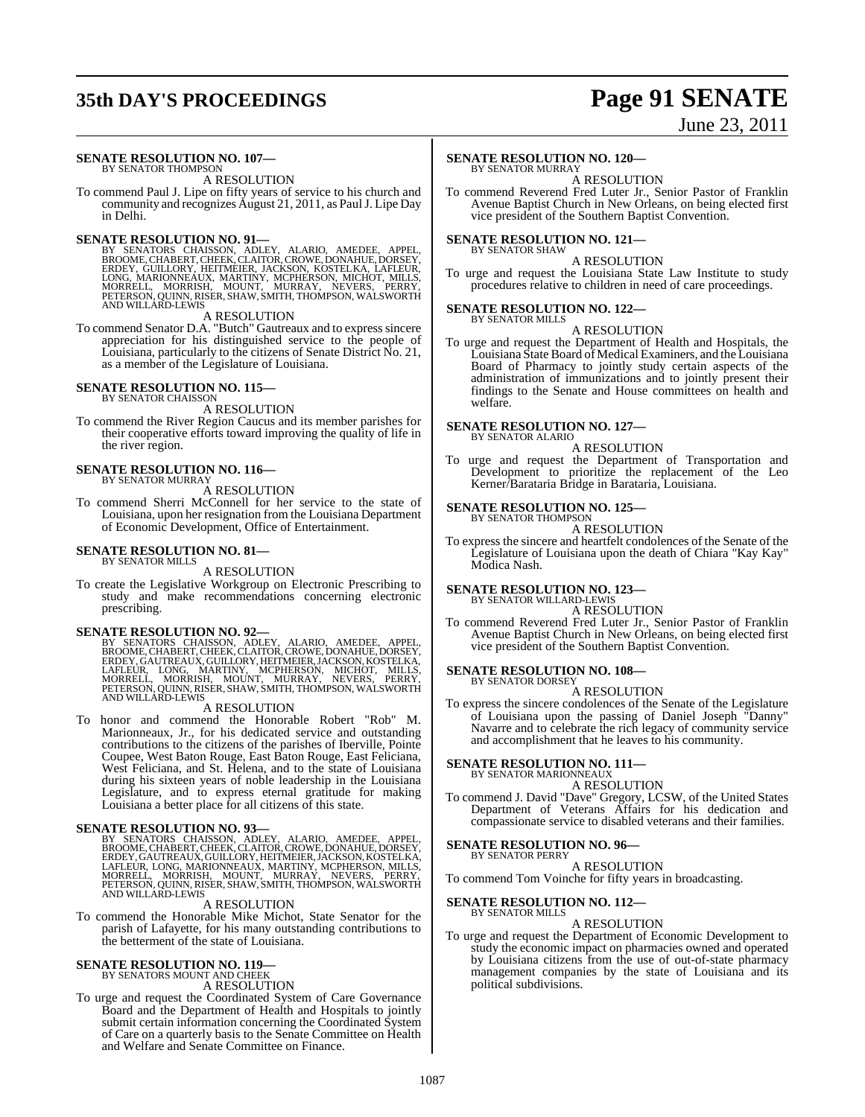# **35th DAY'S PROCEEDINGS Page 91 SENATE**

# June 23, 2011

#### **SENATE RESOLUTION NO. 107—** BY SENATOR THOMPSON

#### A RESOLUTION

To commend Paul J. Lipe on fifty years of service to his church and community and recognizes August 21, 2011, as PaulJ. Lipe Day in Delhi.

### **SENATE RESOLUTION NO. 91—**

BY SENATORS CHAISSON, ADLEY, ALARIO, AMEDEE, APPEL,<br>BROOME,CHABERT,CHEEK,CLAITOR,CROWE,DONAHUE,DORSEY,<br>ERDEY,GUILLORY,HEEK,CLAITOR,CROWE,DONAHUE,DORSEY,<br>LONG,MARIONNEAUX,MARTINY,MCPHERSON,MICHOT,MILLS,<br>MORRELL, MORRISH, MO

#### A RESOLUTION

To commend Senator D.A. "Butch" Gautreaux and to express sincere appreciation for his distinguished service to the people of Louisiana, particularly to the citizens of Senate District No. 21, as a member of the Legislature of Louisiana.

# **SENATE RESOLUTION NO. 115—** BY SENATOR CHAISSON

A RESOLUTION

To commend the River Region Caucus and its member parishes for their cooperative efforts toward improving the quality of life in the river region.

#### **SENATE RESOLUTION NO. 116—** BY SENATOR MURRAY

A RESOLUTION

To commend Sherri McConnell for her service to the state of Louisiana, upon her resignation from the Louisiana Department of Economic Development, Office of Entertainment.

#### **SENATE RESOLUTION NO. 81—** BY SENATOR MILLS

#### A RESOLUTION

To create the Legislative Workgroup on Electronic Prescribing to study and make recommendations concerning electronic prescribing.

SENATE RESOLUTION NO. 92—<br>BY SENATORS CHAISSON, ADLEY, ALARIO, AMEDEE, APPEL, BROOME, CHABERT, CHEEK, CLAITOR, CROWE, DONAHUE, DORSEY, ERDEY, GAUTREAUX, GUILLORY, HEITMEIER, JACKSON, KOSTELKA, LAFLEÜR, LONG, MARTINY, MCPHE

#### A RESOLUTION

To honor and commend the Honorable Robert "Rob" M. Marionneaux, Jr., for his dedicated service and outstanding contributions to the citizens of the parishes of Iberville, Pointe Coupee, West Baton Rouge, East Baton Rouge, East Feliciana, West Feliciana, and St. Helena, and to the state of Louisiana during his sixteen years of noble leadership in the Louisiana Legislature, and to express eternal gratitude for making Louisiana a better place for all citizens of this state.

#### **SENATE RESOLUTION NO. 93—**

BY SENATORS CHAISSON, ADLEY, ALARIO, AMEDEE, APPEL,<br>BROOME,CHABERT,CHEEK,CLAITOR,CROWE,DONAHUE,DORSEY,<br>ERDEY,GAUTREAUX,GUILLORY,HEITMEIER,JACKSON,KOSTELKA,<br>LAFLEUR,LONG,MARIONNEAUX,MARTINY,MCPHERSON,MILLS,<br>MORRELL, MORRISH

#### A RESOLUTION

To commend the Honorable Mike Michot, State Senator for the parish of Lafayette, for his many outstanding contributions to the betterment of the state of Louisiana.

#### **SENATE RESOLUTION NO. 119—**

BY SENATORS MOUNT AND CHEEK

### A RESOLUTION

To urge and request the Coordinated System of Care Governance Board and the Department of Health and Hospitals to jointly submit certain information concerning the Coordinated System of Care on a quarterly basis to the Senate Committee on Health and Welfare and Senate Committee on Finance.

#### **SENATE RESOLUTION NO. 120—**

BY SENATOR MURRAY A RESOLUTION

To commend Reverend Fred Luter Jr., Senior Pastor of Franklin Avenue Baptist Church in New Orleans, on being elected first vice president of the Southern Baptist Convention.

### **SENATE RESOLUTION NO. 121—**

#### BY SENATOR SHAW A RESOLUTION

To urge and request the Louisiana State Law Institute to study procedures relative to children in need of care proceedings.

#### **SENATE RESOLUTION NO. 122—** BY SENATOR MILLS

### A RESOLUTION

To urge and request the Department of Health and Hospitals, the Louisiana State Board of Medical Examiners, and the Louisiana Board of Pharmacy to jointly study certain aspects of the administration of immunizations and to jointly present their findings to the Senate and House committees on health and welfare.

#### **SENATE RESOLUTION NO. 127—** BY SENATOR ALARIO

### A RESOLUTION

To urge and request the Department of Transportation and Development to prioritize the replacement of the Leo Kerner/Barataria Bridge in Barataria, Louisiana.

# **SENATE RESOLUTION NO. 125—** BY SENATOR THOMPSON

A RESOLUTION

To express the sincere and heartfelt condolences of the Senate of the Legislature of Louisiana upon the death of Chiara "Kay Kay" Modica Nash.

# **SENATE RESOLUTION NO. 123—** BY SENATOR WILLARD-LEWIS

### A RESOLUTION

To commend Reverend Fred Luter Jr., Senior Pastor of Franklin Avenue Baptist Church in New Orleans, on being elected first vice president of the Southern Baptist Convention.

#### **SENATE RESOLUTION NO. 108—** BY SENATOR DORSEY

### A RESOLUTION

To express the sincere condolences of the Senate of the Legislature of Louisiana upon the passing of Daniel Joseph "Danny" Navarre and to celebrate the rich legacy of community service and accomplishment that he leaves to his community.

# **SENATE RESOLUTION NO. 111—** BY SENATOR MARIONNEAUX

### A RESOLUTION

To commend J. David "Dave" Gregory, LCSW, of the United States Department of Veterans Affairs for his dedication and compassionate service to disabled veterans and their families.

### **SENATE RESOLUTION NO. 96—**

#### BY SENATOR PERRY

A RESOLUTION To commend Tom Voinche for fifty years in broadcasting.

#### **SENATE RESOLUTION NO. 112—** BY SENATOR MILLS

### A RESOLUTION

To urge and request the Department of Economic Development to study the economic impact on pharmacies owned and operated by Louisiana citizens from the use of out-of-state pharmacy management companies by the state of Louisiana and its political subdivisions.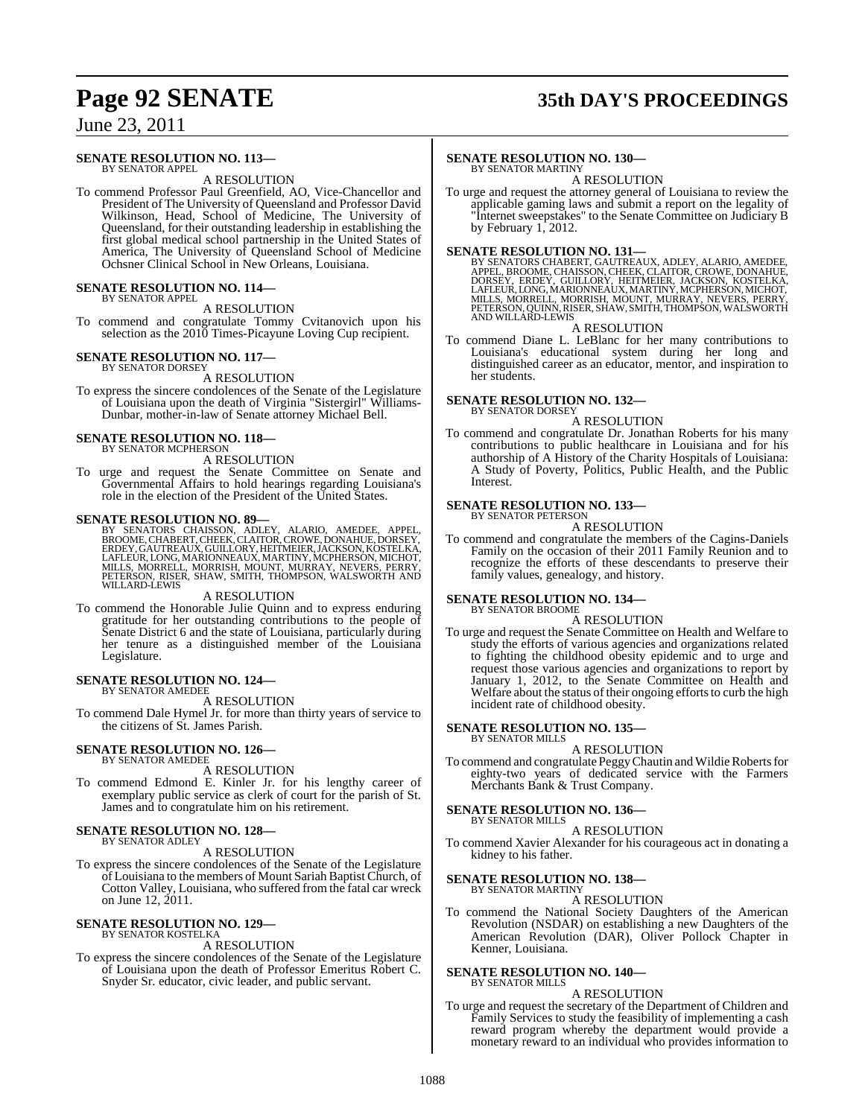# **Page 92 SENATE 35th DAY'S PROCEEDINGS**

## June 23, 2011

#### **SENATE RESOLUTION NO. 113—** BY SENATOR APPEL

A RESOLUTION

To commend Professor Paul Greenfield, AO, Vice-Chancellor and President of The University of Queensland and Professor David Wilkinson, Head, School of Medicine, The University of Queensland, for their outstanding leadership in establishing the first global medical school partnership in the United States of America, The University of Queensland School of Medicine Ochsner Clinical School in New Orleans, Louisiana.

#### **SENATE RESOLUTION NO. 114—** BY SENATOR APPEL

A RESOLUTION

To commend and congratulate Tommy Cvitanovich upon his selection as the 2010 Times-Picayune Loving Cup recipient.

#### **SENATE RESOLUTION NO. 117—** BY SENATOR DORSEY

A RESOLUTION

To express the sincere condolences of the Senate of the Legislature of Louisiana upon the death of Virginia "Sistergirl" Williams-Dunbar, mother-in-law of Senate attorney Michael Bell.

#### **SENATE RESOLUTION NO. 118—** BY SENATOR MCPHERSON

A RESOLUTION

To urge and request the Senate Committee on Senate and Governmental Affairs to hold hearings regarding Louisiana's role in the election of the President of the United States.

#### **SENATE RESOLUTION NO. 89—**

BY SENATORS CHAISSON, ADLEY, ALARIO, AMEDEE, APPEL,<br>BROOME,CHABERT,CHEEK,CLAITOR,CROWE,DONAHUE,DORSEY,<br>ERDEY,GAUTREAUX,GUILLORY,HETMEIER,JACKSON,KOSTELKA,<br>LAFLEUR,LONG,MARIONNEAUX,MARTINY,MCPHERSON,MICHOT,<br>MILLS, MORRELL,

#### A RESOLUTION

To commend the Honorable Julie Quinn and to express enduring gratitude for her outstanding contributions to the people of Senate District 6 and the state of Louisiana, particularly during her tenure as a distinguished member of the Louisiana Legislature.

#### **SENATE RESOLUTION NO. 124—** BY SENATOR AMEDEE

A RESOLUTION

To commend Dale Hymel Jr. for more than thirty years of service to the citizens of St. James Parish.

#### **SENATE RESOLUTION NO. 126—** BY SENATOR AMEDEE

#### A RESOLUTION

To commend Edmond E. Kinler Jr. for his lengthy career of exemplary public service as clerk of court for the parish of St. James and to congratulate him on his retirement.

#### **SENATE RESOLUTION NO. 128—** BY SENATOR ADLEY

#### A RESOLUTION

To express the sincere condolences of the Senate of the Legislature of Louisiana to the members of Mount Sariah Baptist Church, of Cotton Valley, Louisiana, who suffered from the fatal car wreck on June 12, 2011.

#### **SENATE RESOLUTION NO. 129—** BY SENATOR KOSTELKA

#### A RESOLUTION

To express the sincere condolences of the Senate of the Legislature of Louisiana upon the death of Professor Emeritus Robert C. Snyder Sr. educator, civic leader, and public servant.

#### **SENATE RESOLUTION NO. 130—**

BY SENATOR MARTINY A RESOLUTION

To urge and request the attorney general of Louisiana to review the applicable gaming laws and submit a report on the legality of "Internet sweepstakes" to the Senate Committee on Judiciary B by February 1, 2012.

SENATE RESOLUTION NO. 131—<br>BY SENATORS CHABERT, GAUTREAUX, ADLEY, ALARIO, AMEDEE, BROOME, CHAISSON, CHEK, CLAITOR, CROWE, DONAHUE,<br>DORSEY, ERDEY, GUILLORY, HEITMEIER, JACKSON, KOSTELKA,<br>LAFLEUR, LONG, MARIONNEAUX, MARTINY,

#### A RESOLUTION

To commend Diane L. LeBlanc for her many contributions to Louisiana's educational system during her long and distinguished career as an educator, mentor, and inspiration to her students.

#### **SENATE RESOLUTION NO. 132—** BY SENATOR DORSEY

#### A RESOLUTION

To commend and congratulate Dr. Jonathan Roberts for his many contributions to public healthcare in Louisiana and for his authorship of A History of the Charity Hospitals of Louisiana: A Study of Poverty, Politics, Public Health, and the Public **Interest** 

#### **SENATE RESOLUTION NO. 133—** BY SENATOR PETERSON

A RESOLUTION

To commend and congratulate the members of the Cagins-Daniels Family on the occasion of their 2011 Family Reunion and to recognize the efforts of these descendants to preserve their family values, genealogy, and history.

#### **SENATE RESOLUTION NO. 134—** BY SENATOR BROOME

A RESOLUTION

To urge and request the Senate Committee on Health and Welfare to study the efforts of various agencies and organizations related to fighting the childhood obesity epidemic and to urge and request those various agencies and organizations to report by January 1, 2012, to the Senate Committee on Health and Welfare about the status of their ongoing efforts to curb the high incident rate of childhood obesity.

#### **SENATE RESOLUTION NO. 135—** BY SENATOR MILLS

### A RESOLUTION

To commend and congratulate PeggyChautin and WildieRobertsfor eighty-two years of dedicated service with the Farmers Merchants Bank & Trust Company.

# **SENATE RESOLUTION NO. 136—** BY SENATOR MILLS

A RESOLUTION

To commend Xavier Alexander for his courageous act in donating a kidney to his father.

#### **SENATE RESOLUTION NO. 138—** BY SENATOR MARTINY

#### A RESOLUTION

To commend the National Society Daughters of the American Revolution (NSDAR) on establishing a new Daughters of the American Revolution (DAR), Oliver Pollock Chapter in Kenner, Louisiana.

#### **SENATE RESOLUTION NO. 140—** BY SENATOR MILLS

A RESOLUTION

To urge and request the secretary of the Department of Children and Family Services to study the feasibility of implementing a cash reward program whereby the department would provide a monetary reward to an individual who provides information to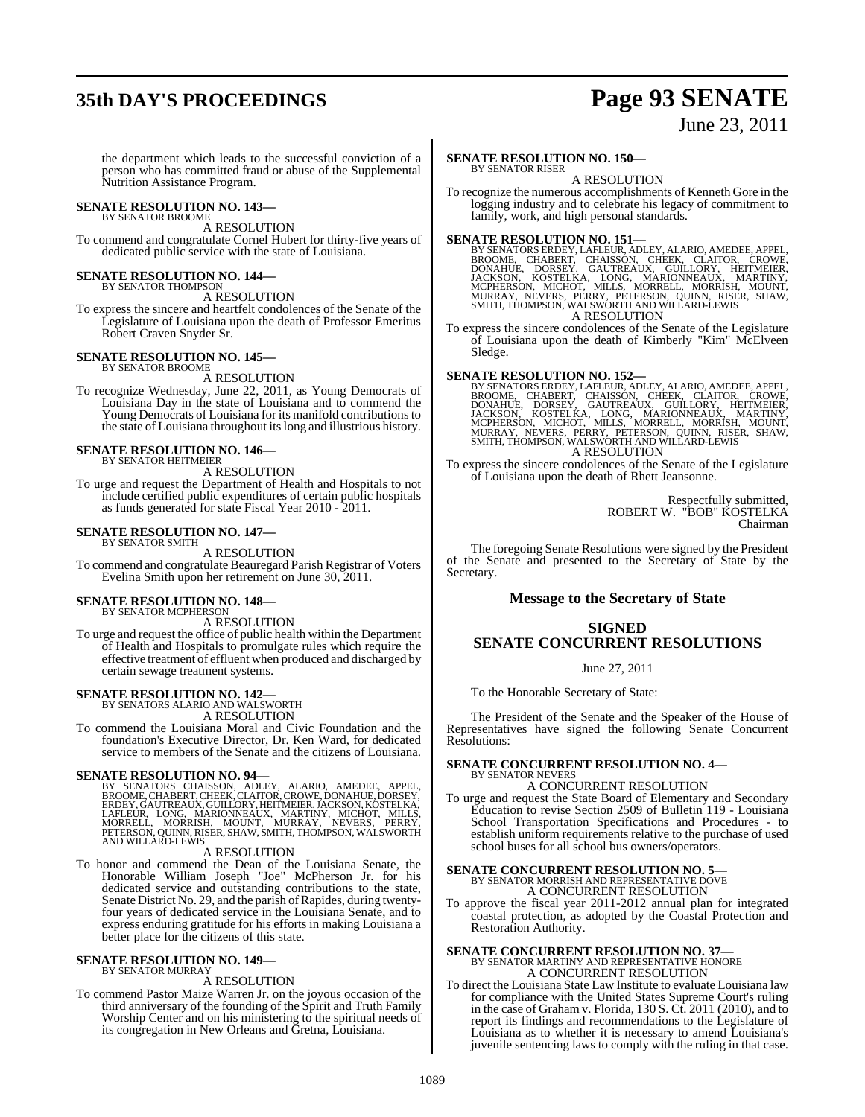# **35th DAY'S PROCEEDINGS Page 93 SENATE**

June 23, 2011

the department which leads to the successful conviction of a person who has committed fraud or abuse of the Supplemental Nutrition Assistance Program.

# **SENATE RESOLUTION NO. 143—** BY SENATOR BROOME

A RESOLUTION

To commend and congratulate Cornel Hubert for thirty-five years of dedicated public service with the state of Louisiana.

**SENATE RESOLUTION NO. 144—** BY SENATOR THOMPSON

A RESOLUTION To express the sincere and heartfelt condolences of the Senate of the

Legislature of Louisiana upon the death of Professor Emeritus Robert Craven Snyder Sr.

#### **SENATE RESOLUTION NO. 145—** BY SENATOR BROOME

A RESOLUTION

To recognize Wednesday, June 22, 2011, as Young Democrats of Louisiana Day in the state of Louisiana and to commend the Young Democrats of Louisiana for its manifold contributionsto the state of Louisiana throughout itslong and illustrious history.

#### **SENATE RESOLUTION NO. 146—** BY SENATOR HEITMEIER

A RESOLUTION

To urge and request the Department of Health and Hospitals to not include certified public expenditures of certain public hospitals as funds generated for state Fiscal Year 2010 - 2011.

#### **SENATE RESOLUTION NO. 147—** BY SENATOR SMITH

A RESOLUTION

To commend and congratulate Beauregard Parish Registrar of Voters Evelina Smith upon her retirement on June 30, 2011.

#### **SENATE RESOLUTION NO. 148—** BY SENATOR MCPHERSON

A RESOLUTION

To urge and request the office of public health within the Department of Health and Hospitals to promulgate rules which require the effective treatment of effluent when produced and discharged by certain sewage treatment systems.

# **SENATE RESOLUTION NO. 142—** BY SENATORS ALARIO AND WALSWORTH

A RESOLUTION

To commend the Louisiana Moral and Civic Foundation and the foundation's Executive Director, Dr. Ken Ward, for dedicated service to members of the Senate and the citizens of Louisiana.

**SENATE RESOLUTION NO. 94—**<br>BY SENATORS CHAISSON, ADLEY, ALARIO, AMEDEE, APPEL,<br>BROOME, CHABERT, CHEEK, CLAITOR, CROWE, DONAHUE, DORSEY,<br>ERDEY, GAUTREAUX, GUILLORY, HEITMEIER, JACKSON, KOSTELKA, LAFLEUR, LONG, MARIONNEAUX, MARTINY, MICHOT, MILLS,<br>MORRELL, MORRISH, MOUNT, MURRAY, NEVERS, PERRY,<br>PETERSON,QUINN,RISER,SHAW,SMITH,THOMPSON,WALSWORTH AND WILLARD-LEWIS

#### A RESOLUTION

To honor and commend the Dean of the Louisiana Senate, the Honorable William Joseph "Joe" McPherson Jr. for his dedicated service and outstanding contributions to the state, Senate District No. 29, and the parish of Rapides, during twentyfour years of dedicated service in the Louisiana Senate, and to express enduring gratitude for his efforts in making Louisiana a better place for the citizens of this state.

#### **SENATE RESOLUTION NO. 149—** BY SENATOR MURRAY

#### A RESOLUTION

To commend Pastor Maize Warren Jr. on the joyous occasion of the third anniversary of the founding of the Spirit and Truth Family Worship Center and on his ministering to the spiritual needs of its congregation in New Orleans and Gretna, Louisiana.

#### **SENATE RESOLUTION NO. 150—** BY SENATOR RISER

A RESOLUTION

To recognize the numerous accomplishments of Kenneth Gore in the logging industry and to celebrate his legacy of commitment to family, work, and high personal standards.

SENATE RESOLUTION NO. 151—<br>
BY SENATORS ERDEY, LAFLEUR, ADLEY, ALARIO, AMEDEE, APPEL,<br>
BROOME, CHABERT, CHAISSON, CHEEK, CLAITOR, CROWE,<br>
DONAHUE, DORSEY, GAUTREAUX, GUILLORY, HEITMEIER,<br>
JACKSON, KOSTELKA, LONG, MARIONNEA

To express the sincere condolences of the Senate of the Legislature of Louisiana upon the death of Kimberly "Kim" McElveen Sledge.

SENATE RESOLUTION NO. 152—<br>BY SENATORS ERDEY, LAFLEUR, ADLEY, ALARIO, AMEDEE, APPEL, BROOME, CHABERT, CHAISSON, CHEEK, CLAITOR, CROWE, DONAHUE, DORSEY, GAUTREAUX, GUILLORY, HEITMEIER, JACKSON, MOCRIEXA, LONG, MARIONNEAUX, A RESOLUTION

To express the sincere condolences of the Senate of the Legislature of Louisiana upon the death of Rhett Jeansonne.

> Respectfully submitted, ROBERT W. "BOB" KOSTELKA Chairman

The foregoing Senate Resolutions were signed by the President of the Senate and presented to the Secretary of State by the Secretary.

#### **Message to the Secretary of State**

### **SIGNED SENATE CONCURRENT RESOLUTIONS**

#### June 27, 2011

To the Honorable Secretary of State:

The President of the Senate and the Speaker of the House of Representatives have signed the following Senate Concurrent Resolutions:

#### **SENATE CONCURRENT RESOLUTION NO. 4—** BY SENATOR NEVERS

A CONCURRENT RESOLUTION

To urge and request the State Board of Elementary and Secondary Education to revise Section 2509 of Bulletin 119 - Louisiana School Transportation Specifications and Procedures - to establish uniform requirements relative to the purchase of used school buses for all school bus owners/operators.

## **SENATE CONCURRENT RESOLUTION NO. 5—** BY SENATOR MORRISH AND REPRESENTATIVE DOVE A CONCURRENT RESOLUTION

To approve the fiscal year 2011-2012 annual plan for integrated coastal protection, as adopted by the Coastal Protection and Restoration Authority.

# **SENATE CONCURRENT RESOLUTION NO. 37—**<br>BY SENATOR MARTINY AND REPRESENTATIVE HONORE A CONCURRENT RESOLUTION

To direct the Louisiana State Law Institute to evaluate Louisiana law for compliance with the United States Supreme Court's ruling in the case of Graham v. Florida, 130 S. Ct. 2011 (2010), and to report its findings and recommendations to the Legislature of Louisiana as to whether it is necessary to amend Louisiana's juvenile sentencing laws to comply with the ruling in that case.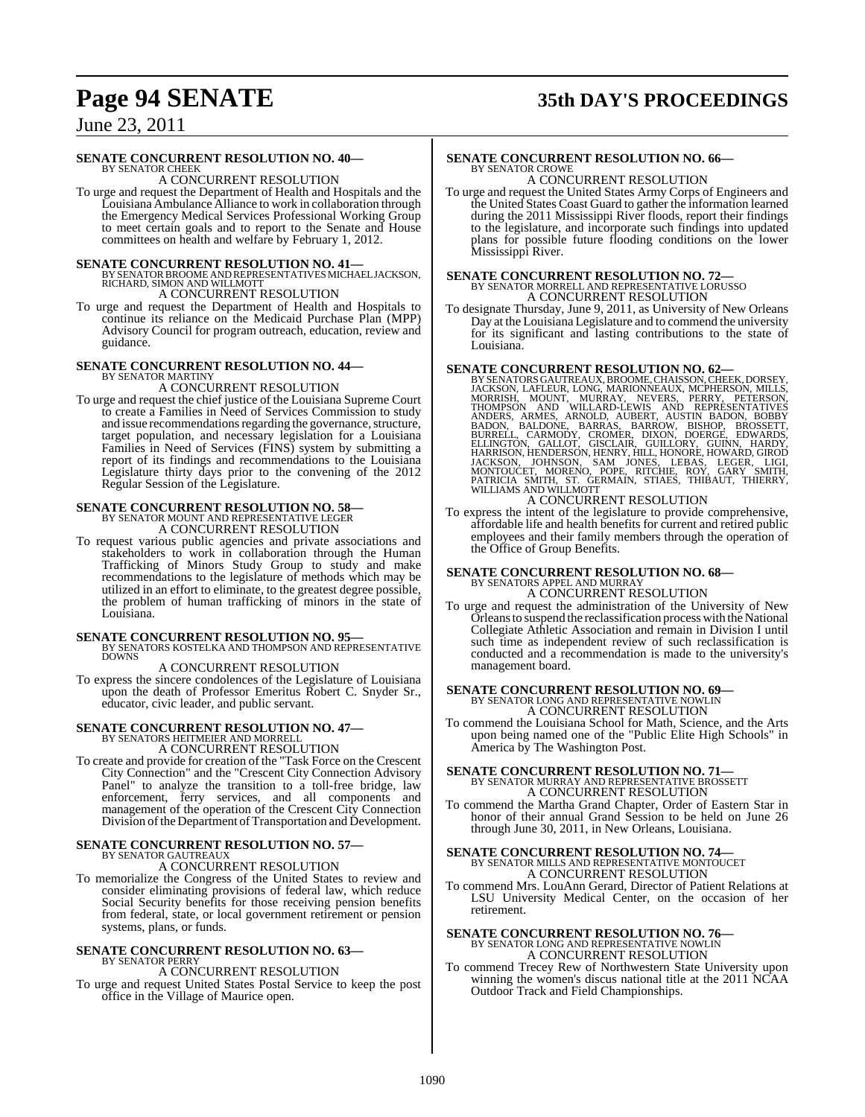# **Page 94 SENATE 35th DAY'S PROCEEDINGS**

June 23, 2011

#### **SENATE CONCURRENT RESOLUTION NO. 40—**

BY SENATOR CHEEK A CONCURRENT RESOLUTION

To urge and request the Department of Health and Hospitals and the Louisiana Ambulance Alliance to work in collaboration through the Emergency Medical Services Professional Working Group to meet certain goals and to report to the Senate and House committees on health and welfare by February 1, 2012.

#### **SENATE CONCURRENT RESOLUTION NO. 41—**

- BY SENATOR BROOME AND REPRESENTATIVES MICHAEL JACKSON,<br>RICHARD, SIMON AND WILLMOTT A CONCURRENT RESOLUTION
- To urge and request the Department of Health and Hospitals to continue its reliance on the Medicaid Purchase Plan (MPP) Advisory Council for program outreach, education, review and guidance.

# **SENATE CONCURRENT RESOLUTION NO. 44—** BY SENATOR MARTINY

A CONCURRENT RESOLUTION

To urge and request the chief justice of the Louisiana Supreme Court to create a Families in Need of Services Commission to study and issue recommendations regarding the governance, structure, target population, and necessary legislation for a Louisiana Families in Need of Services (FINS) system by submitting a report of its findings and recommendations to the Louisiana Legislature thirty days prior to the convening of the 2012 Regular Session of the Legislature.

### **SENATE CONCURRENT RESOLUTION NO. 58—** BY SENATOR MOUNT AND REPRESENTATIVE LEGER A CONCURRENT RESOLUTION

To request various public agencies and private associations and

stakeholders to work in collaboration through the Human Trafficking of Minors Study Group to study and make recommendations to the legislature of methods which may be utilized in an effort to eliminate, to the greatest degree possible, the problem of human trafficking of minors in the state of Louisiana.

**SENATE CONCURRENT RESOLUTION NO. 95—BY SENATORS KOSTELKA AND THOMPSON AND REPRESENTATIVE DOWNS** 

A CONCURRENT RESOLUTION

To express the sincere condolences of the Legislature of Louisiana upon the death of Professor Emeritus Robert C. Snyder Sr., educator, civic leader, and public servant.

### **SENATE CONCURRENT RESOLUTION NO. 47—** BY SENATORS HEITMEIER AND MORRELL A CONCURRENT RESOLUTION

To create and provide for creation of the "Task Force on the Crescent City Connection" and the "Crescent City Connection Advisory Panel" to analyze the transition to a toll-free bridge, law enforcement, ferry services, and all components and management of the operation of the Crescent City Connection Division of the Department of Transportation and Development.

### **SENATE CONCURRENT RESOLUTION NO. 57—** BY SENATOR GAUTREAUX A CONCURRENT RESOLUTION

To memorialize the Congress of the United States to review and consider eliminating provisions of federal law, which reduce Social Security benefits for those receiving pension benefits from federal, state, or local government retirement or pension systems, plans, or funds.

#### **SENATE CONCURRENT RESOLUTION NO. 63—** BY SENATOR PERRY

A CONCURRENT RESOLUTION

To urge and request United States Postal Service to keep the post office in the Village of Maurice open.

#### **SENATE CONCURRENT RESOLUTION NO. 66—** BY SENATOR CROWE

A CONCURRENT RESOLUTION To urge and request the United States Army Corps of Engineers and the United States Coast Guard to gather the information learned during the 2011 Mississippi River floods, report their findings to the legislature, and incorporate such findings into updated plans for possible future flooding conditions on the lower Mississippi River.

# **SENATE CONCURRENT RESOLUTION NO. 72—**<br>BY SENATOR MORRELL AND REPRESENTATIVE LORUSSO<br>A CONCURRENT RESOLUTION

To designate Thursday, June 9, 2011, as University of New Orleans Day at the Louisiana Legislature and to commend the university for its significant and lasting contributions to the state of Louisiana.

SENATE CONCURRENT RESOLUTION NO. 62—<br>BY SENATORS GAUTREAUX, BROOME, CHAISSON, CHEEK, DORSEY, JACKSON, LAFLEUR, LONG, MARIONNEAUX, MCPHERSON, MILLS,<br>MORRISH, MOUNT, MURRAY, NEVERS, PERRY, PETERSON, THOMPSON AND REPRESENTATI

To express the intent of the legislature to provide comprehensive, affordable life and health benefits for current and retired public employees and their family members through the operation of the Office of Group Benefits.

### **SENATE CONCURRENT RESOLUTION NO. 68—** BY SENATORS APPEL AND MURRAY A CONCURRENT RESOLUTION

- 
- To urge and request the administration of the University of New Orleansto suspend the reclassification process with the National Collegiate Athletic Association and remain in Division I until such time as independent review of such reclassification is conducted and a recommendation is made to the university's management board.

### **SENATE CONCURRENT RESOLUTION NO. 69—** BY SENATOR LONG AND REPRESENTATIVE NOWLIN A CONCURRENT RESOLUTION

To commend the Louisiana School for Math, Science, and the Arts upon being named one of the "Public Elite High Schools" in America by The Washington Post.

### **SENATE CONCURRENT RESOLUTION NO. 71—** BY SENATOR MURRAY AND REPRESENTATIVE BROSSETT A CONCURRENT RESOLUTION

To commend the Martha Grand Chapter, Order of Eastern Star in honor of their annual Grand Session to be held on June 26 through June 30, 2011, in New Orleans, Louisiana.

### **SENATE CONCURRENT RESOLUTION NO. 74—** BY SENATOR MILLS AND REPRESENTATIVE MONTOUCET A CONCURRENT RESOLUTION

To commend Mrs. LouAnn Gerard, Director of Patient Relations at LSU University Medical Center, on the occasion of her retirement.

### **SENATE CONCURRENT RESOLUTION NO. 76—** BY SENATOR LONG AND REPRESENTATIVE NOWLIN A CONCURRENT RESOLUTION

To commend Trecey Rew of Northwestern State University upon winning the women's discus national title at the 2011 NCAA Outdoor Track and Field Championships.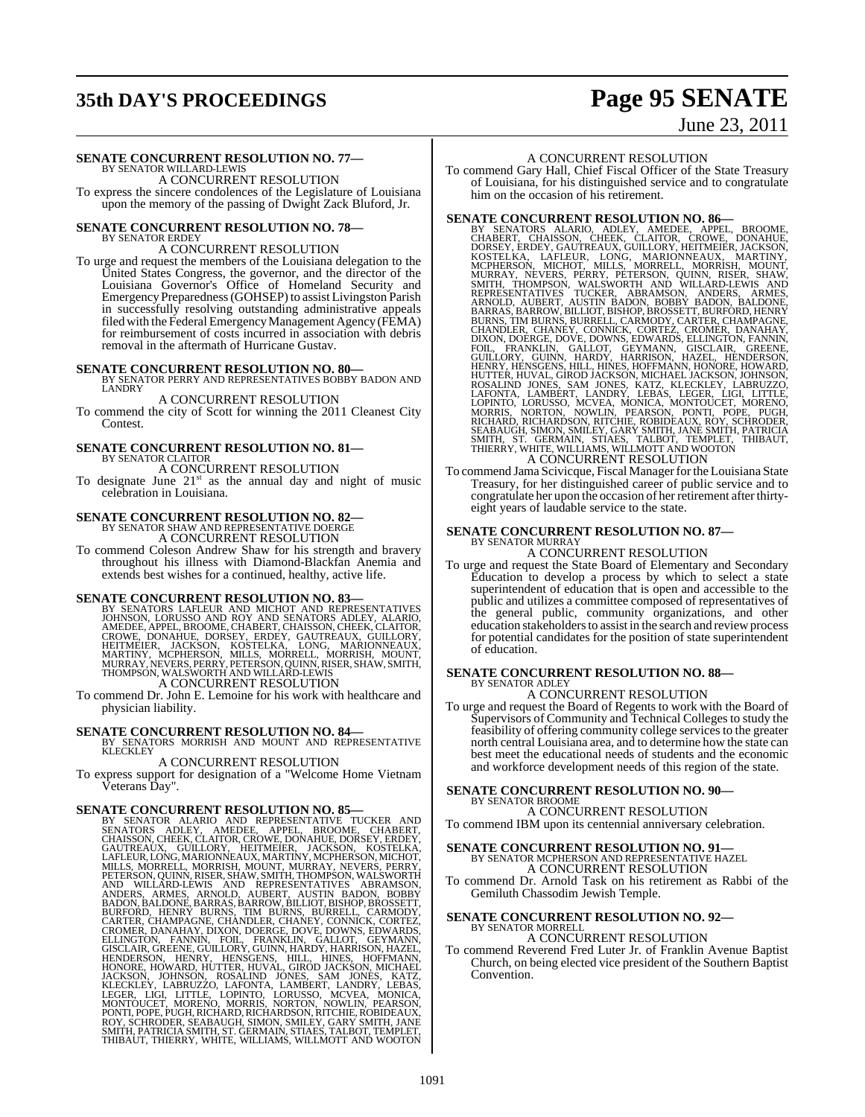# **35th DAY'S PROCEEDINGS Page 95 SENATE**

## June 23, 2011

# **SENATE CONCURRENT RESOLUTION NO. 77—** BY SENATOR WILLARD-LEWIS

A CONCURRENT RESOLUTION

To express the sincere condolences of the Legislature of Louisiana upon the memory of the passing of Dwight Zack Bluford, Jr.

#### **SENATE CONCURRENT RESOLUTION NO. 78—** BY SENATOR ERDEY

A CONCURRENT RESOLUTION

To urge and request the members of the Louisiana delegation to the United States Congress, the governor, and the director of the Louisiana Governor's Office of Homeland Security and Emergency Preparedness (GOHSEP) to assist Livingston Parish in successfully resolving outstanding administrative appeals filed with the Federal Emergency Management Agency (FEMA) for reimbursement of costs incurred in association with debris removal in the aftermath of Hurricane Gustav.

**SENATE CONCURRENT RESOLUTION NO. 80—BY SENATOR PERRY AND REPRESENTATIVES BOBBY BADON AND LANDRY** 

### A CONCURRENT RESOLUTION

To commend the city of Scott for winning the 2011 Cleanest City Contest.

#### **SENATE CONCURRENT RESOLUTION NO. 81—** BY SENATOR CLAITOR A CONCURRENT RESOLUTION

To designate June  $21<sup>st</sup>$  as the annual day and night of music celebration in Louisiana.

## **SENATE CONCURRENT RESOLUTION NO. 82—**

BY SENATOR SHAW AND REPRESENTATIVE DOERGE A CONCURRENT RESOLUTION

To commend Coleson Andrew Shaw for his strength and bravery throughout his illness with Diamond-Blackfan Anemia and extends best wishes for a continued, healthy, active life.

**SENATE CONCURRENT RESOLUTION NO. 83**<br>BY SENATORS LAFLEUR AND MICHOT AND REPRESENTATIVES<br>UHNSON, LORUSSO AND ROY AND SENATORS ADLEY, ALARIO,<br>AMEDEE, APPEL, BROOME, CHABERT, CHAISSON, CHEEK, CLAITOR,<br>CROWE, DONAHUE, DORSEY, A CONCURRENT RESOLUTION

To commend Dr. John E. Lemoine for his work with healthcare and physician liability.

**SENATE CONCURRENT RESOLUTION NO. 84—** BY SENATORS MORRISH AND MOUNT AND REPRESENTATIVE **KLECKLEY** 

### A CONCURRENT RESOLUTION

To express support for designation of a "Welcome Home Vietnam Veterans Day".

**SENATE CONCURRENT RESOLUTION NO. 85—**<br>BY SENATOR ALARIO AND REPRESENTATIVE TUCKER AND SENATORS ADLEY, AMEDEE, APPEL, BROOME, CHABERT, CHABERT, CHAITREAUX, CUILIORY, HEITMEIER, JACKSON, ENCHANDER, GAITREAUX, CUILIORY, HEIT

#### A CONCURRENT RESOLUTION

To commend Gary Hall, Chief Fiscal Officer of the State Treasury of Louisiana, for his distinguished service and to congratulate him on the occasion of his retirement.

**SENATE CONCURRENT RESOLUTION NO. 86—**<br>BY SENATORS ALARIO, ADLEY, AMEDEE, APPEL, BROOME, CHABERT, CHAISSON, CHEEK, CLATTOR, CROWE, DONAHUE, DORSEY, ERDEY, GAUTREAUX, GUILLORY, HEITMEIER, JACKSON, MCHOT, MILLS, MORRELL, MOR

To commend Jama Scivicque, Fiscal Manager for the Louisiana State Treasury, for her distinguished career of public service and to congratulate her upon the occasion of her retirement after thirtyeight years of laudable service to the state.

#### **SENATE CONCURRENT RESOLUTION NO. 87—** BY SENATOR MURRAY A CONCURRENT RESOLUTION

To urge and request the State Board of Elementary and Secondary Education to develop a process by which to select a state superintendent of education that is open and accessible to the public and utilizes a committee composed of representatives of the general public, community organizations, and other education stakeholders to assist in the search and review process for potential candidates for the position of state superintendent of education.

#### **SENATE CONCURRENT RESOLUTION NO. 88—** BY SENATOR ADLEY

A CONCURRENT RESOLUTION

To urge and request the Board of Regents to work with the Board of Supervisors of Community and Technical Colleges to study the feasibility of offering community college services to the greater north central Louisiana area, and to determine how the state can best meet the educational needs of students and the economic and workforce development needs of this region of the state.

# **SENATE CONCURRENT RESOLUTION NO. 90—** BY SENATOR BROOME

A CONCURRENT RESOLUTION

To commend IBM upon its centennial anniversary celebration.

#### **SENATE CONCURRENT RESOLUTION NO. 91—**

BY SENATOR MCPHERSON AND REPRESENTATIVE HAZEL

A CONCURRENT RESOLUTION

To commend Dr. Arnold Task on his retirement as Rabbi of the Gemiluth Chassodim Jewish Temple.

# **SENATE CONCURRENT RESOLUTION NO. 92—** BY SENATOR MORRELL

A CONCURRENT RESOLUTION

To commend Reverend Fred Luter Jr. of Franklin Avenue Baptist Church, on being elected vice president of the Southern Baptist Convention.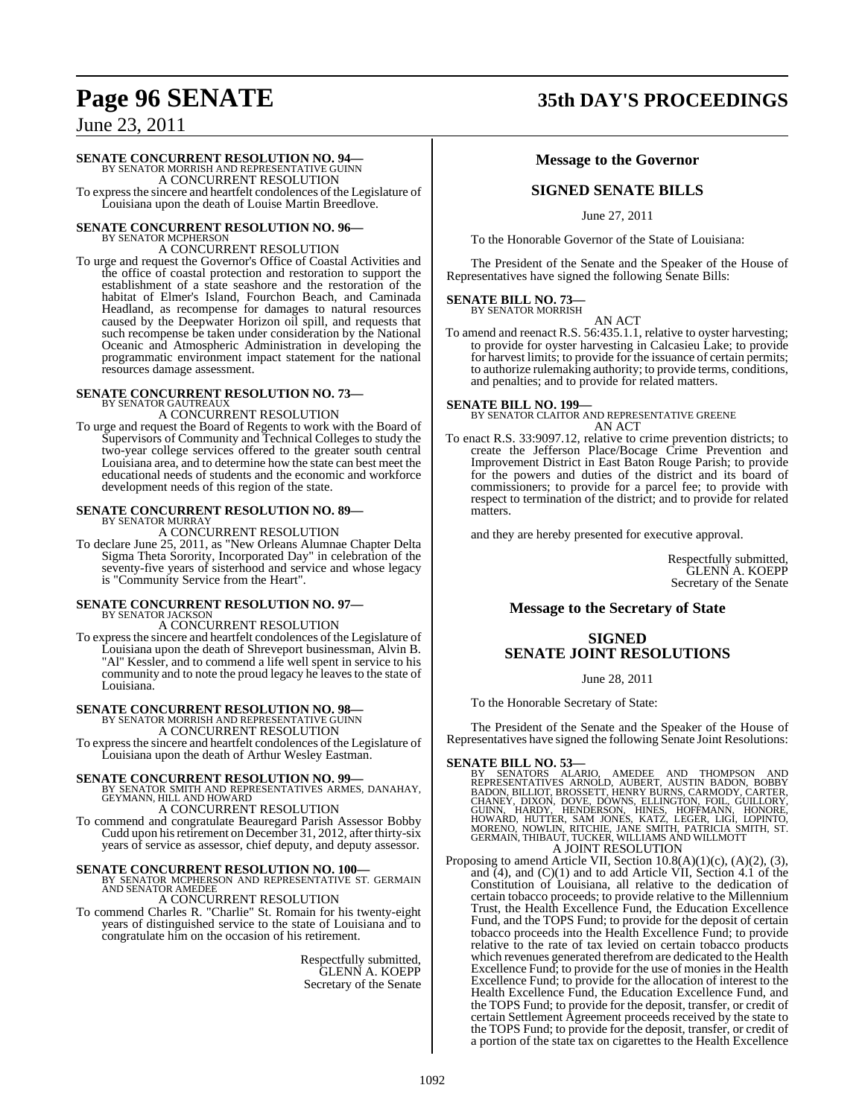# **Page 96 SENATE 35th DAY'S PROCEEDINGS**

June 23, 2011

### **SENATE CONCURRENT RESOLUTION NO. 94—**

BY SENATOR MORRISH AND REPRESENTATIVE GUINN A CONCURRENT RESOLUTION

To expressthe sincere and heartfelt condolences of the Legislature of Louisiana upon the death of Louise Martin Breedlove.

# **SENATE CONCURRENT RESOLUTION NO. 96—** BY SENATOR MCPHERSON

A CONCURRENT RESOLUTION

To urge and request the Governor's Office of Coastal Activities and the office of coastal protection and restoration to support the establishment of a state seashore and the restoration of the habitat of Elmer's Island, Fourchon Beach, and Caminada Headland, as recompense for damages to natural resources caused by the Deepwater Horizon oil spill, and requests that such recompense be taken under consideration by the National Oceanic and Atmospheric Administration in developing the programmatic environment impact statement for the national resources damage assessment.

#### **SENATE CONCURRENT RESOLUTION NO. 73—** BY SENATOR GAUTREAUX

### A CONCURRENT RESOLUTION

To urge and request the Board of Regents to work with the Board of Supervisors of Community and Technical Colleges to study the two-year college services offered to the greater south central Louisiana area, and to determine how the state can best meet the educational needs of students and the economic and workforce development needs of this region of the state.

# **SENATE CONCURRENT RESOLUTION NO. 89—** BY SENATOR MURRAY

A CONCURRENT RESOLUTION

To declare June 25, 2011, as "New Orleans Alumnae Chapter Delta Sigma Theta Sorority, Incorporated Day" in celebration of the seventy-five years of sisterhood and service and whose legacy is "Community Service from the Heart".

# **SENATE CONCURRENT RESOLUTION NO. 97—** BY SENATOR JACKSON

A CONCURRENT RESOLUTION

To expressthe sincere and heartfelt condolences of the Legislature of Louisiana upon the death of Shreveport businessman, Alvin B. "Al" Kessler, and to commend a life well spent in service to his community and to note the proud legacy he leavesto the state of Louisiana.

# **SENATE CONCURRENT RESOLUTION NO. 98—** BY SENATOR MORRISH AND REPRESENTATIVE GUINN

A CONCURRENT RESOLUTION

To expressthe sincere and heartfelt condolences of the Legislature of Louisiana upon the death of Arthur Wesley Eastman.

**SENATE CONCURRENT RESOLUTION NO. 99—<br>BY SENATOR SMITH AND REPRESENTATIVES ARMES, DANAHAY,<br>GEYMANN, HILL AND HOWARD** 

A CONCURRENT RESOLUTION

To commend and congratulate Beauregard Parish Assessor Bobby Cudd upon his retirement on December 31, 2012, after thirty-six years of service as assessor, chief deputy, and deputy assessor.

**SENATE CONCURRENT RESOLUTION NO. 100—**<br>BY SENATOR MCPHERSON AND REPRESENTATIVE ST. GERMAIN<br>AND SENATOR AMEDEE

A CONCURRENT RESOLUTION

To commend Charles R. "Charlie" St. Romain for his twenty-eight years of distinguished service to the state of Louisiana and to congratulate him on the occasion of his retirement.

> Respectfully submitted, GLENN A. KOEPP Secretary of the Senate

### **Message to the Governor**

### **SIGNED SENATE BILLS**

June 27, 2011

To the Honorable Governor of the State of Louisiana:

The President of the Senate and the Speaker of the House of Representatives have signed the following Senate Bills:

# **SENATE BILL NO. 73—** BY SENATOR MORRISH

AN ACT

To amend and reenact R.S. 56:435.1.1, relative to oyster harvesting; to provide for oyster harvesting in Calcasieu Lake; to provide for harvest limits; to provide for the issuance of certain permits; to authorize rulemaking authority; to provide terms, conditions, and penalties; and to provide for related matters.

**SENATE BILL NO. 199—** BY SENATOR CLAITOR AND REPRESENTATIVE GREENE AN ACT

To enact R.S. 33:9097.12, relative to crime prevention districts; to create the Jefferson Place/Bocage Crime Prevention and Improvement District in East Baton Rouge Parish; to provide for the powers and duties of the district and its board of commissioners; to provide for a parcel fee; to provide with respect to termination of the district; and to provide for related matters.

and they are hereby presented for executive approval.

Respectfully submitted, GLENN A. KOEPP Secretary of the Senate

### **Message to the Secretary of State**

### **SIGNED SENATE JOINT RESOLUTIONS**

June 28, 2011

To the Honorable Secretary of State:

The President of the Senate and the Speaker of the House of Representatives have signed the following Senate Joint Resolutions:

#### **SENATE BILL NO. 53—**

- BY SENATORS ALARIO, AMEDEE AND THOMPSON AND<br>REPRESENTATIVES ARNOLD, AUBERT, AUSTIN BADON, BOBBY<br>BADON, BILLIOT, BROSSETT, HENRY BURNS, CARMODY, CARTER,<br>GUINN, HARDY, DOVE, DOWNS, ELLINGTON, FOIL, GUILLORY,<br>GUINN, HARDY, HE A JOINT RESOLUTION
- Proposing to amend Article VII, Section 10.8(A)(1)(c), (A)(2), (3), and  $(4)$ , and  $(C)(1)$  and to add Article VII, Section 4.1 of the Constitution of Louisiana, all relative to the dedication of certain tobacco proceeds; to provide relative to the Millennium Trust, the Health Excellence Fund, the Education Excellence Fund, and the TOPS Fund; to provide for the deposit of certain tobacco proceeds into the Health Excellence Fund; to provide relative to the rate of tax levied on certain tobacco products which revenues generated therefrom are dedicated to the Health Excellence Fund; to provide for the use of monies in the Health Excellence Fund; to provide for the allocation of interest to the Health Excellence Fund, the Education Excellence Fund, and the TOPS Fund; to provide for the deposit, transfer, or credit of certain Settlement Agreement proceeds received by the state to the TOPS Fund; to provide for the deposit, transfer, or credit of a portion of the state tax on cigarettes to the Health Excellence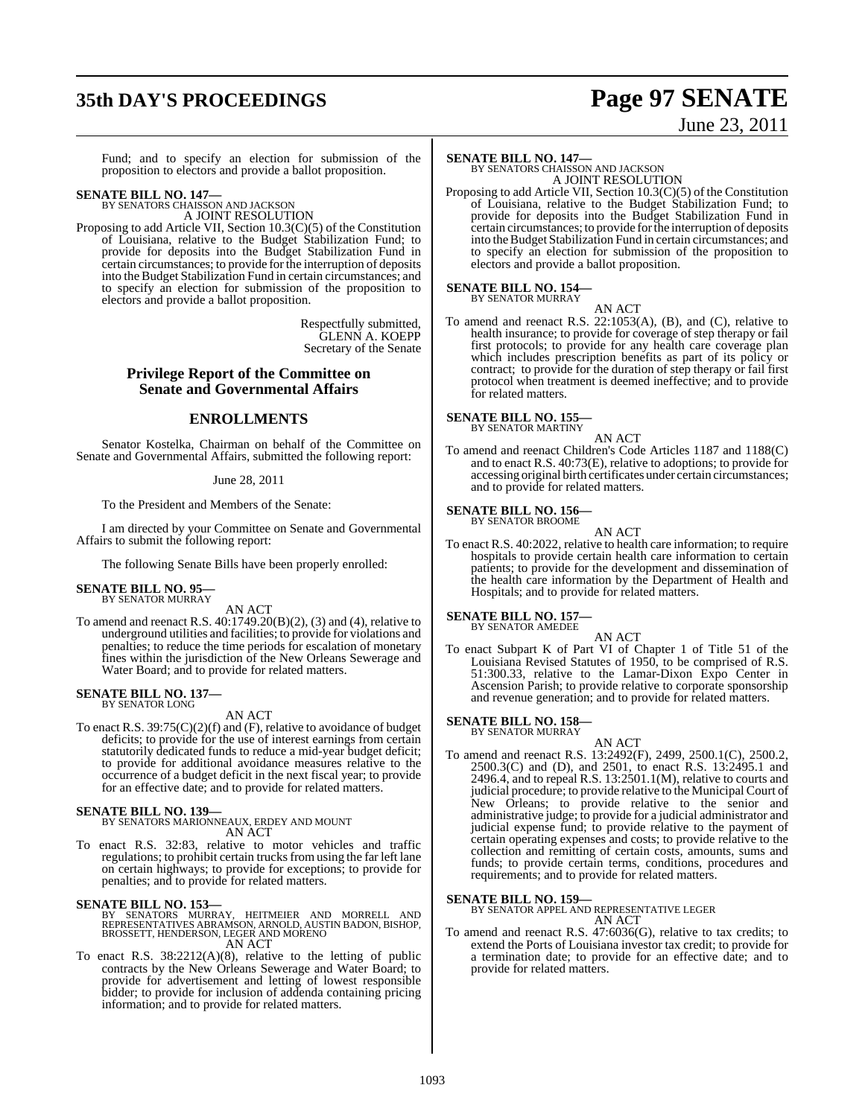# **35th DAY'S PROCEEDINGS Page 97 SENATE**

# June 23, 2011

Fund; and to specify an election for submission of the proposition to electors and provide a ballot proposition.

# **SENATE BILL NO. 147—** BY SENATORS CHAISSON AND JACKSON

A JOINT RESOLUTION

Proposing to add Article VII, Section 10.3(C)(5) of the Constitution of Louisiana, relative to the Budget Stabilization Fund; to provide for deposits into the Budget Stabilization Fund in certain circumstances; to provide forthe interruption of deposits into the Budget Stabilization Fund in certain circumstances; and to specify an election for submission of the proposition to electors and provide a ballot proposition.

> Respectfully submitted, GLENN A. KOEPP Secretary of the Senate

#### **Privilege Report of the Committee on Senate and Governmental Affairs**

#### **ENROLLMENTS**

Senator Kostelka, Chairman on behalf of the Committee on Senate and Governmental Affairs, submitted the following report:

#### June 28, 2011

To the President and Members of the Senate:

I am directed by your Committee on Senate and Governmental Affairs to submit the following report:

The following Senate Bills have been properly enrolled:

#### **SENATE BILL NO. 95—** BY SENATOR MURRAY

AN ACT

To amend and reenact R.S. 40:1749.20(B)(2), (3) and (4), relative to underground utilities and facilities; to provide for violations and penalties; to reduce the time periods for escalation of monetary fines within the jurisdiction of the New Orleans Sewerage and Water Board; and to provide for related matters.

# **SENATE BILL NO. 137—** BY SENATOR LONG

AN ACT

To enact R.S. 39:75(C)(2)(f) and (F), relative to avoidance of budget deficits; to provide for the use of interest earnings from certain statutorily dedicated funds to reduce a mid-year budget deficit; to provide for additional avoidance measures relative to the occurrence of a budget deficit in the next fiscal year; to provide for an effective date; and to provide for related matters.

#### **SENATE BILL NO. 139—**

BY SENATORS MARIONNEAUX, ERDEY AND MOUNT AN ACT

To enact R.S. 32:83, relative to motor vehicles and traffic regulations; to prohibit certain trucks from using the far left lane on certain highways; to provide for exceptions; to provide for penalties; and to provide for related matters.

#### **SENATE BILL NO. 153—**

BY SENATORS MURRAY, HEITMEIER AND MORRELL AND<br>REPRESENTATIVES ABRAMSON,ARNOLD,AUSTIN BADON,BISHOP,<br>BROSSETT,HENDERSON,LEGER AND MORENO AN ACT

To enact R.S. 38:2212(A)(8), relative to the letting of public contracts by the New Orleans Sewerage and Water Board; to provide for advertisement and letting of lowest responsible bidder; to provide for inclusion of addenda containing pricing information; and to provide for related matters.

**SENATE BILL NO. 147—** BY SENATORS CHAISSON AND JACKSON A JOINT RESOLUTION

Proposing to add Article VII, Section 10.3(C)(5) of the Constitution of Louisiana, relative to the Budget Stabilization Fund; to provide for deposits into the Budget Stabilization Fund in certain circumstances; to provide forthe interruption of deposits into the Budget Stabilization Fund in certain circumstances; and to specify an election for submission of the proposition to electors and provide a ballot proposition.

# **SENATE BILL NO. 154—** BY SENATOR MURRAY

AN ACT To amend and reenact R.S.  $22:1053(A)$ , (B), and (C), relative to health insurance; to provide for coverage of step therapy or fail first protocols; to provide for any health care coverage plan which includes prescription benefits as part of its policy or contract; to provide for the duration of step therapy or fail first protocol when treatment is deemed ineffective; and to provide for related matters.

#### **SENATE BILL NO. 155—** BY SENATOR MARTINY

AN ACT

To amend and reenact Children's Code Articles 1187 and 1188(C) and to enact R.S. 40:73(E), relative to adoptions; to provide for accessing original birth certificates under certain circumstances; and to provide for related matters.

# **SENATE BILL NO. 156—** BY SENATOR BROOME

AN ACT

To enact R.S. 40:2022, relative to health care information; to require hospitals to provide certain health care information to certain patients; to provide for the development and dissemination of the health care information by the Department of Health and Hospitals; and to provide for related matters.

#### **SENATE BILL NO. 157—** BY SENATOR AMEDEE

AN ACT To enact Subpart K of Part VI of Chapter 1 of Title 51 of the Louisiana Revised Statutes of 1950, to be comprised of R.S. 51:300.33, relative to the Lamar-Dixon Expo Center in Ascension Parish; to provide relative to corporate sponsorship and revenue generation; and to provide for related matters.

#### **SENATE BILL NO. 158—**

BY SENATOR MURRAY

AN ACT To amend and reenact R.S. 13:2492(F), 2499, 2500.1(C), 2500.2, 2500.3(C) and (D), and 2501, to enact R.S. 13:2495.1 and 2496.4, and to repeal R.S. 13:2501.1(M), relative to courts and judicial procedure; to provide relative to the Municipal Court of New Orleans; to provide relative to the senior and administrative judge; to provide for a judicial administrator and judicial expense fund; to provide relative to the payment of certain operating expenses and costs; to provide relative to the collection and remitting of certain costs, amounts, sums and funds; to provide certain terms, conditions, procedures and requirements; and to provide for related matters.

**SENATE BILL NO. 159—** BY SENATOR APPEL AND REPRESENTATIVE LEGER AN ACT

To amend and reenact R.S. 47:6036(G), relative to tax credits; to extend the Ports of Louisiana investor tax credit; to provide for a termination date; to provide for an effective date; and to provide for related matters.